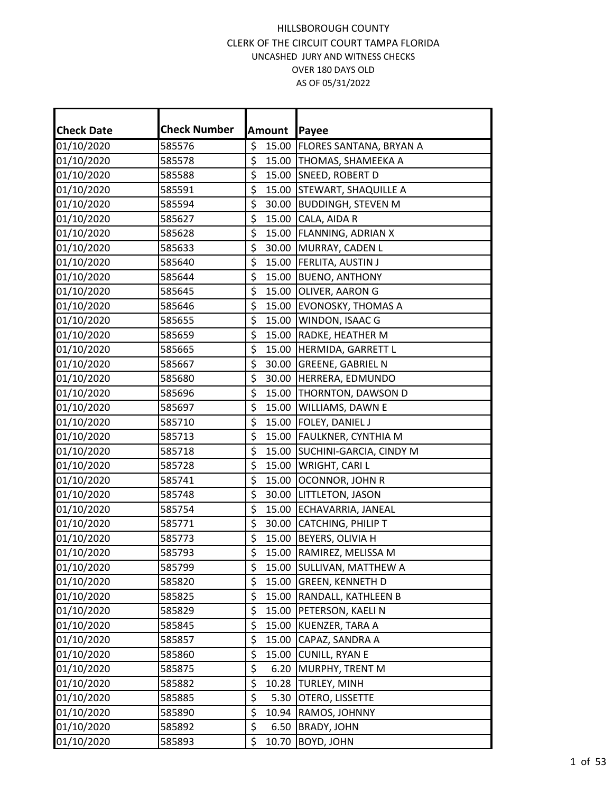| <b>Check Date</b> | <b>Check Number</b> | Amount                                   | Payee                          |
|-------------------|---------------------|------------------------------------------|--------------------------------|
| 01/10/2020        | 585576              | \$<br>15.00                              | <b>FLORES SANTANA, BRYAN A</b> |
| 01/10/2020        | 585578              | \$<br>15.00                              | THOMAS, SHAMEEKA A             |
| 01/10/2020        | 585588              | \$<br>15.00                              | SNEED, ROBERT D                |
| 01/10/2020        | 585591              | \$<br>15.00                              | STEWART, SHAQUILLE A           |
| 01/10/2020        | 585594              | \$<br>30.00                              | <b>BUDDINGH, STEVEN M</b>      |
| 01/10/2020        | 585627              | \$<br>15.00                              | CALA, AIDA R                   |
| 01/10/2020        | 585628              | \$<br>15.00                              | FLANNING, ADRIAN X             |
| 01/10/2020        | 585633              | \$<br>30.00                              | MURRAY, CADEN L                |
| 01/10/2020        | 585640              | \$<br>15.00                              | <b>FERLITA, AUSTIN J</b>       |
| 01/10/2020        | 585644              | \$<br>15.00                              | <b>BUENO, ANTHONY</b>          |
| 01/10/2020        | 585645              | \$<br>15.00                              | OLIVER, AARON G                |
| 01/10/2020        | 585646              | \$<br>15.00                              | EVONOSKY, THOMAS A             |
| 01/10/2020        | 585655              | $\overline{\xi}$<br>15.00                | WINDON, ISAAC G                |
| 01/10/2020        | 585659              | \$<br>15.00                              | RADKE, HEATHER M               |
| 01/10/2020        | 585665              | \$<br>15.00                              | HERMIDA, GARRETT L             |
| 01/10/2020        | 585667              | $\overline{\boldsymbol{\zeta}}$<br>30.00 | <b>GREENE, GABRIEL N</b>       |
| 01/10/2020        | 585680              | \$<br>30.00                              | HERRERA, EDMUNDO               |
| 01/10/2020        | 585696              | \$<br>15.00                              | THORNTON, DAWSON D             |
| 01/10/2020        | 585697              | \$<br>15.00                              | WILLIAMS, DAWN E               |
| 01/10/2020        | 585710              | \$<br>15.00                              | <b>FOLEY, DANIEL J</b>         |
| 01/10/2020        | 585713              | \$<br>15.00                              | <b>FAULKNER, CYNTHIA M</b>     |
| 01/10/2020        | 585718              | \$<br>15.00                              | SUCHINI-GARCIA, CINDY M        |
| 01/10/2020        | 585728              | \$<br>15.00                              | WRIGHT, CARI L                 |
| 01/10/2020        | 585741              | \$<br>15.00                              | OCONNOR, JOHN R                |
| 01/10/2020        | 585748              | \$<br>30.00                              | LITTLETON, JASON               |
| 01/10/2020        | 585754              | \$<br>15.00                              | ECHAVARRIA, JANEAL             |
| 01/10/2020        | 585771              | $\overline{\xi}$<br>30.00                | <b>CATCHING, PHILIP T</b>      |
| 01/10/2020        | 585773              | \$<br>15.00                              | BEYERS, OLIVIA H               |
| 01/10/2020        | 585793              | \$<br>15.00                              | RAMIREZ, MELISSA M             |
| 01/10/2020        | 585799              | \$                                       | 15.00 SULLIVAN, MATTHEW A      |
| 01/10/2020        | 585820              | \$                                       | 15.00 GREEN, KENNETH D         |
| 01/10/2020        | 585825              | \$<br>15.00                              | RANDALL, KATHLEEN B            |
| 01/10/2020        | 585829              | \$<br>15.00                              | PETERSON, KAELI N              |
| 01/10/2020        | 585845              | \$<br>15.00                              | KUENZER, TARA A                |
| 01/10/2020        | 585857              | \$<br>15.00                              | CAPAZ, SANDRA A                |
| 01/10/2020        | 585860              | \$<br>15.00                              | <b>CUNILL, RYAN E</b>          |
| 01/10/2020        | 585875              | \$<br>6.20                               | MURPHY, TRENT M                |
| 01/10/2020        | 585882              | \$<br>10.28                              | TURLEY, MINH                   |
| 01/10/2020        | 585885              | $\overline{\xi}$<br>5.30                 | OTERO, LISSETTE                |
| 01/10/2020        | 585890              | \$<br>10.94                              | RAMOS, JOHNNY                  |
| 01/10/2020        | 585892              | $\overline{\xi}$<br>6.50                 | <b>BRADY, JOHN</b>             |
| 01/10/2020        | 585893              | \$<br>10.70                              | BOYD, JOHN                     |
|                   |                     |                                          |                                |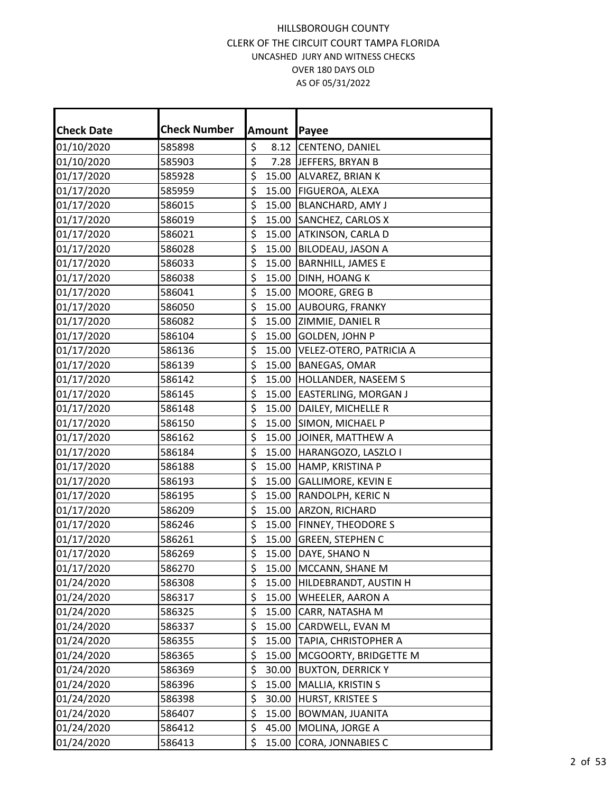| <b>Check Date</b> | <b>Check Number</b> |                        | Amount | Payee                     |
|-------------------|---------------------|------------------------|--------|---------------------------|
| 01/10/2020        | 585898              | \$                     | 8.12   | CENTENO, DANIEL           |
| 01/10/2020        | 585903              | \$                     |        | 7.28 JEFFERS, BRYAN B     |
| 01/17/2020        | 585928              | \$                     |        | 15.00 ALVAREZ, BRIAN K    |
| 01/17/2020        | 585959              | $\overline{\xi}$       |        | 15.00   FIGUEROA, ALEXA   |
| 01/17/2020        | 586015              | \$                     | 15.00  | <b>BLANCHARD, AMY J</b>   |
| 01/17/2020        | 586019              | \$                     | 15.00  | SANCHEZ, CARLOS X         |
| 01/17/2020        | 586021              | \$                     | 15.00  | ATKINSON, CARLA D         |
| 01/17/2020        | 586028              | $\overline{\xi}$       | 15.00  | BILODEAU, JASON A         |
| 01/17/2020        | 586033              | \$                     | 15.00  | <b>BARNHILL, JAMES E</b>  |
| 01/17/2020        | 586038              | \$                     | 15.00  | DINH, HOANG K             |
| 01/17/2020        | 586041              | \$                     | 15.00  | MOORE, GREG B             |
| 01/17/2020        | 586050              | \$                     | 15.00  | AUBOURG, FRANKY           |
| 01/17/2020        | 586082              | \$                     | 15.00  | ZIMMIE, DANIEL R          |
| 01/17/2020        | 586104              | \$                     | 15.00  | GOLDEN, JOHN P            |
| 01/17/2020        | 586136              | \$                     | 15.00  | VELEZ-OTERO, PATRICIA A   |
| 01/17/2020        | 586139              | \$                     | 15.00  | <b>BANEGAS, OMAR</b>      |
| 01/17/2020        | 586142              | \$                     | 15.00  | HOLLANDER, NASEEM S       |
| 01/17/2020        | 586145              | \$                     | 15.00  | EASTERLING, MORGAN J      |
| 01/17/2020        | 586148              | \$                     | 15.00  | DAILEY, MICHELLE R        |
| 01/17/2020        | 586150              | \$                     | 15.00  | SIMON, MICHAEL P          |
| 01/17/2020        | 586162              | \$                     | 15.00  | JOINER, MATTHEW A         |
| 01/17/2020        | 586184              | \$                     | 15.00  | HARANGOZO, LASZLO I       |
| 01/17/2020        | 586188              | \$                     | 15.00  | HAMP, KRISTINA P          |
| 01/17/2020        | 586193              | \$                     | 15.00  | <b>GALLIMORE, KEVIN E</b> |
| 01/17/2020        | 586195              | \$                     | 15.00  | RANDOLPH, KERIC N         |
| 01/17/2020        | 586209              | \$                     | 15.00  | ARZON, RICHARD            |
| 01/17/2020        | 586246              | \$                     | 15.00  | FINNEY, THEODORE S        |
| 01/17/2020        | 586261              | \$                     | 15.00  | <b>GREEN, STEPHEN C</b>   |
| 01/17/2020        | 586269              | $\overline{\varsigma}$ | 15.00  | DAYE, SHANO N             |
| 01/17/2020        | 586270              | \$                     | 15.00  | MCCANN, SHANE M           |
| 01/24/2020        | 586308              | \$                     | 15.00  | HILDEBRANDT, AUSTIN H     |
| 01/24/2020        | 586317              | \$                     | 15.00  | WHEELER, AARON A          |
| 01/24/2020        | 586325              | \$                     | 15.00  | CARR, NATASHA M           |
| 01/24/2020        | 586337              | \$                     | 15.00  | CARDWELL, EVAN M          |
| 01/24/2020        | 586355              | \$                     | 15.00  | TAPIA, CHRISTOPHER A      |
| 01/24/2020        | 586365              | \$                     | 15.00  | MCGOORTY, BRIDGETTE M     |
| 01/24/2020        | 586369              | \$                     | 30.00  | <b>BUXTON, DERRICK Y</b>  |
| 01/24/2020        | 586396              | \$                     | 15.00  | MALLIA, KRISTIN S         |
| 01/24/2020        | 586398              | \$                     | 30.00  | HURST, KRISTEE S          |
| 01/24/2020        | 586407              | \$                     | 15.00  | BOWMAN, JUANITA           |
| 01/24/2020        | 586412              | \$                     | 45.00  | MOLINA, JORGE A           |
| 01/24/2020        | 586413              | \$                     | 15.00  | CORA, JONNABIES C         |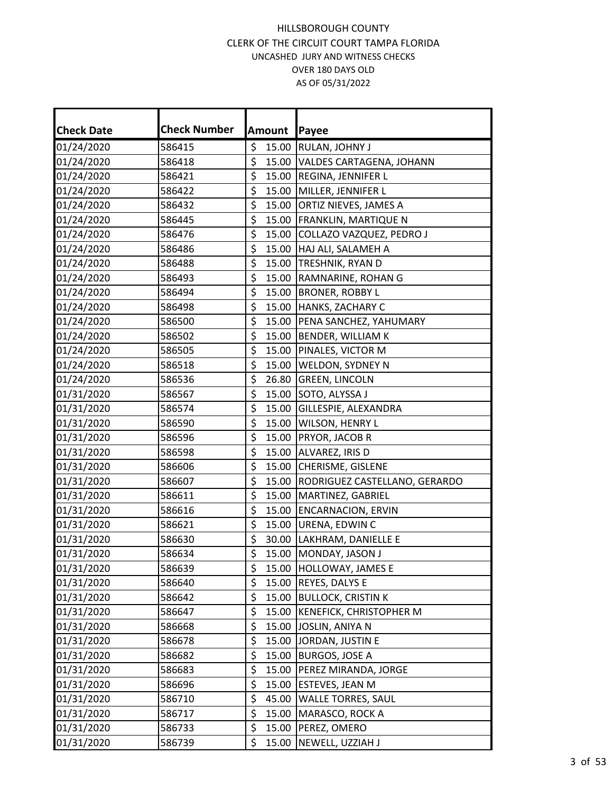| <b>Check Date</b> | <b>Check Number</b> |                  | Amount | Payee                                 |
|-------------------|---------------------|------------------|--------|---------------------------------------|
| 01/24/2020        | 586415              | \$               |        | 15.00 RULAN, JOHNY J                  |
| 01/24/2020        | 586418              | \$               | 15.00  | VALDES CARTAGENA, JOHANN              |
| 01/24/2020        | 586421              | \$               | 15.00  | <b>REGINA, JENNIFER L</b>             |
| 01/24/2020        | 586422              | \$               |        | 15.00 MILLER, JENNIFER L              |
| 01/24/2020        | 586432              | \$               |        | 15.00 ORTIZ NIEVES, JAMES A           |
| 01/24/2020        | 586445              | \$               | 15.00  | <b>FRANKLIN, MARTIQUE N</b>           |
| 01/24/2020        | 586476              | \$               | 15.00  | COLLAZO VAZQUEZ, PEDRO J              |
| 01/24/2020        | 586486              | \$               | 15.00  | HAJ ALI, SALAMEH A                    |
| 01/24/2020        | 586488              | \$               | 15.00  | <b>TRESHNIK, RYAN D</b>               |
| 01/24/2020        | 586493              | \$               | 15.00  | RAMNARINE, ROHAN G                    |
| 01/24/2020        | 586494              | \$               |        | 15.00 BRONER, ROBBY L                 |
| 01/24/2020        | 586498              | \$               | 15.00  | <b>HANKS, ZACHARY C</b>               |
| 01/24/2020        | 586500              | \$               | 15.00  | PENA SANCHEZ, YAHUMARY                |
| 01/24/2020        | 586502              | \$               |        | 15.00 BENDER, WILLIAM K               |
| 01/24/2020        | 586505              | \$               | 15.00  | PINALES, VICTOR M                     |
| 01/24/2020        | 586518              | \$               | 15.00  | <b>WELDON, SYDNEY N</b>               |
| 01/24/2020        | 586536              | \$               | 26.80  | <b>GREEN, LINCOLN</b>                 |
| 01/31/2020        | 586567              | \$               |        | 15.00 SOTO, ALYSSA J                  |
| 01/31/2020        | 586574              | \$               | 15.00  | GILLESPIE, ALEXANDRA                  |
| 01/31/2020        | 586590              | \$               | 15.00  | WILSON, HENRY L                       |
| 01/31/2020        | 586596              | \$               | 15.00  | <b>PRYOR, JACOB R</b>                 |
| 01/31/2020        | 586598              | \$               | 15.00  | ALVAREZ, IRIS D                       |
| 01/31/2020        | 586606              | \$               | 15.00  | <b>CHERISME, GISLENE</b>              |
| 01/31/2020        | 586607              | \$               |        | 15.00   RODRIGUEZ CASTELLANO, GERARDO |
| 01/31/2020        | 586611              | \$               | 15.00  | MARTINEZ, GABRIEL                     |
| 01/31/2020        | 586616              | \$               | 15.00  | <b>ENCARNACION, ERVIN</b>             |
| 01/31/2020        | 586621              | \$               | 15.00  | URENA, EDWIN C                        |
| 01/31/2020        | 586630              | \$               | 30.00  | LAKHRAM, DANIELLE E                   |
| 01/31/2020        | 586634              | $\overline{\xi}$ |        | 15.00 MONDAY, JASON J                 |
| 01/31/2020        | 586639              | \$               |        | 15.00 HOLLOWAY, JAMES E               |
| 01/31/2020        | 586640              | \$               |        | 15.00 REYES, DALYS E                  |
| 01/31/2020        | 586642              | \$               | 15.00  | <b>BULLOCK, CRISTIN K</b>             |
| 01/31/2020        | 586647              | \$               | 15.00  | <b>KENEFICK, CHRISTOPHER M</b>        |
| 01/31/2020        | 586668              | \$               | 15.00  | JOSLIN, ANIYA N                       |
| 01/31/2020        | 586678              | \$               |        | 15.00 JORDAN, JUSTIN E                |
| 01/31/2020        | 586682              | \$               |        | 15.00 BURGOS, JOSE A                  |
| 01/31/2020        | 586683              | \$               | 15.00  | PEREZ MIRANDA, JORGE                  |
| 01/31/2020        | 586696              | \$               | 15.00  | ESTEVES, JEAN M                       |
| 01/31/2020        | 586710              | \$               | 45.00  | <b>WALLE TORRES, SAUL</b>             |
| 01/31/2020        | 586717              | \$               | 15.00  | MARASCO, ROCK A                       |
| 01/31/2020        | 586733              | \$               | 15.00  | PEREZ, OMERO                          |
| 01/31/2020        | 586739              | \$               | 15.00  | NEWELL, UZZIAH J                      |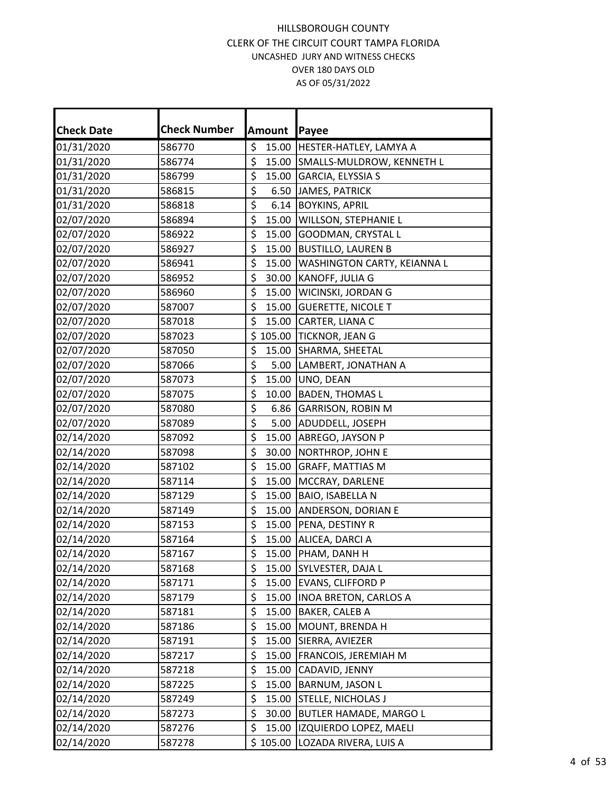| <b>Check Date</b> | <b>Check Number</b> |                                 | Amount   | Payee                              |
|-------------------|---------------------|---------------------------------|----------|------------------------------------|
| 01/31/2020        | 586770              | \$                              |          | 15.00 HESTER-HATLEY, LAMYA A       |
| 01/31/2020        | 586774              | \$                              | 15.00    | SMALLS-MULDROW, KENNETH L          |
| 01/31/2020        | 586799              | \$                              | 15.00    | GARCIA, ELYSSIA S                  |
| 01/31/2020        | 586815              | \$                              | 6.50     | JAMES, PATRICK                     |
| 01/31/2020        | 586818              | \$                              |          | 6.14 BOYKINS, APRIL                |
| 02/07/2020        | 586894              | \$                              |          | 15.00 WILLSON, STEPHANIE L         |
| 02/07/2020        | 586922              | \$                              | 15.00    | <b>GOODMAN, CRYSTAL L</b>          |
| 02/07/2020        | 586927              | $\overline{\boldsymbol{\zeta}}$ | 15.00    | <b>BUSTILLO, LAUREN B</b>          |
| 02/07/2020        | 586941              | \$                              | 15.00    | <b>WASHINGTON CARTY, KEIANNA L</b> |
| 02/07/2020        | 586952              | \$                              | 30.00    | KANOFF, JULIA G                    |
| 02/07/2020        | 586960              | $\overline{\boldsymbol{\zeta}}$ | 15.00    | WICINSKI, JORDAN G                 |
| 02/07/2020        | 587007              | \$                              | 15.00    | <b>GUERETTE, NICOLE T</b>          |
| 02/07/2020        | 587018              | \$                              | 15.00    | CARTER, LIANA C                    |
| 02/07/2020        | 587023              |                                 |          | \$105.00 TICKNOR, JEAN G           |
| 02/07/2020        | 587050              | \$                              | 15.00    | SHARMA, SHEETAL                    |
| 02/07/2020        | 587066              | \$                              | 5.00     | LAMBERT, JONATHAN A                |
| 02/07/2020        | 587073              | \$                              | 15.00    | UNO, DEAN                          |
| 02/07/2020        | 587075              | $\overline{\boldsymbol{\zeta}}$ |          | 10.00 BADEN, THOMAS L              |
| 02/07/2020        | 587080              | \$                              |          | 6.86 GARRISON, ROBIN M             |
| 02/07/2020        | 587089              | \$                              |          | 5.00 ADUDDELL, JOSEPH              |
| 02/14/2020        | 587092              | \$                              | 15.00    | ABREGO, JAYSON P                   |
| 02/14/2020        | 587098              | $\overline{\xi}$                | 30.00    | NORTHROP, JOHN E                   |
| 02/14/2020        | 587102              | \$                              | 15.00    | <b>GRAFF, MATTIAS M</b>            |
| 02/14/2020        | 587114              | \$                              |          | 15.00 MCCRAY, DARLENE              |
| 02/14/2020        | 587129              | \$                              | 15.00    | <b>BAIO, ISABELLA N</b>            |
| 02/14/2020        | 587149              | \$                              | 15.00    | <b>ANDERSON, DORIAN E</b>          |
| 02/14/2020        | 587153              | \$                              | 15.00    | PENA, DESTINY R                    |
| 02/14/2020        | 587164              | \$                              | 15.00    | ALICEA, DARCI A                    |
| 02/14/2020        | 587167              | \$                              |          | 15.00 PHAM, DANH H                 |
| 02/14/2020        | 587168              | \$                              |          | 15.00 SYLVESTER, DAJA L            |
| 02/14/2020        | 587171              | \$                              |          | 15.00 EVANS, CLIFFORD P            |
| 02/14/2020        | 587179              | \$                              |          | 15.00   INOA BRETON, CARLOS A      |
| 02/14/2020        | 587181              | \$                              | 15.00    | <b>BAKER, CALEB A</b>              |
| 02/14/2020        | 587186              | \$                              | 15.00    | MOUNT, BRENDA H                    |
| 02/14/2020        | 587191              | \$                              | 15.00    | SIERRA, AVIEZER                    |
| 02/14/2020        | 587217              | \$                              | 15.00    | <b>FRANCOIS, JEREMIAH M</b>        |
| 02/14/2020        | 587218              | \$                              | 15.00    | CADAVID, JENNY                     |
| 02/14/2020        | 587225              | \$                              | 15.00    | <b>BARNUM, JASON L</b>             |
| 02/14/2020        | 587249              | \$                              | 15.00    | <b>STELLE, NICHOLAS J</b>          |
| 02/14/2020        | 587273              | \$                              | 30.00    | <b>BUTLER HAMADE, MARGO L</b>      |
| 02/14/2020        | 587276              | \$                              | 15.00    | IZQUIERDO LOPEZ, MAELI             |
| 02/14/2020        | 587278              |                                 | \$105.00 | LOZADA RIVERA, LUIS A              |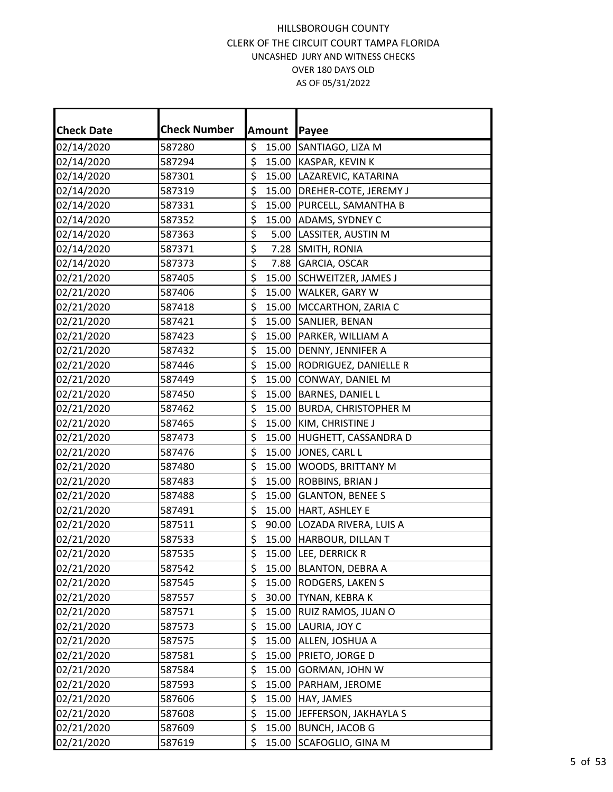| <b>Check Date</b> | <b>Check Number</b> |                        | Amount | Payee                         |
|-------------------|---------------------|------------------------|--------|-------------------------------|
| 02/14/2020        | 587280              | \$                     | 15.00  | SANTIAGO, LIZA M              |
| 02/14/2020        | 587294              | \$                     | 15.00  | KASPAR, KEVIN K               |
| 02/14/2020        | 587301              | \$                     |        | 15.00   LAZAREVIC, KATARINA   |
| 02/14/2020        | 587319              | \$                     |        | 15.00   DREHER-COTE, JEREMY J |
| 02/14/2020        | 587331              | \$                     | 15.00  | PURCELL, SAMANTHA B           |
| 02/14/2020        | 587352              | \$                     | 15.00  | ADAMS, SYDNEY C               |
| 02/14/2020        | 587363              | \$                     | 5.00   | LASSITER, AUSTIN M            |
| 02/14/2020        | 587371              | $\overline{\xi}$       | 7.28   | SMITH, RONIA                  |
| 02/14/2020        | 587373              | \$                     | 7.88   | GARCIA, OSCAR                 |
| 02/21/2020        | 587405              | \$                     | 15.00  | SCHWEITZER, JAMES J           |
| 02/21/2020        | 587406              | \$                     | 15.00  | WALKER, GARY W                |
| 02/21/2020        | 587418              | \$                     | 15.00  | MCCARTHON, ZARIA C            |
| 02/21/2020        | 587421              | \$                     | 15.00  | SANLIER, BENAN                |
| 02/21/2020        | 587423              | \$                     |        | 15.00 PARKER, WILLIAM A       |
| 02/21/2020        | 587432              | \$                     | 15.00  | DENNY, JENNIFER A             |
| 02/21/2020        | 587446              | \$                     | 15.00  | RODRIGUEZ, DANIELLE R         |
| 02/21/2020        | 587449              | \$                     | 15.00  | CONWAY, DANIEL M              |
| 02/21/2020        | 587450              | \$                     | 15.00  | BARNES, DANIEL L              |
| 02/21/2020        | 587462              | \$                     | 15.00  | <b>BURDA, CHRISTOPHER M</b>   |
| 02/21/2020        | 587465              | \$                     | 15.00  | KIM, CHRISTINE J              |
| 02/21/2020        | 587473              | \$                     | 15.00  | HUGHETT, CASSANDRA D          |
| 02/21/2020        | 587476              | \$                     | 15.00  | JONES, CARL L                 |
| 02/21/2020        | 587480              | \$                     | 15.00  | WOODS, BRITTANY M             |
| 02/21/2020        | 587483              | \$                     | 15.00  | ROBBINS, BRIAN J              |
| 02/21/2020        | 587488              | \$                     | 15.00  | <b>GLANTON, BENEE S</b>       |
| 02/21/2020        | 587491              | \$                     | 15.00  | HART, ASHLEY E                |
| 02/21/2020        | 587511              | \$                     | 90.00  | LOZADA RIVERA, LUIS A         |
| 02/21/2020        | 587533              | \$                     | 15.00  | HARBOUR, DILLAN T             |
| 02/21/2020        | 587535              | $\overline{\varsigma}$ |        | 15.00 LEE, DERRICK R          |
| 02/21/2020        | 587542              | \$                     | 15.00  | <b>BLANTON, DEBRA A</b>       |
| 02/21/2020        | 587545              | \$                     | 15.00  | RODGERS, LAKEN S              |
| 02/21/2020        | 587557              | \$                     | 30.00  | TYNAN, KEBRA K                |
| 02/21/2020        | 587571              | \$                     | 15.00  | RUIZ RAMOS, JUAN O            |
| 02/21/2020        | 587573              | \$                     | 15.00  | LAURIA, JOY C                 |
| 02/21/2020        | 587575              | \$                     | 15.00  | ALLEN, JOSHUA A               |
| 02/21/2020        | 587581              | \$                     | 15.00  | PRIETO, JORGE D               |
| 02/21/2020        | 587584              | \$                     | 15.00  | GORMAN, JOHN W                |
| 02/21/2020        | 587593              | \$                     | 15.00  | PARHAM, JEROME                |
| 02/21/2020        | 587606              | \$                     | 15.00  | HAY, JAMES                    |
| 02/21/2020        | 587608              | \$                     | 15.00  | JEFFERSON, JAKHAYLA S         |
| 02/21/2020        | 587609              | \$                     | 15.00  | <b>BUNCH, JACOB G</b>         |
| 02/21/2020        | 587619              | \$                     | 15.00  | SCAFOGLIO, GINA M             |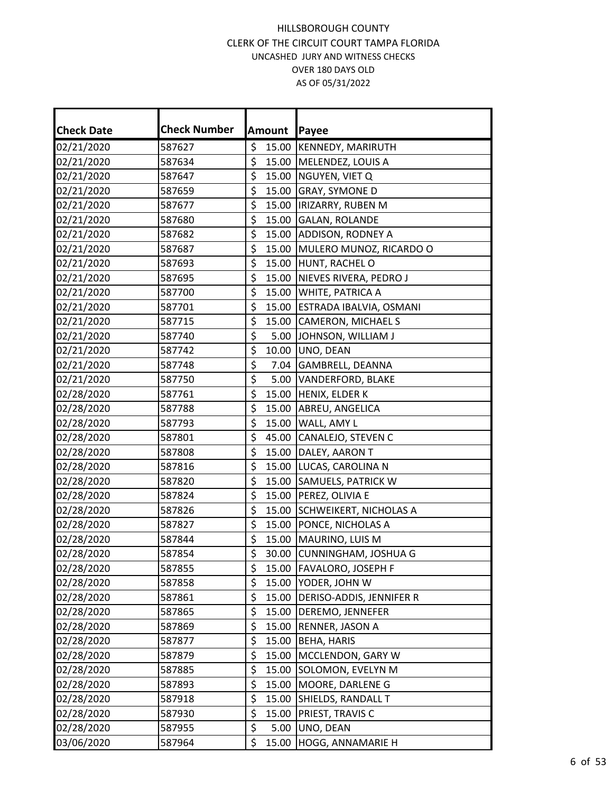| \$<br>15.00<br>02/21/2020<br>587627<br>KENNEDY, MARIRUTH<br>\$<br>15.00<br>02/21/2020<br>587634<br>MELENDEZ, LOUIS A<br>\$<br>02/21/2020<br>15.00<br>NGUYEN, VIET Q<br>587647<br>\$<br>02/21/2020<br>15.00<br><b>GRAY, SYMONE D</b><br>587659<br>\$<br>15.00<br>02/21/2020<br>587677<br><b>IRIZARRY, RUBEN M</b><br>\$<br>02/21/2020<br>15.00<br>587680<br><b>GALAN, ROLANDE</b><br>\$<br>15.00<br>02/21/2020<br>587682<br>ADDISON, RODNEY A<br>$\overline{\xi}$<br>15.00<br>02/21/2020<br>MULERO MUNOZ, RICARDO O<br>587687<br>\$<br>02/21/2020<br>15.00 HUNT, RACHEL O<br>587693<br>\$<br>15.00<br>02/21/2020<br>587695<br>NIEVES RIVERA, PEDRO J<br>$\overline{\xi}$<br>15.00 WHITE, PATRICA A<br>02/21/2020<br>587700<br>\$<br>15.00<br>02/21/2020<br>587701<br>ESTRADA IBALVIA, OSMANI<br>$\overline{\xi}$<br>15.00<br>02/21/2020<br>CAMERON, MICHAEL S<br>587715<br>\$<br>JOHNSON, WILLIAM J<br>02/21/2020<br>587740<br>5.00<br>$\overline{\boldsymbol{\zeta}}$<br>10.00<br>02/21/2020<br>587742<br>UNO, DEAN<br>\$<br>02/21/2020<br>7.04<br>587748<br>GAMBRELL, DEANNA<br>$\overline{\xi}$<br>5.00 VANDERFORD, BLAKE<br>02/21/2020<br>587750<br>$\overline{\xi}$<br>15.00<br>02/28/2020<br>HENIX, ELDER K<br>587761<br>\$<br>02/28/2020<br>15.00<br>ABREU, ANGELICA<br>587788<br>\$<br>15.00<br>02/28/2020<br>587793<br>WALL, AMY L<br>\$<br>45.00<br>02/28/2020<br>587801<br>CANALEJO, STEVEN C<br>\$<br>15.00<br>DALEY, AARON T<br>02/28/2020<br>587808<br>\$<br>15.00 LUCAS, CAROLINA N<br>02/28/2020<br>587816<br>\$<br>15.00<br>02/28/2020<br>SAMUELS, PATRICK W<br>587820<br>\$<br>15.00<br>02/28/2020<br>PEREZ, OLIVIA E<br>587824<br>\$<br>02/28/2020<br>15.00<br>587826<br>SCHWEIKERT, NICHOLAS A<br>\$<br>02/28/2020<br>15.00<br>PONCE, NICHOLAS A<br>587827<br>\$<br>02/28/2020<br>MAURINO, LUIS M<br>587844<br>15.00<br>$\overline{\xi}$<br>02/28/2020<br>587854<br>30.00<br>CUNNINGHAM, JOSHUA G<br>\$<br>02/28/2020<br>587855<br>15.00<br>FAVALORO, JOSEPH F<br>\$<br>02/28/2020<br>587858<br>15.00<br>YODER, JOHN W<br>\$<br>02/28/2020<br>15.00<br>DERISO-ADDIS, JENNIFER R<br>587861<br>\$<br>02/28/2020<br>587865<br>15.00<br>DEREMO, JENNEFER<br>\$<br>02/28/2020<br>15.00<br>587869<br>RENNER, JASON A<br>\$<br>02/28/2020<br>15.00<br>587877<br><b>BEHA, HARIS</b><br>\$<br>15.00<br>02/28/2020<br>MCCLENDON, GARY W<br>587879<br>\$<br>02/28/2020<br>15.00<br>SOLOMON, EVELYN M<br>587885<br>\$<br>02/28/2020<br>587893<br>15.00<br>MOORE, DARLENE G<br>\$<br>02/28/2020<br>587918<br>15.00<br>SHIELDS, RANDALL T<br>\$<br>02/28/2020<br>15.00<br>PRIEST, TRAVIS C<br>587930<br>\$<br>02/28/2020<br>587955<br>5.00<br>UNO, DEAN |                   |                     |             |                   |
|--------------------------------------------------------------------------------------------------------------------------------------------------------------------------------------------------------------------------------------------------------------------------------------------------------------------------------------------------------------------------------------------------------------------------------------------------------------------------------------------------------------------------------------------------------------------------------------------------------------------------------------------------------------------------------------------------------------------------------------------------------------------------------------------------------------------------------------------------------------------------------------------------------------------------------------------------------------------------------------------------------------------------------------------------------------------------------------------------------------------------------------------------------------------------------------------------------------------------------------------------------------------------------------------------------------------------------------------------------------------------------------------------------------------------------------------------------------------------------------------------------------------------------------------------------------------------------------------------------------------------------------------------------------------------------------------------------------------------------------------------------------------------------------------------------------------------------------------------------------------------------------------------------------------------------------------------------------------------------------------------------------------------------------------------------------------------------------------------------------------------------------------------------------------------------------------------------------------------------------------------------------------------------------------------------------------------------------------------------------------------------------------------------------------------------------------------------------------------------------------------------------------------------------------------------------------------------------------------------------------------------------------------------------|-------------------|---------------------|-------------|-------------------|
|                                                                                                                                                                                                                                                                                                                                                                                                                                                                                                                                                                                                                                                                                                                                                                                                                                                                                                                                                                                                                                                                                                                                                                                                                                                                                                                                                                                                                                                                                                                                                                                                                                                                                                                                                                                                                                                                                                                                                                                                                                                                                                                                                                                                                                                                                                                                                                                                                                                                                                                                                                                                                                                              | <b>Check Date</b> | <b>Check Number</b> | Amount      | Payee             |
|                                                                                                                                                                                                                                                                                                                                                                                                                                                                                                                                                                                                                                                                                                                                                                                                                                                                                                                                                                                                                                                                                                                                                                                                                                                                                                                                                                                                                                                                                                                                                                                                                                                                                                                                                                                                                                                                                                                                                                                                                                                                                                                                                                                                                                                                                                                                                                                                                                                                                                                                                                                                                                                              |                   |                     |             |                   |
|                                                                                                                                                                                                                                                                                                                                                                                                                                                                                                                                                                                                                                                                                                                                                                                                                                                                                                                                                                                                                                                                                                                                                                                                                                                                                                                                                                                                                                                                                                                                                                                                                                                                                                                                                                                                                                                                                                                                                                                                                                                                                                                                                                                                                                                                                                                                                                                                                                                                                                                                                                                                                                                              |                   |                     |             |                   |
|                                                                                                                                                                                                                                                                                                                                                                                                                                                                                                                                                                                                                                                                                                                                                                                                                                                                                                                                                                                                                                                                                                                                                                                                                                                                                                                                                                                                                                                                                                                                                                                                                                                                                                                                                                                                                                                                                                                                                                                                                                                                                                                                                                                                                                                                                                                                                                                                                                                                                                                                                                                                                                                              |                   |                     |             |                   |
|                                                                                                                                                                                                                                                                                                                                                                                                                                                                                                                                                                                                                                                                                                                                                                                                                                                                                                                                                                                                                                                                                                                                                                                                                                                                                                                                                                                                                                                                                                                                                                                                                                                                                                                                                                                                                                                                                                                                                                                                                                                                                                                                                                                                                                                                                                                                                                                                                                                                                                                                                                                                                                                              |                   |                     |             |                   |
|                                                                                                                                                                                                                                                                                                                                                                                                                                                                                                                                                                                                                                                                                                                                                                                                                                                                                                                                                                                                                                                                                                                                                                                                                                                                                                                                                                                                                                                                                                                                                                                                                                                                                                                                                                                                                                                                                                                                                                                                                                                                                                                                                                                                                                                                                                                                                                                                                                                                                                                                                                                                                                                              |                   |                     |             |                   |
|                                                                                                                                                                                                                                                                                                                                                                                                                                                                                                                                                                                                                                                                                                                                                                                                                                                                                                                                                                                                                                                                                                                                                                                                                                                                                                                                                                                                                                                                                                                                                                                                                                                                                                                                                                                                                                                                                                                                                                                                                                                                                                                                                                                                                                                                                                                                                                                                                                                                                                                                                                                                                                                              |                   |                     |             |                   |
|                                                                                                                                                                                                                                                                                                                                                                                                                                                                                                                                                                                                                                                                                                                                                                                                                                                                                                                                                                                                                                                                                                                                                                                                                                                                                                                                                                                                                                                                                                                                                                                                                                                                                                                                                                                                                                                                                                                                                                                                                                                                                                                                                                                                                                                                                                                                                                                                                                                                                                                                                                                                                                                              |                   |                     |             |                   |
|                                                                                                                                                                                                                                                                                                                                                                                                                                                                                                                                                                                                                                                                                                                                                                                                                                                                                                                                                                                                                                                                                                                                                                                                                                                                                                                                                                                                                                                                                                                                                                                                                                                                                                                                                                                                                                                                                                                                                                                                                                                                                                                                                                                                                                                                                                                                                                                                                                                                                                                                                                                                                                                              |                   |                     |             |                   |
|                                                                                                                                                                                                                                                                                                                                                                                                                                                                                                                                                                                                                                                                                                                                                                                                                                                                                                                                                                                                                                                                                                                                                                                                                                                                                                                                                                                                                                                                                                                                                                                                                                                                                                                                                                                                                                                                                                                                                                                                                                                                                                                                                                                                                                                                                                                                                                                                                                                                                                                                                                                                                                                              |                   |                     |             |                   |
|                                                                                                                                                                                                                                                                                                                                                                                                                                                                                                                                                                                                                                                                                                                                                                                                                                                                                                                                                                                                                                                                                                                                                                                                                                                                                                                                                                                                                                                                                                                                                                                                                                                                                                                                                                                                                                                                                                                                                                                                                                                                                                                                                                                                                                                                                                                                                                                                                                                                                                                                                                                                                                                              |                   |                     |             |                   |
|                                                                                                                                                                                                                                                                                                                                                                                                                                                                                                                                                                                                                                                                                                                                                                                                                                                                                                                                                                                                                                                                                                                                                                                                                                                                                                                                                                                                                                                                                                                                                                                                                                                                                                                                                                                                                                                                                                                                                                                                                                                                                                                                                                                                                                                                                                                                                                                                                                                                                                                                                                                                                                                              |                   |                     |             |                   |
|                                                                                                                                                                                                                                                                                                                                                                                                                                                                                                                                                                                                                                                                                                                                                                                                                                                                                                                                                                                                                                                                                                                                                                                                                                                                                                                                                                                                                                                                                                                                                                                                                                                                                                                                                                                                                                                                                                                                                                                                                                                                                                                                                                                                                                                                                                                                                                                                                                                                                                                                                                                                                                                              |                   |                     |             |                   |
|                                                                                                                                                                                                                                                                                                                                                                                                                                                                                                                                                                                                                                                                                                                                                                                                                                                                                                                                                                                                                                                                                                                                                                                                                                                                                                                                                                                                                                                                                                                                                                                                                                                                                                                                                                                                                                                                                                                                                                                                                                                                                                                                                                                                                                                                                                                                                                                                                                                                                                                                                                                                                                                              |                   |                     |             |                   |
|                                                                                                                                                                                                                                                                                                                                                                                                                                                                                                                                                                                                                                                                                                                                                                                                                                                                                                                                                                                                                                                                                                                                                                                                                                                                                                                                                                                                                                                                                                                                                                                                                                                                                                                                                                                                                                                                                                                                                                                                                                                                                                                                                                                                                                                                                                                                                                                                                                                                                                                                                                                                                                                              |                   |                     |             |                   |
|                                                                                                                                                                                                                                                                                                                                                                                                                                                                                                                                                                                                                                                                                                                                                                                                                                                                                                                                                                                                                                                                                                                                                                                                                                                                                                                                                                                                                                                                                                                                                                                                                                                                                                                                                                                                                                                                                                                                                                                                                                                                                                                                                                                                                                                                                                                                                                                                                                                                                                                                                                                                                                                              |                   |                     |             |                   |
|                                                                                                                                                                                                                                                                                                                                                                                                                                                                                                                                                                                                                                                                                                                                                                                                                                                                                                                                                                                                                                                                                                                                                                                                                                                                                                                                                                                                                                                                                                                                                                                                                                                                                                                                                                                                                                                                                                                                                                                                                                                                                                                                                                                                                                                                                                                                                                                                                                                                                                                                                                                                                                                              |                   |                     |             |                   |
|                                                                                                                                                                                                                                                                                                                                                                                                                                                                                                                                                                                                                                                                                                                                                                                                                                                                                                                                                                                                                                                                                                                                                                                                                                                                                                                                                                                                                                                                                                                                                                                                                                                                                                                                                                                                                                                                                                                                                                                                                                                                                                                                                                                                                                                                                                                                                                                                                                                                                                                                                                                                                                                              |                   |                     |             |                   |
|                                                                                                                                                                                                                                                                                                                                                                                                                                                                                                                                                                                                                                                                                                                                                                                                                                                                                                                                                                                                                                                                                                                                                                                                                                                                                                                                                                                                                                                                                                                                                                                                                                                                                                                                                                                                                                                                                                                                                                                                                                                                                                                                                                                                                                                                                                                                                                                                                                                                                                                                                                                                                                                              |                   |                     |             |                   |
|                                                                                                                                                                                                                                                                                                                                                                                                                                                                                                                                                                                                                                                                                                                                                                                                                                                                                                                                                                                                                                                                                                                                                                                                                                                                                                                                                                                                                                                                                                                                                                                                                                                                                                                                                                                                                                                                                                                                                                                                                                                                                                                                                                                                                                                                                                                                                                                                                                                                                                                                                                                                                                                              |                   |                     |             |                   |
|                                                                                                                                                                                                                                                                                                                                                                                                                                                                                                                                                                                                                                                                                                                                                                                                                                                                                                                                                                                                                                                                                                                                                                                                                                                                                                                                                                                                                                                                                                                                                                                                                                                                                                                                                                                                                                                                                                                                                                                                                                                                                                                                                                                                                                                                                                                                                                                                                                                                                                                                                                                                                                                              |                   |                     |             |                   |
|                                                                                                                                                                                                                                                                                                                                                                                                                                                                                                                                                                                                                                                                                                                                                                                                                                                                                                                                                                                                                                                                                                                                                                                                                                                                                                                                                                                                                                                                                                                                                                                                                                                                                                                                                                                                                                                                                                                                                                                                                                                                                                                                                                                                                                                                                                                                                                                                                                                                                                                                                                                                                                                              |                   |                     |             |                   |
|                                                                                                                                                                                                                                                                                                                                                                                                                                                                                                                                                                                                                                                                                                                                                                                                                                                                                                                                                                                                                                                                                                                                                                                                                                                                                                                                                                                                                                                                                                                                                                                                                                                                                                                                                                                                                                                                                                                                                                                                                                                                                                                                                                                                                                                                                                                                                                                                                                                                                                                                                                                                                                                              |                   |                     |             |                   |
|                                                                                                                                                                                                                                                                                                                                                                                                                                                                                                                                                                                                                                                                                                                                                                                                                                                                                                                                                                                                                                                                                                                                                                                                                                                                                                                                                                                                                                                                                                                                                                                                                                                                                                                                                                                                                                                                                                                                                                                                                                                                                                                                                                                                                                                                                                                                                                                                                                                                                                                                                                                                                                                              |                   |                     |             |                   |
|                                                                                                                                                                                                                                                                                                                                                                                                                                                                                                                                                                                                                                                                                                                                                                                                                                                                                                                                                                                                                                                                                                                                                                                                                                                                                                                                                                                                                                                                                                                                                                                                                                                                                                                                                                                                                                                                                                                                                                                                                                                                                                                                                                                                                                                                                                                                                                                                                                                                                                                                                                                                                                                              |                   |                     |             |                   |
|                                                                                                                                                                                                                                                                                                                                                                                                                                                                                                                                                                                                                                                                                                                                                                                                                                                                                                                                                                                                                                                                                                                                                                                                                                                                                                                                                                                                                                                                                                                                                                                                                                                                                                                                                                                                                                                                                                                                                                                                                                                                                                                                                                                                                                                                                                                                                                                                                                                                                                                                                                                                                                                              |                   |                     |             |                   |
|                                                                                                                                                                                                                                                                                                                                                                                                                                                                                                                                                                                                                                                                                                                                                                                                                                                                                                                                                                                                                                                                                                                                                                                                                                                                                                                                                                                                                                                                                                                                                                                                                                                                                                                                                                                                                                                                                                                                                                                                                                                                                                                                                                                                                                                                                                                                                                                                                                                                                                                                                                                                                                                              |                   |                     |             |                   |
|                                                                                                                                                                                                                                                                                                                                                                                                                                                                                                                                                                                                                                                                                                                                                                                                                                                                                                                                                                                                                                                                                                                                                                                                                                                                                                                                                                                                                                                                                                                                                                                                                                                                                                                                                                                                                                                                                                                                                                                                                                                                                                                                                                                                                                                                                                                                                                                                                                                                                                                                                                                                                                                              |                   |                     |             |                   |
|                                                                                                                                                                                                                                                                                                                                                                                                                                                                                                                                                                                                                                                                                                                                                                                                                                                                                                                                                                                                                                                                                                                                                                                                                                                                                                                                                                                                                                                                                                                                                                                                                                                                                                                                                                                                                                                                                                                                                                                                                                                                                                                                                                                                                                                                                                                                                                                                                                                                                                                                                                                                                                                              |                   |                     |             |                   |
|                                                                                                                                                                                                                                                                                                                                                                                                                                                                                                                                                                                                                                                                                                                                                                                                                                                                                                                                                                                                                                                                                                                                                                                                                                                                                                                                                                                                                                                                                                                                                                                                                                                                                                                                                                                                                                                                                                                                                                                                                                                                                                                                                                                                                                                                                                                                                                                                                                                                                                                                                                                                                                                              |                   |                     |             |                   |
|                                                                                                                                                                                                                                                                                                                                                                                                                                                                                                                                                                                                                                                                                                                                                                                                                                                                                                                                                                                                                                                                                                                                                                                                                                                                                                                                                                                                                                                                                                                                                                                                                                                                                                                                                                                                                                                                                                                                                                                                                                                                                                                                                                                                                                                                                                                                                                                                                                                                                                                                                                                                                                                              |                   |                     |             |                   |
|                                                                                                                                                                                                                                                                                                                                                                                                                                                                                                                                                                                                                                                                                                                                                                                                                                                                                                                                                                                                                                                                                                                                                                                                                                                                                                                                                                                                                                                                                                                                                                                                                                                                                                                                                                                                                                                                                                                                                                                                                                                                                                                                                                                                                                                                                                                                                                                                                                                                                                                                                                                                                                                              |                   |                     |             |                   |
|                                                                                                                                                                                                                                                                                                                                                                                                                                                                                                                                                                                                                                                                                                                                                                                                                                                                                                                                                                                                                                                                                                                                                                                                                                                                                                                                                                                                                                                                                                                                                                                                                                                                                                                                                                                                                                                                                                                                                                                                                                                                                                                                                                                                                                                                                                                                                                                                                                                                                                                                                                                                                                                              |                   |                     |             |                   |
|                                                                                                                                                                                                                                                                                                                                                                                                                                                                                                                                                                                                                                                                                                                                                                                                                                                                                                                                                                                                                                                                                                                                                                                                                                                                                                                                                                                                                                                                                                                                                                                                                                                                                                                                                                                                                                                                                                                                                                                                                                                                                                                                                                                                                                                                                                                                                                                                                                                                                                                                                                                                                                                              |                   |                     |             |                   |
|                                                                                                                                                                                                                                                                                                                                                                                                                                                                                                                                                                                                                                                                                                                                                                                                                                                                                                                                                                                                                                                                                                                                                                                                                                                                                                                                                                                                                                                                                                                                                                                                                                                                                                                                                                                                                                                                                                                                                                                                                                                                                                                                                                                                                                                                                                                                                                                                                                                                                                                                                                                                                                                              |                   |                     |             |                   |
|                                                                                                                                                                                                                                                                                                                                                                                                                                                                                                                                                                                                                                                                                                                                                                                                                                                                                                                                                                                                                                                                                                                                                                                                                                                                                                                                                                                                                                                                                                                                                                                                                                                                                                                                                                                                                                                                                                                                                                                                                                                                                                                                                                                                                                                                                                                                                                                                                                                                                                                                                                                                                                                              |                   |                     |             |                   |
|                                                                                                                                                                                                                                                                                                                                                                                                                                                                                                                                                                                                                                                                                                                                                                                                                                                                                                                                                                                                                                                                                                                                                                                                                                                                                                                                                                                                                                                                                                                                                                                                                                                                                                                                                                                                                                                                                                                                                                                                                                                                                                                                                                                                                                                                                                                                                                                                                                                                                                                                                                                                                                                              |                   |                     |             |                   |
|                                                                                                                                                                                                                                                                                                                                                                                                                                                                                                                                                                                                                                                                                                                                                                                                                                                                                                                                                                                                                                                                                                                                                                                                                                                                                                                                                                                                                                                                                                                                                                                                                                                                                                                                                                                                                                                                                                                                                                                                                                                                                                                                                                                                                                                                                                                                                                                                                                                                                                                                                                                                                                                              |                   |                     |             |                   |
|                                                                                                                                                                                                                                                                                                                                                                                                                                                                                                                                                                                                                                                                                                                                                                                                                                                                                                                                                                                                                                                                                                                                                                                                                                                                                                                                                                                                                                                                                                                                                                                                                                                                                                                                                                                                                                                                                                                                                                                                                                                                                                                                                                                                                                                                                                                                                                                                                                                                                                                                                                                                                                                              |                   |                     |             |                   |
|                                                                                                                                                                                                                                                                                                                                                                                                                                                                                                                                                                                                                                                                                                                                                                                                                                                                                                                                                                                                                                                                                                                                                                                                                                                                                                                                                                                                                                                                                                                                                                                                                                                                                                                                                                                                                                                                                                                                                                                                                                                                                                                                                                                                                                                                                                                                                                                                                                                                                                                                                                                                                                                              |                   |                     |             |                   |
|                                                                                                                                                                                                                                                                                                                                                                                                                                                                                                                                                                                                                                                                                                                                                                                                                                                                                                                                                                                                                                                                                                                                                                                                                                                                                                                                                                                                                                                                                                                                                                                                                                                                                                                                                                                                                                                                                                                                                                                                                                                                                                                                                                                                                                                                                                                                                                                                                                                                                                                                                                                                                                                              |                   |                     |             |                   |
|                                                                                                                                                                                                                                                                                                                                                                                                                                                                                                                                                                                                                                                                                                                                                                                                                                                                                                                                                                                                                                                                                                                                                                                                                                                                                                                                                                                                                                                                                                                                                                                                                                                                                                                                                                                                                                                                                                                                                                                                                                                                                                                                                                                                                                                                                                                                                                                                                                                                                                                                                                                                                                                              |                   |                     |             |                   |
|                                                                                                                                                                                                                                                                                                                                                                                                                                                                                                                                                                                                                                                                                                                                                                                                                                                                                                                                                                                                                                                                                                                                                                                                                                                                                                                                                                                                                                                                                                                                                                                                                                                                                                                                                                                                                                                                                                                                                                                                                                                                                                                                                                                                                                                                                                                                                                                                                                                                                                                                                                                                                                                              | 03/06/2020        | 587964              | \$<br>15.00 | HOGG, ANNAMARIE H |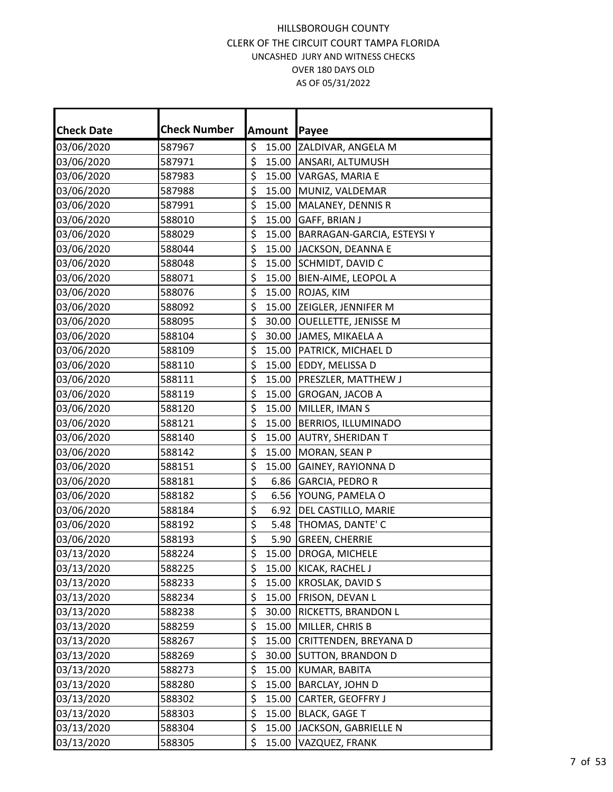| <b>Check Date</b><br>Amount<br>Payee<br>\$<br>15.00<br>03/06/2020<br>587967<br>ZALDIVAR, ANGELA M<br>\$<br>03/06/2020<br>587971<br>15.00<br>ANSARI, ALTUMUSH<br>\$<br>03/06/2020<br>15.00<br>VARGAS, MARIA E<br>587983<br>\$<br>03/06/2020<br>15.00<br>MUNIZ, VALDEMAR<br>587988<br>\$<br>15.00<br>03/06/2020<br>MALANEY, DENNIS R<br>587991<br>\$<br>03/06/2020<br>15.00<br>588010<br>GAFF, BRIAN J<br>\$<br>03/06/2020<br>15.00<br>588029<br>BARRAGAN-GARCIA, ESTEYSI Y<br>$\overline{\xi}$<br>15.00<br>03/06/2020<br>JACKSON, DEANNA E<br>588044<br>\$<br>03/06/2020<br>15.00<br>SCHMIDT, DAVID C<br>588048<br>\$<br>15.00<br>03/06/2020<br>588071<br>BIEN-AIME, LEOPOL A<br>$\overline{\xi}$<br>03/06/2020<br>15.00<br>ROJAS, KIM<br>588076<br>\$<br>03/06/2020<br>15.00<br>588092<br>ZEIGLER, JENNIFER M<br>$\overline{\xi}$<br>03/06/2020<br>30.00<br>OUELLETTE, JENISSE M<br>588095<br>\$<br>03/06/2020<br>30.00<br>588104<br>JAMES, MIKAELA A<br>$\overline{\xi}$<br>15.00<br>03/06/2020<br>PATRICK, MICHAEL D<br>588109<br>\$<br>03/06/2020<br>15.00<br>EDDY, MELISSA D<br>588110<br>\$<br>15.00<br>03/06/2020<br>588111<br>PRESZLER, MATTHEW J<br>$\overline{\xi}$<br>15.00<br>03/06/2020<br>GROGAN, JACOB A<br>588119<br>\$<br>15.00<br>03/06/2020<br>588120<br>MILLER, IMAN S<br>\$<br>15.00<br>03/06/2020<br>588121<br>BERRIOS, ILLUMINADO<br>\$<br>03/06/2020<br>15.00<br><b>AUTRY, SHERIDAN T</b><br>588140<br>$\overline{\xi}$<br>15.00<br>03/06/2020<br>588142<br>MORAN, SEAN P<br>\$<br>15.00<br>03/06/2020<br>GAINEY, RAYIONNA D<br>588151<br>\$<br>03/06/2020<br>6.86<br>588181<br>GARCIA, PEDRO R<br>\$<br>03/06/2020<br>6.56<br>YOUNG, PAMELA O<br>588182<br>$\overline{\xi}$<br>6.92<br>03/06/2020<br>588184<br>DEL CASTILLO, MARIE<br>$\overline{\xi}$<br>03/06/2020<br>5.48<br>THOMAS, DANTE' C<br>588192<br>\$<br>03/06/2020<br><b>GREEN, CHERRIE</b><br>5.90<br>588193<br>$\overline{\xi}$<br>03/13/2020<br>15.00<br>588224<br>DROGA, MICHELE<br>\$<br>03/13/2020<br>15.00<br>KICAK, RACHEL J<br>588225<br>\$<br>03/13/2020<br>15.00<br>KROSLAK, DAVID S<br>588233<br>\$<br>15.00<br>03/13/2020<br>FRISON, DEVAN L<br>588234<br>\$<br>03/13/2020<br>30.00<br>RICKETTS, BRANDON L<br>588238<br>\$<br>03/13/2020<br>15.00<br>MILLER, CHRIS B<br>588259<br>\$<br>03/13/2020<br>15.00<br>CRITTENDEN, BREYANA D<br>588267<br>\$<br>30.00<br>03/13/2020<br>588269<br><b>SUTTON, BRANDON D</b><br>\$<br>03/13/2020<br>15.00<br>588273<br>KUMAR, BABITA<br>\$<br>15.00<br>03/13/2020<br>588280<br>BARCLAY, JOHN D<br>\$<br>03/13/2020<br>CARTER, GEOFFRY J<br>15.00<br>588302<br>\$<br>03/13/2020<br>15.00<br><b>BLACK, GAGE T</b><br>588303<br>\$<br>15.00<br>03/13/2020<br>588304<br>JACKSON, GABRIELLE N |            |                     |             |                |
|--------------------------------------------------------------------------------------------------------------------------------------------------------------------------------------------------------------------------------------------------------------------------------------------------------------------------------------------------------------------------------------------------------------------------------------------------------------------------------------------------------------------------------------------------------------------------------------------------------------------------------------------------------------------------------------------------------------------------------------------------------------------------------------------------------------------------------------------------------------------------------------------------------------------------------------------------------------------------------------------------------------------------------------------------------------------------------------------------------------------------------------------------------------------------------------------------------------------------------------------------------------------------------------------------------------------------------------------------------------------------------------------------------------------------------------------------------------------------------------------------------------------------------------------------------------------------------------------------------------------------------------------------------------------------------------------------------------------------------------------------------------------------------------------------------------------------------------------------------------------------------------------------------------------------------------------------------------------------------------------------------------------------------------------------------------------------------------------------------------------------------------------------------------------------------------------------------------------------------------------------------------------------------------------------------------------------------------------------------------------------------------------------------------------------------------------------------------------------------------------------------------------------------------------------------------------------------------------------------------------------------------------------------------------------------------------------------------------------------|------------|---------------------|-------------|----------------|
|                                                                                                                                                                                                                                                                                                                                                                                                                                                                                                                                                                                                                                                                                                                                                                                                                                                                                                                                                                                                                                                                                                                                                                                                                                                                                                                                                                                                                                                                                                                                                                                                                                                                                                                                                                                                                                                                                                                                                                                                                                                                                                                                                                                                                                                                                                                                                                                                                                                                                                                                                                                                                                                                                                                                |            | <b>Check Number</b> |             |                |
|                                                                                                                                                                                                                                                                                                                                                                                                                                                                                                                                                                                                                                                                                                                                                                                                                                                                                                                                                                                                                                                                                                                                                                                                                                                                                                                                                                                                                                                                                                                                                                                                                                                                                                                                                                                                                                                                                                                                                                                                                                                                                                                                                                                                                                                                                                                                                                                                                                                                                                                                                                                                                                                                                                                                |            |                     |             |                |
|                                                                                                                                                                                                                                                                                                                                                                                                                                                                                                                                                                                                                                                                                                                                                                                                                                                                                                                                                                                                                                                                                                                                                                                                                                                                                                                                                                                                                                                                                                                                                                                                                                                                                                                                                                                                                                                                                                                                                                                                                                                                                                                                                                                                                                                                                                                                                                                                                                                                                                                                                                                                                                                                                                                                |            |                     |             |                |
|                                                                                                                                                                                                                                                                                                                                                                                                                                                                                                                                                                                                                                                                                                                                                                                                                                                                                                                                                                                                                                                                                                                                                                                                                                                                                                                                                                                                                                                                                                                                                                                                                                                                                                                                                                                                                                                                                                                                                                                                                                                                                                                                                                                                                                                                                                                                                                                                                                                                                                                                                                                                                                                                                                                                |            |                     |             |                |
|                                                                                                                                                                                                                                                                                                                                                                                                                                                                                                                                                                                                                                                                                                                                                                                                                                                                                                                                                                                                                                                                                                                                                                                                                                                                                                                                                                                                                                                                                                                                                                                                                                                                                                                                                                                                                                                                                                                                                                                                                                                                                                                                                                                                                                                                                                                                                                                                                                                                                                                                                                                                                                                                                                                                |            |                     |             |                |
|                                                                                                                                                                                                                                                                                                                                                                                                                                                                                                                                                                                                                                                                                                                                                                                                                                                                                                                                                                                                                                                                                                                                                                                                                                                                                                                                                                                                                                                                                                                                                                                                                                                                                                                                                                                                                                                                                                                                                                                                                                                                                                                                                                                                                                                                                                                                                                                                                                                                                                                                                                                                                                                                                                                                |            |                     |             |                |
|                                                                                                                                                                                                                                                                                                                                                                                                                                                                                                                                                                                                                                                                                                                                                                                                                                                                                                                                                                                                                                                                                                                                                                                                                                                                                                                                                                                                                                                                                                                                                                                                                                                                                                                                                                                                                                                                                                                                                                                                                                                                                                                                                                                                                                                                                                                                                                                                                                                                                                                                                                                                                                                                                                                                |            |                     |             |                |
|                                                                                                                                                                                                                                                                                                                                                                                                                                                                                                                                                                                                                                                                                                                                                                                                                                                                                                                                                                                                                                                                                                                                                                                                                                                                                                                                                                                                                                                                                                                                                                                                                                                                                                                                                                                                                                                                                                                                                                                                                                                                                                                                                                                                                                                                                                                                                                                                                                                                                                                                                                                                                                                                                                                                |            |                     |             |                |
|                                                                                                                                                                                                                                                                                                                                                                                                                                                                                                                                                                                                                                                                                                                                                                                                                                                                                                                                                                                                                                                                                                                                                                                                                                                                                                                                                                                                                                                                                                                                                                                                                                                                                                                                                                                                                                                                                                                                                                                                                                                                                                                                                                                                                                                                                                                                                                                                                                                                                                                                                                                                                                                                                                                                |            |                     |             |                |
|                                                                                                                                                                                                                                                                                                                                                                                                                                                                                                                                                                                                                                                                                                                                                                                                                                                                                                                                                                                                                                                                                                                                                                                                                                                                                                                                                                                                                                                                                                                                                                                                                                                                                                                                                                                                                                                                                                                                                                                                                                                                                                                                                                                                                                                                                                                                                                                                                                                                                                                                                                                                                                                                                                                                |            |                     |             |                |
|                                                                                                                                                                                                                                                                                                                                                                                                                                                                                                                                                                                                                                                                                                                                                                                                                                                                                                                                                                                                                                                                                                                                                                                                                                                                                                                                                                                                                                                                                                                                                                                                                                                                                                                                                                                                                                                                                                                                                                                                                                                                                                                                                                                                                                                                                                                                                                                                                                                                                                                                                                                                                                                                                                                                |            |                     |             |                |
|                                                                                                                                                                                                                                                                                                                                                                                                                                                                                                                                                                                                                                                                                                                                                                                                                                                                                                                                                                                                                                                                                                                                                                                                                                                                                                                                                                                                                                                                                                                                                                                                                                                                                                                                                                                                                                                                                                                                                                                                                                                                                                                                                                                                                                                                                                                                                                                                                                                                                                                                                                                                                                                                                                                                |            |                     |             |                |
|                                                                                                                                                                                                                                                                                                                                                                                                                                                                                                                                                                                                                                                                                                                                                                                                                                                                                                                                                                                                                                                                                                                                                                                                                                                                                                                                                                                                                                                                                                                                                                                                                                                                                                                                                                                                                                                                                                                                                                                                                                                                                                                                                                                                                                                                                                                                                                                                                                                                                                                                                                                                                                                                                                                                |            |                     |             |                |
|                                                                                                                                                                                                                                                                                                                                                                                                                                                                                                                                                                                                                                                                                                                                                                                                                                                                                                                                                                                                                                                                                                                                                                                                                                                                                                                                                                                                                                                                                                                                                                                                                                                                                                                                                                                                                                                                                                                                                                                                                                                                                                                                                                                                                                                                                                                                                                                                                                                                                                                                                                                                                                                                                                                                |            |                     |             |                |
|                                                                                                                                                                                                                                                                                                                                                                                                                                                                                                                                                                                                                                                                                                                                                                                                                                                                                                                                                                                                                                                                                                                                                                                                                                                                                                                                                                                                                                                                                                                                                                                                                                                                                                                                                                                                                                                                                                                                                                                                                                                                                                                                                                                                                                                                                                                                                                                                                                                                                                                                                                                                                                                                                                                                |            |                     |             |                |
|                                                                                                                                                                                                                                                                                                                                                                                                                                                                                                                                                                                                                                                                                                                                                                                                                                                                                                                                                                                                                                                                                                                                                                                                                                                                                                                                                                                                                                                                                                                                                                                                                                                                                                                                                                                                                                                                                                                                                                                                                                                                                                                                                                                                                                                                                                                                                                                                                                                                                                                                                                                                                                                                                                                                |            |                     |             |                |
|                                                                                                                                                                                                                                                                                                                                                                                                                                                                                                                                                                                                                                                                                                                                                                                                                                                                                                                                                                                                                                                                                                                                                                                                                                                                                                                                                                                                                                                                                                                                                                                                                                                                                                                                                                                                                                                                                                                                                                                                                                                                                                                                                                                                                                                                                                                                                                                                                                                                                                                                                                                                                                                                                                                                |            |                     |             |                |
|                                                                                                                                                                                                                                                                                                                                                                                                                                                                                                                                                                                                                                                                                                                                                                                                                                                                                                                                                                                                                                                                                                                                                                                                                                                                                                                                                                                                                                                                                                                                                                                                                                                                                                                                                                                                                                                                                                                                                                                                                                                                                                                                                                                                                                                                                                                                                                                                                                                                                                                                                                                                                                                                                                                                |            |                     |             |                |
|                                                                                                                                                                                                                                                                                                                                                                                                                                                                                                                                                                                                                                                                                                                                                                                                                                                                                                                                                                                                                                                                                                                                                                                                                                                                                                                                                                                                                                                                                                                                                                                                                                                                                                                                                                                                                                                                                                                                                                                                                                                                                                                                                                                                                                                                                                                                                                                                                                                                                                                                                                                                                                                                                                                                |            |                     |             |                |
|                                                                                                                                                                                                                                                                                                                                                                                                                                                                                                                                                                                                                                                                                                                                                                                                                                                                                                                                                                                                                                                                                                                                                                                                                                                                                                                                                                                                                                                                                                                                                                                                                                                                                                                                                                                                                                                                                                                                                                                                                                                                                                                                                                                                                                                                                                                                                                                                                                                                                                                                                                                                                                                                                                                                |            |                     |             |                |
|                                                                                                                                                                                                                                                                                                                                                                                                                                                                                                                                                                                                                                                                                                                                                                                                                                                                                                                                                                                                                                                                                                                                                                                                                                                                                                                                                                                                                                                                                                                                                                                                                                                                                                                                                                                                                                                                                                                                                                                                                                                                                                                                                                                                                                                                                                                                                                                                                                                                                                                                                                                                                                                                                                                                |            |                     |             |                |
|                                                                                                                                                                                                                                                                                                                                                                                                                                                                                                                                                                                                                                                                                                                                                                                                                                                                                                                                                                                                                                                                                                                                                                                                                                                                                                                                                                                                                                                                                                                                                                                                                                                                                                                                                                                                                                                                                                                                                                                                                                                                                                                                                                                                                                                                                                                                                                                                                                                                                                                                                                                                                                                                                                                                |            |                     |             |                |
|                                                                                                                                                                                                                                                                                                                                                                                                                                                                                                                                                                                                                                                                                                                                                                                                                                                                                                                                                                                                                                                                                                                                                                                                                                                                                                                                                                                                                                                                                                                                                                                                                                                                                                                                                                                                                                                                                                                                                                                                                                                                                                                                                                                                                                                                                                                                                                                                                                                                                                                                                                                                                                                                                                                                |            |                     |             |                |
|                                                                                                                                                                                                                                                                                                                                                                                                                                                                                                                                                                                                                                                                                                                                                                                                                                                                                                                                                                                                                                                                                                                                                                                                                                                                                                                                                                                                                                                                                                                                                                                                                                                                                                                                                                                                                                                                                                                                                                                                                                                                                                                                                                                                                                                                                                                                                                                                                                                                                                                                                                                                                                                                                                                                |            |                     |             |                |
|                                                                                                                                                                                                                                                                                                                                                                                                                                                                                                                                                                                                                                                                                                                                                                                                                                                                                                                                                                                                                                                                                                                                                                                                                                                                                                                                                                                                                                                                                                                                                                                                                                                                                                                                                                                                                                                                                                                                                                                                                                                                                                                                                                                                                                                                                                                                                                                                                                                                                                                                                                                                                                                                                                                                |            |                     |             |                |
|                                                                                                                                                                                                                                                                                                                                                                                                                                                                                                                                                                                                                                                                                                                                                                                                                                                                                                                                                                                                                                                                                                                                                                                                                                                                                                                                                                                                                                                                                                                                                                                                                                                                                                                                                                                                                                                                                                                                                                                                                                                                                                                                                                                                                                                                                                                                                                                                                                                                                                                                                                                                                                                                                                                                |            |                     |             |                |
|                                                                                                                                                                                                                                                                                                                                                                                                                                                                                                                                                                                                                                                                                                                                                                                                                                                                                                                                                                                                                                                                                                                                                                                                                                                                                                                                                                                                                                                                                                                                                                                                                                                                                                                                                                                                                                                                                                                                                                                                                                                                                                                                                                                                                                                                                                                                                                                                                                                                                                                                                                                                                                                                                                                                |            |                     |             |                |
|                                                                                                                                                                                                                                                                                                                                                                                                                                                                                                                                                                                                                                                                                                                                                                                                                                                                                                                                                                                                                                                                                                                                                                                                                                                                                                                                                                                                                                                                                                                                                                                                                                                                                                                                                                                                                                                                                                                                                                                                                                                                                                                                                                                                                                                                                                                                                                                                                                                                                                                                                                                                                                                                                                                                |            |                     |             |                |
|                                                                                                                                                                                                                                                                                                                                                                                                                                                                                                                                                                                                                                                                                                                                                                                                                                                                                                                                                                                                                                                                                                                                                                                                                                                                                                                                                                                                                                                                                                                                                                                                                                                                                                                                                                                                                                                                                                                                                                                                                                                                                                                                                                                                                                                                                                                                                                                                                                                                                                                                                                                                                                                                                                                                |            |                     |             |                |
|                                                                                                                                                                                                                                                                                                                                                                                                                                                                                                                                                                                                                                                                                                                                                                                                                                                                                                                                                                                                                                                                                                                                                                                                                                                                                                                                                                                                                                                                                                                                                                                                                                                                                                                                                                                                                                                                                                                                                                                                                                                                                                                                                                                                                                                                                                                                                                                                                                                                                                                                                                                                                                                                                                                                |            |                     |             |                |
|                                                                                                                                                                                                                                                                                                                                                                                                                                                                                                                                                                                                                                                                                                                                                                                                                                                                                                                                                                                                                                                                                                                                                                                                                                                                                                                                                                                                                                                                                                                                                                                                                                                                                                                                                                                                                                                                                                                                                                                                                                                                                                                                                                                                                                                                                                                                                                                                                                                                                                                                                                                                                                                                                                                                |            |                     |             |                |
|                                                                                                                                                                                                                                                                                                                                                                                                                                                                                                                                                                                                                                                                                                                                                                                                                                                                                                                                                                                                                                                                                                                                                                                                                                                                                                                                                                                                                                                                                                                                                                                                                                                                                                                                                                                                                                                                                                                                                                                                                                                                                                                                                                                                                                                                                                                                                                                                                                                                                                                                                                                                                                                                                                                                |            |                     |             |                |
|                                                                                                                                                                                                                                                                                                                                                                                                                                                                                                                                                                                                                                                                                                                                                                                                                                                                                                                                                                                                                                                                                                                                                                                                                                                                                                                                                                                                                                                                                                                                                                                                                                                                                                                                                                                                                                                                                                                                                                                                                                                                                                                                                                                                                                                                                                                                                                                                                                                                                                                                                                                                                                                                                                                                |            |                     |             |                |
|                                                                                                                                                                                                                                                                                                                                                                                                                                                                                                                                                                                                                                                                                                                                                                                                                                                                                                                                                                                                                                                                                                                                                                                                                                                                                                                                                                                                                                                                                                                                                                                                                                                                                                                                                                                                                                                                                                                                                                                                                                                                                                                                                                                                                                                                                                                                                                                                                                                                                                                                                                                                                                                                                                                                |            |                     |             |                |
|                                                                                                                                                                                                                                                                                                                                                                                                                                                                                                                                                                                                                                                                                                                                                                                                                                                                                                                                                                                                                                                                                                                                                                                                                                                                                                                                                                                                                                                                                                                                                                                                                                                                                                                                                                                                                                                                                                                                                                                                                                                                                                                                                                                                                                                                                                                                                                                                                                                                                                                                                                                                                                                                                                                                |            |                     |             |                |
|                                                                                                                                                                                                                                                                                                                                                                                                                                                                                                                                                                                                                                                                                                                                                                                                                                                                                                                                                                                                                                                                                                                                                                                                                                                                                                                                                                                                                                                                                                                                                                                                                                                                                                                                                                                                                                                                                                                                                                                                                                                                                                                                                                                                                                                                                                                                                                                                                                                                                                                                                                                                                                                                                                                                |            |                     |             |                |
|                                                                                                                                                                                                                                                                                                                                                                                                                                                                                                                                                                                                                                                                                                                                                                                                                                                                                                                                                                                                                                                                                                                                                                                                                                                                                                                                                                                                                                                                                                                                                                                                                                                                                                                                                                                                                                                                                                                                                                                                                                                                                                                                                                                                                                                                                                                                                                                                                                                                                                                                                                                                                                                                                                                                |            |                     |             |                |
|                                                                                                                                                                                                                                                                                                                                                                                                                                                                                                                                                                                                                                                                                                                                                                                                                                                                                                                                                                                                                                                                                                                                                                                                                                                                                                                                                                                                                                                                                                                                                                                                                                                                                                                                                                                                                                                                                                                                                                                                                                                                                                                                                                                                                                                                                                                                                                                                                                                                                                                                                                                                                                                                                                                                |            |                     |             |                |
|                                                                                                                                                                                                                                                                                                                                                                                                                                                                                                                                                                                                                                                                                                                                                                                                                                                                                                                                                                                                                                                                                                                                                                                                                                                                                                                                                                                                                                                                                                                                                                                                                                                                                                                                                                                                                                                                                                                                                                                                                                                                                                                                                                                                                                                                                                                                                                                                                                                                                                                                                                                                                                                                                                                                |            |                     |             |                |
|                                                                                                                                                                                                                                                                                                                                                                                                                                                                                                                                                                                                                                                                                                                                                                                                                                                                                                                                                                                                                                                                                                                                                                                                                                                                                                                                                                                                                                                                                                                                                                                                                                                                                                                                                                                                                                                                                                                                                                                                                                                                                                                                                                                                                                                                                                                                                                                                                                                                                                                                                                                                                                                                                                                                |            |                     |             |                |
|                                                                                                                                                                                                                                                                                                                                                                                                                                                                                                                                                                                                                                                                                                                                                                                                                                                                                                                                                                                                                                                                                                                                                                                                                                                                                                                                                                                                                                                                                                                                                                                                                                                                                                                                                                                                                                                                                                                                                                                                                                                                                                                                                                                                                                                                                                                                                                                                                                                                                                                                                                                                                                                                                                                                |            |                     |             |                |
|                                                                                                                                                                                                                                                                                                                                                                                                                                                                                                                                                                                                                                                                                                                                                                                                                                                                                                                                                                                                                                                                                                                                                                                                                                                                                                                                                                                                                                                                                                                                                                                                                                                                                                                                                                                                                                                                                                                                                                                                                                                                                                                                                                                                                                                                                                                                                                                                                                                                                                                                                                                                                                                                                                                                |            |                     |             |                |
|                                                                                                                                                                                                                                                                                                                                                                                                                                                                                                                                                                                                                                                                                                                                                                                                                                                                                                                                                                                                                                                                                                                                                                                                                                                                                                                                                                                                                                                                                                                                                                                                                                                                                                                                                                                                                                                                                                                                                                                                                                                                                                                                                                                                                                                                                                                                                                                                                                                                                                                                                                                                                                                                                                                                | 03/13/2020 | 588305              | \$<br>15.00 | VAZQUEZ, FRANK |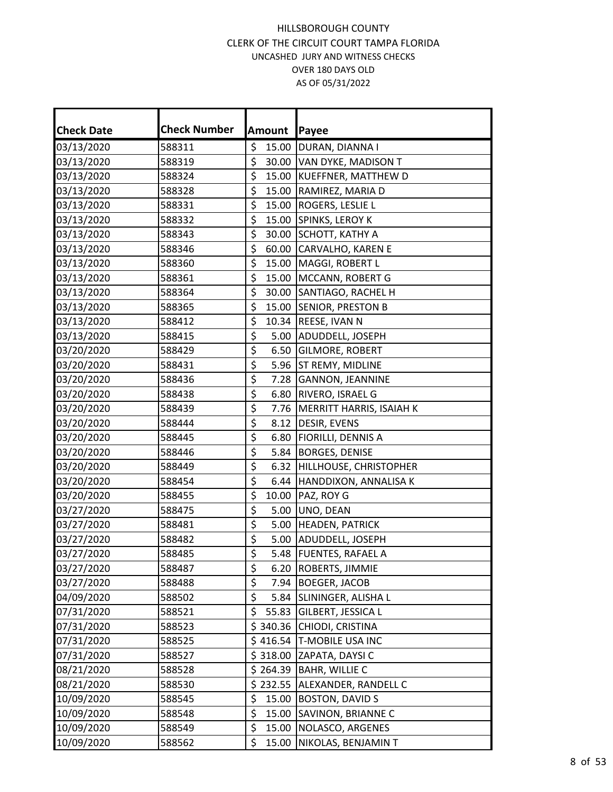| <b>Check Date</b> | <b>Check Number</b> |                                 | Amount   | Payee                    |
|-------------------|---------------------|---------------------------------|----------|--------------------------|
| 03/13/2020        | 588311              | \$                              | 15.00    | DURAN, DIANNA I          |
| 03/13/2020        | 588319              | \$                              | 30.00    | VAN DYKE, MADISON T      |
| 03/13/2020        | 588324              | \$                              | 15.00    | KUEFFNER, MATTHEW D      |
| 03/13/2020        | 588328              | \$                              | 15.00    | RAMIREZ, MARIA D         |
| 03/13/2020        | 588331              | \$                              | 15.00    | ROGERS, LESLIE L         |
| 03/13/2020        | 588332              | \$                              | 15.00    | SPINKS, LEROY K          |
| 03/13/2020        | 588343              | \$                              | 30.00    | <b>SCHOTT, KATHY A</b>   |
| 03/13/2020        | 588346              | $\overline{\boldsymbol{\zeta}}$ | 60.00    | CARVALHO, KAREN E        |
| 03/13/2020        | 588360              | \$                              |          | 15.00 MAGGI, ROBERT L    |
| 03/13/2020        | 588361              | \$                              | 15.00    | MCCANN, ROBERT G         |
| 03/13/2020        | 588364              | $\overline{\xi}$                | 30.00    | SANTIAGO, RACHEL H       |
| 03/13/2020        | 588365              | \$                              | 15.00    | <b>SENIOR, PRESTON B</b> |
| 03/13/2020        | 588412              | $\overline{\xi}$                | 10.34    | REESE, IVAN N            |
| 03/13/2020        | 588415              | \$                              | 5.00     | ADUDDELL, JOSEPH         |
| 03/20/2020        | 588429              | $\overline{\boldsymbol{\zeta}}$ | 6.50     | <b>GILMORE, ROBERT</b>   |
| 03/20/2020        | 588431              | $\overline{\xi}$                | 5.96     | <b>ST REMY, MIDLINE</b>  |
| 03/20/2020        | 588436              | $\overline{\xi}$                | 7.28     | <b>GANNON, JEANNINE</b>  |
| 03/20/2020        | 588438              | $\overline{\xi}$                | 6.80     | RIVERO, ISRAEL G         |
| 03/20/2020        | 588439              | \$                              | 7.76     | MERRITT HARRIS, ISAIAH K |
| 03/20/2020        | 588444              | \$                              | 8.12     | DESIR, EVENS             |
| 03/20/2020        | 588445              | $\overline{\xi}$                | 6.80     | FIORILLI, DENNIS A       |
| 03/20/2020        | 588446              | $\overline{\xi}$                | 5.84     | <b>BORGES, DENISE</b>    |
| 03/20/2020        | 588449              | $\overline{\xi}$                | 6.32     | HILLHOUSE, CHRISTOPHER   |
| 03/20/2020        | 588454              | $\overline{\xi}$                | 6.44     | HANDDIXON, ANNALISA K    |
| 03/20/2020        | 588455              | \$                              | 10.00    | PAZ, ROY G               |
| 03/27/2020        | 588475              | $\overline{\varsigma}$          | 5.00     | UNO, DEAN                |
| 03/27/2020        | 588481              | $\overline{\xi}$                | 5.00     | <b>HEADEN, PATRICK</b>   |
| 03/27/2020        | 588482              | \$                              | 5.00     | <b>ADUDDELL, JOSEPH</b>  |
| 03/27/2020        | 588485              | $\overline{\xi}$                |          | 5.48 FUENTES, RAFAEL A   |
| 03/27/2020        | 588487              | \$                              |          | 6.20   ROBERTS, JIMMIE   |
| 03/27/2020        | 588488              | \$                              | 7.94     | <b>BOEGER, JACOB</b>     |
| 04/09/2020        | 588502              | \$                              |          | 5.84 SLININGER, ALISHA L |
| 07/31/2020        | 588521              | \$                              | 55.83    | GILBERT, JESSICA L       |
| 07/31/2020        | 588523              |                                 | \$340.36 | CHIODI, CRISTINA         |
| 07/31/2020        | 588525              |                                 | \$416.54 | T-MOBILE USA INC         |
| 07/31/2020        | 588527              |                                 | \$318.00 | ZAPATA, DAYSI C          |
| 08/21/2020        | 588528              |                                 | \$264.39 | <b>BAHR, WILLIE C</b>    |
| 08/21/2020        | 588530              |                                 | \$232.55 | ALEXANDER, RANDELL C     |
| 10/09/2020        | 588545              | \$                              | 15.00    | <b>BOSTON, DAVID S</b>   |
| 10/09/2020        | 588548              | \$                              | 15.00    | SAVINON, BRIANNE C       |
| 10/09/2020        | 588549              | \$                              | 15.00    | NOLASCO, ARGENES         |
| 10/09/2020        | 588562              | \$                              | 15.00    | NIKOLAS, BENJAMIN T      |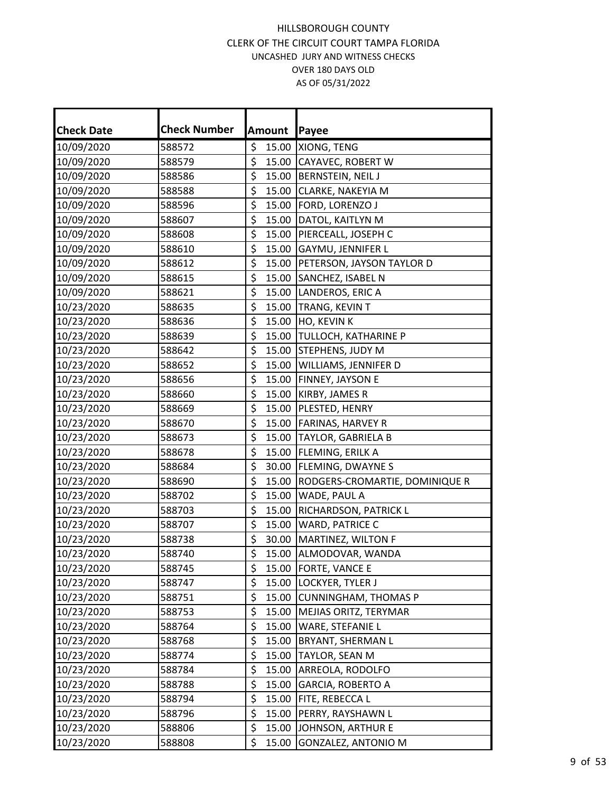| <b>Check Date</b> | <b>Check Number</b> |                  | Amount | Payee                          |
|-------------------|---------------------|------------------|--------|--------------------------------|
| 10/09/2020        | 588572              | \$               |        | 15.00 XIONG, TENG              |
| 10/09/2020        | 588579              | \$               | 15.00  | CAYAVEC, ROBERT W              |
| 10/09/2020        | 588586              | \$               | 15.00  | BERNSTEIN, NEIL J              |
| 10/09/2020        | 588588              | $\overline{\xi}$ | 15.00  | CLARKE, NAKEYIA M              |
| 10/09/2020        | 588596              | \$               | 15.00  | FORD, LORENZO J                |
| 10/09/2020        | 588607              | \$               | 15.00  | DATOL, KAITLYN M               |
| 10/09/2020        | 588608              | \$               | 15.00  | PIERCEALL, JOSEPH C            |
| 10/09/2020        | 588610              | $\overline{\xi}$ | 15.00  | GAYMU, JENNIFER L              |
| 10/09/2020        | 588612              | \$               | 15.00  | PETERSON, JAYSON TAYLOR D      |
| 10/09/2020        | 588615              | \$               | 15.00  | SANCHEZ, ISABEL N              |
| 10/09/2020        | 588621              | \$               | 15.00  | LANDEROS, ERIC A               |
| 10/23/2020        | 588635              | \$               | 15.00  | TRANG, KEVIN T                 |
| 10/23/2020        | 588636              | $\overline{\xi}$ | 15.00  | HO, KEVIN K                    |
| 10/23/2020        | 588639              | \$               |        | 15.00 TULLOCH, KATHARINE P     |
| 10/23/2020        | 588642              | \$               | 15.00  | STEPHENS, JUDY M               |
| 10/23/2020        | 588652              | \$               | 15.00  | WILLIAMS, JENNIFER D           |
| 10/23/2020        | 588656              | \$               | 15.00  | FINNEY, JAYSON E               |
| 10/23/2020        | 588660              | $\overline{\xi}$ | 15.00  | KIRBY, JAMES R                 |
| 10/23/2020        | 588669              | \$               | 15.00  | PLESTED, HENRY                 |
| 10/23/2020        | 588670              | \$               | 15.00  | FARINAS, HARVEY R              |
| 10/23/2020        | 588673              | \$               | 15.00  | <b>TAYLOR, GABRIELA B</b>      |
| 10/23/2020        | 588678              | \$               | 15.00  | FLEMING, ERILK A               |
| 10/23/2020        | 588684              | \$               | 30.00  | FLEMING, DWAYNE S              |
| 10/23/2020        | 588690              | \$               | 15.00  | RODGERS-CROMARTIE, DOMINIQUE R |
| 10/23/2020        | 588702              | \$               | 15.00  | WADE, PAUL A                   |
| 10/23/2020        | 588703              | \$               | 15.00  | RICHARDSON, PATRICK L          |
| 10/23/2020        | 588707              | \$               | 15.00  | WARD, PATRICE C                |
| 10/23/2020        | 588738              | \$               | 30.00  | MARTINEZ, WILTON F             |
| 10/23/2020        | 588740              | \$               |        | 15.00 ALMODOVAR, WANDA         |
| 10/23/2020        | 588745              | \$               |        | 15.00 FORTE, VANCE E           |
| 10/23/2020        | 588747              | \$               | 15.00  | LOCKYER, TYLER J               |
| 10/23/2020        | 588751              | \$               | 15.00  | <b>CUNNINGHAM, THOMAS P</b>    |
| 10/23/2020        | 588753              | \$               | 15.00  | MEJIAS ORITZ, TERYMAR          |
| 10/23/2020        | 588764              | \$               | 15.00  | WARE, STEFANIE L               |
| 10/23/2020        | 588768              | \$               | 15.00  | BRYANT, SHERMAN L              |
| 10/23/2020        | 588774              | \$               | 15.00  | TAYLOR, SEAN M                 |
| 10/23/2020        | 588784              | \$               | 15.00  | ARREOLA, RODOLFO               |
| 10/23/2020        | 588788              | \$               | 15.00  | <b>GARCIA, ROBERTO A</b>       |
| 10/23/2020        | 588794              | \$               | 15.00  | FITE, REBECCA L                |
| 10/23/2020        | 588796              | \$               | 15.00  | PERRY, RAYSHAWN L              |
| 10/23/2020        | 588806              | \$               | 15.00  | JOHNSON, ARTHUR E              |
| 10/23/2020        | 588808              | \$               | 15.00  | GONZALEZ, ANTONIO M            |
|                   |                     |                  |        |                                |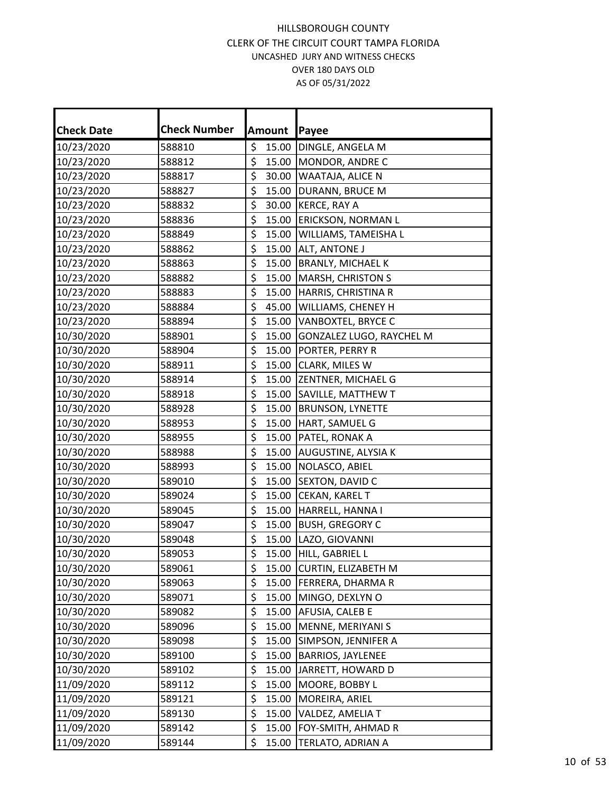| <b>Check Date</b> | <b>Check Number</b> |                  | Amount | Payee                      |
|-------------------|---------------------|------------------|--------|----------------------------|
| 10/23/2020        | 588810              | \$               | 15.00  | DINGLE, ANGELA M           |
| 10/23/2020        | 588812              | \$               | 15.00  | MONDOR, ANDRE C            |
| 10/23/2020        | 588817              | \$               | 30.00  | WAATAJA, ALICE N           |
| 10/23/2020        | 588827              | \$               | 15.00  | DURANN, BRUCE M            |
| 10/23/2020        | 588832              | \$               | 30.00  | <b>KERCE, RAY A</b>        |
| 10/23/2020        | 588836              | \$               | 15.00  | ERICKSON, NORMAN L         |
| 10/23/2020        | 588849              | \$               | 15.00  | WILLIAMS, TAMEISHA L       |
| 10/23/2020        | 588862              | $\overline{\xi}$ | 15.00  | ALT, ANTONE J              |
| 10/23/2020        | 588863              | \$               | 15.00  | <b>BRANLY, MICHAEL K</b>   |
| 10/23/2020        | 588882              | \$               | 15.00  | MARSH, CHRISTON S          |
| 10/23/2020        | 588883              | \$               | 15.00  | HARRIS, CHRISTINA R        |
| 10/23/2020        | 588884              | \$               | 45.00  | WILLIAMS, CHENEY H         |
| 10/23/2020        | 588894              | \$               | 15.00  | VANBOXTEL, BRYCE C         |
| 10/30/2020        | 588901              | \$               | 15.00  | GONZALEZ LUGO, RAYCHEL M   |
| 10/30/2020        | 588904              | \$               | 15.00  | PORTER, PERRY R            |
| 10/30/2020        | 588911              | \$               | 15.00  | CLARK, MILES W             |
| 10/30/2020        | 588914              | \$               |        | 15.00 ZENTNER, MICHAEL G   |
| 10/30/2020        | 588918              | \$               | 15.00  | SAVILLE, MATTHEW T         |
| 10/30/2020        | 588928              | \$               | 15.00  | <b>BRUNSON, LYNETTE</b>    |
| 10/30/2020        | 588953              | \$               | 15.00  | HART, SAMUEL G             |
| 10/30/2020        | 588955              | \$               | 15.00  | PATEL, RONAK A             |
| 10/30/2020        | 588988              | \$               | 15.00  | <b>AUGUSTINE, ALYSIA K</b> |
| 10/30/2020        | 588993              | \$               | 15.00  | NOLASCO, ABIEL             |
| 10/30/2020        | 589010              | \$               | 15.00  | SEXTON, DAVID C            |
| 10/30/2020        | 589024              | \$               | 15.00  | CEKAN, KAREL T             |
| 10/30/2020        | 589045              | \$               | 15.00  | HARRELL, HANNA I           |
| 10/30/2020        | 589047              | \$               | 15.00  | <b>BUSH, GREGORY C</b>     |
| 10/30/2020        | 589048              | \$               | 15.00  | LAZO, GIOVANNI             |
| 10/30/2020        | 589053              | $\overline{\xi}$ |        | 15.00 HILL, GABRIEL L      |
| 10/30/2020        | 589061              | \$               | 15.00  | <b>CURTIN, ELIZABETH M</b> |
| 10/30/2020        | 589063              | \$               | 15.00  | FERRERA, DHARMA R          |
| 10/30/2020        | 589071              | \$               | 15.00  | MINGO, DEXLYN O            |
| 10/30/2020        | 589082              | \$               | 15.00  | AFUSIA, CALEB E            |
| 10/30/2020        | 589096              | \$               | 15.00  | MENNE, MERIYANI S          |
| 10/30/2020        | 589098              | \$               | 15.00  | SIMPSON, JENNIFER A        |
| 10/30/2020        | 589100              | \$               | 15.00  | <b>BARRIOS, JAYLENEE</b>   |
| 10/30/2020        | 589102              | \$               | 15.00  | JARRETT, HOWARD D          |
| 11/09/2020        | 589112              | \$               | 15.00  | MOORE, BOBBY L             |
| 11/09/2020        | 589121              | \$               | 15.00  | MOREIRA, ARIEL             |
| 11/09/2020        | 589130              | \$               | 15.00  | VALDEZ, AMELIA T           |
| 11/09/2020        | 589142              | \$               | 15.00  | FOY-SMITH, AHMAD R         |
| 11/09/2020        | 589144              | \$               | 15.00  | TERLATO, ADRIAN A          |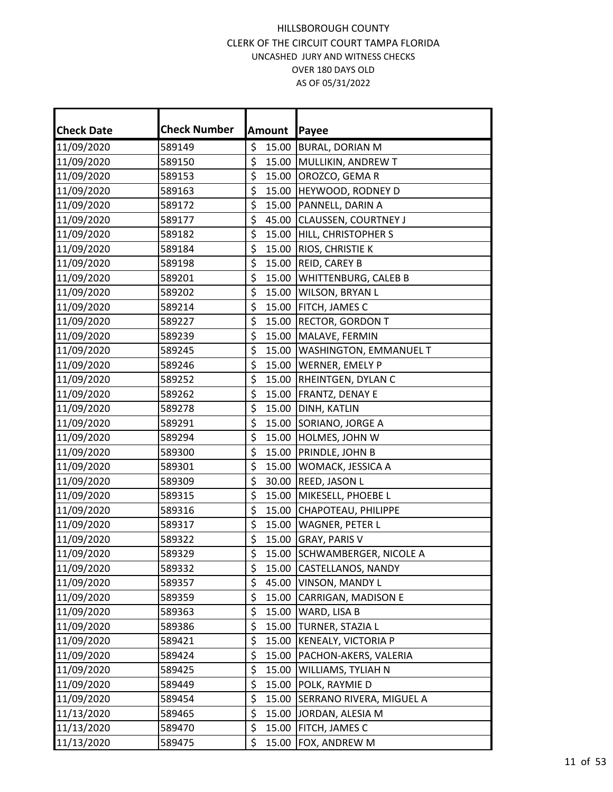| <b>Check Number</b><br><b>Check Date</b><br>Amount<br>Payee<br>\$<br>15.00<br>11/09/2020<br>589149<br>BURAL, DORIAN M<br>\$<br>11/09/2020<br>589150<br>15.00<br>MULLIKIN, ANDREW T<br>\$<br>15.00<br>11/09/2020<br>589153<br>OROZCO, GEMA R<br>\$<br>15.00<br>11/09/2020<br>HEYWOOD, RODNEY D<br>589163<br>\$<br>11/09/2020<br>15.00<br>589172<br>PANNELL, DARIN A<br>\$<br>11/09/2020<br>45.00<br><b>CLAUSSEN, COURTNEY J</b><br>589177<br>\$<br>11/09/2020<br>15.00<br>HILL, CHRISTOPHER S<br>589182<br>$\overline{\boldsymbol{\zeta}}$<br>11/09/2020<br>15.00<br>RIOS, CHRISTIE K<br>589184<br>\$<br>11/09/2020<br>15.00<br>589198<br>REID, CAREY B<br>\$<br>11/09/2020<br>15.00<br>589201<br><b>WHITTENBURG, CALEB B</b><br>$\overline{\xi}$<br>15.00<br>11/09/2020<br>589202<br>WILSON, BRYAN L<br>\$<br>11/09/2020<br>15.00<br>589214<br><b>FITCH, JAMES C</b><br>\$<br>15.00<br>11/09/2020<br>RECTOR, GORDON T<br>589227<br>\$<br>11/09/2020<br>15.00<br>MALAVE, FERMIN<br>589239<br>$\overline{\boldsymbol{\zeta}}$<br>11/09/2020<br>15.00<br>WASHINGTON, EMMANUEL T<br>589245<br>\$<br>11/09/2020<br>15.00<br>WERNER, EMELY P<br>589246<br>\$<br>15.00<br>11/09/2020<br>589252<br>RHEINTGEN, DYLAN C<br>$\overline{\boldsymbol{\zeta}}$<br>15.00<br>11/09/2020<br><b>FRANTZ, DENAY E</b><br>589262<br>\$<br>11/09/2020<br>15.00<br>DINH, KATLIN<br>589278<br>\$<br>15.00<br>11/09/2020<br>SORIANO, JORGE A<br>589291<br>\$<br>11/09/2020<br>15.00<br>HOLMES, JOHN W<br>589294<br>\$<br>15.00<br>11/09/2020<br>589300<br>PRINDLE, JOHN B<br>\$<br>15.00<br>11/09/2020<br>WOMACK, JESSICA A<br>589301<br>\$<br>11/09/2020<br>30.00<br>589309<br>REED, JASON L<br>\$<br>15.00<br>11/09/2020<br>MIKESELL, PHOEBE L<br>589315<br>\$<br>11/09/2020<br>15.00<br>589316<br>CHAPOTEAU, PHILIPPE<br>\$<br>11/09/2020<br>15.00<br>WAGNER, PETER L<br>589317<br>\$<br>11/09/2020<br>589322<br>15.00<br><b>GRAY, PARIS V</b><br>$\overline{\xi}$<br>11/09/2020<br>15.00<br>589329<br><b>SCHWAMBERGER, NICOLE A</b> |
|----------------------------------------------------------------------------------------------------------------------------------------------------------------------------------------------------------------------------------------------------------------------------------------------------------------------------------------------------------------------------------------------------------------------------------------------------------------------------------------------------------------------------------------------------------------------------------------------------------------------------------------------------------------------------------------------------------------------------------------------------------------------------------------------------------------------------------------------------------------------------------------------------------------------------------------------------------------------------------------------------------------------------------------------------------------------------------------------------------------------------------------------------------------------------------------------------------------------------------------------------------------------------------------------------------------------------------------------------------------------------------------------------------------------------------------------------------------------------------------------------------------------------------------------------------------------------------------------------------------------------------------------------------------------------------------------------------------------------------------------------------------------------------------------------------------------------------------------------------------------------------------------------------------------------------------------------------------------------------------------------------------|
|                                                                                                                                                                                                                                                                                                                                                                                                                                                                                                                                                                                                                                                                                                                                                                                                                                                                                                                                                                                                                                                                                                                                                                                                                                                                                                                                                                                                                                                                                                                                                                                                                                                                                                                                                                                                                                                                                                                                                                                                                |
|                                                                                                                                                                                                                                                                                                                                                                                                                                                                                                                                                                                                                                                                                                                                                                                                                                                                                                                                                                                                                                                                                                                                                                                                                                                                                                                                                                                                                                                                                                                                                                                                                                                                                                                                                                                                                                                                                                                                                                                                                |
|                                                                                                                                                                                                                                                                                                                                                                                                                                                                                                                                                                                                                                                                                                                                                                                                                                                                                                                                                                                                                                                                                                                                                                                                                                                                                                                                                                                                                                                                                                                                                                                                                                                                                                                                                                                                                                                                                                                                                                                                                |
|                                                                                                                                                                                                                                                                                                                                                                                                                                                                                                                                                                                                                                                                                                                                                                                                                                                                                                                                                                                                                                                                                                                                                                                                                                                                                                                                                                                                                                                                                                                                                                                                                                                                                                                                                                                                                                                                                                                                                                                                                |
|                                                                                                                                                                                                                                                                                                                                                                                                                                                                                                                                                                                                                                                                                                                                                                                                                                                                                                                                                                                                                                                                                                                                                                                                                                                                                                                                                                                                                                                                                                                                                                                                                                                                                                                                                                                                                                                                                                                                                                                                                |
|                                                                                                                                                                                                                                                                                                                                                                                                                                                                                                                                                                                                                                                                                                                                                                                                                                                                                                                                                                                                                                                                                                                                                                                                                                                                                                                                                                                                                                                                                                                                                                                                                                                                                                                                                                                                                                                                                                                                                                                                                |
|                                                                                                                                                                                                                                                                                                                                                                                                                                                                                                                                                                                                                                                                                                                                                                                                                                                                                                                                                                                                                                                                                                                                                                                                                                                                                                                                                                                                                                                                                                                                                                                                                                                                                                                                                                                                                                                                                                                                                                                                                |
|                                                                                                                                                                                                                                                                                                                                                                                                                                                                                                                                                                                                                                                                                                                                                                                                                                                                                                                                                                                                                                                                                                                                                                                                                                                                                                                                                                                                                                                                                                                                                                                                                                                                                                                                                                                                                                                                                                                                                                                                                |
|                                                                                                                                                                                                                                                                                                                                                                                                                                                                                                                                                                                                                                                                                                                                                                                                                                                                                                                                                                                                                                                                                                                                                                                                                                                                                                                                                                                                                                                                                                                                                                                                                                                                                                                                                                                                                                                                                                                                                                                                                |
|                                                                                                                                                                                                                                                                                                                                                                                                                                                                                                                                                                                                                                                                                                                                                                                                                                                                                                                                                                                                                                                                                                                                                                                                                                                                                                                                                                                                                                                                                                                                                                                                                                                                                                                                                                                                                                                                                                                                                                                                                |
|                                                                                                                                                                                                                                                                                                                                                                                                                                                                                                                                                                                                                                                                                                                                                                                                                                                                                                                                                                                                                                                                                                                                                                                                                                                                                                                                                                                                                                                                                                                                                                                                                                                                                                                                                                                                                                                                                                                                                                                                                |
|                                                                                                                                                                                                                                                                                                                                                                                                                                                                                                                                                                                                                                                                                                                                                                                                                                                                                                                                                                                                                                                                                                                                                                                                                                                                                                                                                                                                                                                                                                                                                                                                                                                                                                                                                                                                                                                                                                                                                                                                                |
|                                                                                                                                                                                                                                                                                                                                                                                                                                                                                                                                                                                                                                                                                                                                                                                                                                                                                                                                                                                                                                                                                                                                                                                                                                                                                                                                                                                                                                                                                                                                                                                                                                                                                                                                                                                                                                                                                                                                                                                                                |
|                                                                                                                                                                                                                                                                                                                                                                                                                                                                                                                                                                                                                                                                                                                                                                                                                                                                                                                                                                                                                                                                                                                                                                                                                                                                                                                                                                                                                                                                                                                                                                                                                                                                                                                                                                                                                                                                                                                                                                                                                |
|                                                                                                                                                                                                                                                                                                                                                                                                                                                                                                                                                                                                                                                                                                                                                                                                                                                                                                                                                                                                                                                                                                                                                                                                                                                                                                                                                                                                                                                                                                                                                                                                                                                                                                                                                                                                                                                                                                                                                                                                                |
|                                                                                                                                                                                                                                                                                                                                                                                                                                                                                                                                                                                                                                                                                                                                                                                                                                                                                                                                                                                                                                                                                                                                                                                                                                                                                                                                                                                                                                                                                                                                                                                                                                                                                                                                                                                                                                                                                                                                                                                                                |
|                                                                                                                                                                                                                                                                                                                                                                                                                                                                                                                                                                                                                                                                                                                                                                                                                                                                                                                                                                                                                                                                                                                                                                                                                                                                                                                                                                                                                                                                                                                                                                                                                                                                                                                                                                                                                                                                                                                                                                                                                |
|                                                                                                                                                                                                                                                                                                                                                                                                                                                                                                                                                                                                                                                                                                                                                                                                                                                                                                                                                                                                                                                                                                                                                                                                                                                                                                                                                                                                                                                                                                                                                                                                                                                                                                                                                                                                                                                                                                                                                                                                                |
|                                                                                                                                                                                                                                                                                                                                                                                                                                                                                                                                                                                                                                                                                                                                                                                                                                                                                                                                                                                                                                                                                                                                                                                                                                                                                                                                                                                                                                                                                                                                                                                                                                                                                                                                                                                                                                                                                                                                                                                                                |
|                                                                                                                                                                                                                                                                                                                                                                                                                                                                                                                                                                                                                                                                                                                                                                                                                                                                                                                                                                                                                                                                                                                                                                                                                                                                                                                                                                                                                                                                                                                                                                                                                                                                                                                                                                                                                                                                                                                                                                                                                |
|                                                                                                                                                                                                                                                                                                                                                                                                                                                                                                                                                                                                                                                                                                                                                                                                                                                                                                                                                                                                                                                                                                                                                                                                                                                                                                                                                                                                                                                                                                                                                                                                                                                                                                                                                                                                                                                                                                                                                                                                                |
|                                                                                                                                                                                                                                                                                                                                                                                                                                                                                                                                                                                                                                                                                                                                                                                                                                                                                                                                                                                                                                                                                                                                                                                                                                                                                                                                                                                                                                                                                                                                                                                                                                                                                                                                                                                                                                                                                                                                                                                                                |
|                                                                                                                                                                                                                                                                                                                                                                                                                                                                                                                                                                                                                                                                                                                                                                                                                                                                                                                                                                                                                                                                                                                                                                                                                                                                                                                                                                                                                                                                                                                                                                                                                                                                                                                                                                                                                                                                                                                                                                                                                |
|                                                                                                                                                                                                                                                                                                                                                                                                                                                                                                                                                                                                                                                                                                                                                                                                                                                                                                                                                                                                                                                                                                                                                                                                                                                                                                                                                                                                                                                                                                                                                                                                                                                                                                                                                                                                                                                                                                                                                                                                                |
|                                                                                                                                                                                                                                                                                                                                                                                                                                                                                                                                                                                                                                                                                                                                                                                                                                                                                                                                                                                                                                                                                                                                                                                                                                                                                                                                                                                                                                                                                                                                                                                                                                                                                                                                                                                                                                                                                                                                                                                                                |
|                                                                                                                                                                                                                                                                                                                                                                                                                                                                                                                                                                                                                                                                                                                                                                                                                                                                                                                                                                                                                                                                                                                                                                                                                                                                                                                                                                                                                                                                                                                                                                                                                                                                                                                                                                                                                                                                                                                                                                                                                |
|                                                                                                                                                                                                                                                                                                                                                                                                                                                                                                                                                                                                                                                                                                                                                                                                                                                                                                                                                                                                                                                                                                                                                                                                                                                                                                                                                                                                                                                                                                                                                                                                                                                                                                                                                                                                                                                                                                                                                                                                                |
|                                                                                                                                                                                                                                                                                                                                                                                                                                                                                                                                                                                                                                                                                                                                                                                                                                                                                                                                                                                                                                                                                                                                                                                                                                                                                                                                                                                                                                                                                                                                                                                                                                                                                                                                                                                                                                                                                                                                                                                                                |
|                                                                                                                                                                                                                                                                                                                                                                                                                                                                                                                                                                                                                                                                                                                                                                                                                                                                                                                                                                                                                                                                                                                                                                                                                                                                                                                                                                                                                                                                                                                                                                                                                                                                                                                                                                                                                                                                                                                                                                                                                |
|                                                                                                                                                                                                                                                                                                                                                                                                                                                                                                                                                                                                                                                                                                                                                                                                                                                                                                                                                                                                                                                                                                                                                                                                                                                                                                                                                                                                                                                                                                                                                                                                                                                                                                                                                                                                                                                                                                                                                                                                                |
| \$<br>11/09/2020<br>589332<br>15.00<br>CASTELLANOS, NANDY                                                                                                                                                                                                                                                                                                                                                                                                                                                                                                                                                                                                                                                                                                                                                                                                                                                                                                                                                                                                                                                                                                                                                                                                                                                                                                                                                                                                                                                                                                                                                                                                                                                                                                                                                                                                                                                                                                                                                      |
| \$<br>11/09/2020<br>45.00<br>VINSON, MANDY L<br>589357                                                                                                                                                                                                                                                                                                                                                                                                                                                                                                                                                                                                                                                                                                                                                                                                                                                                                                                                                                                                                                                                                                                                                                                                                                                                                                                                                                                                                                                                                                                                                                                                                                                                                                                                                                                                                                                                                                                                                         |
| \$<br>11/09/2020<br>15.00<br>CARRIGAN, MADISON E<br>589359                                                                                                                                                                                                                                                                                                                                                                                                                                                                                                                                                                                                                                                                                                                                                                                                                                                                                                                                                                                                                                                                                                                                                                                                                                                                                                                                                                                                                                                                                                                                                                                                                                                                                                                                                                                                                                                                                                                                                     |
| \$<br>11/09/2020<br>589363<br>15.00<br>WARD, LISA B                                                                                                                                                                                                                                                                                                                                                                                                                                                                                                                                                                                                                                                                                                                                                                                                                                                                                                                                                                                                                                                                                                                                                                                                                                                                                                                                                                                                                                                                                                                                                                                                                                                                                                                                                                                                                                                                                                                                                            |
| \$<br>11/09/2020<br>15.00<br>TURNER, STAZIA L<br>589386                                                                                                                                                                                                                                                                                                                                                                                                                                                                                                                                                                                                                                                                                                                                                                                                                                                                                                                                                                                                                                                                                                                                                                                                                                                                                                                                                                                                                                                                                                                                                                                                                                                                                                                                                                                                                                                                                                                                                        |
| \$<br>11/09/2020<br>15.00<br>KENEALY, VICTORIA P<br>589421                                                                                                                                                                                                                                                                                                                                                                                                                                                                                                                                                                                                                                                                                                                                                                                                                                                                                                                                                                                                                                                                                                                                                                                                                                                                                                                                                                                                                                                                                                                                                                                                                                                                                                                                                                                                                                                                                                                                                     |
| \$<br>15.00<br>11/09/2020<br>589424<br>PACHON-AKERS, VALERIA                                                                                                                                                                                                                                                                                                                                                                                                                                                                                                                                                                                                                                                                                                                                                                                                                                                                                                                                                                                                                                                                                                                                                                                                                                                                                                                                                                                                                                                                                                                                                                                                                                                                                                                                                                                                                                                                                                                                                   |
| \$<br>15.00<br>11/09/2020<br>589425<br>WILLIAMS, TYLIAH N                                                                                                                                                                                                                                                                                                                                                                                                                                                                                                                                                                                                                                                                                                                                                                                                                                                                                                                                                                                                                                                                                                                                                                                                                                                                                                                                                                                                                                                                                                                                                                                                                                                                                                                                                                                                                                                                                                                                                      |
| \$<br>15.00<br>11/09/2020<br>589449<br>POLK, RAYMIE D                                                                                                                                                                                                                                                                                                                                                                                                                                                                                                                                                                                                                                                                                                                                                                                                                                                                                                                                                                                                                                                                                                                                                                                                                                                                                                                                                                                                                                                                                                                                                                                                                                                                                                                                                                                                                                                                                                                                                          |
| \$<br>11/09/2020<br>15.00<br>SERRANO RIVERA, MIGUEL A<br>589454                                                                                                                                                                                                                                                                                                                                                                                                                                                                                                                                                                                                                                                                                                                                                                                                                                                                                                                                                                                                                                                                                                                                                                                                                                                                                                                                                                                                                                                                                                                                                                                                                                                                                                                                                                                                                                                                                                                                                |
| \$<br>11/13/2020<br>15.00<br>589465<br>JORDAN, ALESIA M                                                                                                                                                                                                                                                                                                                                                                                                                                                                                                                                                                                                                                                                                                                                                                                                                                                                                                                                                                                                                                                                                                                                                                                                                                                                                                                                                                                                                                                                                                                                                                                                                                                                                                                                                                                                                                                                                                                                                        |
| \$<br>11/13/2020<br>15.00<br>589470<br>FITCH, JAMES C                                                                                                                                                                                                                                                                                                                                                                                                                                                                                                                                                                                                                                                                                                                                                                                                                                                                                                                                                                                                                                                                                                                                                                                                                                                                                                                                                                                                                                                                                                                                                                                                                                                                                                                                                                                                                                                                                                                                                          |
| \$<br>11/13/2020<br>589475<br>15.00<br>FOX, ANDREW M                                                                                                                                                                                                                                                                                                                                                                                                                                                                                                                                                                                                                                                                                                                                                                                                                                                                                                                                                                                                                                                                                                                                                                                                                                                                                                                                                                                                                                                                                                                                                                                                                                                                                                                                                                                                                                                                                                                                                           |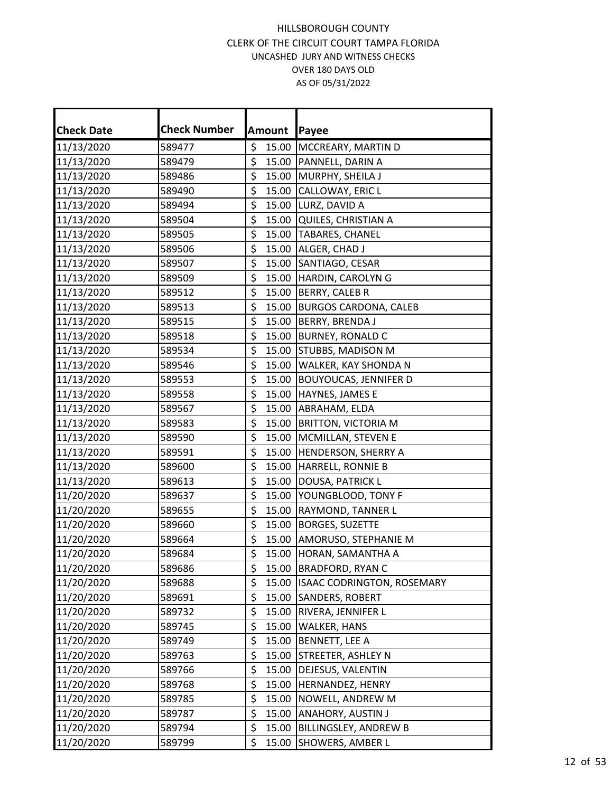| Amount<br>Payee<br>\$<br>15.00<br>11/13/2020<br>589477<br>MCCREARY, MARTIN D<br>\$<br>11/13/2020<br>15.00<br>589479<br>PANNELL, DARIN A<br>\$<br>11/13/2020<br>15.00<br>MURPHY, SHEILA J<br>589486<br>\$<br>11/13/2020<br>15.00<br>CALLOWAY, ERIC L<br>589490<br>\$<br>15.00<br>11/13/2020<br>LURZ, DAVID A<br>589494<br>\$<br>11/13/2020<br>15.00<br>589504<br>QUILES, CHRISTIAN A<br>\$<br>11/13/2020<br>15.00<br>589505<br>TABARES, CHANEL<br>$\overline{\boldsymbol{\zeta}}$<br>11/13/2020<br>15.00<br>589506<br>ALGER, CHAD J<br>\$<br>11/13/2020<br>15.00 SANTIAGO, CESAR<br>589507<br>\$<br>11/13/2020<br>15.00 HARDIN, CAROLYN G<br>589509<br>$\overline{\xi}$<br>15.00<br>11/13/2020<br>589512<br>BERRY, CALEB R<br>\$<br>11/13/2020<br>15.00<br>589513<br><b>BURGOS CARDONA, CALEB</b><br>\$<br>15.00<br>11/13/2020<br>BERRY, BRENDA J<br>589515<br>\$<br>11/13/2020<br>15.00<br>589518<br><b>BURNEY, RONALD C</b><br>\$<br>11/13/2020<br>15.00<br>589534<br><b>STUBBS, MADISON M</b><br>\$<br>15.00<br>11/13/2020<br>589546<br>WALKER, KAY SHONDA N<br>\$<br>15.00<br>11/13/2020<br>589553<br><b>BOUYOUCAS, JENNIFER D</b> |                   |                     |                                 |       |                 |
|---------------------------------------------------------------------------------------------------------------------------------------------------------------------------------------------------------------------------------------------------------------------------------------------------------------------------------------------------------------------------------------------------------------------------------------------------------------------------------------------------------------------------------------------------------------------------------------------------------------------------------------------------------------------------------------------------------------------------------------------------------------------------------------------------------------------------------------------------------------------------------------------------------------------------------------------------------------------------------------------------------------------------------------------------------------------------------------------------------------------------------------|-------------------|---------------------|---------------------------------|-------|-----------------|
|                                                                                                                                                                                                                                                                                                                                                                                                                                                                                                                                                                                                                                                                                                                                                                                                                                                                                                                                                                                                                                                                                                                                       | <b>Check Date</b> | <b>Check Number</b> |                                 |       |                 |
|                                                                                                                                                                                                                                                                                                                                                                                                                                                                                                                                                                                                                                                                                                                                                                                                                                                                                                                                                                                                                                                                                                                                       |                   |                     |                                 |       |                 |
|                                                                                                                                                                                                                                                                                                                                                                                                                                                                                                                                                                                                                                                                                                                                                                                                                                                                                                                                                                                                                                                                                                                                       |                   |                     |                                 |       |                 |
|                                                                                                                                                                                                                                                                                                                                                                                                                                                                                                                                                                                                                                                                                                                                                                                                                                                                                                                                                                                                                                                                                                                                       |                   |                     |                                 |       |                 |
|                                                                                                                                                                                                                                                                                                                                                                                                                                                                                                                                                                                                                                                                                                                                                                                                                                                                                                                                                                                                                                                                                                                                       |                   |                     |                                 |       |                 |
|                                                                                                                                                                                                                                                                                                                                                                                                                                                                                                                                                                                                                                                                                                                                                                                                                                                                                                                                                                                                                                                                                                                                       |                   |                     |                                 |       |                 |
|                                                                                                                                                                                                                                                                                                                                                                                                                                                                                                                                                                                                                                                                                                                                                                                                                                                                                                                                                                                                                                                                                                                                       |                   |                     |                                 |       |                 |
|                                                                                                                                                                                                                                                                                                                                                                                                                                                                                                                                                                                                                                                                                                                                                                                                                                                                                                                                                                                                                                                                                                                                       |                   |                     |                                 |       |                 |
|                                                                                                                                                                                                                                                                                                                                                                                                                                                                                                                                                                                                                                                                                                                                                                                                                                                                                                                                                                                                                                                                                                                                       |                   |                     |                                 |       |                 |
|                                                                                                                                                                                                                                                                                                                                                                                                                                                                                                                                                                                                                                                                                                                                                                                                                                                                                                                                                                                                                                                                                                                                       |                   |                     |                                 |       |                 |
|                                                                                                                                                                                                                                                                                                                                                                                                                                                                                                                                                                                                                                                                                                                                                                                                                                                                                                                                                                                                                                                                                                                                       |                   |                     |                                 |       |                 |
|                                                                                                                                                                                                                                                                                                                                                                                                                                                                                                                                                                                                                                                                                                                                                                                                                                                                                                                                                                                                                                                                                                                                       |                   |                     |                                 |       |                 |
|                                                                                                                                                                                                                                                                                                                                                                                                                                                                                                                                                                                                                                                                                                                                                                                                                                                                                                                                                                                                                                                                                                                                       |                   |                     |                                 |       |                 |
|                                                                                                                                                                                                                                                                                                                                                                                                                                                                                                                                                                                                                                                                                                                                                                                                                                                                                                                                                                                                                                                                                                                                       |                   |                     |                                 |       |                 |
|                                                                                                                                                                                                                                                                                                                                                                                                                                                                                                                                                                                                                                                                                                                                                                                                                                                                                                                                                                                                                                                                                                                                       |                   |                     |                                 |       |                 |
|                                                                                                                                                                                                                                                                                                                                                                                                                                                                                                                                                                                                                                                                                                                                                                                                                                                                                                                                                                                                                                                                                                                                       |                   |                     |                                 |       |                 |
|                                                                                                                                                                                                                                                                                                                                                                                                                                                                                                                                                                                                                                                                                                                                                                                                                                                                                                                                                                                                                                                                                                                                       |                   |                     |                                 |       |                 |
|                                                                                                                                                                                                                                                                                                                                                                                                                                                                                                                                                                                                                                                                                                                                                                                                                                                                                                                                                                                                                                                                                                                                       |                   |                     |                                 |       |                 |
|                                                                                                                                                                                                                                                                                                                                                                                                                                                                                                                                                                                                                                                                                                                                                                                                                                                                                                                                                                                                                                                                                                                                       | 11/13/2020        | 589558              | $\overline{\boldsymbol{\zeta}}$ | 15.00 | HAYNES, JAMES E |
| \$<br>11/13/2020<br>15.00<br>589567<br>ABRAHAM, ELDA                                                                                                                                                                                                                                                                                                                                                                                                                                                                                                                                                                                                                                                                                                                                                                                                                                                                                                                                                                                                                                                                                  |                   |                     |                                 |       |                 |
| \$<br>15.00<br>11/13/2020<br>589583<br><b>BRITTON, VICTORIA M</b>                                                                                                                                                                                                                                                                                                                                                                                                                                                                                                                                                                                                                                                                                                                                                                                                                                                                                                                                                                                                                                                                     |                   |                     |                                 |       |                 |
| \$<br>11/13/2020<br>15.00<br>589590<br>MCMILLAN, STEVEN E                                                                                                                                                                                                                                                                                                                                                                                                                                                                                                                                                                                                                                                                                                                                                                                                                                                                                                                                                                                                                                                                             |                   |                     |                                 |       |                 |
| \$<br>15.00<br>11/13/2020<br>589591<br>HENDERSON, SHERRY A                                                                                                                                                                                                                                                                                                                                                                                                                                                                                                                                                                                                                                                                                                                                                                                                                                                                                                                                                                                                                                                                            |                   |                     |                                 |       |                 |
| \$<br>15.00<br>11/13/2020<br>589600<br><b>HARRELL, RONNIE B</b>                                                                                                                                                                                                                                                                                                                                                                                                                                                                                                                                                                                                                                                                                                                                                                                                                                                                                                                                                                                                                                                                       |                   |                     |                                 |       |                 |
| \$<br>15.00<br>11/13/2020<br>589613<br>DOUSA, PATRICK L                                                                                                                                                                                                                                                                                                                                                                                                                                                                                                                                                                                                                                                                                                                                                                                                                                                                                                                                                                                                                                                                               |                   |                     |                                 |       |                 |
| \$<br>11/20/2020<br>15.00<br>YOUNGBLOOD, TONY F<br>589637                                                                                                                                                                                                                                                                                                                                                                                                                                                                                                                                                                                                                                                                                                                                                                                                                                                                                                                                                                                                                                                                             |                   |                     |                                 |       |                 |
| \$<br>11/20/2020<br>15.00<br>RAYMOND, TANNER L<br>589655                                                                                                                                                                                                                                                                                                                                                                                                                                                                                                                                                                                                                                                                                                                                                                                                                                                                                                                                                                                                                                                                              |                   |                     |                                 |       |                 |
| \$<br>11/20/2020<br>15.00<br><b>BORGES, SUZETTE</b><br>589660                                                                                                                                                                                                                                                                                                                                                                                                                                                                                                                                                                                                                                                                                                                                                                                                                                                                                                                                                                                                                                                                         |                   |                     |                                 |       |                 |
| \$<br>11/20/2020<br>15.00<br>AMORUSO, STEPHANIE M<br>589664                                                                                                                                                                                                                                                                                                                                                                                                                                                                                                                                                                                                                                                                                                                                                                                                                                                                                                                                                                                                                                                                           |                   |                     |                                 |       |                 |
| $\overline{\xi}$<br>11/20/2020<br>589684<br>15.00<br>HORAN, SAMANTHA A                                                                                                                                                                                                                                                                                                                                                                                                                                                                                                                                                                                                                                                                                                                                                                                                                                                                                                                                                                                                                                                                |                   |                     |                                 |       |                 |
| \$<br>11/20/2020<br>589686<br>15.00 BRADFORD, RYAN C                                                                                                                                                                                                                                                                                                                                                                                                                                                                                                                                                                                                                                                                                                                                                                                                                                                                                                                                                                                                                                                                                  |                   |                     |                                 |       |                 |
| \$<br>11/20/2020<br>15.00<br>ISAAC CODRINGTON, ROSEMARY<br>589688                                                                                                                                                                                                                                                                                                                                                                                                                                                                                                                                                                                                                                                                                                                                                                                                                                                                                                                                                                                                                                                                     |                   |                     |                                 |       |                 |
| \$<br>15.00<br>11/20/2020<br>589691<br>SANDERS, ROBERT                                                                                                                                                                                                                                                                                                                                                                                                                                                                                                                                                                                                                                                                                                                                                                                                                                                                                                                                                                                                                                                                                |                   |                     |                                 |       |                 |
| \$<br>11/20/2020<br>589732<br>15.00<br>RIVERA, JENNIFER L                                                                                                                                                                                                                                                                                                                                                                                                                                                                                                                                                                                                                                                                                                                                                                                                                                                                                                                                                                                                                                                                             |                   |                     |                                 |       |                 |
| \$<br>11/20/2020<br>15.00<br>WALKER, HANS<br>589745                                                                                                                                                                                                                                                                                                                                                                                                                                                                                                                                                                                                                                                                                                                                                                                                                                                                                                                                                                                                                                                                                   |                   |                     |                                 |       |                 |
| \$<br>11/20/2020<br>15.00<br>589749<br>BENNETT, LEE A                                                                                                                                                                                                                                                                                                                                                                                                                                                                                                                                                                                                                                                                                                                                                                                                                                                                                                                                                                                                                                                                                 |                   |                     |                                 |       |                 |
| \$<br>15.00<br>11/20/2020<br>589763<br>STREETER, ASHLEY N                                                                                                                                                                                                                                                                                                                                                                                                                                                                                                                                                                                                                                                                                                                                                                                                                                                                                                                                                                                                                                                                             |                   |                     |                                 |       |                 |
| \$<br>15.00<br>11/20/2020<br>589766<br>DEJESUS, VALENTIN                                                                                                                                                                                                                                                                                                                                                                                                                                                                                                                                                                                                                                                                                                                                                                                                                                                                                                                                                                                                                                                                              |                   |                     |                                 |       |                 |
| \$<br>11/20/2020<br>15.00<br>589768<br>HERNANDEZ, HENRY                                                                                                                                                                                                                                                                                                                                                                                                                                                                                                                                                                                                                                                                                                                                                                                                                                                                                                                                                                                                                                                                               |                   |                     |                                 |       |                 |
| \$<br>11/20/2020<br>NOWELL, ANDREW M<br>589785<br>15.00                                                                                                                                                                                                                                                                                                                                                                                                                                                                                                                                                                                                                                                                                                                                                                                                                                                                                                                                                                                                                                                                               |                   |                     |                                 |       |                 |
| \$<br>11/20/2020<br>15.00<br>589787<br>ANAHORY, AUSTIN J                                                                                                                                                                                                                                                                                                                                                                                                                                                                                                                                                                                                                                                                                                                                                                                                                                                                                                                                                                                                                                                                              |                   |                     |                                 |       |                 |
| \$<br>11/20/2020<br>15.00<br>589794<br><b>BILLINGSLEY, ANDREW B</b>                                                                                                                                                                                                                                                                                                                                                                                                                                                                                                                                                                                                                                                                                                                                                                                                                                                                                                                                                                                                                                                                   |                   |                     |                                 |       |                 |
| \$<br>11/20/2020<br>589799<br>15.00<br>SHOWERS, AMBER L                                                                                                                                                                                                                                                                                                                                                                                                                                                                                                                                                                                                                                                                                                                                                                                                                                                                                                                                                                                                                                                                               |                   |                     |                                 |       |                 |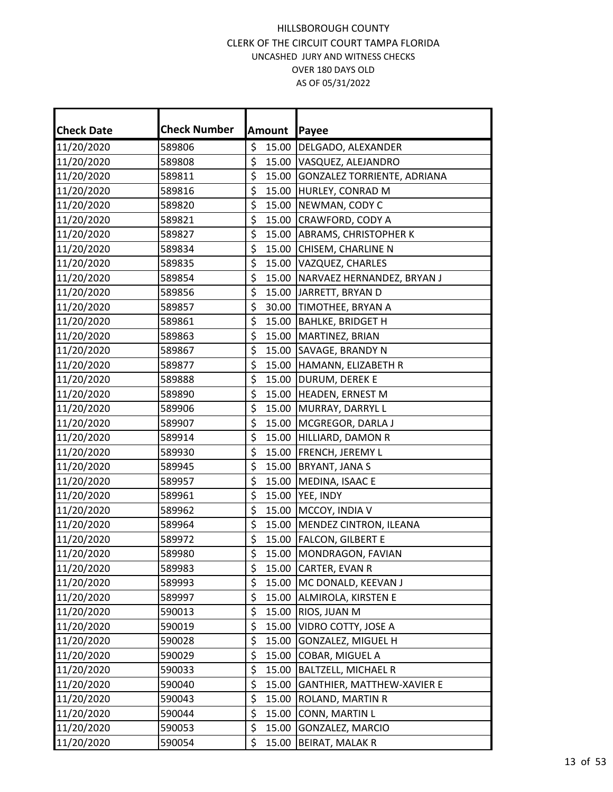| <b>Check Date</b><br>Amount<br>Payee<br>\$<br>11/20/2020<br>15.00 DELGADO, ALEXANDER<br>589806<br>\$<br>11/20/2020<br>589808<br>15.00<br>VASQUEZ, ALEJANDRO<br>\$<br>11/20/2020<br>15.00<br>GONZALEZ TORRIENTE, ADRIANA<br>589811<br>\$<br>11/20/2020<br>15.00 HURLEY, CONRAD M<br>589816<br>\$<br>11/20/2020<br>15.00 NEWMAN, CODY C<br>589820<br>\$<br>11/20/2020<br>15.00<br>CRAWFORD, CODY A<br>589821<br>\$<br>11/20/2020<br>15.00 ABRAMS, CHRISTOPHER K<br>589827<br>\$<br>11/20/2020<br>15.00<br>589834<br>CHISEM, CHARLINE N<br>\$<br>11/20/2020<br>15.00   VAZQUEZ, CHARLES<br>589835<br>\$<br>11/20/2020<br>15.00 NARVAEZ HERNANDEZ, BRYAN J<br>589854<br>\$<br>11/20/2020<br>15.00 JARRETT, BRYAN D<br>589856<br>\$<br>11/20/2020<br>30.00 TIMOTHEE, BRYAN A<br>589857<br>\$<br>11/20/2020<br>15.00 BAHLKE, BRIDGET H<br>589861<br>\$<br>11/20/2020<br>15.00 MARTINEZ, BRIAN<br>589863<br>\$<br>11/20/2020<br>15.00<br>589867<br>SAVAGE, BRANDY N<br>\$<br>11/20/2020<br>15.00 HAMANN, ELIZABETH R<br>589877<br>\$<br>11/20/2020<br>15.00 DURUM, DEREK E<br>589888<br>\$<br>15.00 HEADEN, ERNEST M<br>11/20/2020<br>589890<br>\$<br>11/20/2020<br>15.00 MURRAY, DARRYL L<br>589906<br>\$<br>15.00   MCGREGOR, DARLA J<br>11/20/2020<br>589907<br>\$<br>11/20/2020<br>15.00<br>589914<br>HILLIARD, DAMON R<br>\$<br>11/20/2020<br>15.00<br><b>FRENCH, JEREMY L</b><br>589930<br>\$<br>11/20/2020<br>15.00 BRYANT, JANA S<br>589945<br>\$<br>11/20/2020<br>15.00<br>589957<br>MEDINA, ISAAC E<br>\$<br>15.00<br>11/20/2020<br>YEE, INDY<br>589961<br>\$<br>11/20/2020<br>15.00<br>MCCOY, INDIA V<br>589962<br>\$<br>11/20/2020<br>15.00<br>MENDEZ CINTRON, ILEANA<br>589964<br>\$<br>11/20/2020<br>15.00   FALCON, GILBERT E<br>589972<br>\$<br>11/20/2020<br>15.00 MONDRAGON, FAVIAN<br>589980<br>\$<br>11/20/2020<br>589983<br>15.00 CARTER, EVAN R<br>\$<br>11/20/2020<br>15.00 MC DONALD, KEEVAN J<br>589993<br>\$<br>11/20/2020<br>589997<br>15.00<br><b>ALMIROLA, KIRSTEN E</b><br>\$<br>11/20/2020<br>590013<br>15.00<br>RIOS, JUAN M<br>\$<br>11/20/2020<br>15.00<br>VIDRO COTTY, JOSE A<br>590019<br>\$<br>11/20/2020<br>590028<br>15.00<br>GONZALEZ, MIGUEL H<br>\$<br>11/20/2020<br>15.00<br>590029<br>COBAR, MIGUEL A<br>\$<br>11/20/2020<br>15.00<br>590033<br><b>BALTZELL, MICHAEL R</b><br>\$<br>11/20/2020<br>590040<br>15.00<br>GANTHIER, MATTHEW-XAVIER E<br>\$<br>11/20/2020<br>15.00<br>ROLAND, MARTIN R<br>590043<br>\$<br>11/20/2020<br>15.00<br>CONN, MARTIN L<br>590044<br>\$<br>11/20/2020<br>15.00<br>590053<br>GONZALEZ, MARCIO |            |                     |    |  |
|---------------------------------------------------------------------------------------------------------------------------------------------------------------------------------------------------------------------------------------------------------------------------------------------------------------------------------------------------------------------------------------------------------------------------------------------------------------------------------------------------------------------------------------------------------------------------------------------------------------------------------------------------------------------------------------------------------------------------------------------------------------------------------------------------------------------------------------------------------------------------------------------------------------------------------------------------------------------------------------------------------------------------------------------------------------------------------------------------------------------------------------------------------------------------------------------------------------------------------------------------------------------------------------------------------------------------------------------------------------------------------------------------------------------------------------------------------------------------------------------------------------------------------------------------------------------------------------------------------------------------------------------------------------------------------------------------------------------------------------------------------------------------------------------------------------------------------------------------------------------------------------------------------------------------------------------------------------------------------------------------------------------------------------------------------------------------------------------------------------------------------------------------------------------------------------------------------------------------------------------------------------------------------------------------------------------------------------------------------------------------------------------------------------------------------------------------------------------------------------------------------------------------------------------------------------------|------------|---------------------|----|--|
|                                                                                                                                                                                                                                                                                                                                                                                                                                                                                                                                                                                                                                                                                                                                                                                                                                                                                                                                                                                                                                                                                                                                                                                                                                                                                                                                                                                                                                                                                                                                                                                                                                                                                                                                                                                                                                                                                                                                                                                                                                                                                                                                                                                                                                                                                                                                                                                                                                                                                                                                                                     |            | <b>Check Number</b> |    |  |
|                                                                                                                                                                                                                                                                                                                                                                                                                                                                                                                                                                                                                                                                                                                                                                                                                                                                                                                                                                                                                                                                                                                                                                                                                                                                                                                                                                                                                                                                                                                                                                                                                                                                                                                                                                                                                                                                                                                                                                                                                                                                                                                                                                                                                                                                                                                                                                                                                                                                                                                                                                     |            |                     |    |  |
|                                                                                                                                                                                                                                                                                                                                                                                                                                                                                                                                                                                                                                                                                                                                                                                                                                                                                                                                                                                                                                                                                                                                                                                                                                                                                                                                                                                                                                                                                                                                                                                                                                                                                                                                                                                                                                                                                                                                                                                                                                                                                                                                                                                                                                                                                                                                                                                                                                                                                                                                                                     |            |                     |    |  |
|                                                                                                                                                                                                                                                                                                                                                                                                                                                                                                                                                                                                                                                                                                                                                                                                                                                                                                                                                                                                                                                                                                                                                                                                                                                                                                                                                                                                                                                                                                                                                                                                                                                                                                                                                                                                                                                                                                                                                                                                                                                                                                                                                                                                                                                                                                                                                                                                                                                                                                                                                                     |            |                     |    |  |
|                                                                                                                                                                                                                                                                                                                                                                                                                                                                                                                                                                                                                                                                                                                                                                                                                                                                                                                                                                                                                                                                                                                                                                                                                                                                                                                                                                                                                                                                                                                                                                                                                                                                                                                                                                                                                                                                                                                                                                                                                                                                                                                                                                                                                                                                                                                                                                                                                                                                                                                                                                     |            |                     |    |  |
|                                                                                                                                                                                                                                                                                                                                                                                                                                                                                                                                                                                                                                                                                                                                                                                                                                                                                                                                                                                                                                                                                                                                                                                                                                                                                                                                                                                                                                                                                                                                                                                                                                                                                                                                                                                                                                                                                                                                                                                                                                                                                                                                                                                                                                                                                                                                                                                                                                                                                                                                                                     |            |                     |    |  |
|                                                                                                                                                                                                                                                                                                                                                                                                                                                                                                                                                                                                                                                                                                                                                                                                                                                                                                                                                                                                                                                                                                                                                                                                                                                                                                                                                                                                                                                                                                                                                                                                                                                                                                                                                                                                                                                                                                                                                                                                                                                                                                                                                                                                                                                                                                                                                                                                                                                                                                                                                                     |            |                     |    |  |
|                                                                                                                                                                                                                                                                                                                                                                                                                                                                                                                                                                                                                                                                                                                                                                                                                                                                                                                                                                                                                                                                                                                                                                                                                                                                                                                                                                                                                                                                                                                                                                                                                                                                                                                                                                                                                                                                                                                                                                                                                                                                                                                                                                                                                                                                                                                                                                                                                                                                                                                                                                     |            |                     |    |  |
|                                                                                                                                                                                                                                                                                                                                                                                                                                                                                                                                                                                                                                                                                                                                                                                                                                                                                                                                                                                                                                                                                                                                                                                                                                                                                                                                                                                                                                                                                                                                                                                                                                                                                                                                                                                                                                                                                                                                                                                                                                                                                                                                                                                                                                                                                                                                                                                                                                                                                                                                                                     |            |                     |    |  |
|                                                                                                                                                                                                                                                                                                                                                                                                                                                                                                                                                                                                                                                                                                                                                                                                                                                                                                                                                                                                                                                                                                                                                                                                                                                                                                                                                                                                                                                                                                                                                                                                                                                                                                                                                                                                                                                                                                                                                                                                                                                                                                                                                                                                                                                                                                                                                                                                                                                                                                                                                                     |            |                     |    |  |
|                                                                                                                                                                                                                                                                                                                                                                                                                                                                                                                                                                                                                                                                                                                                                                                                                                                                                                                                                                                                                                                                                                                                                                                                                                                                                                                                                                                                                                                                                                                                                                                                                                                                                                                                                                                                                                                                                                                                                                                                                                                                                                                                                                                                                                                                                                                                                                                                                                                                                                                                                                     |            |                     |    |  |
|                                                                                                                                                                                                                                                                                                                                                                                                                                                                                                                                                                                                                                                                                                                                                                                                                                                                                                                                                                                                                                                                                                                                                                                                                                                                                                                                                                                                                                                                                                                                                                                                                                                                                                                                                                                                                                                                                                                                                                                                                                                                                                                                                                                                                                                                                                                                                                                                                                                                                                                                                                     |            |                     |    |  |
|                                                                                                                                                                                                                                                                                                                                                                                                                                                                                                                                                                                                                                                                                                                                                                                                                                                                                                                                                                                                                                                                                                                                                                                                                                                                                                                                                                                                                                                                                                                                                                                                                                                                                                                                                                                                                                                                                                                                                                                                                                                                                                                                                                                                                                                                                                                                                                                                                                                                                                                                                                     |            |                     |    |  |
|                                                                                                                                                                                                                                                                                                                                                                                                                                                                                                                                                                                                                                                                                                                                                                                                                                                                                                                                                                                                                                                                                                                                                                                                                                                                                                                                                                                                                                                                                                                                                                                                                                                                                                                                                                                                                                                                                                                                                                                                                                                                                                                                                                                                                                                                                                                                                                                                                                                                                                                                                                     |            |                     |    |  |
|                                                                                                                                                                                                                                                                                                                                                                                                                                                                                                                                                                                                                                                                                                                                                                                                                                                                                                                                                                                                                                                                                                                                                                                                                                                                                                                                                                                                                                                                                                                                                                                                                                                                                                                                                                                                                                                                                                                                                                                                                                                                                                                                                                                                                                                                                                                                                                                                                                                                                                                                                                     |            |                     |    |  |
|                                                                                                                                                                                                                                                                                                                                                                                                                                                                                                                                                                                                                                                                                                                                                                                                                                                                                                                                                                                                                                                                                                                                                                                                                                                                                                                                                                                                                                                                                                                                                                                                                                                                                                                                                                                                                                                                                                                                                                                                                                                                                                                                                                                                                                                                                                                                                                                                                                                                                                                                                                     |            |                     |    |  |
|                                                                                                                                                                                                                                                                                                                                                                                                                                                                                                                                                                                                                                                                                                                                                                                                                                                                                                                                                                                                                                                                                                                                                                                                                                                                                                                                                                                                                                                                                                                                                                                                                                                                                                                                                                                                                                                                                                                                                                                                                                                                                                                                                                                                                                                                                                                                                                                                                                                                                                                                                                     |            |                     |    |  |
|                                                                                                                                                                                                                                                                                                                                                                                                                                                                                                                                                                                                                                                                                                                                                                                                                                                                                                                                                                                                                                                                                                                                                                                                                                                                                                                                                                                                                                                                                                                                                                                                                                                                                                                                                                                                                                                                                                                                                                                                                                                                                                                                                                                                                                                                                                                                                                                                                                                                                                                                                                     |            |                     |    |  |
|                                                                                                                                                                                                                                                                                                                                                                                                                                                                                                                                                                                                                                                                                                                                                                                                                                                                                                                                                                                                                                                                                                                                                                                                                                                                                                                                                                                                                                                                                                                                                                                                                                                                                                                                                                                                                                                                                                                                                                                                                                                                                                                                                                                                                                                                                                                                                                                                                                                                                                                                                                     |            |                     |    |  |
|                                                                                                                                                                                                                                                                                                                                                                                                                                                                                                                                                                                                                                                                                                                                                                                                                                                                                                                                                                                                                                                                                                                                                                                                                                                                                                                                                                                                                                                                                                                                                                                                                                                                                                                                                                                                                                                                                                                                                                                                                                                                                                                                                                                                                                                                                                                                                                                                                                                                                                                                                                     |            |                     |    |  |
|                                                                                                                                                                                                                                                                                                                                                                                                                                                                                                                                                                                                                                                                                                                                                                                                                                                                                                                                                                                                                                                                                                                                                                                                                                                                                                                                                                                                                                                                                                                                                                                                                                                                                                                                                                                                                                                                                                                                                                                                                                                                                                                                                                                                                                                                                                                                                                                                                                                                                                                                                                     |            |                     |    |  |
|                                                                                                                                                                                                                                                                                                                                                                                                                                                                                                                                                                                                                                                                                                                                                                                                                                                                                                                                                                                                                                                                                                                                                                                                                                                                                                                                                                                                                                                                                                                                                                                                                                                                                                                                                                                                                                                                                                                                                                                                                                                                                                                                                                                                                                                                                                                                                                                                                                                                                                                                                                     |            |                     |    |  |
|                                                                                                                                                                                                                                                                                                                                                                                                                                                                                                                                                                                                                                                                                                                                                                                                                                                                                                                                                                                                                                                                                                                                                                                                                                                                                                                                                                                                                                                                                                                                                                                                                                                                                                                                                                                                                                                                                                                                                                                                                                                                                                                                                                                                                                                                                                                                                                                                                                                                                                                                                                     |            |                     |    |  |
|                                                                                                                                                                                                                                                                                                                                                                                                                                                                                                                                                                                                                                                                                                                                                                                                                                                                                                                                                                                                                                                                                                                                                                                                                                                                                                                                                                                                                                                                                                                                                                                                                                                                                                                                                                                                                                                                                                                                                                                                                                                                                                                                                                                                                                                                                                                                                                                                                                                                                                                                                                     |            |                     |    |  |
|                                                                                                                                                                                                                                                                                                                                                                                                                                                                                                                                                                                                                                                                                                                                                                                                                                                                                                                                                                                                                                                                                                                                                                                                                                                                                                                                                                                                                                                                                                                                                                                                                                                                                                                                                                                                                                                                                                                                                                                                                                                                                                                                                                                                                                                                                                                                                                                                                                                                                                                                                                     |            |                     |    |  |
|                                                                                                                                                                                                                                                                                                                                                                                                                                                                                                                                                                                                                                                                                                                                                                                                                                                                                                                                                                                                                                                                                                                                                                                                                                                                                                                                                                                                                                                                                                                                                                                                                                                                                                                                                                                                                                                                                                                                                                                                                                                                                                                                                                                                                                                                                                                                                                                                                                                                                                                                                                     |            |                     |    |  |
|                                                                                                                                                                                                                                                                                                                                                                                                                                                                                                                                                                                                                                                                                                                                                                                                                                                                                                                                                                                                                                                                                                                                                                                                                                                                                                                                                                                                                                                                                                                                                                                                                                                                                                                                                                                                                                                                                                                                                                                                                                                                                                                                                                                                                                                                                                                                                                                                                                                                                                                                                                     |            |                     |    |  |
|                                                                                                                                                                                                                                                                                                                                                                                                                                                                                                                                                                                                                                                                                                                                                                                                                                                                                                                                                                                                                                                                                                                                                                                                                                                                                                                                                                                                                                                                                                                                                                                                                                                                                                                                                                                                                                                                                                                                                                                                                                                                                                                                                                                                                                                                                                                                                                                                                                                                                                                                                                     |            |                     |    |  |
|                                                                                                                                                                                                                                                                                                                                                                                                                                                                                                                                                                                                                                                                                                                                                                                                                                                                                                                                                                                                                                                                                                                                                                                                                                                                                                                                                                                                                                                                                                                                                                                                                                                                                                                                                                                                                                                                                                                                                                                                                                                                                                                                                                                                                                                                                                                                                                                                                                                                                                                                                                     |            |                     |    |  |
|                                                                                                                                                                                                                                                                                                                                                                                                                                                                                                                                                                                                                                                                                                                                                                                                                                                                                                                                                                                                                                                                                                                                                                                                                                                                                                                                                                                                                                                                                                                                                                                                                                                                                                                                                                                                                                                                                                                                                                                                                                                                                                                                                                                                                                                                                                                                                                                                                                                                                                                                                                     |            |                     |    |  |
|                                                                                                                                                                                                                                                                                                                                                                                                                                                                                                                                                                                                                                                                                                                                                                                                                                                                                                                                                                                                                                                                                                                                                                                                                                                                                                                                                                                                                                                                                                                                                                                                                                                                                                                                                                                                                                                                                                                                                                                                                                                                                                                                                                                                                                                                                                                                                                                                                                                                                                                                                                     |            |                     |    |  |
|                                                                                                                                                                                                                                                                                                                                                                                                                                                                                                                                                                                                                                                                                                                                                                                                                                                                                                                                                                                                                                                                                                                                                                                                                                                                                                                                                                                                                                                                                                                                                                                                                                                                                                                                                                                                                                                                                                                                                                                                                                                                                                                                                                                                                                                                                                                                                                                                                                                                                                                                                                     |            |                     |    |  |
|                                                                                                                                                                                                                                                                                                                                                                                                                                                                                                                                                                                                                                                                                                                                                                                                                                                                                                                                                                                                                                                                                                                                                                                                                                                                                                                                                                                                                                                                                                                                                                                                                                                                                                                                                                                                                                                                                                                                                                                                                                                                                                                                                                                                                                                                                                                                                                                                                                                                                                                                                                     |            |                     |    |  |
|                                                                                                                                                                                                                                                                                                                                                                                                                                                                                                                                                                                                                                                                                                                                                                                                                                                                                                                                                                                                                                                                                                                                                                                                                                                                                                                                                                                                                                                                                                                                                                                                                                                                                                                                                                                                                                                                                                                                                                                                                                                                                                                                                                                                                                                                                                                                                                                                                                                                                                                                                                     |            |                     |    |  |
|                                                                                                                                                                                                                                                                                                                                                                                                                                                                                                                                                                                                                                                                                                                                                                                                                                                                                                                                                                                                                                                                                                                                                                                                                                                                                                                                                                                                                                                                                                                                                                                                                                                                                                                                                                                                                                                                                                                                                                                                                                                                                                                                                                                                                                                                                                                                                                                                                                                                                                                                                                     |            |                     |    |  |
|                                                                                                                                                                                                                                                                                                                                                                                                                                                                                                                                                                                                                                                                                                                                                                                                                                                                                                                                                                                                                                                                                                                                                                                                                                                                                                                                                                                                                                                                                                                                                                                                                                                                                                                                                                                                                                                                                                                                                                                                                                                                                                                                                                                                                                                                                                                                                                                                                                                                                                                                                                     |            |                     |    |  |
|                                                                                                                                                                                                                                                                                                                                                                                                                                                                                                                                                                                                                                                                                                                                                                                                                                                                                                                                                                                                                                                                                                                                                                                                                                                                                                                                                                                                                                                                                                                                                                                                                                                                                                                                                                                                                                                                                                                                                                                                                                                                                                                                                                                                                                                                                                                                                                                                                                                                                                                                                                     |            |                     |    |  |
|                                                                                                                                                                                                                                                                                                                                                                                                                                                                                                                                                                                                                                                                                                                                                                                                                                                                                                                                                                                                                                                                                                                                                                                                                                                                                                                                                                                                                                                                                                                                                                                                                                                                                                                                                                                                                                                                                                                                                                                                                                                                                                                                                                                                                                                                                                                                                                                                                                                                                                                                                                     |            |                     |    |  |
|                                                                                                                                                                                                                                                                                                                                                                                                                                                                                                                                                                                                                                                                                                                                                                                                                                                                                                                                                                                                                                                                                                                                                                                                                                                                                                                                                                                                                                                                                                                                                                                                                                                                                                                                                                                                                                                                                                                                                                                                                                                                                                                                                                                                                                                                                                                                                                                                                                                                                                                                                                     |            |                     |    |  |
|                                                                                                                                                                                                                                                                                                                                                                                                                                                                                                                                                                                                                                                                                                                                                                                                                                                                                                                                                                                                                                                                                                                                                                                                                                                                                                                                                                                                                                                                                                                                                                                                                                                                                                                                                                                                                                                                                                                                                                                                                                                                                                                                                                                                                                                                                                                                                                                                                                                                                                                                                                     |            |                     |    |  |
|                                                                                                                                                                                                                                                                                                                                                                                                                                                                                                                                                                                                                                                                                                                                                                                                                                                                                                                                                                                                                                                                                                                                                                                                                                                                                                                                                                                                                                                                                                                                                                                                                                                                                                                                                                                                                                                                                                                                                                                                                                                                                                                                                                                                                                                                                                                                                                                                                                                                                                                                                                     |            |                     |    |  |
|                                                                                                                                                                                                                                                                                                                                                                                                                                                                                                                                                                                                                                                                                                                                                                                                                                                                                                                                                                                                                                                                                                                                                                                                                                                                                                                                                                                                                                                                                                                                                                                                                                                                                                                                                                                                                                                                                                                                                                                                                                                                                                                                                                                                                                                                                                                                                                                                                                                                                                                                                                     |            |                     |    |  |
| 590054<br>15.00<br>BEIRAT, MALAK R                                                                                                                                                                                                                                                                                                                                                                                                                                                                                                                                                                                                                                                                                                                                                                                                                                                                                                                                                                                                                                                                                                                                                                                                                                                                                                                                                                                                                                                                                                                                                                                                                                                                                                                                                                                                                                                                                                                                                                                                                                                                                                                                                                                                                                                                                                                                                                                                                                                                                                                                  | 11/20/2020 |                     | \$ |  |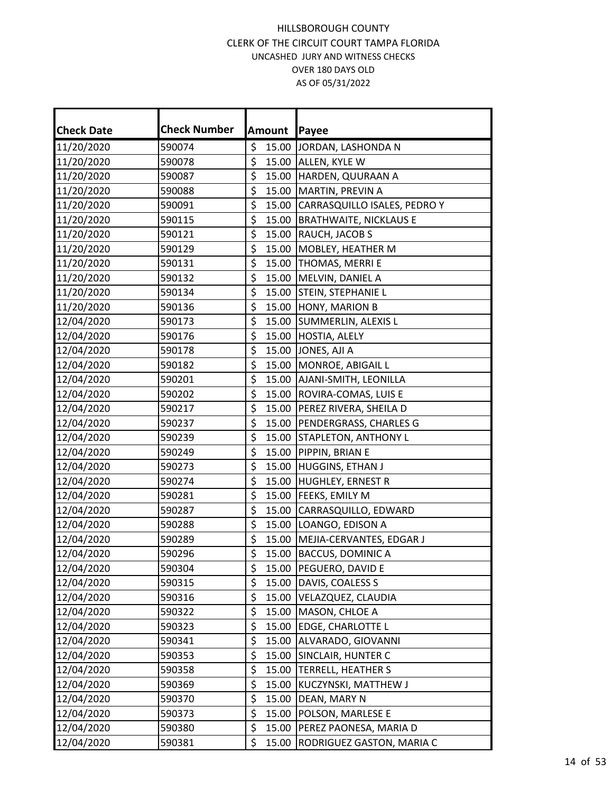| <b>Check Date</b> | <b>Check Number</b> |                                 | Amount | Payee                              |
|-------------------|---------------------|---------------------------------|--------|------------------------------------|
| 11/20/2020        | 590074              | \$                              |        | 15.00 JORDAN, LASHONDA N           |
| 11/20/2020        | 590078              | \$                              |        | 15.00 ALLEN, KYLE W                |
| 11/20/2020        | 590087              | \$                              | 15.00  | HARDEN, QUURAAN A                  |
| 11/20/2020        | 590088              | \$                              |        | 15.00 MARTIN, PREVIN A             |
| 11/20/2020        | 590091              | \$                              |        | 15.00 CARRASQUILLO ISALES, PEDRO Y |
| 11/20/2020        | 590115              | \$                              |        | 15.00 BRATHWAITE, NICKLAUS E       |
| 11/20/2020        | 590121              | \$                              | 15.00  | RAUCH, JACOB S                     |
| 11/20/2020        | 590129              | \$                              | 15.00  | MOBLEY, HEATHER M                  |
| 11/20/2020        | 590131              | \$                              |        | 15.00 THOMAS, MERRI E              |
| 11/20/2020        | 590132              | \$                              |        | 15.00 MELVIN, DANIEL A             |
| 11/20/2020        | 590134              | $\overline{\boldsymbol{\zeta}}$ |        | 15.00 STEIN, STEPHANIE L           |
| 11/20/2020        | 590136              | \$                              |        | 15.00 HONY, MARION B               |
| 12/04/2020        | 590173              | \$                              | 15.00  | <b>SUMMERLIN, ALEXIS L</b>         |
| 12/04/2020        | 590176              | \$                              |        | 15.00 HOSTIA, ALELY                |
| 12/04/2020        | 590178              | \$                              |        | 15.00 JONES, AJI A                 |
| 12/04/2020        | 590182              | \$                              | 15.00  | MONROE, ABIGAIL L                  |
| 12/04/2020        | 590201              | \$                              |        | 15.00 AJANI-SMITH, LEONILLA        |
| 12/04/2020        | 590202              | \$                              |        | 15.00 ROVIRA-COMAS, LUIS E         |
| 12/04/2020        | 590217              | \$                              |        | 15.00 PEREZ RIVERA, SHEILA D       |
| 12/04/2020        | 590237              | \$                              | 15.00  | <b>PENDERGRASS, CHARLES G</b>      |
| 12/04/2020        | 590239              | \$                              | 15.00  | <b>STAPLETON, ANTHONY L</b>        |
| 12/04/2020        | 590249              | \$                              | 15.00  | PIPPIN, BRIAN E                    |
| 12/04/2020        | 590273              | \$                              | 15.00  | HUGGINS, ETHAN J                   |
| 12/04/2020        | 590274              | \$                              |        | 15.00 HUGHLEY, ERNEST R            |
| 12/04/2020        | 590281              | \$                              | 15.00  | <b>FEEKS, EMILY M</b>              |
| 12/04/2020        | 590287              | \$                              | 15.00  | CARRASQUILLO, EDWARD               |
| 12/04/2020        | 590288              | \$                              | 15.00  | LOANGO, EDISON A                   |
| 12/04/2020        | 590289              | \$                              | 15.00  | MEJIA-CERVANTES, EDGAR J           |
| 12/04/2020        | 590296              | \$                              |        | 15.00 BACCUS, DOMINIC A            |
| 12/04/2020        | 590304              | \$                              |        | 15.00   PEGUERO, DAVID E           |
| 12/04/2020        | 590315              | \$                              |        | 15.00 DAVIS, COALESS S             |
| 12/04/2020        | 590316              | \$                              | 15.00  | VELAZQUEZ, CLAUDIA                 |
| 12/04/2020        | 590322              | \$                              | 15.00  | MASON, CHLOE A                     |
| 12/04/2020        | 590323              | \$                              | 15.00  | <b>EDGE, CHARLOTTE L</b>           |
| 12/04/2020        | 590341              | \$                              | 15.00  | ALVARADO, GIOVANNI                 |
| 12/04/2020        | 590353              | \$                              | 15.00  | <b>SINCLAIR, HUNTER C</b>          |
| 12/04/2020        | 590358              | \$                              | 15.00  | <b>TERRELL, HEATHER S</b>          |
| 12/04/2020        | 590369              | \$                              | 15.00  | KUCZYNSKI, MATTHEW J               |
| 12/04/2020        | 590370              | \$                              | 15.00  | DEAN, MARY N                       |
| 12/04/2020        | 590373              | \$                              | 15.00  | POLSON, MARLESE E                  |
| 12/04/2020        | 590380              | \$                              | 15.00  | PEREZ PAONESA, MARIA D             |
| 12/04/2020        | 590381              | \$                              | 15.00  | RODRIGUEZ GASTON, MARIA C          |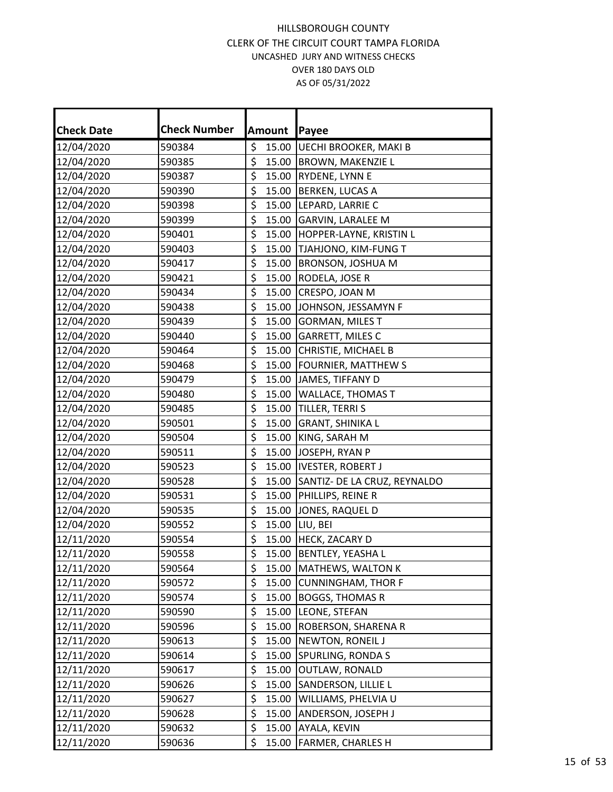| <b>Check Date</b> | <b>Check Number</b> |                  | Amount | Payee                        |
|-------------------|---------------------|------------------|--------|------------------------------|
| 12/04/2020        | 590384              | \$               | 15.00  | UECHI BROOKER, MAKI B        |
| 12/04/2020        | 590385              | \$               | 15.00  | BROWN, MAKENZIE L            |
| 12/04/2020        | 590387              | \$               | 15.00  | RYDENE, LYNN E               |
| 12/04/2020        | 590390              | \$               | 15.00  | BERKEN, LUCAS A              |
| 12/04/2020        | 590398              | \$               | 15.00  | LEPARD, LARRIE C             |
| 12/04/2020        | 590399              | \$               | 15.00  | GARVIN, LARALEE M            |
| 12/04/2020        | 590401              | \$               | 15.00  | HOPPER-LAYNE, KRISTIN L      |
| 12/04/2020        | 590403              | $\overline{\xi}$ | 15.00  | TJAHJONO, KIM-FUNG T         |
| 12/04/2020        | 590417              | \$               | 15.00  | BRONSON, JOSHUA M            |
| 12/04/2020        | 590421              | \$               | 15.00  | RODELA, JOSE R               |
| 12/04/2020        | 590434              | \$               | 15.00  | CRESPO, JOAN M               |
| 12/04/2020        | 590438              | \$               | 15.00  | JOHNSON, JESSAMYN F          |
| 12/04/2020        | 590439              | \$               | 15.00  | <b>GORMAN, MILES T</b>       |
| 12/04/2020        | 590440              | \$               | 15.00  | GARRETT, MILES C             |
| 12/04/2020        | 590464              | \$               | 15.00  | CHRISTIE, MICHAEL B          |
| 12/04/2020        | 590468              | \$               | 15.00  | FOURNIER, MATTHEW S          |
| 12/04/2020        | 590479              | \$               | 15.00  | JAMES, TIFFANY D             |
| 12/04/2020        | 590480              | \$               | 15.00  | <b>WALLACE, THOMAS T</b>     |
| 12/04/2020        | 590485              | \$               | 15.00  | TILLER, TERRI S              |
| 12/04/2020        | 590501              | \$               | 15.00  | GRANT, SHINIKA L             |
| 12/04/2020        | 590504              | \$               | 15.00  | KING, SARAH M                |
| 12/04/2020        | 590511              | \$               | 15.00  | JOSEPH, RYAN P               |
| 12/04/2020        | 590523              | \$               | 15.00  | <b>IVESTER, ROBERT J</b>     |
| 12/04/2020        | 590528              | \$               | 15.00  | SANTIZ- DE LA CRUZ, REYNALDO |
| 12/04/2020        | 590531              | \$               | 15.00  | PHILLIPS, REINE R            |
| 12/04/2020        | 590535              | \$               | 15.00  | JONES, RAQUEL D              |
| 12/04/2020        | 590552              | \$               | 15.00  | LIU, BEI                     |
| 12/11/2020        | 590554              | \$               | 15.00  | HECK, ZACARY D               |
| 12/11/2020        | 590558              | $\overline{\xi}$ | 15.00  | <b>BENTLEY, YEASHA L</b>     |
| 12/11/2020        | 590564              | \$               | 15.00  | MATHEWS, WALTON K            |
| 12/11/2020        | 590572              | \$               | 15.00  | <b>CUNNINGHAM, THOR F</b>    |
| 12/11/2020        | 590574              | \$               | 15.00  | <b>BOGGS, THOMAS R</b>       |
| 12/11/2020        | 590590              | \$               | 15.00  | LEONE, STEFAN                |
| 12/11/2020        | 590596              | \$               | 15.00  | ROBERSON, SHARENA R          |
| 12/11/2020        | 590613              | \$               | 15.00  | NEWTON, RONEIL J             |
| 12/11/2020        | 590614              | \$               | 15.00  | SPURLING, RONDA S            |
| 12/11/2020        | 590617              | \$               | 15.00  | OUTLAW, RONALD               |
| 12/11/2020        | 590626              | \$               | 15.00  | SANDERSON, LILLIE L          |
| 12/11/2020        | 590627              | \$               | 15.00  | WILLIAMS, PHELVIA U          |
| 12/11/2020        | 590628              | \$               | 15.00  | ANDERSON, JOSEPH J           |
| 12/11/2020        | 590632              | \$               | 15.00  | AYALA, KEVIN                 |
| 12/11/2020        | 590636              | \$               | 15.00  | FARMER, CHARLES H            |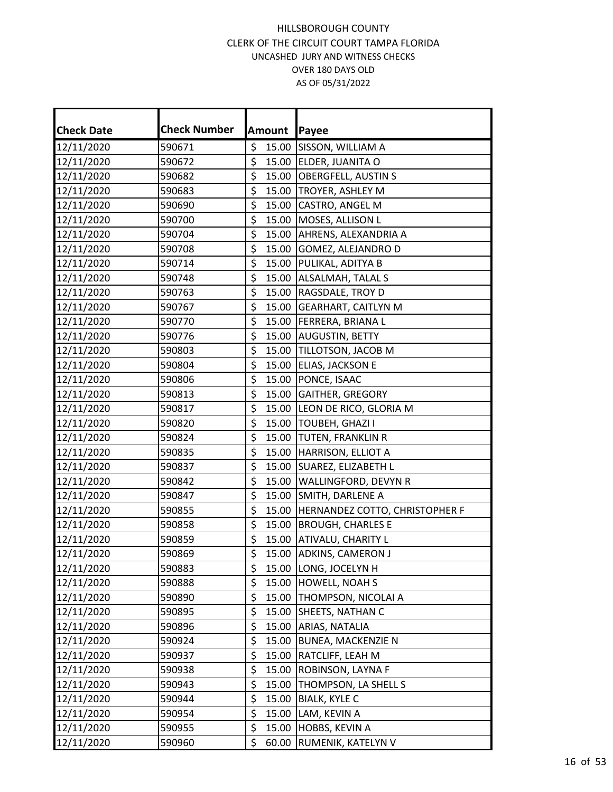| <b>Check Date</b> | <b>Check Number</b> |                  | Amount | Payee                          |
|-------------------|---------------------|------------------|--------|--------------------------------|
| 12/11/2020        | 590671              | \$               | 15.00  | SISSON, WILLIAM A              |
| 12/11/2020        | 590672              | \$               | 15.00  | ELDER, JUANITA O               |
| 12/11/2020        | 590682              | \$               | 15.00  | <b>OBERGFELL, AUSTIN S</b>     |
| 12/11/2020        | 590683              | \$               |        | 15.00   TROYER, ASHLEY M       |
| 12/11/2020        | 590690              | \$               | 15.00  | CASTRO, ANGEL M                |
| 12/11/2020        | 590700              | \$               | 15.00  | MOSES, ALLISON L               |
| 12/11/2020        | 590704              | \$               | 15.00  | AHRENS, ALEXANDRIA A           |
| 12/11/2020        | 590708              | $\overline{\xi}$ | 15.00  | GOMEZ, ALEJANDRO D             |
| 12/11/2020        | 590714              | \$               | 15.00  | PULIKAL, ADITYA B              |
| 12/11/2020        | 590748              | \$               | 15.00  | <b>ALSALMAH, TALAL S</b>       |
| 12/11/2020        | 590763              | \$               | 15.00  | RAGSDALE, TROY D               |
| 12/11/2020        | 590767              | \$               | 15.00  | <b>GEARHART, CAITLYN M</b>     |
| 12/11/2020        | 590770              | \$               | 15.00  | FERRERA, BRIANA L              |
| 12/11/2020        | 590776              | \$               | 15.00  | AUGUSTIN, BETTY                |
| 12/11/2020        | 590803              | \$               | 15.00  | TILLOTSON, JACOB M             |
| 12/11/2020        | 590804              | \$               | 15.00  | ELIAS, JACKSON E               |
| 12/11/2020        | 590806              | \$               | 15.00  | PONCE, ISAAC                   |
| 12/11/2020        | 590813              | \$               | 15.00  | <b>GAITHER, GREGORY</b>        |
| 12/11/2020        | 590817              | \$               | 15.00  | LEON DE RICO, GLORIA M         |
| 12/11/2020        | 590820              | \$               | 15.00  | TOUBEH, GHAZI I                |
| 12/11/2020        | 590824              | \$               | 15.00  | TUTEN, FRANKLIN R              |
| 12/11/2020        | 590835              | $\overline{\xi}$ | 15.00  | HARRISON, ELLIOT A             |
| 12/11/2020        | 590837              | \$               | 15.00  | SUAREZ, ELIZABETH L            |
| 12/11/2020        | 590842              | \$               | 15.00  | WALLINGFORD, DEVYN R           |
| 12/11/2020        | 590847              | \$               | 15.00  | SMITH, DARLENE A               |
| 12/11/2020        | 590855              | \$               | 15.00  | HERNANDEZ COTTO, CHRISTOPHER F |
| 12/11/2020        | 590858              | \$               | 15.00  | <b>BROUGH, CHARLES E</b>       |
| 12/11/2020        | 590859              | \$               | 15.00  | ATIVALU, CHARITY L             |
| 12/11/2020        | 590869              | $\overline{\xi}$ | 15.00  | ADKINS, CAMERON J              |
| 12/11/2020        | 590883              | \$               |        | 15.00 LONG, JOCELYN H          |
| 12/11/2020        | 590888              | \$               | 15.00  | HOWELL, NOAH S                 |
| 12/11/2020        | 590890              | \$               | 15.00  | THOMPSON, NICOLAI A            |
| 12/11/2020        | 590895              | \$               | 15.00  | SHEETS, NATHAN C               |
| 12/11/2020        | 590896              | \$               | 15.00  | ARIAS, NATALIA                 |
| 12/11/2020        | 590924              | \$               | 15.00  | <b>BUNEA, MACKENZIE N</b>      |
| 12/11/2020        | 590937              | \$               | 15.00  | RATCLIFF, LEAH M               |
| 12/11/2020        | 590938              | \$               | 15.00  | ROBINSON, LAYNA F              |
| 12/11/2020        | 590943              | \$               | 15.00  | THOMPSON, LA SHELL S           |
| 12/11/2020        | 590944              | \$               | 15.00  | <b>BIALK, KYLE C</b>           |
| 12/11/2020        | 590954              | \$               | 15.00  | LAM, KEVIN A                   |
| 12/11/2020        | 590955              | \$               | 15.00  | HOBBS, KEVIN A                 |
| 12/11/2020        | 590960              | \$               | 60.00  | RUMENIK, KATELYN V             |
|                   |                     |                  |        |                                |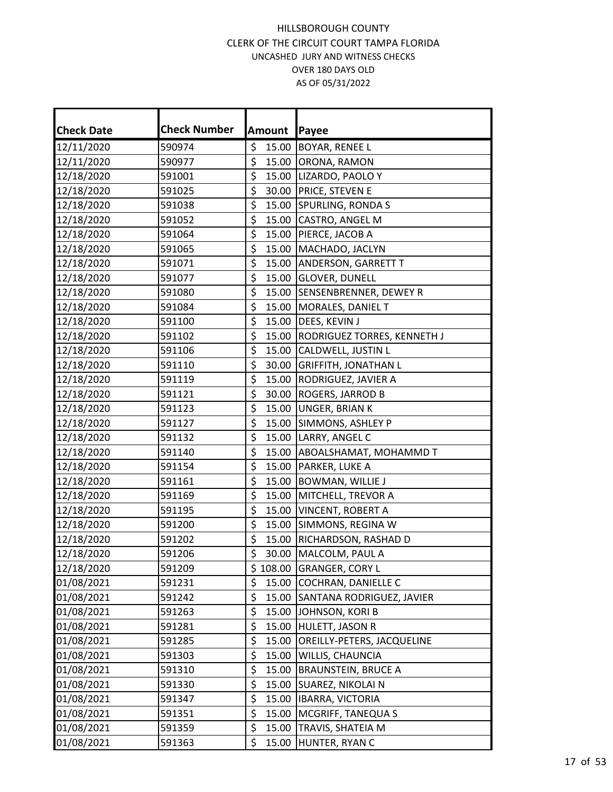| Amount<br>Payee<br>\$<br>15.00 BOYAR, RENEE L<br>12/11/2020<br>590974<br>\$<br>12/11/2020<br>590977<br>15.00<br>ORONA, RAMON<br>\$<br>12/18/2020<br>15.00<br>LIZARDO, PAOLO Y<br>591001<br>\$<br>30.00 PRICE, STEVEN E<br>12/18/2020<br>591025<br>\$<br>12/18/2020<br>15.00 SPURLING, RONDA S<br>591038<br>\$<br>12/18/2020<br>15.00<br>591052<br><b>CASTRO, ANGEL M</b><br>\$<br>12/18/2020<br>15.00<br>591064<br><b>PIERCE, JACOB A</b><br>$\overline{\boldsymbol{\zeta}}$<br>12/18/2020<br>15.00<br>MACHADO, JACLYN<br>591065<br>\$<br>12/18/2020<br>15.00 ANDERSON, GARRETT T<br>591071<br>\$<br>12/18/2020<br>15.00 GLOVER, DUNELL<br>591077<br>$\overline{\boldsymbol{\zeta}}$<br>15.00 SENSENBRENNER, DEWEY R<br>12/18/2020<br>591080<br>\$<br>12/18/2020<br>15.00 MORALES, DANIEL T<br>591084<br>\$<br>15.00<br>12/18/2020<br>DEES, KEVIN J<br>591100<br>\$<br>12/18/2020<br>15.00<br><b>RODRIGUEZ TORRES, KENNETH J</b><br>591102<br>\$<br>12/18/2020<br>15.00<br><b>CALDWELL, JUSTIN L</b><br>591106<br>\$<br>12/18/2020<br>30.00<br>591110<br><b>GRIFFITH, JONATHAN L</b><br>\$<br>12/18/2020<br>15.00<br>591119<br>RODRIGUEZ, JAVIER A<br>\$<br>30.00   ROGERS, JARROD B<br>12/18/2020<br>591121<br>\$<br>12/18/2020<br>15.00<br><b>UNGER, BRIAN K</b><br>591123<br>\$<br>15.00<br>12/18/2020<br>SIMMONS, ASHLEY P<br>591127<br>\$<br>12/18/2020<br>15.00<br>591132<br>LARRY, ANGEL C<br>\$<br>12/18/2020<br>15.00<br>591140<br>ABOALSHAMAT, MOHAMMD T<br>\$<br>15.00   PARKER, LUKE A<br>12/18/2020<br>591154<br>\$<br>12/18/2020<br>15.00 BOWMAN, WILLIE J<br>591161<br>\$<br>12/18/2020<br>15.00<br>MITCHELL, TREVOR A<br>591169<br>\$<br>12/18/2020<br>591195<br>15.00<br><b>VINCENT, ROBERT A</b><br>\$<br>12/18/2020<br>15.00<br>591200<br>SIMMONS, REGINA W<br>\$<br>12/18/2020<br>591202<br>15.00<br><b>RICHARDSON, RASHAD D</b><br>\$<br>12/18/2020<br>591206<br>30.00   MALCOLM, PAUL A<br>12/18/2020<br>\$108.00 GRANGER, CORY L<br>591209<br>\$<br>15.00 COCHRAN, DANIELLE C<br>01/08/2021<br>591231<br>\$<br>01/08/2021<br>15.00 SANTANA RODRIGUEZ, JAVIER<br>591242<br>\$<br>01/08/2021<br>15.00<br>JOHNSON, KORI B<br>591263<br>\$<br>01/08/2021<br>15.00<br>HULETT, JASON R<br>591281<br>\$<br>01/08/2021<br>15.00<br>OREILLY-PETERS, JACQUELINE<br>591285<br>\$<br>15.00<br>01/08/2021<br>591303<br>WILLIS, CHAUNCIA<br>\$<br>01/08/2021<br>591310<br>15.00<br><b>BRAUNSTEIN, BRUCE A</b><br>\$<br>15.00<br>01/08/2021<br>591330<br>SUAREZ, NIKOLAI N<br>\$<br>01/08/2021<br>15.00<br><b>IBARRA, VICTORIA</b><br>591347<br>\$<br>01/08/2021<br>15.00<br><b>MCGRIFF, TANEQUAS</b><br>591351<br>\$<br>15.00<br>01/08/2021<br>591359<br>TRAVIS, SHATEIA M<br>\$<br>01/08/2021<br>591363<br>15.00<br>HUNTER, RYAN C |                   |                     |  |  |
|----------------------------------------------------------------------------------------------------------------------------------------------------------------------------------------------------------------------------------------------------------------------------------------------------------------------------------------------------------------------------------------------------------------------------------------------------------------------------------------------------------------------------------------------------------------------------------------------------------------------------------------------------------------------------------------------------------------------------------------------------------------------------------------------------------------------------------------------------------------------------------------------------------------------------------------------------------------------------------------------------------------------------------------------------------------------------------------------------------------------------------------------------------------------------------------------------------------------------------------------------------------------------------------------------------------------------------------------------------------------------------------------------------------------------------------------------------------------------------------------------------------------------------------------------------------------------------------------------------------------------------------------------------------------------------------------------------------------------------------------------------------------------------------------------------------------------------------------------------------------------------------------------------------------------------------------------------------------------------------------------------------------------------------------------------------------------------------------------------------------------------------------------------------------------------------------------------------------------------------------------------------------------------------------------------------------------------------------------------------------------------------------------------------------------------------------------------------------------------------------------------------------------------------------------------------------------------------------------------------------------------------------------------------------------------------------------------------------------------------------|-------------------|---------------------|--|--|
|                                                                                                                                                                                                                                                                                                                                                                                                                                                                                                                                                                                                                                                                                                                                                                                                                                                                                                                                                                                                                                                                                                                                                                                                                                                                                                                                                                                                                                                                                                                                                                                                                                                                                                                                                                                                                                                                                                                                                                                                                                                                                                                                                                                                                                                                                                                                                                                                                                                                                                                                                                                                                                                                                                                                              | <b>Check Date</b> | <b>Check Number</b> |  |  |
|                                                                                                                                                                                                                                                                                                                                                                                                                                                                                                                                                                                                                                                                                                                                                                                                                                                                                                                                                                                                                                                                                                                                                                                                                                                                                                                                                                                                                                                                                                                                                                                                                                                                                                                                                                                                                                                                                                                                                                                                                                                                                                                                                                                                                                                                                                                                                                                                                                                                                                                                                                                                                                                                                                                                              |                   |                     |  |  |
|                                                                                                                                                                                                                                                                                                                                                                                                                                                                                                                                                                                                                                                                                                                                                                                                                                                                                                                                                                                                                                                                                                                                                                                                                                                                                                                                                                                                                                                                                                                                                                                                                                                                                                                                                                                                                                                                                                                                                                                                                                                                                                                                                                                                                                                                                                                                                                                                                                                                                                                                                                                                                                                                                                                                              |                   |                     |  |  |
|                                                                                                                                                                                                                                                                                                                                                                                                                                                                                                                                                                                                                                                                                                                                                                                                                                                                                                                                                                                                                                                                                                                                                                                                                                                                                                                                                                                                                                                                                                                                                                                                                                                                                                                                                                                                                                                                                                                                                                                                                                                                                                                                                                                                                                                                                                                                                                                                                                                                                                                                                                                                                                                                                                                                              |                   |                     |  |  |
|                                                                                                                                                                                                                                                                                                                                                                                                                                                                                                                                                                                                                                                                                                                                                                                                                                                                                                                                                                                                                                                                                                                                                                                                                                                                                                                                                                                                                                                                                                                                                                                                                                                                                                                                                                                                                                                                                                                                                                                                                                                                                                                                                                                                                                                                                                                                                                                                                                                                                                                                                                                                                                                                                                                                              |                   |                     |  |  |
|                                                                                                                                                                                                                                                                                                                                                                                                                                                                                                                                                                                                                                                                                                                                                                                                                                                                                                                                                                                                                                                                                                                                                                                                                                                                                                                                                                                                                                                                                                                                                                                                                                                                                                                                                                                                                                                                                                                                                                                                                                                                                                                                                                                                                                                                                                                                                                                                                                                                                                                                                                                                                                                                                                                                              |                   |                     |  |  |
|                                                                                                                                                                                                                                                                                                                                                                                                                                                                                                                                                                                                                                                                                                                                                                                                                                                                                                                                                                                                                                                                                                                                                                                                                                                                                                                                                                                                                                                                                                                                                                                                                                                                                                                                                                                                                                                                                                                                                                                                                                                                                                                                                                                                                                                                                                                                                                                                                                                                                                                                                                                                                                                                                                                                              |                   |                     |  |  |
|                                                                                                                                                                                                                                                                                                                                                                                                                                                                                                                                                                                                                                                                                                                                                                                                                                                                                                                                                                                                                                                                                                                                                                                                                                                                                                                                                                                                                                                                                                                                                                                                                                                                                                                                                                                                                                                                                                                                                                                                                                                                                                                                                                                                                                                                                                                                                                                                                                                                                                                                                                                                                                                                                                                                              |                   |                     |  |  |
|                                                                                                                                                                                                                                                                                                                                                                                                                                                                                                                                                                                                                                                                                                                                                                                                                                                                                                                                                                                                                                                                                                                                                                                                                                                                                                                                                                                                                                                                                                                                                                                                                                                                                                                                                                                                                                                                                                                                                                                                                                                                                                                                                                                                                                                                                                                                                                                                                                                                                                                                                                                                                                                                                                                                              |                   |                     |  |  |
|                                                                                                                                                                                                                                                                                                                                                                                                                                                                                                                                                                                                                                                                                                                                                                                                                                                                                                                                                                                                                                                                                                                                                                                                                                                                                                                                                                                                                                                                                                                                                                                                                                                                                                                                                                                                                                                                                                                                                                                                                                                                                                                                                                                                                                                                                                                                                                                                                                                                                                                                                                                                                                                                                                                                              |                   |                     |  |  |
|                                                                                                                                                                                                                                                                                                                                                                                                                                                                                                                                                                                                                                                                                                                                                                                                                                                                                                                                                                                                                                                                                                                                                                                                                                                                                                                                                                                                                                                                                                                                                                                                                                                                                                                                                                                                                                                                                                                                                                                                                                                                                                                                                                                                                                                                                                                                                                                                                                                                                                                                                                                                                                                                                                                                              |                   |                     |  |  |
|                                                                                                                                                                                                                                                                                                                                                                                                                                                                                                                                                                                                                                                                                                                                                                                                                                                                                                                                                                                                                                                                                                                                                                                                                                                                                                                                                                                                                                                                                                                                                                                                                                                                                                                                                                                                                                                                                                                                                                                                                                                                                                                                                                                                                                                                                                                                                                                                                                                                                                                                                                                                                                                                                                                                              |                   |                     |  |  |
|                                                                                                                                                                                                                                                                                                                                                                                                                                                                                                                                                                                                                                                                                                                                                                                                                                                                                                                                                                                                                                                                                                                                                                                                                                                                                                                                                                                                                                                                                                                                                                                                                                                                                                                                                                                                                                                                                                                                                                                                                                                                                                                                                                                                                                                                                                                                                                                                                                                                                                                                                                                                                                                                                                                                              |                   |                     |  |  |
|                                                                                                                                                                                                                                                                                                                                                                                                                                                                                                                                                                                                                                                                                                                                                                                                                                                                                                                                                                                                                                                                                                                                                                                                                                                                                                                                                                                                                                                                                                                                                                                                                                                                                                                                                                                                                                                                                                                                                                                                                                                                                                                                                                                                                                                                                                                                                                                                                                                                                                                                                                                                                                                                                                                                              |                   |                     |  |  |
|                                                                                                                                                                                                                                                                                                                                                                                                                                                                                                                                                                                                                                                                                                                                                                                                                                                                                                                                                                                                                                                                                                                                                                                                                                                                                                                                                                                                                                                                                                                                                                                                                                                                                                                                                                                                                                                                                                                                                                                                                                                                                                                                                                                                                                                                                                                                                                                                                                                                                                                                                                                                                                                                                                                                              |                   |                     |  |  |
|                                                                                                                                                                                                                                                                                                                                                                                                                                                                                                                                                                                                                                                                                                                                                                                                                                                                                                                                                                                                                                                                                                                                                                                                                                                                                                                                                                                                                                                                                                                                                                                                                                                                                                                                                                                                                                                                                                                                                                                                                                                                                                                                                                                                                                                                                                                                                                                                                                                                                                                                                                                                                                                                                                                                              |                   |                     |  |  |
|                                                                                                                                                                                                                                                                                                                                                                                                                                                                                                                                                                                                                                                                                                                                                                                                                                                                                                                                                                                                                                                                                                                                                                                                                                                                                                                                                                                                                                                                                                                                                                                                                                                                                                                                                                                                                                                                                                                                                                                                                                                                                                                                                                                                                                                                                                                                                                                                                                                                                                                                                                                                                                                                                                                                              |                   |                     |  |  |
|                                                                                                                                                                                                                                                                                                                                                                                                                                                                                                                                                                                                                                                                                                                                                                                                                                                                                                                                                                                                                                                                                                                                                                                                                                                                                                                                                                                                                                                                                                                                                                                                                                                                                                                                                                                                                                                                                                                                                                                                                                                                                                                                                                                                                                                                                                                                                                                                                                                                                                                                                                                                                                                                                                                                              |                   |                     |  |  |
|                                                                                                                                                                                                                                                                                                                                                                                                                                                                                                                                                                                                                                                                                                                                                                                                                                                                                                                                                                                                                                                                                                                                                                                                                                                                                                                                                                                                                                                                                                                                                                                                                                                                                                                                                                                                                                                                                                                                                                                                                                                                                                                                                                                                                                                                                                                                                                                                                                                                                                                                                                                                                                                                                                                                              |                   |                     |  |  |
|                                                                                                                                                                                                                                                                                                                                                                                                                                                                                                                                                                                                                                                                                                                                                                                                                                                                                                                                                                                                                                                                                                                                                                                                                                                                                                                                                                                                                                                                                                                                                                                                                                                                                                                                                                                                                                                                                                                                                                                                                                                                                                                                                                                                                                                                                                                                                                                                                                                                                                                                                                                                                                                                                                                                              |                   |                     |  |  |
|                                                                                                                                                                                                                                                                                                                                                                                                                                                                                                                                                                                                                                                                                                                                                                                                                                                                                                                                                                                                                                                                                                                                                                                                                                                                                                                                                                                                                                                                                                                                                                                                                                                                                                                                                                                                                                                                                                                                                                                                                                                                                                                                                                                                                                                                                                                                                                                                                                                                                                                                                                                                                                                                                                                                              |                   |                     |  |  |
|                                                                                                                                                                                                                                                                                                                                                                                                                                                                                                                                                                                                                                                                                                                                                                                                                                                                                                                                                                                                                                                                                                                                                                                                                                                                                                                                                                                                                                                                                                                                                                                                                                                                                                                                                                                                                                                                                                                                                                                                                                                                                                                                                                                                                                                                                                                                                                                                                                                                                                                                                                                                                                                                                                                                              |                   |                     |  |  |
|                                                                                                                                                                                                                                                                                                                                                                                                                                                                                                                                                                                                                                                                                                                                                                                                                                                                                                                                                                                                                                                                                                                                                                                                                                                                                                                                                                                                                                                                                                                                                                                                                                                                                                                                                                                                                                                                                                                                                                                                                                                                                                                                                                                                                                                                                                                                                                                                                                                                                                                                                                                                                                                                                                                                              |                   |                     |  |  |
|                                                                                                                                                                                                                                                                                                                                                                                                                                                                                                                                                                                                                                                                                                                                                                                                                                                                                                                                                                                                                                                                                                                                                                                                                                                                                                                                                                                                                                                                                                                                                                                                                                                                                                                                                                                                                                                                                                                                                                                                                                                                                                                                                                                                                                                                                                                                                                                                                                                                                                                                                                                                                                                                                                                                              |                   |                     |  |  |
|                                                                                                                                                                                                                                                                                                                                                                                                                                                                                                                                                                                                                                                                                                                                                                                                                                                                                                                                                                                                                                                                                                                                                                                                                                                                                                                                                                                                                                                                                                                                                                                                                                                                                                                                                                                                                                                                                                                                                                                                                                                                                                                                                                                                                                                                                                                                                                                                                                                                                                                                                                                                                                                                                                                                              |                   |                     |  |  |
|                                                                                                                                                                                                                                                                                                                                                                                                                                                                                                                                                                                                                                                                                                                                                                                                                                                                                                                                                                                                                                                                                                                                                                                                                                                                                                                                                                                                                                                                                                                                                                                                                                                                                                                                                                                                                                                                                                                                                                                                                                                                                                                                                                                                                                                                                                                                                                                                                                                                                                                                                                                                                                                                                                                                              |                   |                     |  |  |
|                                                                                                                                                                                                                                                                                                                                                                                                                                                                                                                                                                                                                                                                                                                                                                                                                                                                                                                                                                                                                                                                                                                                                                                                                                                                                                                                                                                                                                                                                                                                                                                                                                                                                                                                                                                                                                                                                                                                                                                                                                                                                                                                                                                                                                                                                                                                                                                                                                                                                                                                                                                                                                                                                                                                              |                   |                     |  |  |
|                                                                                                                                                                                                                                                                                                                                                                                                                                                                                                                                                                                                                                                                                                                                                                                                                                                                                                                                                                                                                                                                                                                                                                                                                                                                                                                                                                                                                                                                                                                                                                                                                                                                                                                                                                                                                                                                                                                                                                                                                                                                                                                                                                                                                                                                                                                                                                                                                                                                                                                                                                                                                                                                                                                                              |                   |                     |  |  |
|                                                                                                                                                                                                                                                                                                                                                                                                                                                                                                                                                                                                                                                                                                                                                                                                                                                                                                                                                                                                                                                                                                                                                                                                                                                                                                                                                                                                                                                                                                                                                                                                                                                                                                                                                                                                                                                                                                                                                                                                                                                                                                                                                                                                                                                                                                                                                                                                                                                                                                                                                                                                                                                                                                                                              |                   |                     |  |  |
|                                                                                                                                                                                                                                                                                                                                                                                                                                                                                                                                                                                                                                                                                                                                                                                                                                                                                                                                                                                                                                                                                                                                                                                                                                                                                                                                                                                                                                                                                                                                                                                                                                                                                                                                                                                                                                                                                                                                                                                                                                                                                                                                                                                                                                                                                                                                                                                                                                                                                                                                                                                                                                                                                                                                              |                   |                     |  |  |
|                                                                                                                                                                                                                                                                                                                                                                                                                                                                                                                                                                                                                                                                                                                                                                                                                                                                                                                                                                                                                                                                                                                                                                                                                                                                                                                                                                                                                                                                                                                                                                                                                                                                                                                                                                                                                                                                                                                                                                                                                                                                                                                                                                                                                                                                                                                                                                                                                                                                                                                                                                                                                                                                                                                                              |                   |                     |  |  |
|                                                                                                                                                                                                                                                                                                                                                                                                                                                                                                                                                                                                                                                                                                                                                                                                                                                                                                                                                                                                                                                                                                                                                                                                                                                                                                                                                                                                                                                                                                                                                                                                                                                                                                                                                                                                                                                                                                                                                                                                                                                                                                                                                                                                                                                                                                                                                                                                                                                                                                                                                                                                                                                                                                                                              |                   |                     |  |  |
|                                                                                                                                                                                                                                                                                                                                                                                                                                                                                                                                                                                                                                                                                                                                                                                                                                                                                                                                                                                                                                                                                                                                                                                                                                                                                                                                                                                                                                                                                                                                                                                                                                                                                                                                                                                                                                                                                                                                                                                                                                                                                                                                                                                                                                                                                                                                                                                                                                                                                                                                                                                                                                                                                                                                              |                   |                     |  |  |
|                                                                                                                                                                                                                                                                                                                                                                                                                                                                                                                                                                                                                                                                                                                                                                                                                                                                                                                                                                                                                                                                                                                                                                                                                                                                                                                                                                                                                                                                                                                                                                                                                                                                                                                                                                                                                                                                                                                                                                                                                                                                                                                                                                                                                                                                                                                                                                                                                                                                                                                                                                                                                                                                                                                                              |                   |                     |  |  |
|                                                                                                                                                                                                                                                                                                                                                                                                                                                                                                                                                                                                                                                                                                                                                                                                                                                                                                                                                                                                                                                                                                                                                                                                                                                                                                                                                                                                                                                                                                                                                                                                                                                                                                                                                                                                                                                                                                                                                                                                                                                                                                                                                                                                                                                                                                                                                                                                                                                                                                                                                                                                                                                                                                                                              |                   |                     |  |  |
|                                                                                                                                                                                                                                                                                                                                                                                                                                                                                                                                                                                                                                                                                                                                                                                                                                                                                                                                                                                                                                                                                                                                                                                                                                                                                                                                                                                                                                                                                                                                                                                                                                                                                                                                                                                                                                                                                                                                                                                                                                                                                                                                                                                                                                                                                                                                                                                                                                                                                                                                                                                                                                                                                                                                              |                   |                     |  |  |
|                                                                                                                                                                                                                                                                                                                                                                                                                                                                                                                                                                                                                                                                                                                                                                                                                                                                                                                                                                                                                                                                                                                                                                                                                                                                                                                                                                                                                                                                                                                                                                                                                                                                                                                                                                                                                                                                                                                                                                                                                                                                                                                                                                                                                                                                                                                                                                                                                                                                                                                                                                                                                                                                                                                                              |                   |                     |  |  |
|                                                                                                                                                                                                                                                                                                                                                                                                                                                                                                                                                                                                                                                                                                                                                                                                                                                                                                                                                                                                                                                                                                                                                                                                                                                                                                                                                                                                                                                                                                                                                                                                                                                                                                                                                                                                                                                                                                                                                                                                                                                                                                                                                                                                                                                                                                                                                                                                                                                                                                                                                                                                                                                                                                                                              |                   |                     |  |  |
|                                                                                                                                                                                                                                                                                                                                                                                                                                                                                                                                                                                                                                                                                                                                                                                                                                                                                                                                                                                                                                                                                                                                                                                                                                                                                                                                                                                                                                                                                                                                                                                                                                                                                                                                                                                                                                                                                                                                                                                                                                                                                                                                                                                                                                                                                                                                                                                                                                                                                                                                                                                                                                                                                                                                              |                   |                     |  |  |
|                                                                                                                                                                                                                                                                                                                                                                                                                                                                                                                                                                                                                                                                                                                                                                                                                                                                                                                                                                                                                                                                                                                                                                                                                                                                                                                                                                                                                                                                                                                                                                                                                                                                                                                                                                                                                                                                                                                                                                                                                                                                                                                                                                                                                                                                                                                                                                                                                                                                                                                                                                                                                                                                                                                                              |                   |                     |  |  |
|                                                                                                                                                                                                                                                                                                                                                                                                                                                                                                                                                                                                                                                                                                                                                                                                                                                                                                                                                                                                                                                                                                                                                                                                                                                                                                                                                                                                                                                                                                                                                                                                                                                                                                                                                                                                                                                                                                                                                                                                                                                                                                                                                                                                                                                                                                                                                                                                                                                                                                                                                                                                                                                                                                                                              |                   |                     |  |  |
|                                                                                                                                                                                                                                                                                                                                                                                                                                                                                                                                                                                                                                                                                                                                                                                                                                                                                                                                                                                                                                                                                                                                                                                                                                                                                                                                                                                                                                                                                                                                                                                                                                                                                                                                                                                                                                                                                                                                                                                                                                                                                                                                                                                                                                                                                                                                                                                                                                                                                                                                                                                                                                                                                                                                              |                   |                     |  |  |
|                                                                                                                                                                                                                                                                                                                                                                                                                                                                                                                                                                                                                                                                                                                                                                                                                                                                                                                                                                                                                                                                                                                                                                                                                                                                                                                                                                                                                                                                                                                                                                                                                                                                                                                                                                                                                                                                                                                                                                                                                                                                                                                                                                                                                                                                                                                                                                                                                                                                                                                                                                                                                                                                                                                                              |                   |                     |  |  |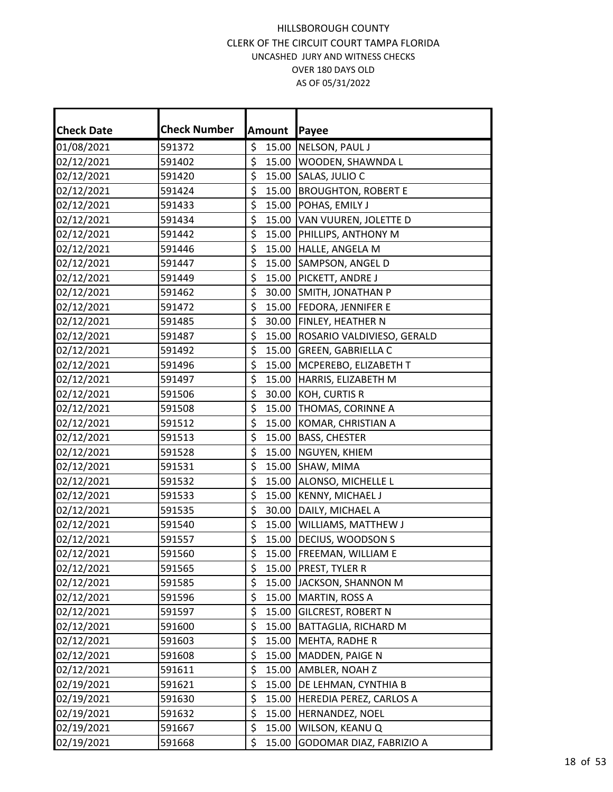| <b>Check Date</b> | <b>Check Number</b> |                  | <b>Amount</b> | Payee                            |
|-------------------|---------------------|------------------|---------------|----------------------------------|
| 01/08/2021        | 591372              | \$               |               | 15.00 NELSON, PAUL J             |
| 02/12/2021        | 591402              | \$               |               | 15.00   WOODEN, SHAWNDA L        |
| 02/12/2021        | 591420              | \$               | 15.00         | SALAS, JULIO C                   |
| 02/12/2021        | 591424              | \$               |               | 15.00 BROUGHTON, ROBERT E        |
| 02/12/2021        | 591433              | \$               |               | 15.00 POHAS, EMILY J             |
| 02/12/2021        | 591434              | \$               | 15.00         | VAN VUUREN, JOLETTE D            |
| 02/12/2021        | 591442              | \$               | 15.00         | PHILLIPS, ANTHONY M              |
| 02/12/2021        | 591446              | \$               |               | 15.00 HALLE, ANGELA M            |
| 02/12/2021        | 591447              | \$               |               | 15.00 SAMPSON, ANGEL D           |
| 02/12/2021        | 591449              | \$               |               | 15.00 PICKETT, ANDRE J           |
| 02/12/2021        | 591462              | \$               |               | 30.00 SMITH, JONATHAN P          |
| 02/12/2021        | 591472              | \$               |               | 15.00   FEDORA, JENNIFER E       |
| 02/12/2021        | 591485              | \$               |               | 30.00 FINLEY, HEATHER N          |
| 02/12/2021        | 591487              | \$               |               | 15.00 ROSARIO VALDIVIESO, GERALD |
| 02/12/2021        | 591492              | \$               | 15.00         | <b>GREEN, GABRIELLA C</b>        |
| 02/12/2021        | 591496              | \$               |               | 15.00 MCPEREBO, ELIZABETH T      |
| 02/12/2021        | 591497              | \$               |               | 15.00 HARRIS, ELIZABETH M        |
| 02/12/2021        | 591506              | \$               |               | 30.00 KOH, CURTIS R              |
| 02/12/2021        | 591508              | \$               |               | 15.00 THOMAS, CORINNE A          |
| 02/12/2021        | 591512              | \$               | 15.00         | KOMAR, CHRISTIAN A               |
| 02/12/2021        | 591513              | \$               | 15.00         | <b>BASS, CHESTER</b>             |
| 02/12/2021        | 591528              | \$               |               | 15.00 NGUYEN, KHIEM              |
| 02/12/2021        | 591531              | \$               |               | 15.00 SHAW, MIMA                 |
| 02/12/2021        | 591532              | \$               |               | 15.00 ALONSO, MICHELLE L         |
| 02/12/2021        | 591533              | \$               | 15.00         | <b>KENNY, MICHAEL J</b>          |
| 02/12/2021        | 591535              | \$               | 30.00         | DAILY, MICHAEL A                 |
| 02/12/2021        | 591540              | \$               | 15.00         | <b>WILLIAMS, MATTHEW J</b>       |
| 02/12/2021        | 591557              | \$               |               | 15.00 DECIUS, WOODSON S          |
| 02/12/2021        | 591560              | $\overline{\xi}$ |               | 15.00 FREEMAN, WILLIAM E         |
| 02/12/2021        | 591565              | \$               |               | 15.00 PREST, TYLER R             |
| 02/12/2021        | 591585              | \$               |               | 15.00 JACKSON, SHANNON M         |
| 02/12/2021        | 591596              | \$               | 15.00         | <b>MARTIN, ROSS A</b>            |
| 02/12/2021        | 591597              | \$               | 15.00         | <b>GILCREST, ROBERT N</b>        |
| 02/12/2021        | 591600              | \$               | 15.00         | <b>BATTAGLIA, RICHARD M</b>      |
| 02/12/2021        | 591603              | \$               | 15.00         | MEHTA, RADHE R                   |
| 02/12/2021        | 591608              | \$               |               | 15.00 MADDEN, PAIGE N            |
| 02/12/2021        | 591611              | \$               | 15.00         | AMBLER, NOAH Z                   |
| 02/19/2021        | 591621              | \$               | 15.00         | DE LEHMAN, CYNTHIA B             |
| 02/19/2021        | 591630              | \$               | 15.00         | HEREDIA PEREZ, CARLOS A          |
| 02/19/2021        | 591632              | \$               | 15.00         | HERNANDEZ, NOEL                  |
| 02/19/2021        | 591667              | \$               | 15.00         | WILSON, KEANU Q                  |
| 02/19/2021        | 591668              | \$               | 15.00         | GODOMAR DIAZ, FABRIZIO A         |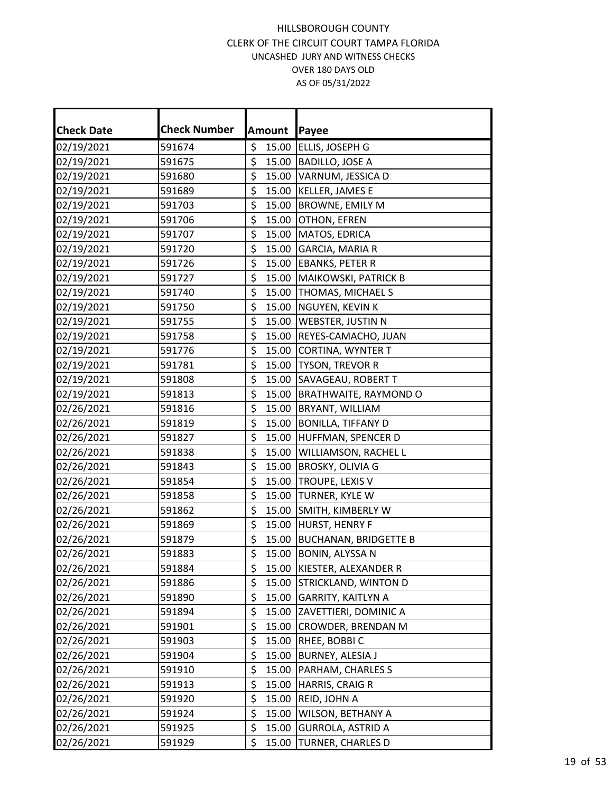| <b>Check Date</b> | <b>Check Number</b> | Amount                    | Payee                        |
|-------------------|---------------------|---------------------------|------------------------------|
| 02/19/2021        | 591674              | \$<br>15.00               | ELLIS, JOSEPH G              |
| 02/19/2021        | 591675              | \$<br>15.00               | <b>BADILLO, JOSE A</b>       |
| 02/19/2021        | 591680              | \$<br>15.00               | VARNUM, JESSICA D            |
| 02/19/2021        | 591689              | \$<br>15.00               | KELLER, JAMES E              |
| 02/19/2021        | 591703              | \$<br>15.00               | <b>BROWNE, EMILY M</b>       |
| 02/19/2021        | 591706              | \$<br>15.00               | OTHON, EFREN                 |
| 02/19/2021        | 591707              | \$<br>15.00               | MATOS, EDRICA                |
| 02/19/2021        | 591720              | $\overline{\xi}$<br>15.00 | GARCIA, MARIA R              |
| 02/19/2021        | 591726              | \$<br>15.00               | EBANKS, PETER R              |
| 02/19/2021        | 591727              | \$                        | 15.00 MAIKOWSKI, PATRICK B   |
| 02/19/2021        | 591740              | $\overline{\xi}$          | 15.00 THOMAS, MICHAEL S      |
| 02/19/2021        | 591750              | \$<br>15.00               | NGUYEN, KEVIN K              |
| 02/19/2021        | 591755              | \$<br>15.00               | WEBSTER, JUSTIN N            |
| 02/19/2021        | 591758              | \$<br>15.00               | REYES-CAMACHO, JUAN          |
| 02/19/2021        | 591776              | \$<br>15.00               | CORTINA, WYNTER T            |
| 02/19/2021        | 591781              | \$<br>15.00               | TYSON, TREVOR R              |
| 02/19/2021        | 591808              | \$<br>15.00               | SAVAGEAU, ROBERT T           |
| 02/19/2021        | 591813              | $\overline{\xi}$<br>15.00 | BRATHWAITE, RAYMOND O        |
| 02/26/2021        | 591816              | \$<br>15.00               | BRYANT, WILLIAM              |
| 02/26/2021        | 591819              | \$<br>15.00               | <b>BONILLA, TIFFANY D</b>    |
| 02/26/2021        | 591827              | \$<br>15.00               | HUFFMAN, SPENCER D           |
| 02/26/2021        | 591838              | \$<br>15.00               | WILLIAMSON, RACHEL L         |
| 02/26/2021        | 591843              | \$<br>15.00               | BROSKY, OLIVIA G             |
| 02/26/2021        | 591854              | \$<br>15.00               | TROUPE, LEXIS V              |
| 02/26/2021        | 591858              | \$<br>15.00               | TURNER, KYLE W               |
| 02/26/2021        | 591862              | \$<br>15.00               | SMITH, KIMBERLY W            |
| 02/26/2021        | 591869              | \$<br>15.00               | HURST, HENRY F               |
| 02/26/2021        | 591879              | \$<br>15.00               | <b>BUCHANAN, BRIDGETTE B</b> |
| 02/26/2021        | 591883              | $\overline{\xi}$<br>15.00 | <b>BONIN, ALYSSA N</b>       |
| 02/26/2021        | 591884              | \$<br>15.00               | KIESTER, ALEXANDER R         |
| 02/26/2021        | 591886              | \$<br>15.00               | STRICKLAND, WINTON D         |
| 02/26/2021        | 591890              | \$<br>15.00               | <b>GARRITY, KAITLYN A</b>    |
| 02/26/2021        | 591894              | \$<br>15.00               | ZAVETTIERI, DOMINIC A        |
| 02/26/2021        | 591901              | \$<br>15.00               | CROWDER, BRENDAN M           |
| 02/26/2021        | 591903              | \$<br>15.00               | RHEE, BOBBIC                 |
| 02/26/2021        | 591904              | \$<br>15.00               | <b>BURNEY, ALESIA J</b>      |
| 02/26/2021        | 591910              | \$<br>15.00               | PARHAM, CHARLES S            |
| 02/26/2021        | 591913              | \$<br>15.00               | HARRIS, CRAIG R              |
| 02/26/2021        | 591920              | \$<br>15.00               | REID, JOHN A                 |
| 02/26/2021        | 591924              | \$<br>15.00               | WILSON, BETHANY A            |
| 02/26/2021        | 591925              | \$<br>15.00               | <b>GURROLA, ASTRID A</b>     |
| 02/26/2021        | 591929              | \$<br>15.00               | TURNER, CHARLES D            |
|                   |                     |                           |                              |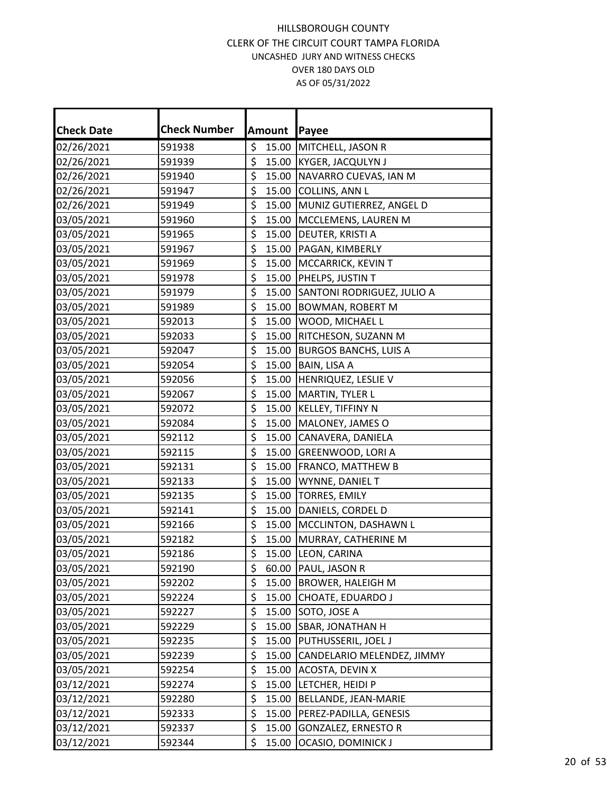| <b>Check Date</b> | <b>Check Number</b> | Amount                    | Payee                            |
|-------------------|---------------------|---------------------------|----------------------------------|
| 02/26/2021        | 591938              | \$<br>15.00               | MITCHELL, JASON R                |
| 02/26/2021        | 591939              | \$<br>15.00               | KYGER, JACQULYN J                |
| 02/26/2021        | 591940              | \$<br>15.00               | NAVARRO CUEVAS, IAN M            |
| 02/26/2021        | 591947              | \$<br>15.00               | COLLINS, ANN L                   |
| 02/26/2021        | 591949              | \$<br>15.00               | MUNIZ GUTIERREZ, ANGEL D         |
| 03/05/2021        | 591960              | \$<br>15.00               | MCCLEMENS, LAUREN M              |
| 03/05/2021        | 591965              | \$<br>15.00               | DEUTER, KRISTI A                 |
| 03/05/2021        | 591967              | $\overline{\xi}$<br>15.00 | PAGAN, KIMBERLY                  |
| 03/05/2021        | 591969              | \$<br>15.00               | MCCARRICK, KEVIN T               |
| 03/05/2021        | 591978              | \$                        | 15.00 PHELPS, JUSTIN T           |
| 03/05/2021        | 591979              | \$                        | 15.00 SANTONI RODRIGUEZ, JULIO A |
| 03/05/2021        | 591989              | \$<br>15.00               | <b>BOWMAN, ROBERT M</b>          |
| 03/05/2021        | 592013              | \$<br>15.00               | WOOD, MICHAEL L                  |
| 03/05/2021        | 592033              | \$<br>15.00               | RITCHESON, SUZANN M              |
| 03/05/2021        | 592047              | \$<br>15.00               | <b>BURGOS BANCHS, LUIS A</b>     |
| 03/05/2021        | 592054              | \$<br>15.00               | BAIN, LISA A                     |
| 03/05/2021        | 592056              | \$<br>15.00               | HENRIQUEZ, LESLIE V              |
| 03/05/2021        | 592067              | $\overline{\xi}$<br>15.00 | MARTIN, TYLER L                  |
| 03/05/2021        | 592072              | \$<br>15.00               | KELLEY, TIFFINY N                |
| 03/05/2021        | 592084              | \$<br>15.00               | MALONEY, JAMES O                 |
| 03/05/2021        | 592112              | \$<br>15.00               | CANAVERA, DANIELA                |
| 03/05/2021        | 592115              | \$<br>15.00               | GREENWOOD, LORI A                |
| 03/05/2021        | 592131              | \$<br>15.00               | FRANCO, MATTHEW B                |
| 03/05/2021        | 592133              | \$<br>15.00               | WYNNE, DANIEL T                  |
| 03/05/2021        | 592135              | \$<br>15.00               | <b>TORRES, EMILY</b>             |
| 03/05/2021        | 592141              | \$<br>15.00               | DANIELS, CORDEL D                |
| 03/05/2021        | 592166              | \$<br>15.00               | MCCLINTON, DASHAWN L             |
| 03/05/2021        | 592182              | \$<br>15.00               | MURRAY, CATHERINE M              |
| 03/05/2021        | 592186              | $\overline{\xi}$<br>15.00 | LEON, CARINA                     |
| 03/05/2021        | 592190              | \$<br>60.00               | PAUL, JASON R                    |
| 03/05/2021        | 592202              | \$<br>15.00               | <b>BROWER, HALEIGH M</b>         |
| 03/05/2021        | 592224              | \$<br>15.00               | CHOATE, EDUARDO J                |
| 03/05/2021        | 592227              | \$<br>15.00               | SOTO, JOSE A                     |
| 03/05/2021        | 592229              | \$<br>15.00               | SBAR, JONATHAN H                 |
| 03/05/2021        | 592235              | \$<br>15.00               | PUTHUSSERIL, JOEL J              |
| 03/05/2021        | 592239              | \$<br>15.00               | CANDELARIO MELENDEZ, JIMMY       |
| 03/05/2021        | 592254              | \$<br>15.00               | ACOSTA, DEVIN X                  |
| 03/12/2021        | 592274              | \$<br>15.00               | LETCHER, HEIDI P                 |
| 03/12/2021        | 592280              | \$<br>15.00               | BELLANDE, JEAN-MARIE             |
| 03/12/2021        | 592333              | \$<br>15.00               | PEREZ-PADILLA, GENESIS           |
| 03/12/2021        | 592337              | \$<br>15.00               | <b>GONZALEZ, ERNESTO R</b>       |
| 03/12/2021        | 592344              | \$<br>15.00               | <b>OCASIO, DOMINICK J</b>        |
|                   |                     |                           |                                  |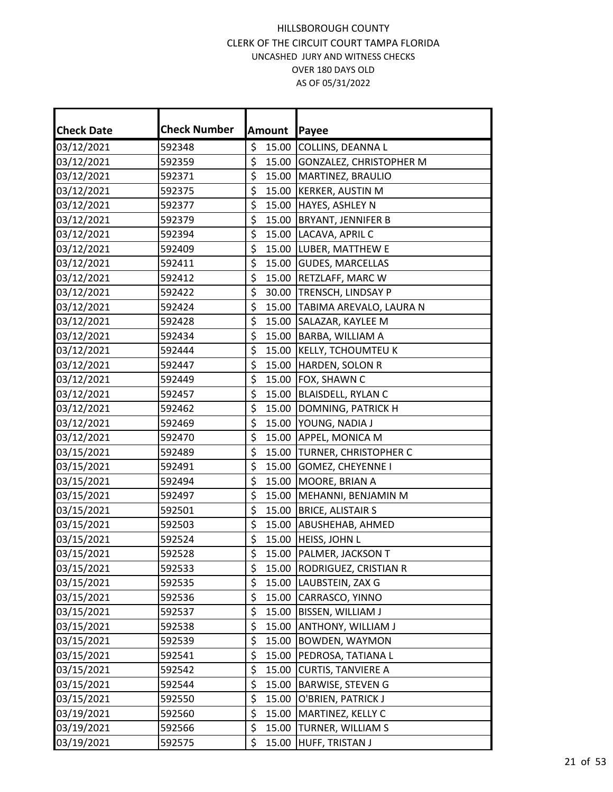| <b>Check Date</b> | <b>Check Number</b> |                  | Amount | Payee                        |
|-------------------|---------------------|------------------|--------|------------------------------|
| 03/12/2021        | 592348              | \$               | 15.00  | <b>COLLINS, DEANNAL</b>      |
| 03/12/2021        | 592359              | \$               | 15.00  | GONZALEZ, CHRISTOPHER M      |
| 03/12/2021        | 592371              | \$               | 15.00  | MARTINEZ, BRAULIO            |
| 03/12/2021        | 592375              | \$               | 15.00  | <b>KERKER, AUSTIN M</b>      |
| 03/12/2021        | 592377              | \$               | 15.00  | <b>HAYES, ASHLEY N</b>       |
| 03/12/2021        | 592379              | \$               | 15.00  | <b>BRYANT, JENNIFER B</b>    |
| 03/12/2021        | 592394              | \$               | 15.00  | LACAVA, APRIL C              |
| 03/12/2021        | 592409              | \$               | 15.00  | LUBER, MATTHEW E             |
| 03/12/2021        | 592411              | \$               | 15.00  | <b>GUDES, MARCELLAS</b>      |
| 03/12/2021        | 592412              | \$               | 15.00  | RETZLAFF, MARC W             |
| 03/12/2021        | 592422              | \$               | 30.00  | TRENSCH, LINDSAY P           |
| 03/12/2021        | 592424              | \$               | 15.00  | TABIMA AREVALO, LAURA N      |
| 03/12/2021        | 592428              | \$               | 15.00  | SALAZAR, KAYLEE M            |
| 03/12/2021        | 592434              | \$               | 15.00  | <b>BARBA, WILLIAM A</b>      |
| 03/12/2021        | 592444              | \$               | 15.00  | <b>KELLY, TCHOUMTEU K</b>    |
| 03/12/2021        | 592447              | \$               | 15.00  | HARDEN, SOLON R              |
| 03/12/2021        | 592449              | \$               | 15.00  | FOX, SHAWN C                 |
| 03/12/2021        | 592457              | \$               | 15.00  | <b>BLAISDELL, RYLAN C</b>    |
| 03/12/2021        | 592462              | \$               | 15.00  | DOMNING, PATRICK H           |
| 03/12/2021        | 592469              | \$               | 15.00  | YOUNG, NADIA J               |
| 03/12/2021        | 592470              | \$               | 15.00  | APPEL, MONICA M              |
| 03/15/2021        | 592489              | \$               | 15.00  | <b>TURNER, CHRISTOPHER C</b> |
| 03/15/2021        | 592491              | \$               | 15.00  | <b>GOMEZ, CHEYENNE I</b>     |
| 03/15/2021        | 592494              | \$               | 15.00  | MOORE, BRIAN A               |
| 03/15/2021        | 592497              | \$               | 15.00  | MEHANNI, BENJAMIN M          |
| 03/15/2021        | 592501              | \$               | 15.00  | <b>BRICE, ALISTAIRS</b>      |
| 03/15/2021        | 592503              | \$               | 15.00  | ABUSHEHAB, AHMED             |
| 03/15/2021        | 592524              | \$               | 15.00  | <b>HEISS, JOHN L</b>         |
| 03/15/2021        | 592528              | $\overline{\xi}$ | 15.00  | PALMER, JACKSON T            |
| 03/15/2021        | 592533              | \$               | 15.00  | <b>RODRIGUEZ, CRISTIAN R</b> |
| 03/15/2021        | 592535              | \$               | 15.00  | LAUBSTEIN, ZAX G             |
| 03/15/2021        | 592536              | \$               | 15.00  | CARRASCO, YINNO              |
| 03/15/2021        | 592537              | \$               | 15.00  | BISSEN, WILLIAM J            |
| 03/15/2021        | 592538              | \$               | 15.00  | <b>ANTHONY, WILLIAM J</b>    |
| 03/15/2021        | 592539              | \$               | 15.00  | <b>BOWDEN, WAYMON</b>        |
| 03/15/2021        | 592541              | \$               | 15.00  | PEDROSA, TATIANA L           |
| 03/15/2021        | 592542              | \$               | 15.00  | <b>CURTIS, TANVIERE A</b>    |
| 03/15/2021        | 592544              | \$               | 15.00  | BARWISE, STEVEN G            |
| 03/15/2021        | 592550              | \$               | 15.00  | O'BRIEN, PATRICK J           |
| 03/19/2021        | 592560              | \$               | 15.00  | MARTINEZ, KELLY C            |
| 03/19/2021        | 592566              | \$               | 15.00  | TURNER, WILLIAM S            |
| 03/19/2021        | 592575              | \$               | 15.00  | HUFF, TRISTAN J              |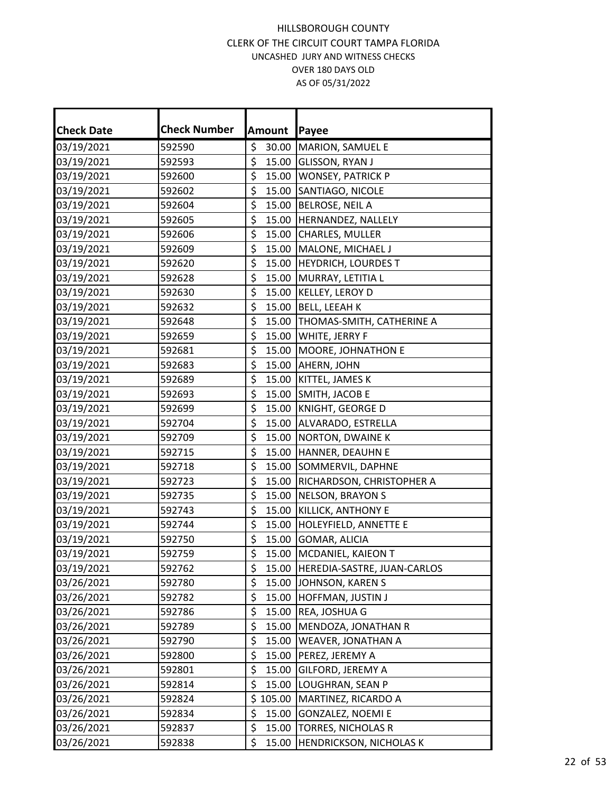| <b>Check Date</b> | <b>Check Number</b> | Amount                    | Payee                          |
|-------------------|---------------------|---------------------------|--------------------------------|
| 03/19/2021        | 592590              | \$<br>30.00               | MARION, SAMUEL E               |
| 03/19/2021        | 592593              | \$<br>15.00               | <b>GLISSON, RYAN J</b>         |
| 03/19/2021        | 592600              | \$<br>15.00               | WONSEY, PATRICK P              |
| 03/19/2021        | 592602              | \$<br>15.00               | SANTIAGO, NICOLE               |
| 03/19/2021        | 592604              | \$<br>15.00               | <b>BELROSE, NEIL A</b>         |
| 03/19/2021        | 592605              | \$<br>15.00               | HERNANDEZ, NALLELY             |
| 03/19/2021        | 592606              | \$<br>15.00               | CHARLES, MULLER                |
| 03/19/2021        | 592609              | $\overline{\xi}$<br>15.00 | MALONE, MICHAEL J              |
| 03/19/2021        | 592620              | \$                        | 15.00 HEYDRICH, LOURDES T      |
| 03/19/2021        | 592628              | \$                        | 15.00 MURRAY, LETITIA L        |
| 03/19/2021        | 592630              | $\overline{\xi}$<br>15.00 | KELLEY, LEROY D                |
| 03/19/2021        | 592632              | \$<br>15.00               | <b>BELL, LEEAH K</b>           |
| 03/19/2021        | 592648              | $\overline{\xi}$<br>15.00 | THOMAS-SMITH, CATHERINE A      |
| 03/19/2021        | 592659              | \$<br>15.00               | WHITE, JERRY F                 |
| 03/19/2021        | 592681              | \$<br>15.00               | MOORE, JOHNATHON E             |
| 03/19/2021        | 592683              | \$                        | 15.00 AHERN, JOHN              |
| 03/19/2021        | 592689              | \$<br>15.00               | KITTEL, JAMES K                |
| 03/19/2021        | 592693              | $\overline{\xi}$<br>15.00 | SMITH, JACOB E                 |
| 03/19/2021        | 592699              | \$<br>15.00               | KNIGHT, GEORGE D               |
| 03/19/2021        | 592704              | \$<br>15.00               | ALVARADO, ESTRELLA             |
| 03/19/2021        | 592709              | \$<br>15.00               | NORTON, DWAINE K               |
| 03/19/2021        | 592715              | \$<br>15.00               | HANNER, DEAUHN E               |
| 03/19/2021        | 592718              | \$<br>15.00               | SOMMERVIL, DAPHNE              |
| 03/19/2021        | 592723              | \$<br>15.00               | RICHARDSON, CHRISTOPHER A      |
| 03/19/2021        | 592735              | \$<br>15.00               | <b>NELSON, BRAYON S</b>        |
| 03/19/2021        | 592743              | \$<br>15.00               | KILLICK, ANTHONY E             |
| 03/19/2021        | 592744              | \$<br>15.00               | HOLEYFIELD, ANNETTE E          |
| 03/19/2021        | 592750              | \$<br>15.00               | GOMAR, ALICIA                  |
| 03/19/2021        | 592759              | $\overline{\xi}$<br>15.00 | MCDANIEL, KAIEON T             |
| 03/19/2021        | 592762              | \$<br>15.00               | HEREDIA-SASTRE, JUAN-CARLOS    |
| 03/26/2021        | 592780              | \$<br>15.00               | JOHNSON, KAREN S               |
| 03/26/2021        | 592782              | \$<br>15.00               | HOFFMAN, JUSTIN J              |
| 03/26/2021        | 592786              | \$<br>15.00               | REA, JOSHUA G                  |
| 03/26/2021        | 592789              | \$<br>15.00               | MENDOZA, JONATHAN R            |
| 03/26/2021        | 592790              | \$<br>15.00               | <b>WEAVER, JONATHAN A</b>      |
| 03/26/2021        | 592800              | \$<br>15.00               | PEREZ, JEREMY A                |
| 03/26/2021        | 592801              | \$<br>15.00               | GILFORD, JEREMY A              |
| 03/26/2021        | 592814              | \$<br>15.00               | LOUGHRAN, SEAN P               |
| 03/26/2021        | 592824              | \$105.00                  | MARTINEZ, RICARDO A            |
| 03/26/2021        | 592834              | \$<br>15.00               | <b>GONZALEZ, NOEMI E</b>       |
| 03/26/2021        | 592837              | \$<br>15.00               | TORRES, NICHOLAS R             |
| 03/26/2021        | 592838              | \$<br>15.00               | <b>HENDRICKSON, NICHOLAS K</b> |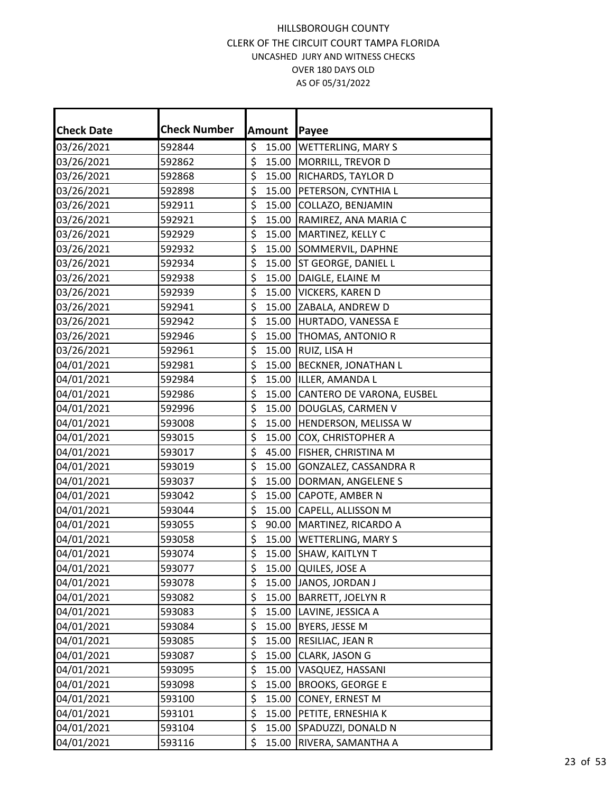| Amount<br>\$<br>15.00<br>03/26/2021<br>592844<br><b>WETTERLING, MARY S</b><br>\$<br>03/26/2021<br>592862<br>15.00<br>MORRILL, TREVOR D<br>\$<br>03/26/2021<br>15.00<br>592868<br><b>RICHARDS, TAYLOR D</b><br>\$<br>15.00<br>03/26/2021<br>PETERSON, CYNTHIA L<br>592898<br>\$<br>15.00<br>03/26/2021<br>592911<br>COLLAZO, BENJAMIN<br>\$<br>15.00<br>03/26/2021<br>RAMIREZ, ANA MARIA C<br>592921<br>\$<br>15.00<br>03/26/2021<br>592929<br>MARTINEZ, KELLY C<br>\$<br>15.00<br>03/26/2021<br>592932<br>SOMMERVIL, DAPHNE<br>\$<br>03/26/2021<br>15.00<br><b>ST GEORGE, DANIEL L</b><br>592934<br>\$<br>15.00<br>03/26/2021<br>592938<br>DAIGLE, ELAINE M<br>\$<br>15.00<br>03/26/2021<br>592939<br>VICKERS, KAREN D<br>\$<br>03/26/2021<br>592941<br>15.00<br>ZABALA, ANDREW D<br>\$<br>03/26/2021<br>15.00<br>592942<br>HURTADO, VANESSA E<br>\$<br>03/26/2021<br>592946<br>15.00<br>THOMAS, ANTONIO R<br>\$<br>15.00<br>03/26/2021<br>592961<br>RUIZ, LISA H<br>\$<br>04/01/2021<br>15.00<br>592981<br>BECKNER, JONATHAN L<br>\$<br>04/01/2021<br>15.00<br>592984<br>ILLER, AMANDA L<br>\$<br>15.00<br>04/01/2021<br>592986<br>CANTERO DE VARONA, EUSBEL<br>\$<br>04/01/2021<br>15.00<br>DOUGLAS, CARMEN V<br>592996<br>\$<br>04/01/2021<br>15.00<br>593008<br>HENDERSON, MELISSA W<br>\$<br>04/01/2021<br>593015<br>15.00<br>COX, CHRISTOPHER A<br>\$<br>45.00<br>04/01/2021<br>593017<br>FISHER, CHRISTINA M<br>\$<br>15.00<br>04/01/2021<br>593019<br>GONZALEZ, CASSANDRA R<br>\$<br>15.00<br>04/01/2021<br>593037<br>DORMAN, ANGELENE S<br>\$<br>15.00<br>04/01/2021<br>593042<br>CAPOTE, AMBER N<br>\$<br>04/01/2021<br>15.00<br>593044<br>CAPELL, ALLISSON M<br>\$<br>90.00<br>593055<br>MARTINEZ, RICARDO A<br>\$<br>04/01/2021<br>15.00<br><b>WETTERLING, MARY S</b><br>593058<br>$\overline{\xi}$<br>04/01/2021<br>593074<br>15.00<br>SHAW, KAITLYN T<br>\$<br>04/01/2021<br>593077<br>15.00<br>QUILES, JOSE A<br>\$<br>04/01/2021<br>15.00<br>593078<br>JANOS, JORDAN J<br>\$<br>04/01/2021<br>15.00<br><b>BARRETT, JOELYN R</b><br>593082<br>\$<br>15.00<br>04/01/2021<br>593083<br>LAVINE, JESSICA A<br>\$<br>04/01/2021<br>15.00<br><b>BYERS, JESSE M</b><br>593084<br>\$<br>04/01/2021<br>15.00<br>RESILIAC, JEAN R<br>593085<br>\$<br>04/01/2021<br>15.00<br>593087<br>CLARK, JASON G<br>\$<br>04/01/2021<br>15.00<br>VASQUEZ, HASSANI<br>593095<br>\$<br>04/01/2021<br>593098<br>15.00<br><b>BROOKS, GEORGE E</b> |                   |                     |             |                 |
|----------------------------------------------------------------------------------------------------------------------------------------------------------------------------------------------------------------------------------------------------------------------------------------------------------------------------------------------------------------------------------------------------------------------------------------------------------------------------------------------------------------------------------------------------------------------------------------------------------------------------------------------------------------------------------------------------------------------------------------------------------------------------------------------------------------------------------------------------------------------------------------------------------------------------------------------------------------------------------------------------------------------------------------------------------------------------------------------------------------------------------------------------------------------------------------------------------------------------------------------------------------------------------------------------------------------------------------------------------------------------------------------------------------------------------------------------------------------------------------------------------------------------------------------------------------------------------------------------------------------------------------------------------------------------------------------------------------------------------------------------------------------------------------------------------------------------------------------------------------------------------------------------------------------------------------------------------------------------------------------------------------------------------------------------------------------------------------------------------------------------------------------------------------------------------------------------------------------------------------------------------------------------------------------------------------------------------------------------------------------------------------------------------------------------------------|-------------------|---------------------|-------------|-----------------|
|                                                                                                                                                                                                                                                                                                                                                                                                                                                                                                                                                                                                                                                                                                                                                                                                                                                                                                                                                                                                                                                                                                                                                                                                                                                                                                                                                                                                                                                                                                                                                                                                                                                                                                                                                                                                                                                                                                                                                                                                                                                                                                                                                                                                                                                                                                                                                                                                                                        | <b>Check Date</b> | <b>Check Number</b> |             | Payee           |
|                                                                                                                                                                                                                                                                                                                                                                                                                                                                                                                                                                                                                                                                                                                                                                                                                                                                                                                                                                                                                                                                                                                                                                                                                                                                                                                                                                                                                                                                                                                                                                                                                                                                                                                                                                                                                                                                                                                                                                                                                                                                                                                                                                                                                                                                                                                                                                                                                                        |                   |                     |             |                 |
|                                                                                                                                                                                                                                                                                                                                                                                                                                                                                                                                                                                                                                                                                                                                                                                                                                                                                                                                                                                                                                                                                                                                                                                                                                                                                                                                                                                                                                                                                                                                                                                                                                                                                                                                                                                                                                                                                                                                                                                                                                                                                                                                                                                                                                                                                                                                                                                                                                        |                   |                     |             |                 |
|                                                                                                                                                                                                                                                                                                                                                                                                                                                                                                                                                                                                                                                                                                                                                                                                                                                                                                                                                                                                                                                                                                                                                                                                                                                                                                                                                                                                                                                                                                                                                                                                                                                                                                                                                                                                                                                                                                                                                                                                                                                                                                                                                                                                                                                                                                                                                                                                                                        |                   |                     |             |                 |
|                                                                                                                                                                                                                                                                                                                                                                                                                                                                                                                                                                                                                                                                                                                                                                                                                                                                                                                                                                                                                                                                                                                                                                                                                                                                                                                                                                                                                                                                                                                                                                                                                                                                                                                                                                                                                                                                                                                                                                                                                                                                                                                                                                                                                                                                                                                                                                                                                                        |                   |                     |             |                 |
|                                                                                                                                                                                                                                                                                                                                                                                                                                                                                                                                                                                                                                                                                                                                                                                                                                                                                                                                                                                                                                                                                                                                                                                                                                                                                                                                                                                                                                                                                                                                                                                                                                                                                                                                                                                                                                                                                                                                                                                                                                                                                                                                                                                                                                                                                                                                                                                                                                        |                   |                     |             |                 |
|                                                                                                                                                                                                                                                                                                                                                                                                                                                                                                                                                                                                                                                                                                                                                                                                                                                                                                                                                                                                                                                                                                                                                                                                                                                                                                                                                                                                                                                                                                                                                                                                                                                                                                                                                                                                                                                                                                                                                                                                                                                                                                                                                                                                                                                                                                                                                                                                                                        |                   |                     |             |                 |
|                                                                                                                                                                                                                                                                                                                                                                                                                                                                                                                                                                                                                                                                                                                                                                                                                                                                                                                                                                                                                                                                                                                                                                                                                                                                                                                                                                                                                                                                                                                                                                                                                                                                                                                                                                                                                                                                                                                                                                                                                                                                                                                                                                                                                                                                                                                                                                                                                                        |                   |                     |             |                 |
|                                                                                                                                                                                                                                                                                                                                                                                                                                                                                                                                                                                                                                                                                                                                                                                                                                                                                                                                                                                                                                                                                                                                                                                                                                                                                                                                                                                                                                                                                                                                                                                                                                                                                                                                                                                                                                                                                                                                                                                                                                                                                                                                                                                                                                                                                                                                                                                                                                        |                   |                     |             |                 |
|                                                                                                                                                                                                                                                                                                                                                                                                                                                                                                                                                                                                                                                                                                                                                                                                                                                                                                                                                                                                                                                                                                                                                                                                                                                                                                                                                                                                                                                                                                                                                                                                                                                                                                                                                                                                                                                                                                                                                                                                                                                                                                                                                                                                                                                                                                                                                                                                                                        |                   |                     |             |                 |
|                                                                                                                                                                                                                                                                                                                                                                                                                                                                                                                                                                                                                                                                                                                                                                                                                                                                                                                                                                                                                                                                                                                                                                                                                                                                                                                                                                                                                                                                                                                                                                                                                                                                                                                                                                                                                                                                                                                                                                                                                                                                                                                                                                                                                                                                                                                                                                                                                                        |                   |                     |             |                 |
|                                                                                                                                                                                                                                                                                                                                                                                                                                                                                                                                                                                                                                                                                                                                                                                                                                                                                                                                                                                                                                                                                                                                                                                                                                                                                                                                                                                                                                                                                                                                                                                                                                                                                                                                                                                                                                                                                                                                                                                                                                                                                                                                                                                                                                                                                                                                                                                                                                        |                   |                     |             |                 |
|                                                                                                                                                                                                                                                                                                                                                                                                                                                                                                                                                                                                                                                                                                                                                                                                                                                                                                                                                                                                                                                                                                                                                                                                                                                                                                                                                                                                                                                                                                                                                                                                                                                                                                                                                                                                                                                                                                                                                                                                                                                                                                                                                                                                                                                                                                                                                                                                                                        |                   |                     |             |                 |
|                                                                                                                                                                                                                                                                                                                                                                                                                                                                                                                                                                                                                                                                                                                                                                                                                                                                                                                                                                                                                                                                                                                                                                                                                                                                                                                                                                                                                                                                                                                                                                                                                                                                                                                                                                                                                                                                                                                                                                                                                                                                                                                                                                                                                                                                                                                                                                                                                                        |                   |                     |             |                 |
|                                                                                                                                                                                                                                                                                                                                                                                                                                                                                                                                                                                                                                                                                                                                                                                                                                                                                                                                                                                                                                                                                                                                                                                                                                                                                                                                                                                                                                                                                                                                                                                                                                                                                                                                                                                                                                                                                                                                                                                                                                                                                                                                                                                                                                                                                                                                                                                                                                        |                   |                     |             |                 |
|                                                                                                                                                                                                                                                                                                                                                                                                                                                                                                                                                                                                                                                                                                                                                                                                                                                                                                                                                                                                                                                                                                                                                                                                                                                                                                                                                                                                                                                                                                                                                                                                                                                                                                                                                                                                                                                                                                                                                                                                                                                                                                                                                                                                                                                                                                                                                                                                                                        |                   |                     |             |                 |
|                                                                                                                                                                                                                                                                                                                                                                                                                                                                                                                                                                                                                                                                                                                                                                                                                                                                                                                                                                                                                                                                                                                                                                                                                                                                                                                                                                                                                                                                                                                                                                                                                                                                                                                                                                                                                                                                                                                                                                                                                                                                                                                                                                                                                                                                                                                                                                                                                                        |                   |                     |             |                 |
|                                                                                                                                                                                                                                                                                                                                                                                                                                                                                                                                                                                                                                                                                                                                                                                                                                                                                                                                                                                                                                                                                                                                                                                                                                                                                                                                                                                                                                                                                                                                                                                                                                                                                                                                                                                                                                                                                                                                                                                                                                                                                                                                                                                                                                                                                                                                                                                                                                        |                   |                     |             |                 |
|                                                                                                                                                                                                                                                                                                                                                                                                                                                                                                                                                                                                                                                                                                                                                                                                                                                                                                                                                                                                                                                                                                                                                                                                                                                                                                                                                                                                                                                                                                                                                                                                                                                                                                                                                                                                                                                                                                                                                                                                                                                                                                                                                                                                                                                                                                                                                                                                                                        |                   |                     |             |                 |
|                                                                                                                                                                                                                                                                                                                                                                                                                                                                                                                                                                                                                                                                                                                                                                                                                                                                                                                                                                                                                                                                                                                                                                                                                                                                                                                                                                                                                                                                                                                                                                                                                                                                                                                                                                                                                                                                                                                                                                                                                                                                                                                                                                                                                                                                                                                                                                                                                                        |                   |                     |             |                 |
|                                                                                                                                                                                                                                                                                                                                                                                                                                                                                                                                                                                                                                                                                                                                                                                                                                                                                                                                                                                                                                                                                                                                                                                                                                                                                                                                                                                                                                                                                                                                                                                                                                                                                                                                                                                                                                                                                                                                                                                                                                                                                                                                                                                                                                                                                                                                                                                                                                        |                   |                     |             |                 |
|                                                                                                                                                                                                                                                                                                                                                                                                                                                                                                                                                                                                                                                                                                                                                                                                                                                                                                                                                                                                                                                                                                                                                                                                                                                                                                                                                                                                                                                                                                                                                                                                                                                                                                                                                                                                                                                                                                                                                                                                                                                                                                                                                                                                                                                                                                                                                                                                                                        |                   |                     |             |                 |
|                                                                                                                                                                                                                                                                                                                                                                                                                                                                                                                                                                                                                                                                                                                                                                                                                                                                                                                                                                                                                                                                                                                                                                                                                                                                                                                                                                                                                                                                                                                                                                                                                                                                                                                                                                                                                                                                                                                                                                                                                                                                                                                                                                                                                                                                                                                                                                                                                                        |                   |                     |             |                 |
|                                                                                                                                                                                                                                                                                                                                                                                                                                                                                                                                                                                                                                                                                                                                                                                                                                                                                                                                                                                                                                                                                                                                                                                                                                                                                                                                                                                                                                                                                                                                                                                                                                                                                                                                                                                                                                                                                                                                                                                                                                                                                                                                                                                                                                                                                                                                                                                                                                        |                   |                     |             |                 |
|                                                                                                                                                                                                                                                                                                                                                                                                                                                                                                                                                                                                                                                                                                                                                                                                                                                                                                                                                                                                                                                                                                                                                                                                                                                                                                                                                                                                                                                                                                                                                                                                                                                                                                                                                                                                                                                                                                                                                                                                                                                                                                                                                                                                                                                                                                                                                                                                                                        |                   |                     |             |                 |
|                                                                                                                                                                                                                                                                                                                                                                                                                                                                                                                                                                                                                                                                                                                                                                                                                                                                                                                                                                                                                                                                                                                                                                                                                                                                                                                                                                                                                                                                                                                                                                                                                                                                                                                                                                                                                                                                                                                                                                                                                                                                                                                                                                                                                                                                                                                                                                                                                                        |                   |                     |             |                 |
|                                                                                                                                                                                                                                                                                                                                                                                                                                                                                                                                                                                                                                                                                                                                                                                                                                                                                                                                                                                                                                                                                                                                                                                                                                                                                                                                                                                                                                                                                                                                                                                                                                                                                                                                                                                                                                                                                                                                                                                                                                                                                                                                                                                                                                                                                                                                                                                                                                        |                   |                     |             |                 |
|                                                                                                                                                                                                                                                                                                                                                                                                                                                                                                                                                                                                                                                                                                                                                                                                                                                                                                                                                                                                                                                                                                                                                                                                                                                                                                                                                                                                                                                                                                                                                                                                                                                                                                                                                                                                                                                                                                                                                                                                                                                                                                                                                                                                                                                                                                                                                                                                                                        | 04/01/2021        |                     |             |                 |
|                                                                                                                                                                                                                                                                                                                                                                                                                                                                                                                                                                                                                                                                                                                                                                                                                                                                                                                                                                                                                                                                                                                                                                                                                                                                                                                                                                                                                                                                                                                                                                                                                                                                                                                                                                                                                                                                                                                                                                                                                                                                                                                                                                                                                                                                                                                                                                                                                                        |                   |                     |             |                 |
|                                                                                                                                                                                                                                                                                                                                                                                                                                                                                                                                                                                                                                                                                                                                                                                                                                                                                                                                                                                                                                                                                                                                                                                                                                                                                                                                                                                                                                                                                                                                                                                                                                                                                                                                                                                                                                                                                                                                                                                                                                                                                                                                                                                                                                                                                                                                                                                                                                        |                   |                     |             |                 |
|                                                                                                                                                                                                                                                                                                                                                                                                                                                                                                                                                                                                                                                                                                                                                                                                                                                                                                                                                                                                                                                                                                                                                                                                                                                                                                                                                                                                                                                                                                                                                                                                                                                                                                                                                                                                                                                                                                                                                                                                                                                                                                                                                                                                                                                                                                                                                                                                                                        |                   |                     |             |                 |
|                                                                                                                                                                                                                                                                                                                                                                                                                                                                                                                                                                                                                                                                                                                                                                                                                                                                                                                                                                                                                                                                                                                                                                                                                                                                                                                                                                                                                                                                                                                                                                                                                                                                                                                                                                                                                                                                                                                                                                                                                                                                                                                                                                                                                                                                                                                                                                                                                                        |                   |                     |             |                 |
|                                                                                                                                                                                                                                                                                                                                                                                                                                                                                                                                                                                                                                                                                                                                                                                                                                                                                                                                                                                                                                                                                                                                                                                                                                                                                                                                                                                                                                                                                                                                                                                                                                                                                                                                                                                                                                                                                                                                                                                                                                                                                                                                                                                                                                                                                                                                                                                                                                        |                   |                     |             |                 |
|                                                                                                                                                                                                                                                                                                                                                                                                                                                                                                                                                                                                                                                                                                                                                                                                                                                                                                                                                                                                                                                                                                                                                                                                                                                                                                                                                                                                                                                                                                                                                                                                                                                                                                                                                                                                                                                                                                                                                                                                                                                                                                                                                                                                                                                                                                                                                                                                                                        |                   |                     |             |                 |
|                                                                                                                                                                                                                                                                                                                                                                                                                                                                                                                                                                                                                                                                                                                                                                                                                                                                                                                                                                                                                                                                                                                                                                                                                                                                                                                                                                                                                                                                                                                                                                                                                                                                                                                                                                                                                                                                                                                                                                                                                                                                                                                                                                                                                                                                                                                                                                                                                                        |                   |                     |             |                 |
|                                                                                                                                                                                                                                                                                                                                                                                                                                                                                                                                                                                                                                                                                                                                                                                                                                                                                                                                                                                                                                                                                                                                                                                                                                                                                                                                                                                                                                                                                                                                                                                                                                                                                                                                                                                                                                                                                                                                                                                                                                                                                                                                                                                                                                                                                                                                                                                                                                        |                   |                     |             |                 |
|                                                                                                                                                                                                                                                                                                                                                                                                                                                                                                                                                                                                                                                                                                                                                                                                                                                                                                                                                                                                                                                                                                                                                                                                                                                                                                                                                                                                                                                                                                                                                                                                                                                                                                                                                                                                                                                                                                                                                                                                                                                                                                                                                                                                                                                                                                                                                                                                                                        |                   |                     |             |                 |
|                                                                                                                                                                                                                                                                                                                                                                                                                                                                                                                                                                                                                                                                                                                                                                                                                                                                                                                                                                                                                                                                                                                                                                                                                                                                                                                                                                                                                                                                                                                                                                                                                                                                                                                                                                                                                                                                                                                                                                                                                                                                                                                                                                                                                                                                                                                                                                                                                                        |                   |                     |             |                 |
|                                                                                                                                                                                                                                                                                                                                                                                                                                                                                                                                                                                                                                                                                                                                                                                                                                                                                                                                                                                                                                                                                                                                                                                                                                                                                                                                                                                                                                                                                                                                                                                                                                                                                                                                                                                                                                                                                                                                                                                                                                                                                                                                                                                                                                                                                                                                                                                                                                        |                   |                     |             |                 |
|                                                                                                                                                                                                                                                                                                                                                                                                                                                                                                                                                                                                                                                                                                                                                                                                                                                                                                                                                                                                                                                                                                                                                                                                                                                                                                                                                                                                                                                                                                                                                                                                                                                                                                                                                                                                                                                                                                                                                                                                                                                                                                                                                                                                                                                                                                                                                                                                                                        | 04/01/2021        | 593100              | \$<br>15.00 | CONEY, ERNEST M |
| \$<br>04/01/2021<br>15.00<br>PETITE, ERNESHIA K<br>593101                                                                                                                                                                                                                                                                                                                                                                                                                                                                                                                                                                                                                                                                                                                                                                                                                                                                                                                                                                                                                                                                                                                                                                                                                                                                                                                                                                                                                                                                                                                                                                                                                                                                                                                                                                                                                                                                                                                                                                                                                                                                                                                                                                                                                                                                                                                                                                              |                   |                     |             |                 |
| \$<br>15.00<br>04/01/2021<br>593104<br>SPADUZZI, DONALD N                                                                                                                                                                                                                                                                                                                                                                                                                                                                                                                                                                                                                                                                                                                                                                                                                                                                                                                                                                                                                                                                                                                                                                                                                                                                                                                                                                                                                                                                                                                                                                                                                                                                                                                                                                                                                                                                                                                                                                                                                                                                                                                                                                                                                                                                                                                                                                              |                   |                     |             |                 |
| \$<br>04/01/2021<br>593116<br>15.00<br>RIVERA, SAMANTHA A                                                                                                                                                                                                                                                                                                                                                                                                                                                                                                                                                                                                                                                                                                                                                                                                                                                                                                                                                                                                                                                                                                                                                                                                                                                                                                                                                                                                                                                                                                                                                                                                                                                                                                                                                                                                                                                                                                                                                                                                                                                                                                                                                                                                                                                                                                                                                                              |                   |                     |             |                 |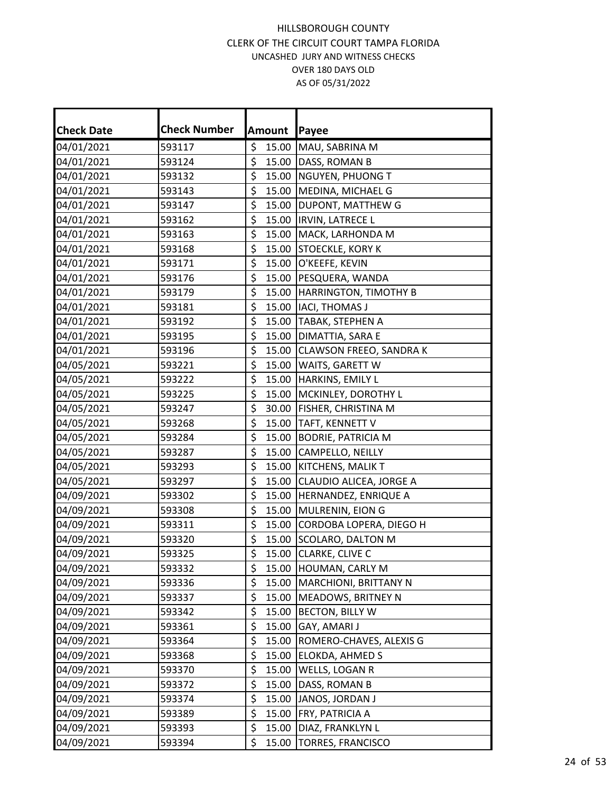| <b>Check Date</b> | <b>Check Number</b> | Amount                                   | Payee                        |
|-------------------|---------------------|------------------------------------------|------------------------------|
| 04/01/2021        | 593117              | \$<br>15.00                              | MAU, SABRINA M               |
| 04/01/2021        | 593124              | \$<br>15.00                              | DASS, ROMAN B                |
| 04/01/2021        | 593132              | \$<br>15.00                              | <b>NGUYEN, PHUONG T</b>      |
| 04/01/2021        | 593143              | \$<br>15.00                              | MEDINA, MICHAEL G            |
| 04/01/2021        | 593147              | \$<br>15.00                              | DUPONT, MATTHEW G            |
| 04/01/2021        | 593162              | \$<br>15.00                              | <b>IRVIN, LATRECE L</b>      |
| 04/01/2021        | 593163              | \$<br>15.00                              | MACK, LARHONDA M             |
| 04/01/2021        | 593168              | $\overline{\boldsymbol{\zeta}}$<br>15.00 | <b>STOECKLE, KORY K</b>      |
| 04/01/2021        | 593171              | \$<br>15.00                              | O'KEEFE, KEVIN               |
| 04/01/2021        | 593176              | \$<br>15.00                              | PESQUERA, WANDA              |
| 04/01/2021        | 593179              | $\overline{\boldsymbol{\zeta}}$<br>15.00 | <b>HARRINGTON, TIMOTHY B</b> |
| 04/01/2021        | 593181              | \$<br>15.00                              | <b>IACI, THOMAS J</b>        |
| 04/01/2021        | 593192              | \$<br>15.00                              | TABAK, STEPHEN A             |
| 04/01/2021        | 593195              | \$<br>15.00                              | DIMATTIA, SARA E             |
| 04/01/2021        | 593196              | $\overline{\boldsymbol{\zeta}}$<br>15.00 | CLAWSON FREEO, SANDRA K      |
| 04/05/2021        | 593221              | \$<br>15.00                              | WAITS, GARETT W              |
| 04/05/2021        | 593222              | \$<br>15.00                              | HARKINS, EMILY L             |
| 04/05/2021        | 593225              | $\overline{\varsigma}$<br>15.00          | MCKINLEY, DOROTHY L          |
| 04/05/2021        | 593247              | \$<br>30.00                              | FISHER, CHRISTINA M          |
| 04/05/2021        | 593268              | \$<br>15.00                              | TAFT, KENNETT V              |
| 04/05/2021        | 593284              | \$<br>15.00                              | <b>BODRIE, PATRICIA M</b>    |
| 04/05/2021        | 593287              | \$<br>15.00                              | CAMPELLO, NEILLY             |
| 04/05/2021        | 593293              | \$<br>15.00                              | KITCHENS, MALIK T            |
| 04/05/2021        | 593297              | \$<br>15.00                              | CLAUDIO ALICEA, JORGE A      |
| 04/09/2021        | 593302              | \$<br>15.00                              | HERNANDEZ, ENRIQUE A         |
| 04/09/2021        | 593308              | \$<br>15.00                              | MULRENIN, EION G             |
| 04/09/2021        | 593311              | \$<br>15.00                              | CORDOBA LOPERA, DIEGO H      |
| 04/09/2021        | 593320              | \$<br>15.00                              | <b>SCOLARO, DALTON M</b>     |
| 04/09/2021        | 593325              | $\overline{\xi}$<br>15.00                | CLARKE, CLIVE C              |
| 04/09/2021        | 593332              | \$                                       | 15.00 HOUMAN, CARLY M        |
| 04/09/2021        | 593336              | \$<br>15.00                              | MARCHIONI, BRITTANY N        |
| 04/09/2021        | 593337              | \$<br>15.00                              | MEADOWS, BRITNEY N           |
| 04/09/2021        | 593342              | \$<br>15.00                              | <b>BECTON, BILLY W</b>       |
| 04/09/2021        | 593361              | \$<br>15.00                              | GAY, AMARI J                 |
| 04/09/2021        | 593364              | \$<br>15.00                              | ROMERO-CHAVES, ALEXIS G      |
| 04/09/2021        | 593368              | \$<br>15.00                              | ELOKDA, AHMED S              |
| 04/09/2021        | 593370              | \$<br>15.00                              | WELLS, LOGAN R               |
| 04/09/2021        | 593372              | \$<br>15.00                              | DASS, ROMAN B                |
| 04/09/2021        | 593374              | \$<br>15.00                              | JANOS, JORDAN J              |
| 04/09/2021        | 593389              | \$<br>15.00                              | FRY, PATRICIA A              |
| 04/09/2021        | 593393              | \$<br>15.00                              | DIAZ, FRANKLYN L             |
| 04/09/2021        | 593394              | \$<br>15.00                              | <b>TORRES, FRANCISCO</b>     |
|                   |                     |                                          |                              |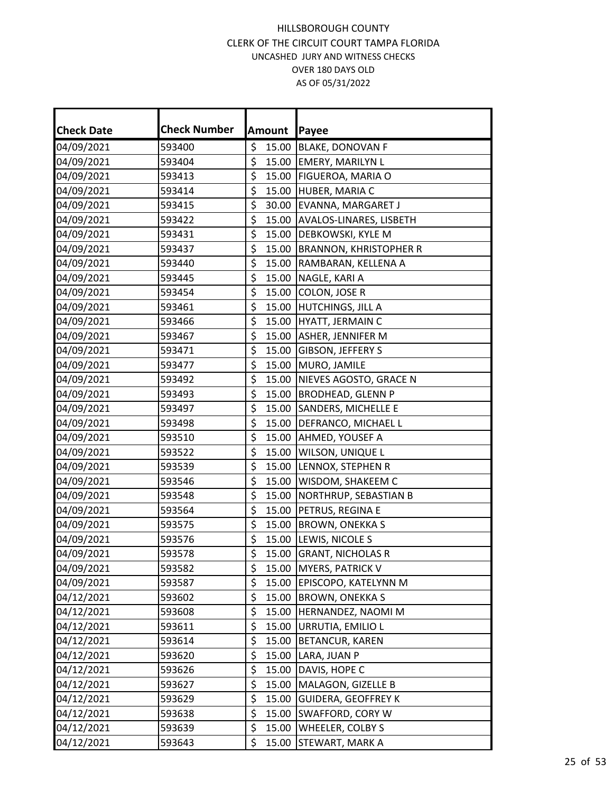| <b>Check Date</b> | <b>Check Number</b> |                                 | Amount | Payee                         |
|-------------------|---------------------|---------------------------------|--------|-------------------------------|
| 04/09/2021        | 593400              | \$                              | 15.00  | <b>BLAKE, DONOVAN F</b>       |
| 04/09/2021        | 593404              | \$                              | 15.00  | EMERY, MARILYN L              |
| 04/09/2021        | 593413              | \$                              | 15.00  | FIGUEROA, MARIA O             |
| 04/09/2021        | 593414              | \$                              | 15.00  | HUBER, MARIA C                |
| 04/09/2021        | 593415              | \$                              | 30.00  | EVANNA, MARGARET J            |
| 04/09/2021        | 593422              | \$                              | 15.00  | AVALOS-LINARES, LISBETH       |
| 04/09/2021        | 593431              | \$                              | 15.00  | DEBKOWSKI, KYLE M             |
| 04/09/2021        | 593437              | $\overline{\boldsymbol{\zeta}}$ | 15.00  | <b>BRANNON, KHRISTOPHER R</b> |
| 04/09/2021        | 593440              | \$                              | 15.00  | RAMBARAN, KELLENA A           |
| 04/09/2021        | 593445              | \$                              | 15.00  | NAGLE, KARI A                 |
| 04/09/2021        | 593454              | \$                              | 15.00  | COLON, JOSE R                 |
| 04/09/2021        | 593461              | \$                              | 15.00  | HUTCHINGS, JILL A             |
| 04/09/2021        | 593466              | \$                              | 15.00  | HYATT, JERMAIN C              |
| 04/09/2021        | 593467              | \$                              |        | 15.00 ASHER, JENNIFER M       |
| 04/09/2021        | 593471              | \$                              | 15.00  | GIBSON, JEFFERY S             |
| 04/09/2021        | 593477              | \$                              | 15.00  | MURO, JAMILE                  |
| 04/09/2021        | 593492              | \$                              | 15.00  | NIEVES AGOSTO, GRACE N        |
| 04/09/2021        | 593493              | \$                              | 15.00  | <b>BRODHEAD, GLENN P</b>      |
| 04/09/2021        | 593497              | \$                              | 15.00  | SANDERS, MICHELLE E           |
| 04/09/2021        | 593498              | \$                              | 15.00  | DEFRANCO, MICHAEL L           |
| 04/09/2021        | 593510              | \$                              | 15.00  | AHMED, YOUSEF A               |
| 04/09/2021        | 593522              | \$                              | 15.00  | WILSON, UNIQUE L              |
| 04/09/2021        | 593539              | \$                              | 15.00  | LENNOX, STEPHEN R             |
| 04/09/2021        | 593546              | \$                              | 15.00  | WISDOM, SHAKEEM C             |
| 04/09/2021        | 593548              | \$                              | 15.00  | NORTHRUP, SEBASTIAN B         |
| 04/09/2021        | 593564              | \$                              | 15.00  | PETRUS, REGINA E              |
| 04/09/2021        | 593575              | \$                              | 15.00  | <b>BROWN, ONEKKA S</b>        |
| 04/09/2021        | 593576              | \$                              | 15.00  | LEWIS, NICOLE S               |
| 04/09/2021        | 593578              | $\overline{\xi}$                | 15.00  | <b>GRANT, NICHOLAS R</b>      |
| 04/09/2021        | 593582              | \$                              | 15.00  | <b>MYERS, PATRICK V</b>       |
| 04/09/2021        | 593587              | \$                              | 15.00  | EPISCOPO, KATELYNN M          |
| 04/12/2021        | 593602              | \$                              | 15.00  | <b>BROWN, ONEKKA S</b>        |
| 04/12/2021        | 593608              | \$                              | 15.00  | HERNANDEZ, NAOMI M            |
| 04/12/2021        | 593611              | \$                              | 15.00  | URRUTIA, EMILIO L             |
| 04/12/2021        | 593614              | \$                              | 15.00  | <b>BETANCUR, KAREN</b>        |
| 04/12/2021        | 593620              | \$                              | 15.00  | LARA, JUAN P                  |
| 04/12/2021        | 593626              | \$                              | 15.00  | DAVIS, HOPE C                 |
| 04/12/2021        | 593627              | \$                              | 15.00  | MALAGON, GIZELLE B            |
| 04/12/2021        | 593629              | \$                              | 15.00  | <b>GUIDERA, GEOFFREY K</b>    |
| 04/12/2021        | 593638              | \$                              | 15.00  | SWAFFORD, CORY W              |
| 04/12/2021        | 593639              | \$                              | 15.00  | <b>WHEELER, COLBY S</b>       |
| 04/12/2021        | 593643              | \$                              | 15.00  | STEWART, MARK A               |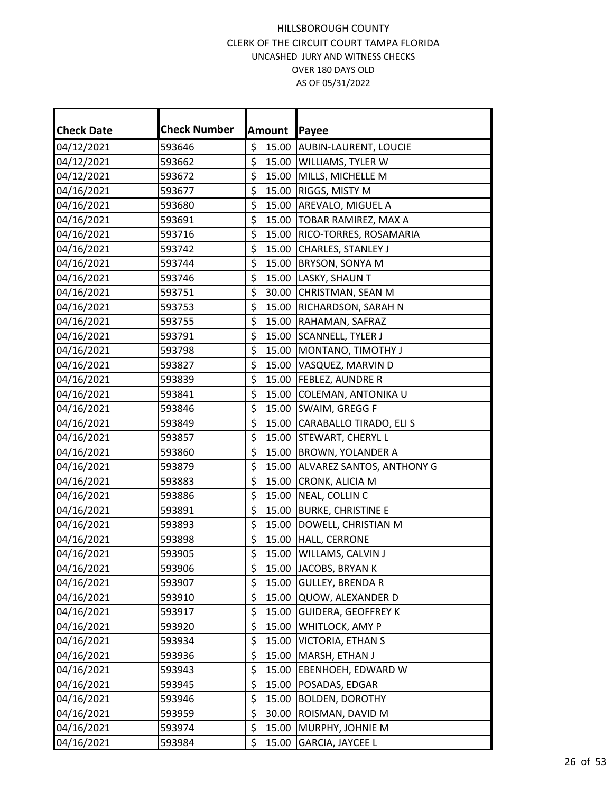| <b>Check Date</b> | <b>Check Number</b> | Amount                                   | Payee                            |
|-------------------|---------------------|------------------------------------------|----------------------------------|
| 04/12/2021        | 593646              | \$                                       | 15.00 AUBIN-LAURENT, LOUCIE      |
| 04/12/2021        | 593662              | \$<br>15.00                              | WILLIAMS, TYLER W                |
| 04/12/2021        | 593672              | \$<br>15.00                              | MILLS, MICHELLE M                |
| 04/16/2021        | 593677              | \$<br>15.00                              | RIGGS, MISTY M                   |
| 04/16/2021        | 593680              | \$                                       | 15.00 AREVALO, MIGUEL A          |
| 04/16/2021        | 593691              | \$<br>15.00                              | TOBAR RAMIREZ, MAX A             |
| 04/16/2021        | 593716              | \$<br>15.00                              | RICO-TORRES, ROSAMARIA           |
| 04/16/2021        | 593742              | $\overline{\boldsymbol{\zeta}}$<br>15.00 | CHARLES, STANLEY J               |
| 04/16/2021        | 593744              | \$<br>15.00                              | BRYSON, SONYA M                  |
| 04/16/2021        | 593746              | \$<br>15.00                              | LASKY, SHAUN T                   |
| 04/16/2021        | 593751              | \$<br>30.00                              | CHRISTMAN, SEAN M                |
| 04/16/2021        | 593753              | \$<br>15.00                              | RICHARDSON, SARAH N              |
| 04/16/2021        | 593755              | \$<br>15.00                              | RAHAMAN, SAFRAZ                  |
| 04/16/2021        | 593791              | \$<br>15.00                              | <b>SCANNELL, TYLER J</b>         |
| 04/16/2021        | 593798              | $\overline{\xi}$<br>15.00                | MONTANO, TIMOTHY J               |
| 04/16/2021        | 593827              | \$<br>15.00                              | VASQUEZ, MARVIN D                |
| 04/16/2021        | 593839              | \$<br>15.00                              | <b>FEBLEZ, AUNDRE R</b>          |
| 04/16/2021        | 593841              | $\overline{\boldsymbol{\zeta}}$<br>15.00 | COLEMAN, ANTONIKA U              |
| 04/16/2021        | 593846              | \$<br>15.00                              | SWAIM, GREGG F                   |
| 04/16/2021        | 593849              | \$<br>15.00                              | CARABALLO TIRADO, ELI S          |
| 04/16/2021        | 593857              | \$<br>15.00                              | <b>STEWART, CHERYL L</b>         |
| 04/16/2021        | 593860              | \$<br>15.00                              | BROWN, YOLANDER A                |
| 04/16/2021        | 593879              | \$<br>15.00                              | <b>ALVAREZ SANTOS, ANTHONY G</b> |
| 04/16/2021        | 593883              | \$<br>15.00                              | CRONK, ALICIA M                  |
| 04/16/2021        | 593886              | \$<br>15.00                              | NEAL, COLLIN C                   |
| 04/16/2021        | 593891              | \$<br>15.00                              | <b>BURKE, CHRISTINE E</b>        |
| 04/16/2021        | 593893              | \$<br>15.00                              | DOWELL, CHRISTIAN M              |
| 04/16/2021        | 593898              | \$<br>15.00                              | HALL, CERRONE                    |
| 04/16/2021        | 593905              | $\overline{\xi}$<br>15.00                | WILLAMS, CALVIN J                |
| 04/16/2021        | 593906              | \$                                       | 15.00 JACOBS, BRYAN K            |
| 04/16/2021        | 593907              | \$<br>15.00                              | <b>GULLEY, BRENDA R</b>          |
| 04/16/2021        | 593910              | \$<br>15.00                              | QUOW, ALEXANDER D                |
| 04/16/2021        | 593917              | \$<br>15.00                              | <b>GUIDERA, GEOFFREY K</b>       |
| 04/16/2021        | 593920              | \$<br>15.00                              | WHITLOCK, AMY P                  |
| 04/16/2021        | 593934              | \$<br>15.00                              | VICTORIA, ETHAN S                |
| 04/16/2021        | 593936              | \$<br>15.00                              | MARSH, ETHAN J                   |
| 04/16/2021        | 593943              | \$<br>15.00                              | EBENHOEH, EDWARD W               |
| 04/16/2021        | 593945              | \$<br>15.00                              | POSADAS, EDGAR                   |
| 04/16/2021        | 593946              | \$<br>15.00                              | <b>BOLDEN, DOROTHY</b>           |
| 04/16/2021        | 593959              | \$<br>30.00                              | ROISMAN, DAVID M                 |
| 04/16/2021        | 593974              | \$<br>15.00                              | MURPHY, JOHNIE M                 |
| 04/16/2021        | 593984              | \$<br>15.00                              | <b>GARCIA, JAYCEE L</b>          |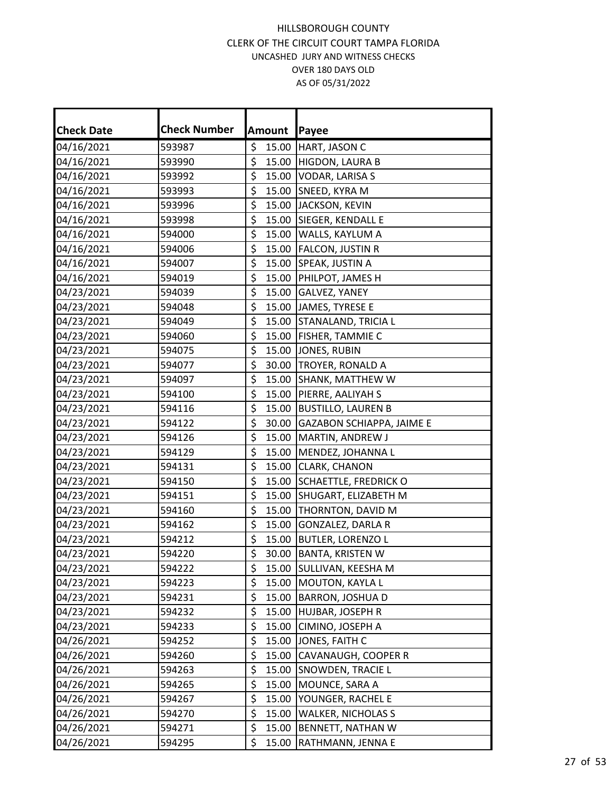| <b>Check Date</b> | <b>Check Number</b> | <b>Amount</b>             | Payee                     |
|-------------------|---------------------|---------------------------|---------------------------|
| 04/16/2021        | 593987              | \$<br>15.00               | HART, JASON C             |
| 04/16/2021        | 593990              | \$<br>15.00               | HIGDON, LAURA B           |
| 04/16/2021        | 593992              | \$<br>15.00               | VODAR, LARISA S           |
| 04/16/2021        | 593993              | \$<br>15.00               | SNEED, KYRA M             |
| 04/16/2021        | 593996              | \$<br>15.00               | JACKSON, KEVIN            |
| 04/16/2021        | 593998              | \$<br>15.00               | SIEGER, KENDALL E         |
| 04/16/2021        | 594000              | \$<br>15.00               | WALLS, KAYLUM A           |
| 04/16/2021        | 594006              | $\overline{\xi}$<br>15.00 | <b>FALCON, JUSTIN R</b>   |
| 04/16/2021        | 594007              | \$                        | 15.00 SPEAK, JUSTIN A     |
| 04/16/2021        | 594019              | \$                        | 15.00   PHILPOT, JAMES H  |
| 04/23/2021        | 594039              | \$<br>15.00               | GALVEZ, YANEY             |
| 04/23/2021        | 594048              | \$<br>15.00               | JAMES, TYRESE E           |
| 04/23/2021        | 594049              | \$<br>15.00               | STANALAND, TRICIA L       |
| 04/23/2021        | 594060              | \$<br>15.00               | FISHER, TAMMIE C          |
| 04/23/2021        | 594075              | \$<br>15.00               | JONES, RUBIN              |
| 04/23/2021        | 594077              | \$<br>30.00               | TROYER, RONALD A          |
| 04/23/2021        | 594097              | \$<br>15.00               | SHANK, MATTHEW W          |
| 04/23/2021        | 594100              | \$<br>15.00               | PIERRE, AALIYAH S         |
| 04/23/2021        | 594116              | \$<br>15.00               | <b>BUSTILLO, LAUREN B</b> |
| 04/23/2021        | 594122              | \$<br>30.00               | GAZABON SCHIAPPA, JAIME E |
| 04/23/2021        | 594126              | \$<br>15.00               | MARTIN, ANDREW J          |
| 04/23/2021        | 594129              | \$<br>15.00               | MENDEZ, JOHANNA L         |
| 04/23/2021        | 594131              | \$<br>15.00               | CLARK, CHANON             |
| 04/23/2021        | 594150              | \$<br>15.00               | SCHAETTLE, FREDRICK O     |
| 04/23/2021        | 594151              | \$<br>15.00               | SHUGART, ELIZABETH M      |
| 04/23/2021        | 594160              | \$<br>15.00               | THORNTON, DAVID M         |
| 04/23/2021        | 594162              | \$<br>15.00               | <b>GONZALEZ, DARLA R</b>  |
| 04/23/2021        | 594212              | \$<br>15.00               | <b>BUTLER, LORENZO L</b>  |
| 04/23/2021        | 594220              | $\overline{\xi}$<br>30.00 | <b>BANTA, KRISTEN W</b>   |
| 04/23/2021        | 594222              | \$<br>15.00               | SULLIVAN, KEESHA M        |
| 04/23/2021        | 594223              | \$<br>15.00               | MOUTON, KAYLA L           |
| 04/23/2021        | 594231              | \$<br>15.00               | <b>BARRON, JOSHUA D</b>   |
| 04/23/2021        | 594232              | \$<br>15.00               | HUJBAR, JOSEPH R          |
| 04/23/2021        | 594233              | \$<br>15.00               | CIMINO, JOSEPH A          |
| 04/26/2021        | 594252              | \$<br>15.00               | JONES, FAITH C            |
| 04/26/2021        | 594260              | \$<br>15.00               | CAVANAUGH, COOPER R       |
| 04/26/2021        | 594263              | \$<br>15.00               | SNOWDEN, TRACIE L         |
| 04/26/2021        | 594265              | \$<br>15.00               | MOUNCE, SARA A            |
| 04/26/2021        | 594267              | \$<br>15.00               | YOUNGER, RACHEL E         |
| 04/26/2021        | 594270              | \$<br>15.00               | <b>WALKER, NICHOLAS S</b> |
| 04/26/2021        | 594271              | \$<br>15.00               | BENNETT, NATHAN W         |
| 04/26/2021        | 594295              | \$<br>15.00               | RATHMANN, JENNA E         |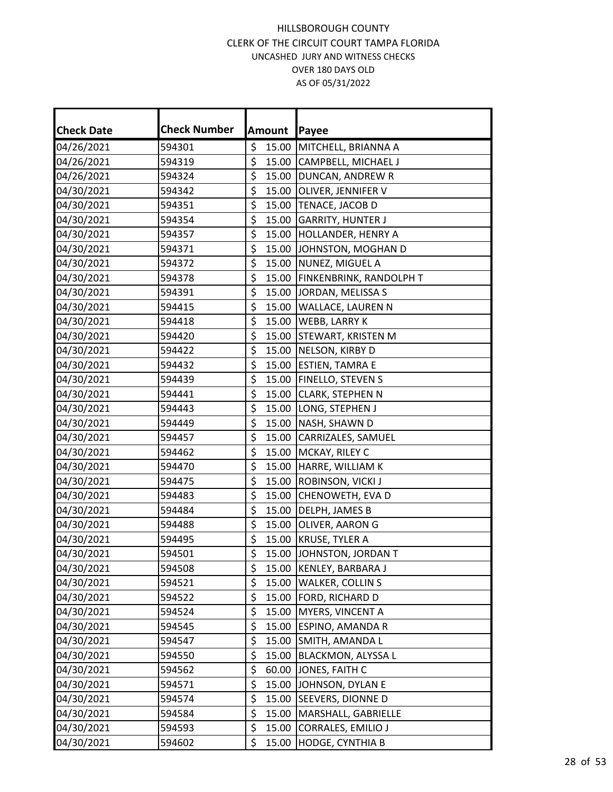| <b>Check Date</b> | <b>Check Number</b> |                  | Amount | Payee                          |
|-------------------|---------------------|------------------|--------|--------------------------------|
| 04/26/2021        | 594301              | \$               | 15.00  | MITCHELL, BRIANNA A            |
| 04/26/2021        | 594319              | \$               | 15.00  | CAMPBELL, MICHAEL J            |
| 04/26/2021        | 594324              | \$               | 15.00  | DUNCAN, ANDREW R               |
| 04/30/2021        | 594342              | \$               | 15.00  | OLIVER, JENNIFER V             |
| 04/30/2021        | 594351              | \$               | 15.00  | TENACE, JACOB D                |
| 04/30/2021        | 594354              | \$               | 15.00  | <b>GARRITY, HUNTER J</b>       |
| 04/30/2021        | 594357              | \$               | 15.00  | HOLLANDER, HENRY A             |
| 04/30/2021        | 594371              | \$               | 15.00  | JOHNSTON, MOGHAN D             |
| 04/30/2021        | 594372              | \$               | 15.00  | NUNEZ, MIGUEL A                |
| 04/30/2021        | 594378              | \$               | 15.00  | <b>FINKENBRINK, RANDOLPH T</b> |
| 04/30/2021        | 594391              | \$               | 15.00  | JORDAN, MELISSA S              |
| 04/30/2021        | 594415              | \$               | 15.00  | WALLACE, LAUREN N              |
| 04/30/2021        | 594418              | \$               | 15.00  | WEBB, LARRY K                  |
| 04/30/2021        | 594420              | \$               | 15.00  | STEWART, KRISTEN M             |
| 04/30/2021        | 594422              | \$               | 15.00  | NELSON, KIRBY D                |
| 04/30/2021        | 594432              | \$               | 15.00  | <b>ESTIEN, TAMRA E</b>         |
| 04/30/2021        | 594439              | \$               | 15.00  | FINELLO, STEVEN S              |
| 04/30/2021        | 594441              | \$               | 15.00  | CLARK, STEPHEN N               |
| 04/30/2021        | 594443              | \$               | 15.00  | LONG, STEPHEN J                |
| 04/30/2021        | 594449              | \$               | 15.00  | NASH, SHAWN D                  |
| 04/30/2021        | 594457              | \$               | 15.00  | CARRIZALES, SAMUEL             |
| 04/30/2021        | 594462              | \$               | 15.00  | MCKAY, RILEY C                 |
| 04/30/2021        | 594470              | \$               | 15.00  | HARRE, WILLIAM K               |
| 04/30/2021        | 594475              | \$               | 15.00  | ROBINSON, VICKI J              |
| 04/30/2021        | 594483              | \$               | 15.00  | CHENOWETH, EVA D               |
| 04/30/2021        | 594484              | \$               | 15.00  | DELPH, JAMES B                 |
| 04/30/2021        | 594488              | \$               | 15.00  | OLIVER, AARON G                |
| 04/30/2021        | 594495              | \$               | 15.00  | <b>KRUSE, TYLER A</b>          |
| 04/30/2021        | 594501              | $\overline{\xi}$ | 15.00  | JOHNSTON, JORDAN T             |
| 04/30/2021        | 594508              | \$               | 15.00  | <b>KENLEY, BARBARA J</b>       |
| 04/30/2021        | 594521              | \$               | 15.00  | WALKER, COLLIN S               |
| 04/30/2021        | 594522              | \$               | 15.00  | FORD, RICHARD D                |
| 04/30/2021        | 594524              | \$               | 15.00  | MYERS, VINCENT A               |
| 04/30/2021        | 594545              | \$               | 15.00  | ESPINO, AMANDA R               |
| 04/30/2021        | 594547              | \$               | 15.00  | SMITH, AMANDA L                |
| 04/30/2021        | 594550              | \$               | 15.00  | <b>BLACKMON, ALYSSA L</b>      |
| 04/30/2021        | 594562              | \$               | 60.00  | JONES, FAITH C                 |
| 04/30/2021        | 594571              | \$               | 15.00  | JOHNSON, DYLAN E               |
| 04/30/2021        | 594574              | \$               | 15.00  | SEEVERS, DIONNE D              |
| 04/30/2021        | 594584              | \$               | 15.00  | MARSHALL, GABRIELLE            |
| 04/30/2021        | 594593              | \$               | 15.00  | CORRALES, EMILIO J             |
| 04/30/2021        | 594602              | \$               | 15.00  | HODGE, CYNTHIA B               |
|                   |                     |                  |        |                                |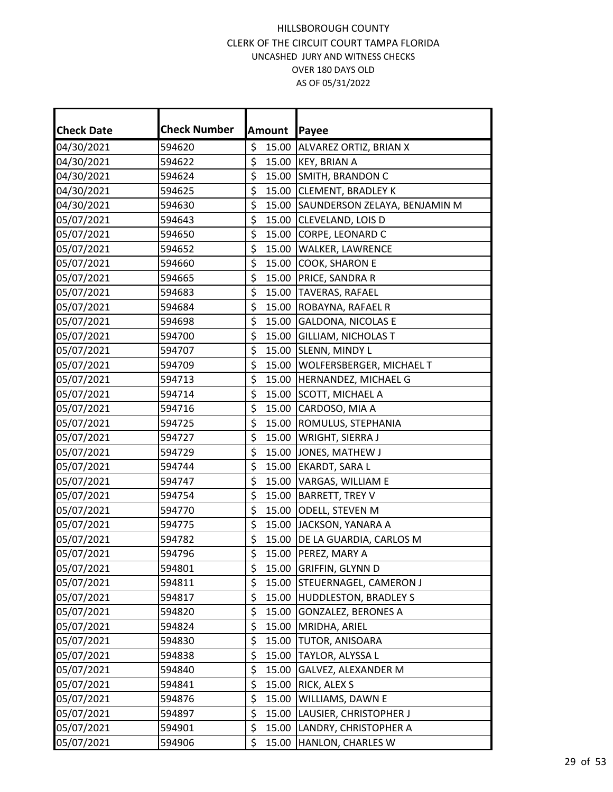| <b>Check Date</b> | <b>Check Number</b> | <b>Amount</b>             | Payee                         |
|-------------------|---------------------|---------------------------|-------------------------------|
| 04/30/2021        | 594620              | \$<br>15.00               | ALVAREZ ORTIZ, BRIAN X        |
| 04/30/2021        | 594622              | \$<br>15.00               | KEY, BRIAN A                  |
| 04/30/2021        | 594624              | \$<br>15.00               | SMITH, BRANDON C              |
| 04/30/2021        | 594625              | \$<br>15.00               | <b>CLEMENT, BRADLEY K</b>     |
| 04/30/2021        | 594630              | \$<br>15.00               | SAUNDERSON ZELAYA, BENJAMIN M |
| 05/07/2021        | 594643              | \$<br>15.00               | CLEVELAND, LOIS D             |
| 05/07/2021        | 594650              | \$<br>15.00               | CORPE, LEONARD C              |
| 05/07/2021        | 594652              | $\overline{\xi}$<br>15.00 | WALKER, LAWRENCE              |
| 05/07/2021        | 594660              | \$<br>15.00               | COOK, SHARON E                |
| 05/07/2021        | 594665              | \$<br>15.00               | PRICE, SANDRA R               |
| 05/07/2021        | 594683              | \$                        | 15.00 TAVERAS, RAFAEL         |
| 05/07/2021        | 594684              | \$<br>15.00               | ROBAYNA, RAFAEL R             |
| 05/07/2021        | 594698              | \$<br>15.00               | <b>GALDONA, NICOLAS E</b>     |
| 05/07/2021        | 594700              | \$<br>15.00               | <b>GILLIAM, NICHOLAS T</b>    |
| 05/07/2021        | 594707              | \$<br>15.00               | SLENN, MINDY L                |
| 05/07/2021        | 594709              | \$<br>15.00               | WOLFERSBERGER, MICHAEL T      |
| 05/07/2021        | 594713              | \$<br>15.00               | HERNANDEZ, MICHAEL G          |
| 05/07/2021        | 594714              | $\overline{\xi}$<br>15.00 | SCOTT, MICHAEL A              |
| 05/07/2021        | 594716              | \$<br>15.00               | CARDOSO, MIA A                |
| 05/07/2021        | 594725              | \$<br>15.00               | ROMULUS, STEPHANIA            |
| 05/07/2021        | 594727              | \$<br>15.00               | WRIGHT, SIERRA J              |
| 05/07/2021        | 594729              | \$<br>15.00               | JONES, MATHEW J               |
| 05/07/2021        | 594744              | \$<br>15.00               | EKARDT, SARA L                |
| 05/07/2021        | 594747              | \$<br>15.00               | VARGAS, WILLIAM E             |
| 05/07/2021        | 594754              | \$<br>15.00               | <b>BARRETT, TREY V</b>        |
| 05/07/2021        | 594770              | \$<br>15.00               | ODELL, STEVEN M               |
| 05/07/2021        | 594775              | \$<br>15.00               | JACKSON, YANARA A             |
| 05/07/2021        | 594782              | \$<br>15.00               | DE LA GUARDIA, CARLOS M       |
| 05/07/2021        | 594796              | $\overline{\xi}$<br>15.00 | PEREZ, MARY A                 |
| 05/07/2021        | 594801              | \$<br>15.00               | GRIFFIN, GLYNN D              |
| 05/07/2021        | 594811              | \$<br>15.00               | STEUERNAGEL, CAMERON J        |
| 05/07/2021        | 594817              | \$<br>15.00               | <b>HUDDLESTON, BRADLEY S</b>  |
| 05/07/2021        | 594820              | \$<br>15.00               | <b>GONZALEZ, BERONES A</b>    |
| 05/07/2021        | 594824              | \$<br>15.00               | MRIDHA, ARIEL                 |
| 05/07/2021        | 594830              | \$                        | 15.00 TUTOR, ANISOARA         |
| 05/07/2021        | 594838              | \$<br>15.00               | TAYLOR, ALYSSA L              |
| 05/07/2021        | 594840              | \$<br>15.00               | GALVEZ, ALEXANDER M           |
| 05/07/2021        | 594841              | \$<br>15.00               | RICK, ALEX S                  |
| 05/07/2021        | 594876              | \$<br>15.00               | WILLIAMS, DAWN E              |
| 05/07/2021        | 594897              | \$<br>15.00               | LAUSIER, CHRISTOPHER J        |
| 05/07/2021        | 594901              | \$<br>15.00               | LANDRY, CHRISTOPHER A         |
| 05/07/2021        | 594906              | \$<br>15.00               | HANLON, CHARLES W             |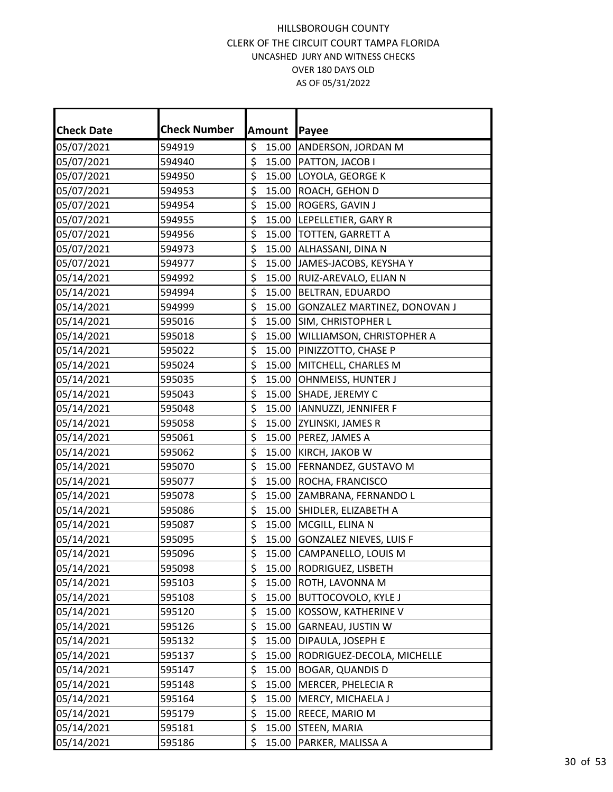| <b>Check Date</b> | <b>Check Number</b> | Amount                                   | Payee                          |
|-------------------|---------------------|------------------------------------------|--------------------------------|
| 05/07/2021        | 594919              | \$                                       | 15.00 ANDERSON, JORDAN M       |
| 05/07/2021        | 594940              | \$<br>15.00                              | PATTON, JACOB I                |
| 05/07/2021        | 594950              | \$<br>15.00                              | LOYOLA, GEORGE K               |
| 05/07/2021        | 594953              | \$<br>15.00                              | <b>ROACH, GEHON D</b>          |
| 05/07/2021        | 594954              | \$<br>15.00                              | ROGERS, GAVIN J                |
| 05/07/2021        | 594955              | \$<br>15.00                              | LEPELLETIER, GARY R            |
| 05/07/2021        | 594956              | \$<br>15.00                              | TOTTEN, GARRETT A              |
| 05/07/2021        | 594973              | $\overline{\boldsymbol{\zeta}}$<br>15.00 | ALHASSANI, DINA N              |
| 05/07/2021        | 594977              | \$                                       | 15.00 JAMES-JACOBS, KEYSHA Y   |
| 05/14/2021        | 594992              | \$<br>15.00                              | RUIZ-AREVALO, ELIAN N          |
| 05/14/2021        | 594994              | $\overline{\xi}$<br>15.00                | <b>BELTRAN, EDUARDO</b>        |
| 05/14/2021        | 594999              | \$<br>15.00                              | GONZALEZ MARTINEZ, DONOVAN J   |
| 05/14/2021        | 595016              | $\overline{\boldsymbol{\zeta}}$<br>15.00 | SIM, CHRISTOPHER L             |
| 05/14/2021        | 595018              | \$<br>15.00                              | WILLIAMSON, CHRISTOPHER A      |
| 05/14/2021        | 595022              | $\overline{\boldsymbol{\zeta}}$<br>15.00 | PINIZZOTTO, CHASE P            |
| 05/14/2021        | 595024              | \$<br>15.00                              | MITCHELL, CHARLES M            |
| 05/14/2021        | 595035              | \$<br>15.00                              | OHNMEISS, HUNTER J             |
| 05/14/2021        | 595043              | $\overline{\boldsymbol{\zeta}}$<br>15.00 | SHADE, JEREMY C                |
| 05/14/2021        | 595048              | \$<br>15.00                              | IANNUZZI, JENNIFER F           |
| 05/14/2021        | 595058              | \$<br>15.00                              | ZYLINSKI, JAMES R              |
| 05/14/2021        | 595061              | \$<br>15.00                              | PEREZ, JAMES A                 |
| 05/14/2021        | 595062              | \$<br>15.00                              | KIRCH, JAKOB W                 |
| 05/14/2021        | 595070              | \$<br>15.00                              | FERNANDEZ, GUSTAVO M           |
| 05/14/2021        | 595077              | \$<br>15.00                              | ROCHA, FRANCISCO               |
| 05/14/2021        | 595078              | \$<br>15.00                              | ZAMBRANA, FERNANDO L           |
| 05/14/2021        | 595086              | \$<br>15.00                              | SHIDLER, ELIZABETH A           |
| 05/14/2021        | 595087              | $\overline{\xi}$<br>15.00                | MCGILL, ELINA N                |
| 05/14/2021        | 595095              | \$<br>15.00                              | <b>GONZALEZ NIEVES, LUIS F</b> |
| 05/14/2021        | 595096              | $\overline{\xi}$<br>15.00                | CAMPANELLO, LOUIS M            |
| 05/14/2021        | 595098              | \$                                       | 15.00   RODRIGUEZ, LISBETH     |
| 05/14/2021        | 595103              | \$<br>15.00                              | ROTH, LAVONNA M                |
| 05/14/2021        | 595108              | \$<br>15.00                              | <b>BUTTOCOVOLO, KYLE J</b>     |
| 05/14/2021        | 595120              | \$<br>15.00                              | KOSSOW, KATHERINE V            |
| 05/14/2021        | 595126              | \$<br>15.00                              | GARNEAU, JUSTIN W              |
| 05/14/2021        | 595132              | \$<br>15.00                              | DIPAULA, JOSEPH E              |
| 05/14/2021        | 595137              | \$<br>15.00                              | RODRIGUEZ-DECOLA, MICHELLE     |
| 05/14/2021        | 595147              | \$<br>15.00                              | <b>BOGAR, QUANDIS D</b>        |
| 05/14/2021        | 595148              | \$<br>15.00                              | MERCER, PHELECIA R             |
| 05/14/2021        | 595164              | \$<br>15.00                              | MERCY, MICHAELA J              |
| 05/14/2021        | 595179              | \$<br>15.00                              | REECE, MARIO M                 |
| 05/14/2021        | 595181              | \$<br>15.00                              | STEEN, MARIA                   |
| 05/14/2021        | 595186              | \$<br>15.00                              | PARKER, MALISSA A              |
|                   |                     |                                          |                                |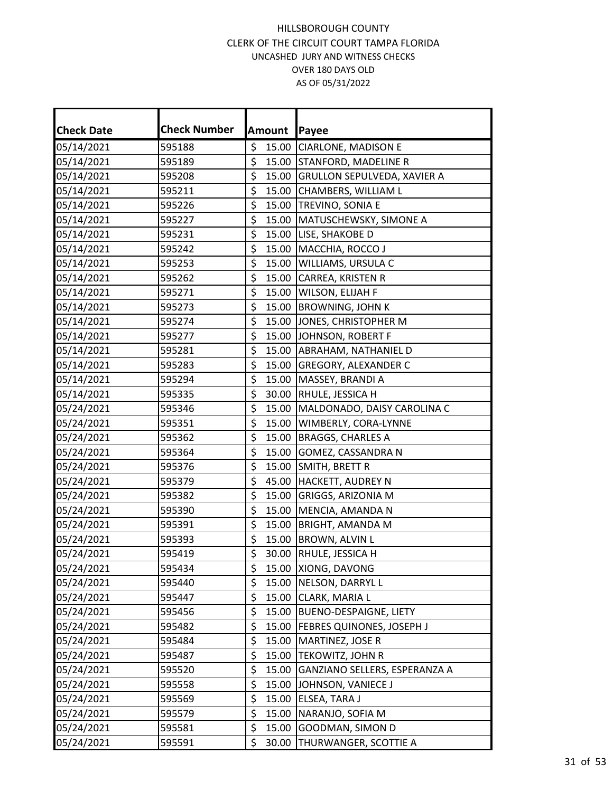| <b>Check Date</b> | <b>Check Number</b> |                        | Amount | Payee                         |
|-------------------|---------------------|------------------------|--------|-------------------------------|
| 05/14/2021        | 595188              | \$                     | 15.00  | <b>CIARLONE, MADISON E</b>    |
| 05/14/2021        | 595189              | \$                     | 15.00  | STANFORD, MADELINE R          |
| 05/14/2021        | 595208              | \$                     | 15.00  | GRULLON SEPULVEDA, XAVIER A   |
| 05/14/2021        | 595211              | \$                     | 15.00  | CHAMBERS, WILLIAM L           |
| 05/14/2021        | 595226              | \$                     |        | 15.00 TREVINO, SONIA E        |
| 05/14/2021        | 595227              | \$                     | 15.00  | MATUSCHEWSKY, SIMONE A        |
| 05/14/2021        | 595231              | \$                     | 15.00  | LISE, SHAKOBE D               |
| 05/14/2021        | 595242              | $\overline{\xi}$       | 15.00  | MACCHIA, ROCCO J              |
| 05/14/2021        | 595253              | \$                     | 15.00  | WILLIAMS, URSULA C            |
| 05/14/2021        | 595262              | \$                     | 15.00  | CARREA, KRISTEN R             |
| 05/14/2021        | 595271              | \$                     | 15.00  | WILSON, ELIJAH F              |
| 05/14/2021        | 595273              | \$                     | 15.00  | <b>BROWNING, JOHN K</b>       |
| 05/14/2021        | 595274              | \$                     | 15.00  | JONES, CHRISTOPHER M          |
| 05/14/2021        | 595277              | \$                     |        | 15.00 JJOHNSON, ROBERT F      |
| 05/14/2021        | 595281              | \$                     |        | 15.00 ABRAHAM, NATHANIEL D    |
| 05/14/2021        | 595283              | \$                     | 15.00  | GREGORY, ALEXANDER C          |
| 05/14/2021        | 595294              | \$                     | 15.00  | MASSEY, BRANDI A              |
| 05/14/2021        | 595335              | \$                     | 30.00  | RHULE, JESSICA H              |
| 05/24/2021        | 595346              | \$                     | 15.00  | MALDONADO, DAISY CAROLINA C   |
| 05/24/2021        | 595351              | \$                     | 15.00  | WIMBERLY, CORA-LYNNE          |
| 05/24/2021        | 595362              | \$                     | 15.00  | <b>BRAGGS, CHARLES A</b>      |
| 05/24/2021        | 595364              | \$                     | 15.00  | GOMEZ, CASSANDRA N            |
| 05/24/2021        | 595376              | \$                     | 15.00  | SMITH, BRETT R                |
| 05/24/2021        | 595379              | \$                     | 45.00  | HACKETT, AUDREY N             |
| 05/24/2021        | 595382              | \$                     | 15.00  | GRIGGS, ARIZONIA M            |
| 05/24/2021        | 595390              | \$                     | 15.00  | MENCIA, AMANDA N              |
| 05/24/2021        | 595391              | \$                     | 15.00  | <b>BRIGHT, AMANDA M</b>       |
| 05/24/2021        | 595393              | \$                     | 15.00  | BROWN, ALVIN L                |
| 05/24/2021        | 595419              | $\overline{\varsigma}$ | 30.00  | RHULE, JESSICA H              |
| 05/24/2021        | 595434              | \$                     | 15.00  | XIONG, DAVONG                 |
| 05/24/2021        | 595440              | \$                     | 15.00  | NELSON, DARRYL L              |
| 05/24/2021        | 595447              | \$                     | 15.00  | CLARK, MARIA L                |
| 05/24/2021        | 595456              | \$                     | 15.00  | <b>BUENO-DESPAIGNE, LIETY</b> |
| 05/24/2021        | 595482              | \$                     | 15.00  | FEBRES QUINONES, JOSEPH J     |
| 05/24/2021        | 595484              | \$                     | 15.00  | MARTINEZ, JOSE R              |
| 05/24/2021        | 595487              | \$                     | 15.00  | TEKOWITZ, JOHN R              |
| 05/24/2021        | 595520              | \$                     | 15.00  | GANZIANO SELLERS, ESPERANZA A |
| 05/24/2021        | 595558              | \$                     | 15.00  | JOHNSON, VANIECE J            |
| 05/24/2021        | 595569              | \$                     | 15.00  | ELSEA, TARA J                 |
| 05/24/2021        | 595579              | \$                     | 15.00  | NARANJO, SOFIA M              |
| 05/24/2021        | 595581              | \$                     | 15.00  | GOODMAN, SIMON D              |
| 05/24/2021        | 595591              | \$                     | 30.00  | THURWANGER, SCOTTIE A         |
|                   |                     |                        |        |                               |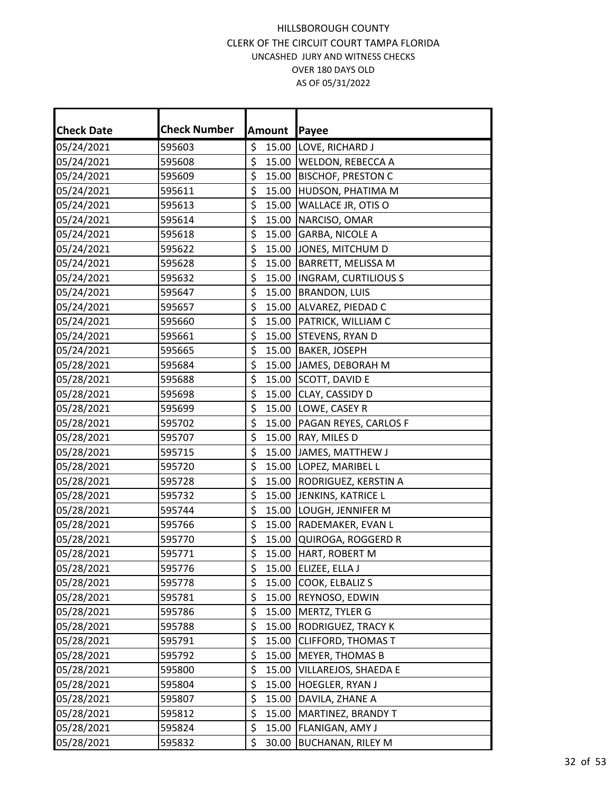| <b>Check Date</b> | <b>Check Number</b> |                  | Amount | Payee                       |
|-------------------|---------------------|------------------|--------|-----------------------------|
| 05/24/2021        | 595603              | \$               |        | 15.00 LOVE, RICHARD J       |
| 05/24/2021        | 595608              | \$               | 15.00  | <b>WELDON, REBECCA A</b>    |
| 05/24/2021        | 595609              | \$               | 15.00  | <b>BISCHOF, PRESTON C</b>   |
| 05/24/2021        | 595611              | \$               | 15.00  | HUDSON, PHATIMA M           |
| 05/24/2021        | 595613              | \$               | 15.00  | WALLACE JR, OTIS O          |
| 05/24/2021        | 595614              | \$               | 15.00  | NARCISO, OMAR               |
| 05/24/2021        | 595618              | \$               | 15.00  | <b>GARBA, NICOLE A</b>      |
| 05/24/2021        | 595622              | $\overline{\xi}$ | 15.00  | JONES, MITCHUM D            |
| 05/24/2021        | 595628              | \$               | 15.00  | <b>BARRETT, MELISSA M</b>   |
| 05/24/2021        | 595632              | \$               | 15.00  | <b>INGRAM, CURTILIOUS S</b> |
| 05/24/2021        | 595647              | \$               | 15.00  | <b>BRANDON, LUIS</b>        |
| 05/24/2021        | 595657              | \$               | 15.00  | ALVAREZ, PIEDAD C           |
| 05/24/2021        | 595660              | \$               | 15.00  | PATRICK, WILLIAM C          |
| 05/24/2021        | 595661              | \$               | 15.00  | STEVENS, RYAN D             |
| 05/24/2021        | 595665              | \$               | 15.00  | <b>BAKER, JOSEPH</b>        |
| 05/28/2021        | 595684              | \$               | 15.00  | JAMES, DEBORAH M            |
| 05/28/2021        | 595688              | \$               | 15.00  | SCOTT, DAVID E              |
| 05/28/2021        | 595698              | \$               | 15.00  | CLAY, CASSIDY D             |
| 05/28/2021        | 595699              | \$               | 15.00  | LOWE, CASEY R               |
| 05/28/2021        | 595702              | \$               | 15.00  | PAGAN REYES, CARLOS F       |
| 05/28/2021        | 595707              | \$               | 15.00  | RAY, MILES D                |
| 05/28/2021        | 595715              | \$               | 15.00  | JAMES, MATTHEW J            |
| 05/28/2021        | 595720              | \$               | 15.00  | LOPEZ, MARIBEL L            |
| 05/28/2021        | 595728              | \$               | 15.00  | RODRIGUEZ, KERSTIN A        |
| 05/28/2021        | 595732              | \$               | 15.00  | JENKINS, KATRICE L          |
| 05/28/2021        | 595744              | \$               | 15.00  | LOUGH, JENNIFER M           |
| 05/28/2021        | 595766              | \$               | 15.00  | RADEMAKER, EVAN L           |
| 05/28/2021        | 595770              | \$               | 15.00  | QUIROGA, ROGGERD R          |
| 05/28/2021        | 595771              | $\overline{\xi}$ | 15.00  | HART, ROBERT M              |
| 05/28/2021        | 595776              | \$               | 15.00  | ELIZEE, ELLA J              |
| 05/28/2021        | 595778              | \$               | 15.00  | COOK, ELBALIZ S             |
| 05/28/2021        | 595781              | \$               | 15.00  | REYNOSO, EDWIN              |
| 05/28/2021        | 595786              | \$               | 15.00  | MERTZ, TYLER G              |
| 05/28/2021        | 595788              | \$               | 15.00  | RODRIGUEZ, TRACY K          |
| 05/28/2021        | 595791              | \$               | 15.00  | <b>CLIFFORD, THOMAS T</b>   |
| 05/28/2021        | 595792              | \$               | 15.00  | <b>MEYER, THOMAS B</b>      |
| 05/28/2021        | 595800              | \$               | 15.00  | VILLAREJOS, SHAEDA E        |
| 05/28/2021        | 595804              | \$               | 15.00  | HOEGLER, RYAN J             |
| 05/28/2021        | 595807              | \$               | 15.00  | DAVILA, ZHANE A             |
| 05/28/2021        | 595812              | \$               | 15.00  | MARTINEZ, BRANDY T          |
| 05/28/2021        | 595824              | \$               | 15.00  | FLANIGAN, AMY J             |
| 05/28/2021        | 595832              | \$               | 30.00  | <b>BUCHANAN, RILEY M</b>    |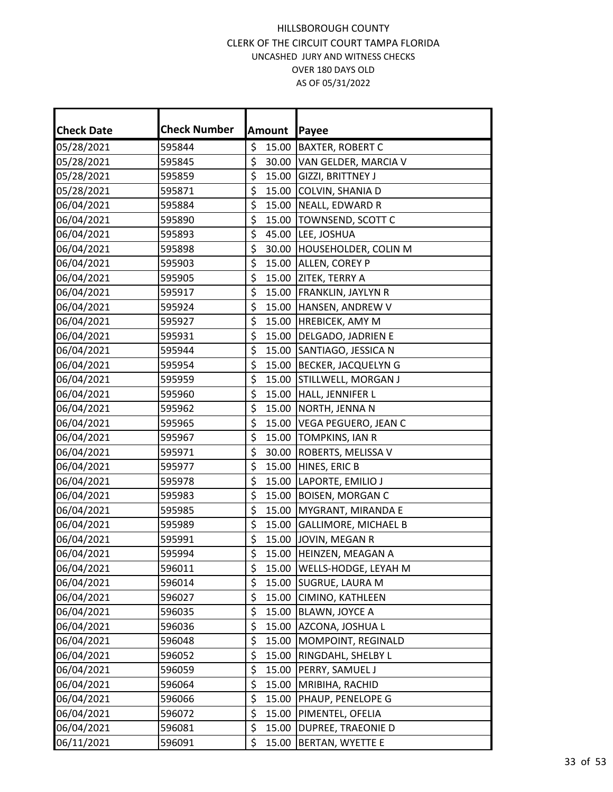| <b>Check Date</b> | <b>Check Number</b> | <b>Amount</b>             | Payee                       |
|-------------------|---------------------|---------------------------|-----------------------------|
| 05/28/2021        | 595844              | \$<br>15.00               | <b>BAXTER, ROBERT C</b>     |
| 05/28/2021        | 595845              | \$<br>30.00               | VAN GELDER, MARCIA V        |
| 05/28/2021        | 595859              | \$<br>15.00               | GIZZI, BRITTNEY J           |
| 05/28/2021        | 595871              | \$<br>15.00               | COLVIN, SHANIA D            |
| 06/04/2021        | 595884              | \$<br>15.00               | NEALL, EDWARD R             |
| 06/04/2021        | 595890              | \$<br>15.00               | TOWNSEND, SCOTT C           |
| 06/04/2021        | 595893              | \$<br>45.00               | LEE, JOSHUA                 |
| 06/04/2021        | 595898              | $\overline{\xi}$<br>30.00 | HOUSEHOLDER, COLIN M        |
| 06/04/2021        | 595903              | \$                        | 15.00 ALLEN, COREY P        |
| 06/04/2021        | 595905              | \$                        | 15.00 ZITEK, TERRY A        |
| 06/04/2021        | 595917              | $\overline{\xi}$          | 15.00 FRANKLIN, JAYLYN R    |
| 06/04/2021        | 595924              | \$<br>15.00               | HANSEN, ANDREW V            |
| 06/04/2021        | 595927              | \$<br>15.00               | HREBICEK, AMY M             |
| 06/04/2021        | 595931              | \$<br>15.00               | DELGADO, JADRIEN E          |
| 06/04/2021        | 595944              | \$<br>15.00               | SANTIAGO, JESSICA N         |
| 06/04/2021        | 595954              | \$<br>15.00               | <b>BECKER, JACQUELYN G</b>  |
| 06/04/2021        | 595959              | \$<br>15.00               | STILLWELL, MORGAN J         |
| 06/04/2021        | 595960              | $\overline{\xi}$<br>15.00 | HALL, JENNIFER L            |
| 06/04/2021        | 595962              | \$<br>15.00               | NORTH, JENNA N              |
| 06/04/2021        | 595965              | \$<br>15.00               | VEGA PEGUERO, JEAN C        |
| 06/04/2021        | 595967              | \$<br>15.00               | TOMPKINS, IAN R             |
| 06/04/2021        | 595971              | \$<br>30.00               | ROBERTS, MELISSA V          |
| 06/04/2021        | 595977              | \$<br>15.00               | HINES, ERIC B               |
| 06/04/2021        | 595978              | \$<br>15.00               | LAPORTE, EMILIO J           |
| 06/04/2021        | 595983              | \$<br>15.00               | <b>BOISEN, MORGAN C</b>     |
| 06/04/2021        | 595985              | \$<br>15.00               | MYGRANT, MIRANDA E          |
| 06/04/2021        | 595989              | \$<br>15.00               | <b>GALLIMORE, MICHAEL B</b> |
| 06/04/2021        | 595991              | \$<br>15.00               | JOVIN, MEGAN R              |
| 06/04/2021        | 595994              | $\overline{\xi}$<br>15.00 | HEINZEN, MEAGAN A           |
| 06/04/2021        | 596011              | \$<br>15.00               | WELLS-HODGE, LEYAH M        |
| 06/04/2021        | 596014              | \$<br>15.00               | SUGRUE, LAURA M             |
| 06/04/2021        | 596027              | \$<br>15.00               | CIMINO, KATHLEEN            |
| 06/04/2021        | 596035              | \$<br>15.00               | BLAWN, JOYCE A              |
| 06/04/2021        | 596036              | \$<br>15.00               | AZCONA, JOSHUA L            |
| 06/04/2021        | 596048              | \$<br>15.00               | MOMPOINT, REGINALD          |
| 06/04/2021        | 596052              | \$<br>15.00               | RINGDAHL, SHELBY L          |
| 06/04/2021        | 596059              | \$<br>15.00               | PERRY, SAMUEL J             |
| 06/04/2021        | 596064              | \$<br>15.00               | MRIBIHA, RACHID             |
| 06/04/2021        | 596066              | \$<br>15.00               | PHAUP, PENELOPE G           |
| 06/04/2021        | 596072              | \$<br>15.00               | PIMENTEL, OFELIA            |
| 06/04/2021        | 596081              | \$<br>15.00               | DUPREE, TRAEONIE D          |
| 06/11/2021        | 596091              | \$<br>15.00               | BERTAN, WYETTE E            |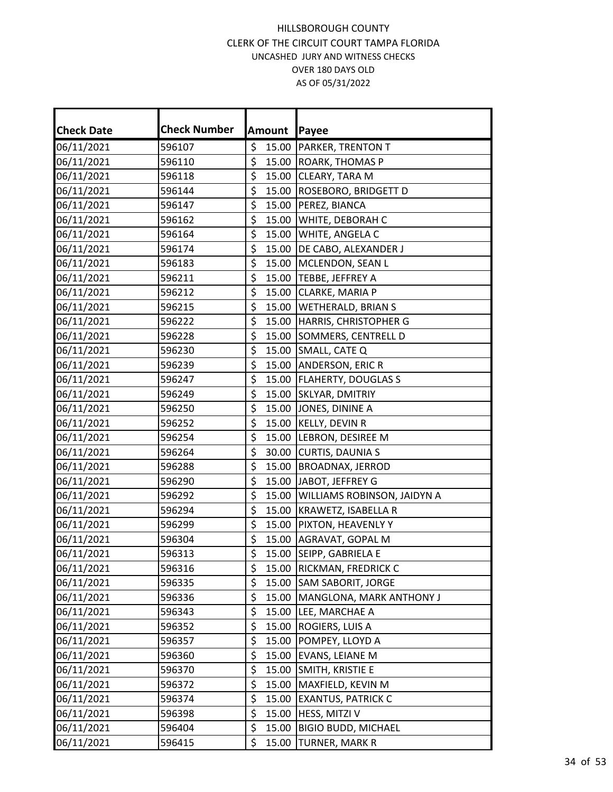| <b>Check Date</b> | <b>Check Number</b> |                                 | Amount | Payee                       |
|-------------------|---------------------|---------------------------------|--------|-----------------------------|
| 06/11/2021        | 596107              | \$                              | 15.00  | <b>PARKER, TRENTON T</b>    |
| 06/11/2021        | 596110              | \$                              | 15.00  | ROARK, THOMAS P             |
| 06/11/2021        | 596118              | \$                              | 15.00  | CLEARY, TARA M              |
| 06/11/2021        | 596144              | \$                              | 15.00  | ROSEBORO, BRIDGETT D        |
| 06/11/2021        | 596147              | \$                              | 15.00  | PEREZ, BIANCA               |
| 06/11/2021        | 596162              | \$                              | 15.00  | WHITE, DEBORAH C            |
| 06/11/2021        | 596164              | \$                              | 15.00  | WHITE, ANGELA C             |
| 06/11/2021        | 596174              | $\overline{\xi}$                | 15.00  | DE CABO, ALEXANDER J        |
| 06/11/2021        | 596183              | \$                              | 15.00  | MCLENDON, SEAN L            |
| 06/11/2021        | 596211              | \$                              | 15.00  | TEBBE, JEFFREY A            |
| 06/11/2021        | 596212              | $\overline{\boldsymbol{\zeta}}$ | 15.00  | CLARKE, MARIA P             |
| 06/11/2021        | 596215              | \$                              | 15.00  | <b>WETHERALD, BRIAN S</b>   |
| 06/11/2021        | 596222              | \$                              | 15.00  | HARRIS, CHRISTOPHER G       |
| 06/11/2021        | 596228              | \$                              | 15.00  | SOMMERS, CENTRELL D         |
| 06/11/2021        | 596230              | \$                              | 15.00  | SMALL, CATE Q               |
| 06/11/2021        | 596239              | \$                              | 15.00  | ANDERSON, ERIC R            |
| 06/11/2021        | 596247              | \$                              |        | 15.00   FLAHERTY, DOUGLAS S |
| 06/11/2021        | 596249              | \$                              |        | 15.00 SKLYAR, DMITRIY       |
| 06/11/2021        | 596250              | \$                              | 15.00  | JONES, DININE A             |
| 06/11/2021        | 596252              | \$                              | 15.00  | KELLY, DEVIN R              |
| 06/11/2021        | 596254              | \$                              | 15.00  | LEBRON, DESIREE M           |
| 06/11/2021        | 596264              | \$                              | 30.00  | <b>CURTIS, DAUNIA S</b>     |
| 06/11/2021        | 596288              | \$                              | 15.00  | <b>BROADNAX, JERROD</b>     |
| 06/11/2021        | 596290              | \$                              | 15.00  | JABOT, JEFFREY G            |
| 06/11/2021        | 596292              | \$                              | 15.00  | WILLIAMS ROBINSON, JAIDYN A |
| 06/11/2021        | 596294              | \$                              | 15.00  | KRAWETZ, ISABELLA R         |
| 06/11/2021        | 596299              | \$                              | 15.00  | PIXTON, HEAVENLY Y          |
| 06/11/2021        | 596304              | \$                              | 15.00  | AGRAVAT, GOPAL M            |
| 06/11/2021        | 596313              | $\overline{\xi}$                |        | 15.00 SEIPP, GABRIELA E     |
| 06/11/2021        | 596316              | \$                              | 15.00  | RICKMAN, FREDRICK C         |
| 06/11/2021        | 596335              | \$                              | 15.00  | SAM SABORIT, JORGE          |
| 06/11/2021        | 596336              | \$                              | 15.00  | MANGLONA, MARK ANTHONY J    |
| 06/11/2021        | 596343              | \$                              | 15.00  | LEE, MARCHAE A              |
| 06/11/2021        | 596352              | \$                              | 15.00  | ROGIERS, LUIS A             |
| 06/11/2021        | 596357              | \$                              | 15.00  | POMPEY, LLOYD A             |
| 06/11/2021        | 596360              | \$                              | 15.00  | EVANS, LEIANE M             |
| 06/11/2021        | 596370              | \$                              | 15.00  | SMITH, KRISTIE E            |
| 06/11/2021        | 596372              | \$                              | 15.00  | MAXFIELD, KEVIN M           |
| 06/11/2021        | 596374              | \$                              | 15.00  | <b>EXANTUS, PATRICK C</b>   |
| 06/11/2021        | 596398              | \$                              | 15.00  | HESS, MITZI V               |
| 06/11/2021        | 596404              | \$                              | 15.00  | <b>BIGIO BUDD, MICHAEL</b>  |
| 06/11/2021        | 596415              | \$                              | 15.00  | TURNER, MARK R              |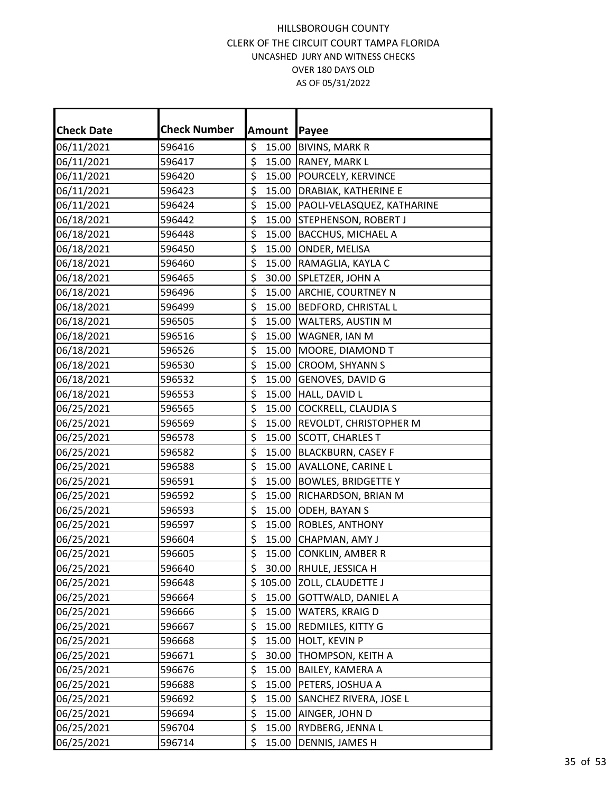| <b>Check Date</b> | <b>Check Number</b> | Amount                    | Payee                      |
|-------------------|---------------------|---------------------------|----------------------------|
| 06/11/2021        | 596416              | \$<br>15.00               | <b>BIVINS, MARK R</b>      |
| 06/11/2021        | 596417              | \$<br>15.00               | RANEY, MARK L              |
| 06/11/2021        | 596420              | \$<br>15.00               | POURCELY, KERVINCE         |
| 06/11/2021        | 596423              | \$<br>15.00               | DRABIAK, KATHERINE E       |
| 06/11/2021        | 596424              | \$<br>15.00               | PAOLI-VELASQUEZ, KATHARINE |
| 06/18/2021        | 596442              | \$<br>15.00               | STEPHENSON, ROBERT J       |
| 06/18/2021        | 596448              | \$<br>15.00               | <b>BACCHUS, MICHAEL A</b>  |
| 06/18/2021        | 596450              | $\overline{\xi}$<br>15.00 | ONDER, MELISA              |
| 06/18/2021        | 596460              | \$                        | 15.00 RAMAGLIA, KAYLA C    |
| 06/18/2021        | 596465              | \$<br>30.00               | SPLETZER, JOHN A           |
| 06/18/2021        | 596496              | $\overline{\xi}$          | 15.00 ARCHIE, COURTNEY N   |
| 06/18/2021        | 596499              | \$<br>15.00               | BEDFORD, CHRISTAL L        |
| 06/18/2021        | 596505              | $\overline{\xi}$<br>15.00 | WALTERS, AUSTIN M          |
| 06/18/2021        | 596516              | \$<br>15.00               | WAGNER, IAN M              |
| 06/18/2021        | 596526              | \$<br>15.00               | MOORE, DIAMOND T           |
| 06/18/2021        | 596530              | \$<br>15.00               | CROOM, SHYANN S            |
| 06/18/2021        | 596532              | \$<br>15.00               | <b>GENOVES, DAVID G</b>    |
| 06/18/2021        | 596553              | $\overline{\xi}$<br>15.00 | HALL, DAVID L              |
| 06/25/2021        | 596565              | \$<br>15.00               | COCKRELL, CLAUDIA S        |
| 06/25/2021        | 596569              | \$<br>15.00               | REVOLDT, CHRISTOPHER M     |
| 06/25/2021        | 596578              | \$<br>15.00               | <b>SCOTT, CHARLES T</b>    |
| 06/25/2021        | 596582              | \$<br>15.00               | <b>BLACKBURN, CASEY F</b>  |
| 06/25/2021        | 596588              | \$                        | 15.00 AVALLONE, CARINE L   |
| 06/25/2021        | 596591              | \$<br>15.00               | <b>BOWLES, BRIDGETTE Y</b> |
| 06/25/2021        | 596592              | \$<br>15.00               | RICHARDSON, BRIAN M        |
| 06/25/2021        | 596593              | \$<br>15.00               | ODEH, BAYAN S              |
| 06/25/2021        | 596597              | \$<br>15.00               | ROBLES, ANTHONY            |
| 06/25/2021        | 596604              | \$<br>15.00               | CHAPMAN, AMY J             |
| 06/25/2021        | 596605              | $\overline{\xi}$<br>15.00 | <b>CONKLIN, AMBER R</b>    |
| 06/25/2021        | 596640              | \$<br>30.00               | RHULE, JESSICA H           |
| 06/25/2021        | 596648              | \$105.00                  | ZOLL, CLAUDETTE J          |
| 06/25/2021        | 596664              | \$<br>15.00               | <b>GOTTWALD, DANIEL A</b>  |
| 06/25/2021        | 596666              | \$<br>15.00               | WATERS, KRAIG D            |
| 06/25/2021        | 596667              | \$<br>15.00               | REDMILES, KITTY G          |
| 06/25/2021        | 596668              | \$<br>15.00               | HOLT, KEVIN P              |
| 06/25/2021        | 596671              | \$<br>30.00               | THOMPSON, KEITH A          |
| 06/25/2021        | 596676              | \$<br>15.00               | BAILEY, KAMERA A           |
| 06/25/2021        | 596688              | \$<br>15.00               | PETERS, JOSHUA A           |
| 06/25/2021        | 596692              | \$<br>15.00               | SANCHEZ RIVERA, JOSE L     |
| 06/25/2021        | 596694              | \$<br>15.00               | AINGER, JOHN D             |
| 06/25/2021        | 596704              | \$<br>15.00               | RYDBERG, JENNA L           |
| 06/25/2021        | 596714              | \$<br>15.00               | DENNIS, JAMES H            |
|                   |                     |                           |                            |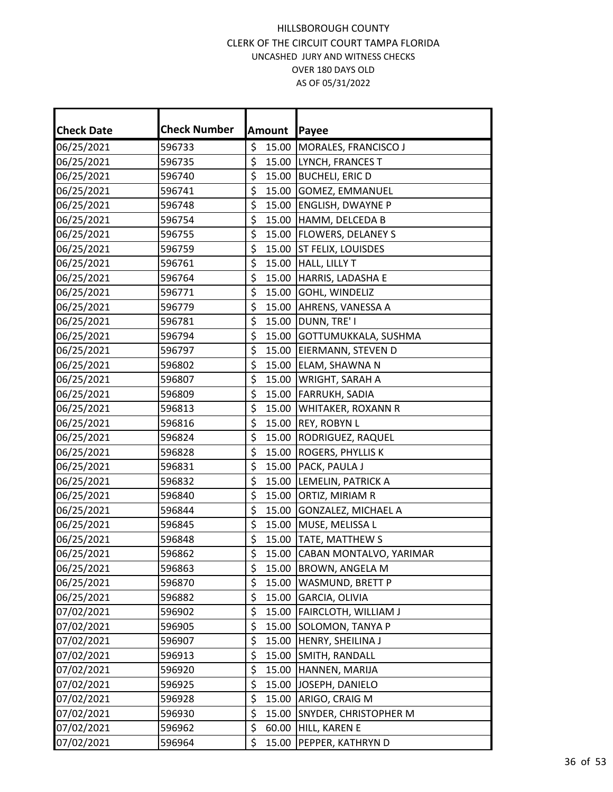| <b>Check Date</b> | <b>Check Number</b> | <b>Amount</b>                            | Payee                     |
|-------------------|---------------------|------------------------------------------|---------------------------|
| 06/25/2021        | 596733              | \$<br>15.00                              | MORALES, FRANCISCO J      |
| 06/25/2021        | 596735              | \$<br>15.00                              | LYNCH, FRANCES T          |
| 06/25/2021        | 596740              | \$<br>15.00                              | <b>BUCHELI, ERIC D</b>    |
| 06/25/2021        | 596741              | \$<br>15.00                              | <b>GOMEZ, EMMANUEL</b>    |
| 06/25/2021        | 596748              | \$<br>15.00                              | <b>ENGLISH, DWAYNE P</b>  |
| 06/25/2021        | 596754              | \$<br>15.00                              | HAMM, DELCEDA B           |
| 06/25/2021        | 596755              | \$<br>15.00                              | <b>FLOWERS, DELANEY S</b> |
| 06/25/2021        | 596759              | $\overline{\boldsymbol{\zeta}}$<br>15.00 | <b>ST FELIX, LOUISDES</b> |
| 06/25/2021        | 596761              | \$<br>15.00                              | HALL, LILLY T             |
| 06/25/2021        | 596764              | \$<br>15.00                              | HARRIS, LADASHA E         |
| 06/25/2021        | 596771              | \$<br>15.00                              | GOHL, WINDELIZ            |
| 06/25/2021        | 596779              | \$<br>15.00                              | <b>AHRENS, VANESSA A</b>  |
| 06/25/2021        | 596781              | $\overline{\xi}$<br>15.00                | DUNN, TRE'I               |
| 06/25/2021        | 596794              | \$<br>15.00                              | GOTTUMUKKALA, SUSHMA      |
| 06/25/2021        | 596797              | $\overline{\boldsymbol{\zeta}}$<br>15.00 | EIERMANN, STEVEN D        |
| 06/25/2021        | 596802              | \$<br>15.00                              | ELAM, SHAWNA N            |
| 06/25/2021        | 596807              | \$<br>15.00                              | WRIGHT, SARAH A           |
| 06/25/2021        | 596809              | $\overline{\boldsymbol{\zeta}}$<br>15.00 | FARRUKH, SADIA            |
| 06/25/2021        | 596813              | \$<br>15.00                              | WHITAKER, ROXANN R        |
| 06/25/2021        | 596816              | \$<br>15.00                              | REY, ROBYN L              |
| 06/25/2021        | 596824              | \$<br>15.00                              | RODRIGUEZ, RAQUEL         |
| 06/25/2021        | 596828              | \$<br>15.00                              | ROGERS, PHYLLIS K         |
| 06/25/2021        | 596831              | \$<br>15.00                              | PACK, PAULA J             |
| 06/25/2021        | 596832              | \$<br>15.00                              | LEMELIN, PATRICK A        |
| 06/25/2021        | 596840              | \$<br>15.00                              | ORTIZ, MIRIAM R           |
| 06/25/2021        | 596844              | \$<br>15.00                              | GONZALEZ, MICHAEL A       |
| 06/25/2021        | 596845              | \$<br>15.00                              | MUSE, MELISSA L           |
| 06/25/2021        | 596848              | \$<br>15.00                              | <b>TATE, MATTHEW S</b>    |
| 06/25/2021        | 596862              | $\overline{\xi}$<br>15.00                | CABAN MONTALVO, YARIMAR   |
| 06/25/2021        | 596863              | \$<br>15.00                              | BROWN, ANGELA M           |
| 06/25/2021        | 596870              | \$<br>15.00                              | WASMUND, BRETT P          |
| 06/25/2021        | 596882              | \$<br>15.00                              | GARCIA, OLIVIA            |
| 07/02/2021        | 596902              | \$<br>15.00                              | FAIRCLOTH, WILLIAM J      |
| 07/02/2021        | 596905              | \$<br>15.00                              | SOLOMON, TANYA P          |
| 07/02/2021        | 596907              | \$<br>15.00                              | HENRY, SHEILINA J         |
| 07/02/2021        | 596913              | \$<br>15.00                              | SMITH, RANDALL            |
| 07/02/2021        | 596920              | \$<br>15.00                              | HANNEN, MARIJA            |
| 07/02/2021        | 596925              | \$<br>15.00                              | JOSEPH, DANIELO           |
| 07/02/2021        | 596928              | \$<br>15.00                              | ARIGO, CRAIG M            |
| 07/02/2021        | 596930              | \$<br>15.00                              | SNYDER, CHRISTOPHER M     |
| 07/02/2021        | 596962              | \$<br>60.00                              | HILL, KAREN E             |
| 07/02/2021        | 596964              | \$<br>15.00                              | PEPPER, KATHRYN D         |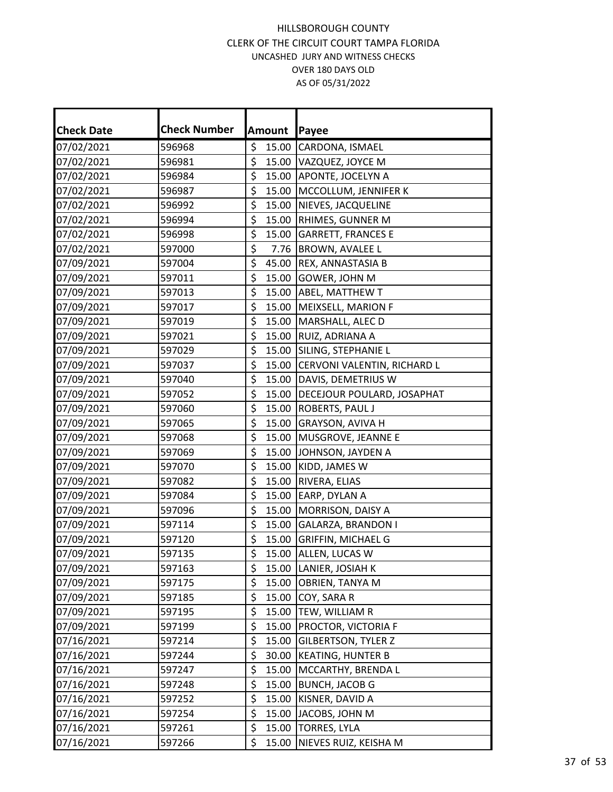| <b>Check Date</b> | <b>Check Number</b> | Amount      | Payee                       |
|-------------------|---------------------|-------------|-----------------------------|
| 07/02/2021        | 596968              | \$<br>15.00 | CARDONA, ISMAEL             |
| 07/02/2021        | 596981              | \$<br>15.00 | VAZQUEZ, JOYCE M            |
| 07/02/2021        | 596984              | \$<br>15.00 | APONTE, JOCELYN A           |
| 07/02/2021        | 596987              | \$<br>15.00 | MCCOLLUM, JENNIFER K        |
| 07/02/2021        | 596992              | \$<br>15.00 | NIEVES, JACQUELINE          |
| 07/02/2021        | 596994              | \$<br>15.00 | RHIMES, GUNNER M            |
| 07/02/2021        | 596998              | \$<br>15.00 | <b>GARRETT, FRANCES E</b>   |
| 07/02/2021        | 597000              | \$<br>7.76  | <b>BROWN, AVALEE L</b>      |
| 07/09/2021        | 597004              | \$<br>45.00 | REX, ANNASTASIA B           |
| 07/09/2021        | 597011              | \$<br>15.00 | GOWER, JOHN M               |
| 07/09/2021        | 597013              | \$<br>15.00 | <b>ABEL, MATTHEW T</b>      |
| 07/09/2021        | 597017              | \$<br>15.00 | MEIXSELL, MARION F          |
| 07/09/2021        | 597019              | \$<br>15.00 | MARSHALL, ALEC D            |
| 07/09/2021        | 597021              | \$<br>15.00 | RUIZ, ADRIANA A             |
| 07/09/2021        | 597029              | \$<br>15.00 | SILING, STEPHANIE L         |
| 07/09/2021        | 597037              | \$<br>15.00 | CERVONI VALENTIN, RICHARD L |
| 07/09/2021        | 597040              | \$<br>15.00 | DAVIS, DEMETRIUS W          |
| 07/09/2021        | 597052              | \$<br>15.00 | DECEJOUR POULARD, JOSAPHAT  |
| 07/09/2021        | 597060              | \$<br>15.00 | ROBERTS, PAUL J             |
| 07/09/2021        | 597065              | \$<br>15.00 | <b>GRAYSON, AVIVA H</b>     |
| 07/09/2021        | 597068              | \$<br>15.00 | MUSGROVE, JEANNE E          |
| 07/09/2021        | 597069              | \$<br>15.00 | JOHNSON, JAYDEN A           |
| 07/09/2021        | 597070              | \$<br>15.00 | KIDD, JAMES W               |
| 07/09/2021        | 597082              | \$<br>15.00 | RIVERA, ELIAS               |
| 07/09/2021        | 597084              | \$<br>15.00 | EARP, DYLAN A               |
| 07/09/2021        | 597096              | \$<br>15.00 | MORRISON, DAISY A           |
| 07/09/2021        | 597114              | \$<br>15.00 | <b>GALARZA, BRANDON I</b>   |
| 07/09/2021        | 597120              | \$<br>15.00 | <b>GRIFFIN, MICHAEL G</b>   |
| 07/09/2021        | 597135              | \$<br>15.00 | ALLEN, LUCAS W              |
| 07/09/2021        | 597163              | \$<br>15.00 | LANIER, JOSIAH K            |
| 07/09/2021        | 597175              | \$<br>15.00 | OBRIEN, TANYA M             |
| 07/09/2021        | 597185              | \$<br>15.00 | COY, SARA R                 |
| 07/09/2021        | 597195              | \$<br>15.00 | TEW, WILLIAM R              |
| 07/09/2021        | 597199              | \$<br>15.00 | PROCTOR, VICTORIA F         |
| 07/16/2021        | 597214              | \$<br>15.00 | <b>GILBERTSON, TYLER Z</b>  |
| 07/16/2021        | 597244              | \$<br>30.00 | <b>KEATING, HUNTER B</b>    |
| 07/16/2021        | 597247              | \$<br>15.00 | MCCARTHY, BRENDA L          |
| 07/16/2021        | 597248              | \$<br>15.00 | <b>BUNCH, JACOB G</b>       |
| 07/16/2021        | 597252              | \$<br>15.00 | KISNER, DAVID A             |
| 07/16/2021        | 597254              | \$<br>15.00 | JACOBS, JOHN M              |
| 07/16/2021        | 597261              | \$<br>15.00 | TORRES, LYLA                |
| 07/16/2021        | 597266              | \$<br>15.00 | NIEVES RUIZ, KEISHA M       |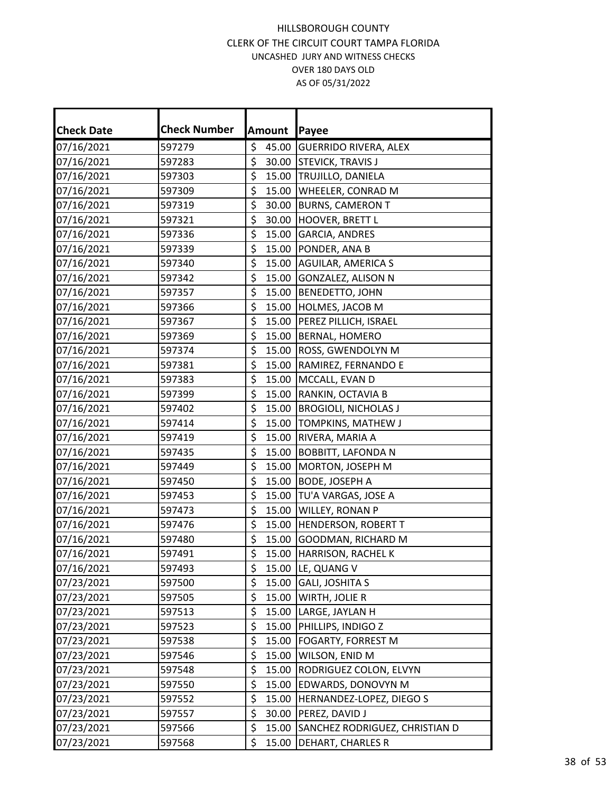| <b>Check Date</b> | <b>Check Number</b> |                        | Amount | Payee                          |
|-------------------|---------------------|------------------------|--------|--------------------------------|
| 07/16/2021        | 597279              | \$                     | 45.00  | <b>GUERRIDO RIVERA, ALEX</b>   |
| 07/16/2021        | 597283              | \$                     | 30.00  | STEVICK, TRAVIS J              |
| 07/16/2021        | 597303              | \$                     |        | 15.00 TRUJILLO, DANIELA        |
| 07/16/2021        | 597309              | \$                     | 15.00  | WHEELER, CONRAD M              |
| 07/16/2021        | 597319              | \$                     | 30.00  | <b>BURNS, CAMERON T</b>        |
| 07/16/2021        | 597321              | \$                     | 30.00  | HOOVER, BRETT L                |
| 07/16/2021        | 597336              | \$                     | 15.00  | <b>GARCIA, ANDRES</b>          |
| 07/16/2021        | 597339              | $\overline{\xi}$       | 15.00  | PONDER, ANA B                  |
| 07/16/2021        | 597340              | \$                     |        | 15.00 AGUILAR, AMERICA S       |
| 07/16/2021        | 597342              | \$                     | 15.00  | <b>GONZALEZ, ALISON N</b>      |
| 07/16/2021        | 597357              | \$                     | 15.00  | BENEDETTO, JOHN                |
| 07/16/2021        | 597366              | \$                     | 15.00  | HOLMES, JACOB M                |
| 07/16/2021        | 597367              | \$                     | 15.00  | PEREZ PILLICH, ISRAEL          |
| 07/16/2021        | 597369              | \$                     | 15.00  | <b>BERNAL, HOMERO</b>          |
| 07/16/2021        | 597374              | \$                     | 15.00  | ROSS, GWENDOLYN M              |
| 07/16/2021        | 597381              | \$                     | 15.00  | RAMIREZ, FERNANDO E            |
| 07/16/2021        | 597383              | \$                     | 15.00  | MCCALL, EVAN D                 |
| 07/16/2021        | 597399              | \$                     | 15.00  | RANKIN, OCTAVIA B              |
| 07/16/2021        | 597402              | \$                     | 15.00  | <b>BROGIOLI, NICHOLAS J</b>    |
| 07/16/2021        | 597414              | \$                     | 15.00  | TOMPKINS, MATHEW J             |
| 07/16/2021        | 597419              | \$                     | 15.00  | RIVERA, MARIA A                |
| 07/16/2021        | 597435              | \$                     | 15.00  | <b>BOBBITT, LAFONDA N</b>      |
| 07/16/2021        | 597449              | \$                     | 15.00  | MORTON, JOSEPH M               |
| 07/16/2021        | 597450              | \$                     | 15.00  | BODE, JOSEPH A                 |
| 07/16/2021        | 597453              | \$                     | 15.00  | TU'A VARGAS, JOSE A            |
| 07/16/2021        | 597473              | \$                     | 15.00  | WILLEY, RONAN P                |
| 07/16/2021        | 597476              | \$                     | 15.00  | HENDERSON, ROBERT T            |
| 07/16/2021        | 597480              | \$                     | 15.00  | GOODMAN, RICHARD M             |
| 07/16/2021        | 597491              | $\overline{\varsigma}$ |        | 15.00 HARRISON, RACHEL K       |
| 07/16/2021        | 597493              | \$                     | 15.00  | LE, QUANG V                    |
| 07/23/2021        | 597500              | \$                     | 15.00  | <b>GALI, JOSHITA S</b>         |
| 07/23/2021        | 597505              | \$                     | 15.00  | WIRTH, JOLIE R                 |
| 07/23/2021        | 597513              | \$                     | 15.00  | LARGE, JAYLAN H                |
| 07/23/2021        | 597523              | \$                     | 15.00  | PHILLIPS, INDIGO Z             |
| 07/23/2021        | 597538              | \$                     | 15.00  | <b>FOGARTY, FORREST M</b>      |
| 07/23/2021        | 597546              | \$                     | 15.00  | WILSON, ENID M                 |
| 07/23/2021        | 597548              | \$                     | 15.00  | RODRIGUEZ COLON, ELVYN         |
| 07/23/2021        | 597550              | \$                     | 15.00  | EDWARDS, DONOVYN M             |
| 07/23/2021        | 597552              | \$                     | 15.00  | HERNANDEZ-LOPEZ, DIEGO S       |
| 07/23/2021        | 597557              | \$                     | 30.00  | PEREZ, DAVID J                 |
| 07/23/2021        | 597566              | \$                     | 15.00  | SANCHEZ RODRIGUEZ, CHRISTIAN D |
| 07/23/2021        | 597568              | \$                     | 15.00  | DEHART, CHARLES R              |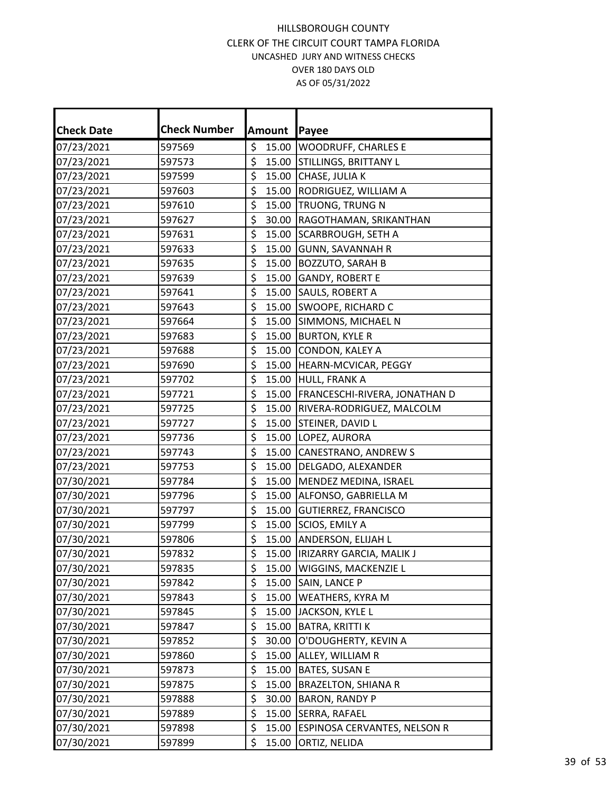| <b>Check Date</b> | <b>Check Number</b> | <b>Amount</b>             | Payee                           |
|-------------------|---------------------|---------------------------|---------------------------------|
| 07/23/2021        | 597569              | \$<br>15.00               | WOODRUFF, CHARLES E             |
| 07/23/2021        | 597573              | \$<br>15.00               | STILLINGS, BRITTANY L           |
| 07/23/2021        | 597599              | \$<br>15.00               | CHASE, JULIA K                  |
| 07/23/2021        | 597603              | \$<br>15.00               | RODRIGUEZ, WILLIAM A            |
| 07/23/2021        | 597610              | \$                        | 15.00 TRUONG, TRUNG N           |
| 07/23/2021        | 597627              | \$<br>30.00               | RAGOTHAMAN, SRIKANTHAN          |
| 07/23/2021        | 597631              | \$<br>15.00               | SCARBROUGH, SETH A              |
| 07/23/2021        | 597633              | $\overline{\xi}$<br>15.00 | <b>GUNN, SAVANNAH R</b>         |
| 07/23/2021        | 597635              | \$<br>15.00               | <b>BOZZUTO, SARAH B</b>         |
| 07/23/2021        | 597639              | \$<br>15.00               | <b>GANDY, ROBERT E</b>          |
| 07/23/2021        | 597641              | $\overline{\xi}$<br>15.00 | SAULS, ROBERT A                 |
| 07/23/2021        | 597643              | \$<br>15.00               | SWOOPE, RICHARD C               |
| 07/23/2021        | 597664              | $\overline{\xi}$<br>15.00 | SIMMONS, MICHAEL N              |
| 07/23/2021        | 597683              | \$<br>15.00               | <b>BURTON, KYLE R</b>           |
| 07/23/2021        | 597688              | \$<br>15.00               | CONDON, KALEY A                 |
| 07/23/2021        | 597690              | \$<br>15.00               | HEARN-MCVICAR, PEGGY            |
| 07/23/2021        | 597702              | \$<br>15.00               | HULL, FRANK A                   |
| 07/23/2021        | 597721              | $\overline{\xi}$<br>15.00 | FRANCESCHI-RIVERA, JONATHAN D   |
| 07/23/2021        | 597725              | \$<br>15.00               | RIVERA-RODRIGUEZ, MALCOLM       |
| 07/23/2021        | 597727              | \$<br>15.00               | STEINER, DAVID L                |
| 07/23/2021        | 597736              | \$<br>15.00               | LOPEZ, AURORA                   |
| 07/23/2021        | 597743              | \$<br>15.00               | CANESTRANO, ANDREW S            |
| 07/23/2021        | 597753              | \$<br>15.00               | DELGADO, ALEXANDER              |
| 07/30/2021        | 597784              | \$<br>15.00               | MENDEZ MEDINA, ISRAEL           |
| 07/30/2021        | 597796              | \$<br>15.00               | ALFONSO, GABRIELLA M            |
| 07/30/2021        | 597797              | \$<br>15.00               | GUTIERREZ, FRANCISCO            |
| 07/30/2021        | 597799              | \$<br>15.00               | SCIOS, EMILY A                  |
| 07/30/2021        | 597806              | \$<br>15.00               | ANDERSON, ELIJAH L              |
| 07/30/2021        | 597832              | $\overline{\xi}$<br>15.00 | <b>IRIZARRY GARCIA, MALIK J</b> |
| 07/30/2021        | 597835              | \$<br>15.00               | WIGGINS, MACKENZIE L            |
| 07/30/2021        | 597842              | \$<br>15.00               | SAIN, LANCE P                   |
| 07/30/2021        | 597843              | \$<br>15.00               | WEATHERS, KYRA M                |
| 07/30/2021        | 597845              | \$<br>15.00               | JACKSON, KYLE L                 |
| 07/30/2021        | 597847              | \$<br>15.00               | BATRA, KRITTI K                 |
| 07/30/2021        | 597852              | \$<br>30.00               | O'DOUGHERTY, KEVIN A            |
| 07/30/2021        | 597860              | \$<br>15.00               | ALLEY, WILLIAM R                |
| 07/30/2021        | 597873              | \$<br>15.00               | <b>BATES, SUSAN E</b>           |
| 07/30/2021        | 597875              | \$<br>15.00               | <b>BRAZELTON, SHIANA R</b>      |
| 07/30/2021        | 597888              | \$<br>30.00               | <b>BARON, RANDY P</b>           |
| 07/30/2021        | 597889              | \$<br>15.00               | SERRA, RAFAEL                   |
| 07/30/2021        | 597898              | \$<br>15.00               | ESPINOSA CERVANTES, NELSON R    |
| 07/30/2021        | 597899              | \$<br>15.00               | ORTIZ, NELIDA                   |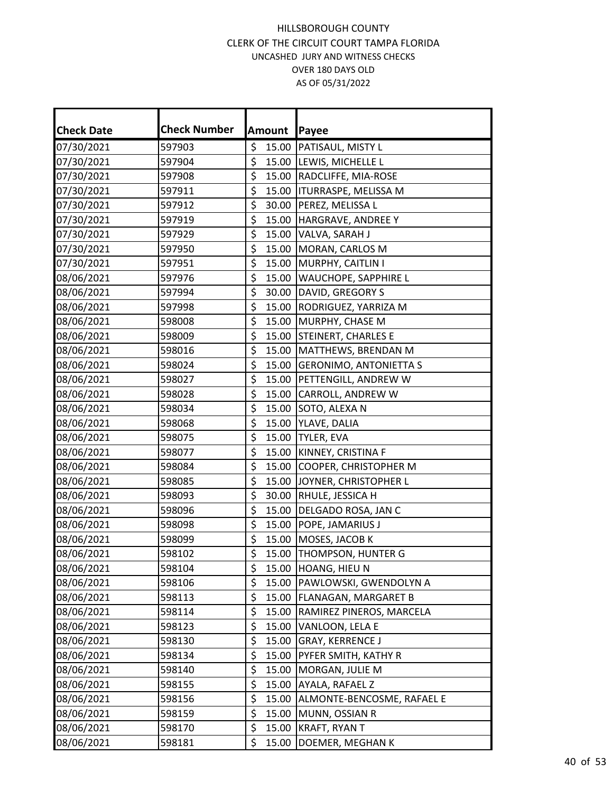| <b>Check Date</b> | <b>Check Number</b> |                                 | Amount | Payee                         |
|-------------------|---------------------|---------------------------------|--------|-------------------------------|
| 07/30/2021        | 597903              | \$                              | 15.00  | PATISAUL, MISTY L             |
| 07/30/2021        | 597904              | \$                              | 15.00  | LEWIS, MICHELLE L             |
| 07/30/2021        | 597908              | \$                              | 15.00  | RADCLIFFE, MIA-ROSE           |
| 07/30/2021        | 597911              | \$                              |        | 15.00   ITURRASPE, MELISSA M  |
| 07/30/2021        | 597912              | \$                              | 30.00  | PEREZ, MELISSA L              |
| 07/30/2021        | 597919              | \$                              | 15.00  | HARGRAVE, ANDREE Y            |
| 07/30/2021        | 597929              | \$                              | 15.00  | VALVA, SARAH J                |
| 07/30/2021        | 597950              | $\overline{\boldsymbol{\zeta}}$ | 15.00  | MORAN, CARLOS M               |
| 07/30/2021        | 597951              | \$                              | 15.00  | MURPHY, CAITLIN I             |
| 08/06/2021        | 597976              | \$                              | 15.00  | WAUCHOPE, SAPPHIRE L          |
| 08/06/2021        | 597994              | $\overline{\xi}$                | 30.00  | DAVID, GREGORY S              |
| 08/06/2021        | 597998              | \$                              | 15.00  | RODRIGUEZ, YARRIZA M          |
| 08/06/2021        | 598008              | \$                              | 15.00  | MURPHY, CHASE M               |
| 08/06/2021        | 598009              | \$                              | 15.00  | <b>STEINERT, CHARLES E</b>    |
| 08/06/2021        | 598016              | \$                              | 15.00  | MATTHEWS, BRENDAN M           |
| 08/06/2021        | 598024              | \$                              | 15.00  | <b>GERONIMO, ANTONIETTA S</b> |
| 08/06/2021        | 598027              | \$                              | 15.00  | PETTENGILL, ANDREW W          |
| 08/06/2021        | 598028              | \$                              | 15.00  | CARROLL, ANDREW W             |
| 08/06/2021        | 598034              | \$                              | 15.00  | SOTO, ALEXA N                 |
| 08/06/2021        | 598068              | \$                              | 15.00  | YLAVE, DALIA                  |
| 08/06/2021        | 598075              | \$                              | 15.00  | TYLER, EVA                    |
| 08/06/2021        | 598077              | \$                              | 15.00  | KINNEY, CRISTINA F            |
| 08/06/2021        | 598084              | \$                              | 15.00  | COOPER, CHRISTOPHER M         |
| 08/06/2021        | 598085              | \$                              | 15.00  | JOYNER, CHRISTOPHER L         |
| 08/06/2021        | 598093              | \$                              | 30.00  | RHULE, JESSICA H              |
| 08/06/2021        | 598096              | \$                              | 15.00  | DELGADO ROSA, JAN C           |
| 08/06/2021        | 598098              | \$                              | 15.00  | POPE, JAMARIUS J              |
| 08/06/2021        | 598099              | \$                              | 15.00  | MOSES, JACOB K                |
| 08/06/2021        | 598102              | $\overline{\xi}$                |        | 15.00 THOMPSON, HUNTER G      |
| 08/06/2021        | 598104              | \$                              | 15.00  | HOANG, HIEU N                 |
| 08/06/2021        | 598106              | \$                              | 15.00  | PAWLOWSKI, GWENDOLYN A        |
| 08/06/2021        | 598113              | \$                              | 15.00  | FLANAGAN, MARGARET B          |
| 08/06/2021        | 598114              | \$                              | 15.00  | RAMIREZ PINEROS, MARCELA      |
| 08/06/2021        | 598123              | \$                              | 15.00  | VANLOON, LELA E               |
| 08/06/2021        | 598130              | \$                              | 15.00  | <b>GRAY, KERRENCE J</b>       |
| 08/06/2021        | 598134              | \$                              | 15.00  | PYFER SMITH, KATHY R          |
| 08/06/2021        | 598140              | \$                              | 15.00  | MORGAN, JULIE M               |
| 08/06/2021        | 598155              | \$                              | 15.00  | AYALA, RAFAEL Z               |
| 08/06/2021        | 598156              | \$                              | 15.00  | ALMONTE-BENCOSME, RAFAEL E    |
| 08/06/2021        | 598159              | \$                              | 15.00  | MUNN, OSSIAN R                |
| 08/06/2021        | 598170              | \$                              | 15.00  | KRAFT, RYAN T                 |
| 08/06/2021        | 598181              | \$                              | 15.00  | DOEMER, MEGHAN K              |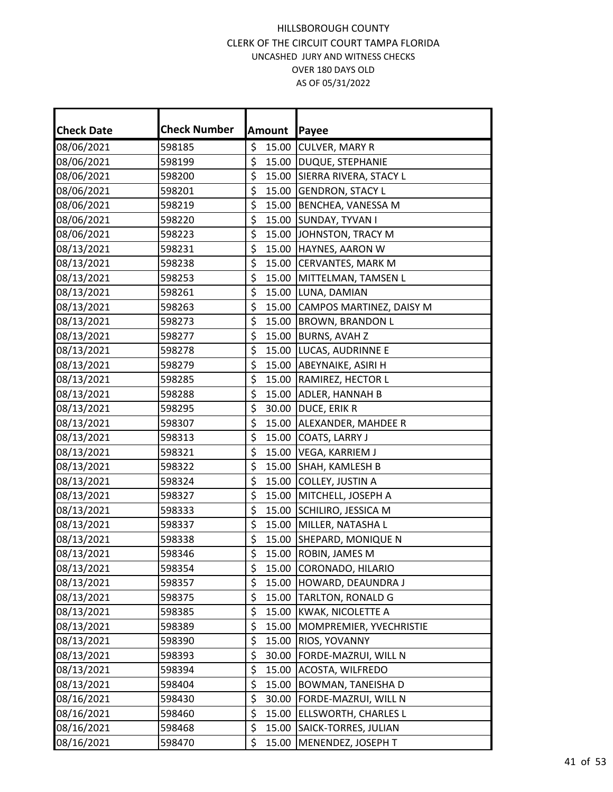| <b>Check Date</b> | <b>Check Number</b> |                        | Amount | Payee                    |
|-------------------|---------------------|------------------------|--------|--------------------------|
| 08/06/2021        | 598185              | \$                     | 15.00  | <b>CULVER, MARY R</b>    |
| 08/06/2021        | 598199              | \$                     | 15.00  | DUQUE, STEPHANIE         |
| 08/06/2021        | 598200              | \$                     | 15.00  | SIERRA RIVERA, STACY L   |
| 08/06/2021        | 598201              | \$                     | 15.00  | <b>GENDRON, STACY L</b>  |
| 08/06/2021        | 598219              | \$                     | 15.00  | BENCHEA, VANESSA M       |
| 08/06/2021        | 598220              | \$                     | 15.00  | SUNDAY, TYVAN I          |
| 08/06/2021        | 598223              | \$                     | 15.00  | JOHNSTON, TRACY M        |
| 08/13/2021        | 598231              | $\overline{\xi}$       | 15.00  | HAYNES, AARON W          |
| 08/13/2021        | 598238              | \$                     | 15.00  | CERVANTES, MARK M        |
| 08/13/2021        | 598253              | \$                     | 15.00  | MITTELMAN, TAMSEN L      |
| 08/13/2021        | 598261              | \$                     | 15.00  | LUNA, DAMIAN             |
| 08/13/2021        | 598263              | \$                     | 15.00  | CAMPOS MARTINEZ, DAISY M |
| 08/13/2021        | 598273              | \$                     | 15.00  | <b>BROWN, BRANDON L</b>  |
| 08/13/2021        | 598277              | \$                     | 15.00  | <b>BURNS, AVAH Z</b>     |
| 08/13/2021        | 598278              | \$                     | 15.00  | LUCAS, AUDRINNE E        |
| 08/13/2021        | 598279              | \$                     |        | 15.00 ABEYNAIKE, ASIRI H |
| 08/13/2021        | 598285              | \$                     | 15.00  | RAMIREZ, HECTOR L        |
| 08/13/2021        | 598288              | \$                     | 15.00  | ADLER, HANNAH B          |
| 08/13/2021        | 598295              | \$                     | 30.00  | DUCE, ERIK R             |
| 08/13/2021        | 598307              | \$                     | 15.00  | ALEXANDER, MAHDEE R      |
| 08/13/2021        | 598313              | \$                     | 15.00  | COATS, LARRY J           |
| 08/13/2021        | 598321              | \$                     | 15.00  | VEGA, KARRIEM J          |
| 08/13/2021        | 598322              | \$                     | 15.00  | SHAH, KAMLESH B          |
| 08/13/2021        | 598324              | \$                     | 15.00  | COLLEY, JUSTIN A         |
| 08/13/2021        | 598327              | \$                     | 15.00  | MITCHELL, JOSEPH A       |
| 08/13/2021        | 598333              | \$                     | 15.00  | SCHILIRO, JESSICA M      |
| 08/13/2021        | 598337              | \$                     | 15.00  | MILLER, NATASHA L        |
| 08/13/2021        | 598338              | \$                     | 15.00  | SHEPARD, MONIQUE N       |
| 08/13/2021        | 598346              | $\overline{\varsigma}$ | 15.00  | ROBIN, JAMES M           |
| 08/13/2021        | 598354              | \$                     | 15.00  | CORONADO, HILARIO        |
| 08/13/2021        | 598357              | \$                     | 15.00  | HOWARD, DEAUNDRA J       |
| 08/13/2021        | 598375              | \$                     | 15.00  | TARLTON, RONALD G        |
| 08/13/2021        | 598385              | \$                     | 15.00  | KWAK, NICOLETTE A        |
| 08/13/2021        | 598389              | \$                     | 15.00  | MOMPREMIER, YVECHRISTIE  |
| 08/13/2021        | 598390              | \$                     | 15.00  | RIOS, YOVANNY            |
| 08/13/2021        | 598393              | \$                     | 30.00  | FORDE-MAZRUI, WILL N     |
| 08/13/2021        | 598394              | \$                     | 15.00  | ACOSTA, WILFREDO         |
| 08/13/2021        | 598404              | \$                     | 15.00  | BOWMAN, TANEISHA D       |
| 08/16/2021        | 598430              | \$                     | 30.00  | FORDE-MAZRUI, WILL N     |
| 08/16/2021        | 598460              | \$                     | 15.00  | ELLSWORTH, CHARLES L     |
| 08/16/2021        | 598468              | \$                     | 15.00  | SAICK-TORRES, JULIAN     |
| 08/16/2021        | 598470              | \$                     | 15.00  | MENENDEZ, JOSEPH T       |
|                   |                     |                        |        |                          |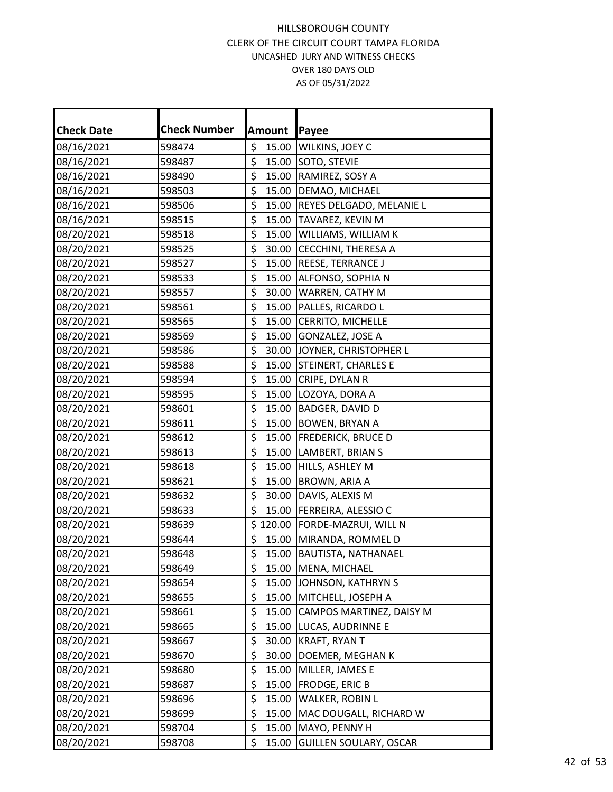| <b>Check Date</b> | <b>Check Number</b> | Amount      | Payee                          |
|-------------------|---------------------|-------------|--------------------------------|
| 08/16/2021        | 598474              | \$<br>15.00 | WILKINS, JOEY C                |
| 08/16/2021        | 598487              | \$<br>15.00 | SOTO, STEVIE                   |
| 08/16/2021        | 598490              | \$<br>15.00 | RAMIREZ, SOSY A                |
| 08/16/2021        | 598503              | \$          | 15.00   DEMAO, MICHAEL         |
| 08/16/2021        | 598506              | \$          | 15.00 REYES DELGADO, MELANIE L |
| 08/16/2021        | 598515              | \$          | 15.00 TAVAREZ, KEVIN M         |
| 08/20/2021        | 598518              | \$<br>15.00 | WILLIAMS, WILLIAM K            |
| 08/20/2021        | 598525              | \$<br>30.00 | <b>CECCHINI, THERESA A</b>     |
| 08/20/2021        | 598527              | \$          | 15.00  REESE, TERRANCE J       |
| 08/20/2021        | 598533              | \$          | 15.00 ALFONSO, SOPHIA N        |
| 08/20/2021        | 598557              | \$          | 30.00 WARREN, CATHY M          |
| 08/20/2021        | 598561              | \$          | 15.00 PALLES, RICARDO L        |
| 08/20/2021        | 598565              | \$<br>15.00 | CERRITO, MICHELLE              |
| 08/20/2021        | 598569              | \$          | 15.00 GONZALEZ, JOSE A         |
| 08/20/2021        | 598586              | \$          | 30.00 JOYNER, CHRISTOPHER L    |
| 08/20/2021        | 598588              | \$          | 15.00 STEINERT, CHARLES E      |
| 08/20/2021        | 598594              | \$          | 15.00 CRIPE, DYLAN R           |
| 08/20/2021        | 598595              | \$          | 15.00 LOZOYA, DORA A           |
| 08/20/2021        | 598601              | \$          | 15.00 BADGER, DAVID D          |
| 08/20/2021        | 598611              | \$<br>15.00 | <b>BOWEN, BRYAN A</b>          |
| 08/20/2021        | 598612              | \$          | 15.00 FREDERICK, BRUCE D       |
| 08/20/2021        | 598613              | \$<br>15.00 | LAMBERT, BRIAN S               |
| 08/20/2021        | 598618              | \$          | 15.00 HILLS, ASHLEY M          |
| 08/20/2021        | 598621              | \$          | 15.00 BROWN, ARIA A            |
| 08/20/2021        | 598632              | \$<br>30.00 | DAVIS, ALEXIS M                |
| 08/20/2021        | 598633              | \$          | 15.00   FERREIRA, ALESSIO C    |
| 08/20/2021        | 598639              |             | \$120.00 FORDE-MAZRUI, WILL N  |
| 08/20/2021        | 598644              | \$          | 15.00 MIRANDA, ROMMEL D        |
| 08/20/2021        | 598648              | \$          | 15.00 BAUTISTA, NATHANAEL      |
| 08/20/2021        | 598649              | \$          | 15.00 MENA, MICHAEL            |
| 08/20/2021        | 598654              | \$          | 15.00 JOHNSON, KATHRYN S       |
| 08/20/2021        | 598655              | \$          | 15.00 MITCHELL, JOSEPH A       |
| 08/20/2021        | 598661              | \$<br>15.00 | CAMPOS MARTINEZ, DAISY M       |
| 08/20/2021        | 598665              | \$<br>15.00 | LUCAS, AUDRINNE E              |
| 08/20/2021        | 598667              | \$<br>30.00 | KRAFT, RYAN T                  |
| 08/20/2021        | 598670              | \$<br>30.00 | DOEMER, MEGHAN K               |
| 08/20/2021        | 598680              | \$<br>15.00 | MILLER, JAMES E                |
| 08/20/2021        | 598687              | \$<br>15.00 | <b>FRODGE, ERIC B</b>          |
| 08/20/2021        | 598696              | \$<br>15.00 | <b>WALKER, ROBIN L</b>         |
| 08/20/2021        | 598699              | \$<br>15.00 | MAC DOUGALL, RICHARD W         |
| 08/20/2021        | 598704              | \$<br>15.00 | MAYO, PENNY H                  |
| 08/20/2021        | 598708              | \$<br>15.00 | <b>GUILLEN SOULARY, OSCAR</b>  |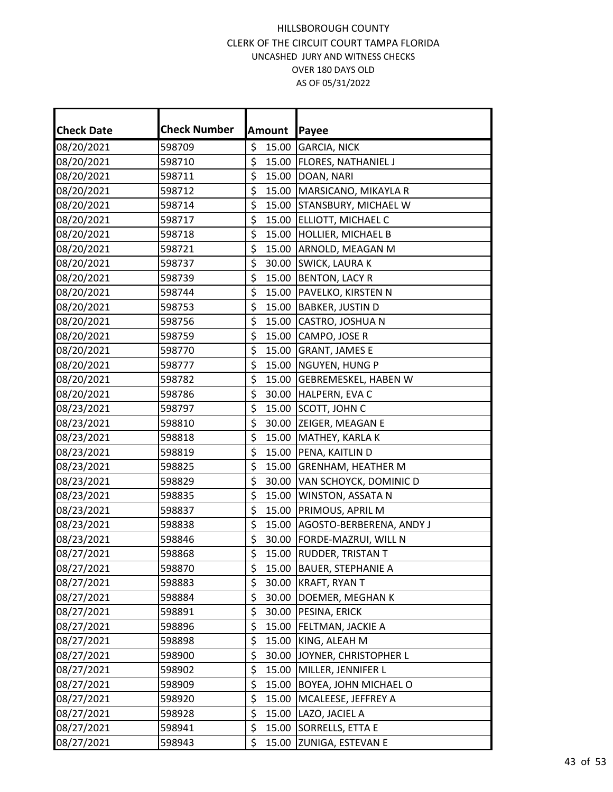| <b>Check Date</b> | <b>Check Number</b> |                  | Amount | Payee                        |
|-------------------|---------------------|------------------|--------|------------------------------|
| 08/20/2021        | 598709              | \$               | 15.00  | <b>GARCIA, NICK</b>          |
| 08/20/2021        | 598710              | \$               |        | 15.00   FLORES, NATHANIEL J  |
| 08/20/2021        | 598711              | \$               | 15.00  | DOAN, NARI                   |
| 08/20/2021        | 598712              | \$               |        | 15.00 MARSICANO, MIKAYLA R   |
| 08/20/2021        | 598714              | \$               |        | 15.00 STANSBURY, MICHAEL W   |
| 08/20/2021        | 598717              | \$               |        | 15.00 ELLIOTT, MICHAEL C     |
| 08/20/2021        | 598718              | \$               | 15.00  | <b>HOLLIER, MICHAEL B</b>    |
| 08/20/2021        | 598721              | \$               |        | 15.00 ARNOLD, MEAGAN M       |
| 08/20/2021        | 598737              | \$               |        | 30.00 SWICK, LAURA K         |
| 08/20/2021        | 598739              | \$               |        | 15.00 BENTON, LACY R         |
| 08/20/2021        | 598744              | \$               |        | 15.00   PAVELKO, KIRSTEN N   |
| 08/20/2021        | 598753              | \$               | 15.00  | <b>BABKER, JUSTIN D</b>      |
| 08/20/2021        | 598756              | \$               | 15.00  | CASTRO, JOSHUA N             |
| 08/20/2021        | 598759              | \$               |        | 15.00 CAMPO, JOSE R          |
| 08/20/2021        | 598770              | \$               | 15.00  | <b>GRANT, JAMES E</b>        |
| 08/20/2021        | 598777              | \$               | 15.00  | NGUYEN, HUNG P               |
| 08/20/2021        | 598782              | \$               | 15.00  | <b>GEBREMESKEL, HABEN W</b>  |
| 08/20/2021        | 598786              | \$               |        | 30.00 HALPERN, EVA C         |
| 08/23/2021        | 598797              | \$               |        | 15.00 SCOTT, JOHN C          |
| 08/23/2021        | 598810              | \$               | 30.00  | <b>ZEIGER, MEAGAN E</b>      |
| 08/23/2021        | 598818              | \$               | 15.00  | MATHEY, KARLA K              |
| 08/23/2021        | 598819              | \$               | 15.00  | PENA, KAITLIN D              |
| 08/23/2021        | 598825              | \$               | 15.00  | <b>GRENHAM, HEATHER M</b>    |
| 08/23/2021        | 598829              | \$               |        | 30.00 VAN SCHOYCK, DOMINIC D |
| 08/23/2021        | 598835              | \$               | 15.00  | WINSTON, ASSATA N            |
| 08/23/2021        | 598837              | \$               | 15.00  | PRIMOUS, APRIL M             |
| 08/23/2021        | 598838              | \$               | 15.00  | AGOSTO-BERBERENA, ANDY J     |
| 08/23/2021        | 598846              | \$               | 30.00  | <b>FORDE-MAZRUI, WILL N</b>  |
| 08/27/2021        | 598868              | $\overline{\xi}$ |        | 15.00 RUDDER, TRISTAN T      |
| 08/27/2021        | 598870              | \$               |        | 15.00 BAUER, STEPHANIE A     |
| 08/27/2021        | 598883              | \$               |        | 30.00 KRAFT, RYAN T          |
| 08/27/2021        | 598884              | \$               | 30.00  | DOEMER, MEGHAN K             |
| 08/27/2021        | 598891              | \$               | 30.00  | PESINA, ERICK                |
| 08/27/2021        | 598896              | \$               | 15.00  | <b>FELTMAN, JACKIE A</b>     |
| 08/27/2021        | 598898              | \$               |        | 15.00 KING, ALEAH M          |
| 08/27/2021        | 598900              | \$               |        | 30.00 JJOYNER, CHRISTOPHER L |
| 08/27/2021        | 598902              | \$               |        | 15.00 MILLER, JENNIFER L     |
| 08/27/2021        | 598909              | \$               | 15.00  | BOYEA, JOHN MICHAEL O        |
| 08/27/2021        | 598920              | \$               | 15.00  | MCALEESE, JEFFREY A          |
| 08/27/2021        | 598928              | \$               | 15.00  | LAZO, JACIEL A               |
| 08/27/2021        | 598941              | \$               | 15.00  | SORRELLS, ETTA E             |
| 08/27/2021        | 598943              | \$               | 15.00  | <b>ZUNIGA, ESTEVAN E</b>     |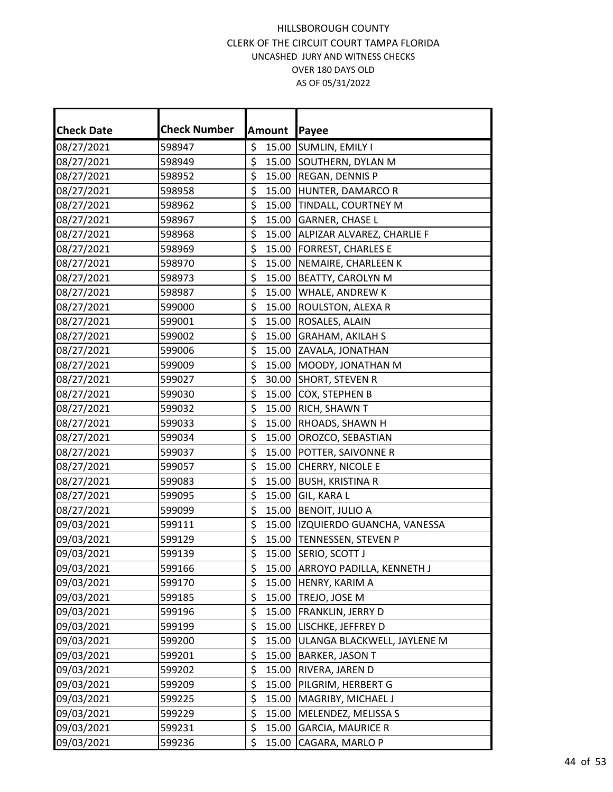| <b>Check Date</b> | <b>Check Number</b> |                  | Amount | Payee                           |
|-------------------|---------------------|------------------|--------|---------------------------------|
| 08/27/2021        | 598947              | \$               |        | 15.00 SUMLIN, EMILY I           |
| 08/27/2021        | 598949              | \$               |        | 15.00 SOUTHERN, DYLAN M         |
| 08/27/2021        | 598952              | \$               |        | 15.00 REGAN, DENNIS P           |
| 08/27/2021        | 598958              | \$               |        | 15.00 HUNTER, DAMARCO R         |
| 08/27/2021        | 598962              | \$               |        | 15.00 TINDALL, COURTNEY M       |
| 08/27/2021        | 598967              | \$               | 15.00  | <b>GARNER, CHASE L</b>          |
| 08/27/2021        | 598968              | \$               | 15.00  | ALPIZAR ALVAREZ, CHARLIE F      |
| 08/27/2021        | 598969              | \$               | 15.00  | <b>FORREST, CHARLES E</b>       |
| 08/27/2021        | 598970              | \$               |        | 15.00 NEMAIRE, CHARLEEN K       |
| 08/27/2021        | 598973              | \$               |        | 15.00 BEATTY, CAROLYN M         |
| 08/27/2021        | 598987              | \$               | 15.00  | WHALE, ANDREW K                 |
| 08/27/2021        | 599000              | \$               | 15.00  | <b>ROULSTON, ALEXA R</b>        |
| 08/27/2021        | 599001              | \$               | 15.00  | ROSALES, ALAIN                  |
| 08/27/2021        | 599002              | \$               | 15.00  | <b>GRAHAM, AKILAH S</b>         |
| 08/27/2021        | 599006              | \$               |        | 15.00 ZAVALA, JONATHAN          |
| 08/27/2021        | 599009              | \$               |        | 15.00 MOODY, JONATHAN M         |
| 08/27/2021        | 599027              | \$               |        | 30.00 SHORT, STEVEN R           |
| 08/27/2021        | 599030              | \$               | 15.00  | COX, STEPHEN B                  |
| 08/27/2021        | 599032              | \$               | 15.00  | <b>RICH, SHAWN T</b>            |
| 08/27/2021        | 599033              | \$               | 15.00  | RHOADS, SHAWN H                 |
| 08/27/2021        | 599034              | \$               | 15.00  | OROZCO, SEBASTIAN               |
| 08/27/2021        | 599037              | \$               | 15.00  | <b>POTTER, SAIVONNE R</b>       |
| 08/27/2021        | 599057              | \$               | 15.00  | <b>CHERRY, NICOLE E</b>         |
| 08/27/2021        | 599083              | \$               | 15.00  | <b>BUSH, KRISTINA R</b>         |
| 08/27/2021        | 599095              | \$               | 15.00  | GIL, KARA L                     |
| 08/27/2021        | 599099              | \$               | 15.00  | <b>BENOIT, JULIO A</b>          |
| 09/03/2021        | 599111              | \$               | 15.00  | IZQUIERDO GUANCHA, VANESSA      |
| 09/03/2021        | 599129              | \$               | 15.00  | <b>TENNESSEN, STEVEN P</b>      |
| 09/03/2021        | 599139              | $\overline{\xi}$ |        | 15.00 SERIO, SCOTT J            |
| 09/03/2021        | 599166              | \$               |        | 15.00 ARROYO PADILLA, KENNETH J |
| 09/03/2021        | 599170              | \$               |        | 15.00 HENRY, KARIM A            |
| 09/03/2021        | 599185              | \$               | 15.00  | TREJO, JOSE M                   |
| 09/03/2021        | 599196              | \$               | 15.00  | <b>FRANKLIN, JERRY D</b>        |
| 09/03/2021        | 599199              | \$               | 15.00  | LISCHKE, JEFFREY D              |
| 09/03/2021        | 599200              | \$               | 15.00  | ULANGA BLACKWELL, JAYLENE M     |
| 09/03/2021        | 599201              | \$               | 15.00  | <b>BARKER, JASON T</b>          |
| 09/03/2021        | 599202              | \$               | 15.00  | RIVERA, JAREN D                 |
| 09/03/2021        | 599209              | \$               | 15.00  | PILGRIM, HERBERT G              |
| 09/03/2021        | 599225              | \$               | 15.00  | MAGRIBY, MICHAEL J              |
| 09/03/2021        | 599229              | \$               | 15.00  | MELENDEZ, MELISSA S             |
| 09/03/2021        | 599231              | \$               | 15.00  | <b>GARCIA, MAURICE R</b>        |
| 09/03/2021        | 599236              | \$               | 15.00  | CAGARA, MARLO P                 |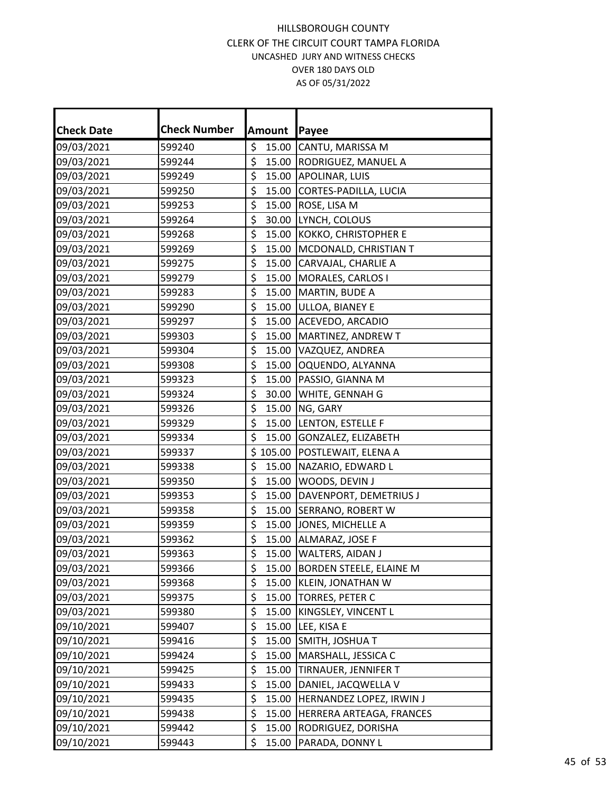| <b>Check Date</b> | <b>Check Number</b> | Amount                    | Payee                    |
|-------------------|---------------------|---------------------------|--------------------------|
| 09/03/2021        | 599240              | \$<br>15.00               | CANTU, MARISSA M         |
| 09/03/2021        | 599244              | \$<br>15.00               | RODRIGUEZ, MANUEL A      |
| 09/03/2021        | 599249              | \$<br>15.00               | APOLINAR, LUIS           |
| 09/03/2021        | 599250              | \$<br>15.00               | CORTES-PADILLA, LUCIA    |
| 09/03/2021        | 599253              | \$<br>15.00               | ROSE, LISA M             |
| 09/03/2021        | 599264              | \$<br>30.00               | LYNCH, COLOUS            |
| 09/03/2021        | 599268              | \$<br>15.00               | KOKKO, CHRISTOPHER E     |
| 09/03/2021        | 599269              | $\overline{\xi}$<br>15.00 | MCDONALD, CHRISTIAN T    |
| 09/03/2021        | 599275              | \$<br>15.00               | CARVAJAL, CHARLIE A      |
| 09/03/2021        | 599279              | \$                        | 15.00 MORALES, CARLOS I  |
| 09/03/2021        | 599283              | $\overline{\xi}$<br>15.00 | MARTIN, BUDE A           |
| 09/03/2021        | 599290              | \$<br>15.00               | ULLOA, BIANEY E          |
| 09/03/2021        | 599297              | \$<br>15.00               | ACEVEDO, ARCADIO         |
| 09/03/2021        | 599303              | \$<br>15.00               | MARTINEZ, ANDREW T       |
| 09/03/2021        | 599304              | \$<br>15.00               | VAZQUEZ, ANDREA          |
| 09/03/2021        | 599308              | \$<br>15.00               | OQUENDO, ALYANNA         |
| 09/03/2021        | 599323              | \$<br>15.00               | PASSIO, GIANNA M         |
| 09/03/2021        | 599324              | $\overline{\xi}$<br>30.00 | WHITE, GENNAH G          |
| 09/03/2021        | 599326              | \$<br>15.00               | NG, GARY                 |
| 09/03/2021        | 599329              | \$<br>15.00               | LENTON, ESTELLE F        |
| 09/03/2021        | 599334              | \$<br>15.00               | GONZALEZ, ELIZABETH      |
| 09/03/2021        | 599337              | \$105.00                  | POSTLEWAIT, ELENA A      |
| 09/03/2021        | 599338              | \$<br>15.00               | NAZARIO, EDWARD L        |
| 09/03/2021        | 599350              | \$<br>15.00               | WOODS, DEVIN J           |
| 09/03/2021        | 599353              | \$<br>15.00               | DAVENPORT, DEMETRIUS J   |
| 09/03/2021        | 599358              | \$<br>15.00               | SERRANO, ROBERT W        |
| 09/03/2021        | 599359              | \$<br>15.00               | JONES, MICHELLE A        |
| 09/03/2021        | 599362              | \$                        | 15.00 ALMARAZ, JOSE F    |
| 09/03/2021        | 599363              | $\overline{\xi}$<br>15.00 | WALTERS, AIDAN J         |
| 09/03/2021        | 599366              | \$<br>15.00               | BORDEN STEELE, ELAINE M  |
| 09/03/2021        | 599368              | \$<br>15.00               | KLEIN, JONATHAN W        |
| 09/03/2021        | 599375              | \$<br>15.00               | TORRES, PETER C          |
| 09/03/2021        | 599380              | \$<br>15.00               | KINGSLEY, VINCENT L      |
| 09/10/2021        | 599407              | \$<br>15.00               | LEE, KISA E              |
| 09/10/2021        | 599416              | \$<br>15.00               | SMITH, JOSHUA T          |
| 09/10/2021        | 599424              | \$<br>15.00               | MARSHALL, JESSICA C      |
| 09/10/2021        | 599425              | \$<br>15.00               | TIRNAUER, JENNIFER T     |
| 09/10/2021        | 599433              | \$<br>15.00               | DANIEL, JACQWELLA V      |
| 09/10/2021        | 599435              | \$<br>15.00               | HERNANDEZ LOPEZ, IRWIN J |
| 09/10/2021        | 599438              | \$<br>15.00               | HERRERA ARTEAGA, FRANCES |
| 09/10/2021        | 599442              | \$<br>15.00               | RODRIGUEZ, DORISHA       |
| 09/10/2021        | 599443              | \$<br>15.00               | PARADA, DONNY L          |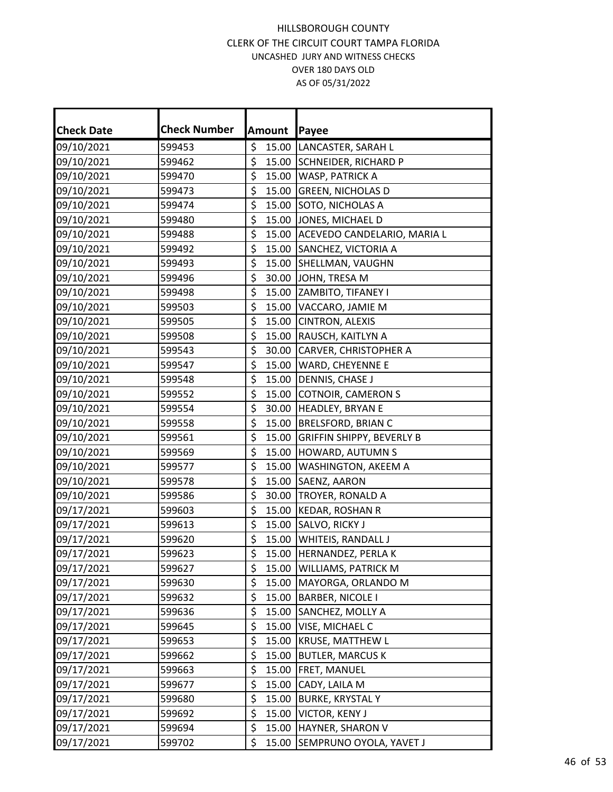| <b>Check Date</b> | <b>Check Number</b> |                  | Amount | Payee                            |
|-------------------|---------------------|------------------|--------|----------------------------------|
| 09/10/2021        | 599453              | \$               | 15.00  | LANCASTER, SARAH L               |
| 09/10/2021        | 599462              | \$               | 15.00  | <b>SCHNEIDER, RICHARD P</b>      |
| 09/10/2021        | 599470              | \$               | 15.00  | WASP, PATRICK A                  |
| 09/10/2021        | 599473              | \$               | 15.00  | <b>GREEN, NICHOLAS D</b>         |
| 09/10/2021        | 599474              | \$               | 15.00  | SOTO, NICHOLAS A                 |
| 09/10/2021        | 599480              | \$               | 15.00  | JONES, MICHAEL D                 |
| 09/10/2021        | 599488              | \$               | 15.00  | ACEVEDO CANDELARIO, MARIA L      |
| 09/10/2021        | 599492              | $\overline{\xi}$ | 15.00  | SANCHEZ, VICTORIA A              |
| 09/10/2021        | 599493              | \$               |        | 15.00 SHELLMAN, VAUGHN           |
| 09/10/2021        | 599496              | \$               |        | 30.00 JOHN, TRESA M              |
| 09/10/2021        | 599498              | \$               |        | 15.00 ZAMBITO, TIFANEY I         |
| 09/10/2021        | 599503              | \$               | 15.00  | VACCARO, JAMIE M                 |
| 09/10/2021        | 599505              | \$               | 15.00  | <b>CINTRON, ALEXIS</b>           |
| 09/10/2021        | 599508              | \$               | 15.00  | RAUSCH, KAITLYN A                |
| 09/10/2021        | 599543              | \$               | 30.00  | CARVER, CHRISTOPHER A            |
| 09/10/2021        | 599547              | \$               | 15.00  | WARD, CHEYENNE E                 |
| 09/10/2021        | 599548              | \$               | 15.00  | DENNIS, CHASE J                  |
| 09/10/2021        | 599552              | \$               | 15.00  | <b>COTNOIR, CAMERON S</b>        |
| 09/10/2021        | 599554              | \$               | 30.00  | HEADLEY, BRYAN E                 |
| 09/10/2021        | 599558              | \$               | 15.00  | <b>BRELSFORD, BRIAN C</b>        |
| 09/10/2021        | 599561              | \$               | 15.00  | <b>GRIFFIN SHIPPY, BEVERLY B</b> |
| 09/10/2021        | 599569              | \$               | 15.00  | HOWARD, AUTUMN S                 |
| 09/10/2021        | 599577              | \$               | 15.00  | WASHINGTON, AKEEM A              |
| 09/10/2021        | 599578              | \$               | 15.00  | SAENZ, AARON                     |
| 09/10/2021        | 599586              | \$               | 30.00  | TROYER, RONALD A                 |
| 09/17/2021        | 599603              | \$               | 15.00  | KEDAR, ROSHAN R                  |
| 09/17/2021        | 599613              | \$               | 15.00  | SALVO, RICKY J                   |
| 09/17/2021        | 599620              | \$               | 15.00  | <b>WHITEIS, RANDALL J</b>        |
| 09/17/2021        | 599623              | $\overline{\xi}$ |        | 15.00 HERNANDEZ, PERLA K         |
| 09/17/2021        | 599627              | \$               | 15.00  | WILLIAMS, PATRICK M              |
| 09/17/2021        | 599630              | \$               | 15.00  | MAYORGA, ORLANDO M               |
| 09/17/2021        | 599632              | \$               | 15.00  | <b>BARBER, NICOLE I</b>          |
| 09/17/2021        | 599636              | \$               | 15.00  | SANCHEZ, MOLLY A                 |
| 09/17/2021        | 599645              | \$               | 15.00  | VISE, MICHAEL C                  |
| 09/17/2021        | 599653              | \$               | 15.00  | KRUSE, MATTHEW L                 |
| 09/17/2021        | 599662              | \$               | 15.00  | <b>BUTLER, MARCUS K</b>          |
| 09/17/2021        | 599663              | \$               | 15.00  | FRET, MANUEL                     |
| 09/17/2021        | 599677              | \$               | 15.00  | CADY, LAILA M                    |
| 09/17/2021        | 599680              | \$               | 15.00  | <b>BURKE, KRYSTAL Y</b>          |
| 09/17/2021        | 599692              | \$               | 15.00  | VICTOR, KENY J                   |
| 09/17/2021        | 599694              | \$               | 15.00  | HAYNER, SHARON V                 |
| 09/17/2021        | 599702              | \$               | 15.00  | SEMPRUNO OYOLA, YAVET J          |
|                   |                     |                  |        |                                  |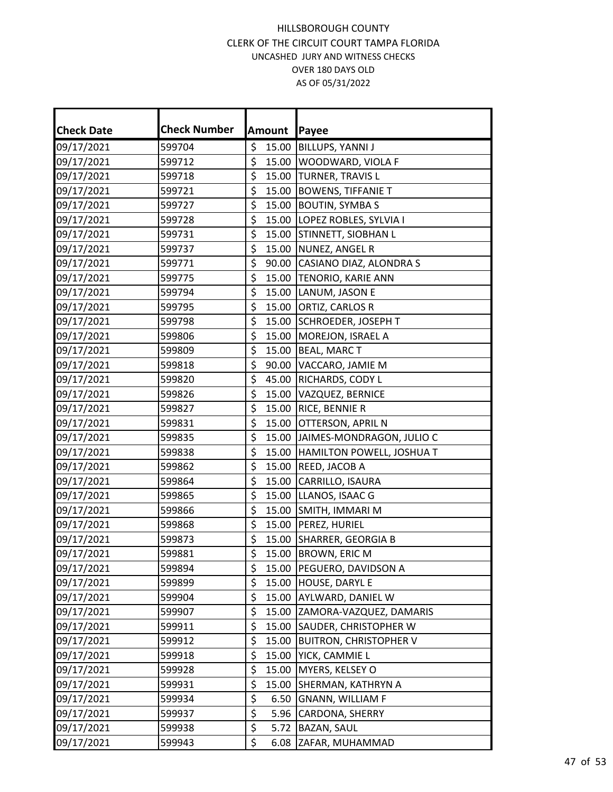| <b>Check Date</b> | <b>Check Number</b> |                        | Amount | Payee                         |
|-------------------|---------------------|------------------------|--------|-------------------------------|
| 09/17/2021        | 599704              | \$                     | 15.00  | BILLUPS, YANNI J              |
| 09/17/2021        | 599712              | \$                     | 15.00  | WOODWARD, VIOLA F             |
| 09/17/2021        | 599718              | \$                     | 15.00  | TURNER, TRAVIS L              |
| 09/17/2021        | 599721              | \$                     | 15.00  | <b>BOWENS, TIFFANIE T</b>     |
| 09/17/2021        | 599727              | \$                     | 15.00  | <b>BOUTIN, SYMBAS</b>         |
| 09/17/2021        | 599728              | \$                     |        | 15.00 LOPEZ ROBLES, SYLVIA I  |
| 09/17/2021        | 599731              | \$                     | 15.00  | STINNETT, SIOBHAN L           |
| 09/17/2021        | 599737              | $\overline{\xi}$       | 15.00  | NUNEZ, ANGEL R                |
| 09/17/2021        | 599771              | \$                     | 90.00  | CASIANO DIAZ, ALONDRA S       |
| 09/17/2021        | 599775              | \$                     |        | 15.00 TENORIO, KARIE ANN      |
| 09/17/2021        | 599794              | $\overline{\xi}$       |        | 15.00 LANUM, JASON E          |
| 09/17/2021        | 599795              | \$                     | 15.00  | ORTIZ, CARLOS R               |
| 09/17/2021        | 599798              | \$                     | 15.00  | SCHROEDER, JOSEPH T           |
| 09/17/2021        | 599806              | \$                     | 15.00  | MOREJON, ISRAEL A             |
| 09/17/2021        | 599809              | \$                     | 15.00  | <b>BEAL, MARC T</b>           |
| 09/17/2021        | 599818              | \$                     | 90.00  | VACCARO, JAMIE M              |
| 09/17/2021        | 599820              | \$                     | 45.00  | RICHARDS, CODY L              |
| 09/17/2021        | 599826              | $\overline{\xi}$       | 15.00  | VAZQUEZ, BERNICE              |
| 09/17/2021        | 599827              | \$                     | 15.00  | RICE, BENNIE R                |
| 09/17/2021        | 599831              | \$                     | 15.00  | OTTERSON, APRIL N             |
| 09/17/2021        | 599835              | \$                     | 15.00  | JAIMES-MONDRAGON, JULIO C     |
| 09/17/2021        | 599838              | \$                     | 15.00  | HAMILTON POWELL, JOSHUA T     |
| 09/17/2021        | 599862              | \$                     | 15.00  | REED, JACOB A                 |
| 09/17/2021        | 599864              | \$                     | 15.00  | CARRILLO, ISAURA              |
| 09/17/2021        | 599865              | \$                     | 15.00  | LLANOS, ISAAC G               |
| 09/17/2021        | 599866              | \$                     | 15.00  | SMITH, IMMARI M               |
| 09/17/2021        | 599868              | \$                     | 15.00  | PEREZ, HURIEL                 |
| 09/17/2021        | 599873              | \$                     | 15.00  | SHARRER, GEORGIA B            |
| 09/17/2021        | 599881              | $\overline{\xi}$       | 15.00  | <b>BROWN, ERIC M</b>          |
| 09/17/2021        | 599894              | \$                     | 15.00  | PEGUERO, DAVIDSON A           |
| 09/17/2021        | 599899              | \$                     | 15.00  | HOUSE, DARYL E                |
| 09/17/2021        | 599904              | \$                     | 15.00  | AYLWARD, DANIEL W             |
| 09/17/2021        | 599907              | \$                     | 15.00  | ZAMORA-VAZQUEZ, DAMARIS       |
| 09/17/2021        | 599911              | \$                     | 15.00  | SAUDER, CHRISTOPHER W         |
| 09/17/2021        | 599912              | \$                     | 15.00  | <b>BUITRON, CHRISTOPHER V</b> |
| 09/17/2021        | 599918              | \$                     | 15.00  | YICK, CAMMIE L                |
| 09/17/2021        | 599928              | \$                     | 15.00  | MYERS, KELSEY O               |
| 09/17/2021        | 599931              | \$                     | 15.00  | SHERMAN, KATHRYN A            |
| 09/17/2021        | 599934              | \$                     | 6.50   | <b>GNANN, WILLIAM F</b>       |
| 09/17/2021        | 599937              | $\overline{\varsigma}$ | 5.96   | CARDONA, SHERRY               |
| 09/17/2021        | 599938              | $\overline{\xi}$       | 5.72   | BAZAN, SAUL                   |
| 09/17/2021        | 599943              | $\overline{\xi}$       | 6.08   | ZAFAR, MUHAMMAD               |
|                   |                     |                        |        |                               |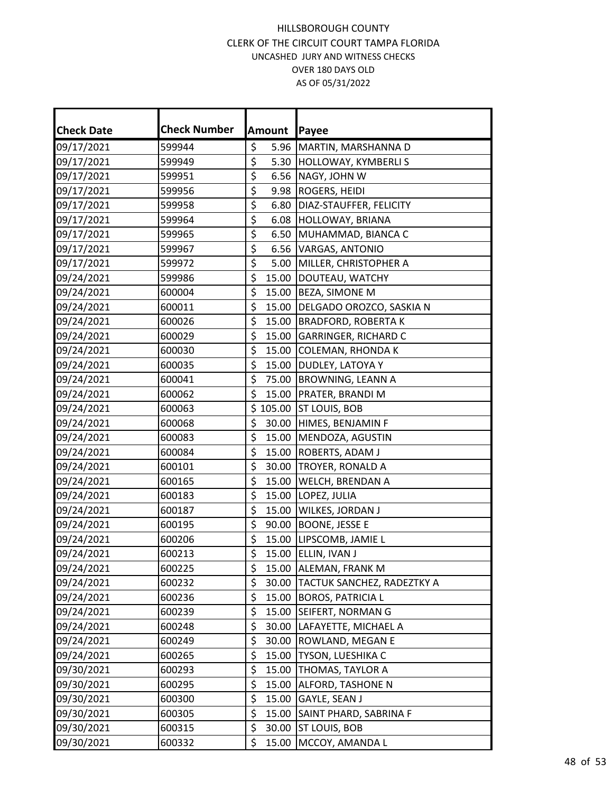| <b>Check Date</b> | <b>Check Number</b> | Amount                                   | Payee                      |
|-------------------|---------------------|------------------------------------------|----------------------------|
| 09/17/2021        | 599944              | \$<br>5.96                               | MARTIN, MARSHANNA D        |
| 09/17/2021        | 599949              | $\overline{\xi}$<br>5.30                 | HOLLOWAY, KYMBERLI S       |
| 09/17/2021        | 599951              | \$<br>6.56                               | NAGY, JOHN W               |
| 09/17/2021        | 599956              | \$<br>9.98                               | ROGERS, HEIDI              |
| 09/17/2021        | 599958              | $\overline{\boldsymbol{\zeta}}$<br>6.80  | DIAZ-STAUFFER, FELICITY    |
| 09/17/2021        | 599964              | \$<br>6.08                               | HOLLOWAY, BRIANA           |
| 09/17/2021        | 599965              | \$<br>6.50                               | MUHAMMAD, BIANCA C         |
| 09/17/2021        | 599967              | \$<br>6.56                               | VARGAS, ANTONIO            |
| 09/17/2021        | 599972              | \$<br>5.00                               | MILLER, CHRISTOPHER A      |
| 09/24/2021        | 599986              | \$<br>15.00                              | DOUTEAU, WATCHY            |
| 09/24/2021        | 600004              | $\overline{\boldsymbol{\zeta}}$<br>15.00 | BEZA, SIMONE M             |
| 09/24/2021        | 600011              | \$<br>15.00                              | DELGADO OROZCO, SASKIA N   |
| 09/24/2021        | 600026              | $\overline{\xi}$<br>15.00                | <b>BRADFORD, ROBERTA K</b> |
| 09/24/2021        | 600029              | \$<br>15.00                              | GARRINGER, RICHARD C       |
| 09/24/2021        | 600030              | $\overline{\boldsymbol{\zeta}}$<br>15.00 | <b>COLEMAN, RHONDA K</b>   |
| 09/24/2021        | 600035              | \$<br>15.00                              | DUDLEY, LATOYA Y           |
| 09/24/2021        | 600041              | \$<br>75.00                              | <b>BROWNING, LEANN A</b>   |
| 09/24/2021        | 600062              | \$<br>15.00                              | <b>PRATER, BRANDI M</b>    |
| 09/24/2021        | 600063              | \$105.00                                 | <b>ST LOUIS, BOB</b>       |
| 09/24/2021        | 600068              | \$<br>30.00                              | HIMES, BENJAMIN F          |
| 09/24/2021        | 600083              | \$<br>15.00                              | MENDOZA, AGUSTIN           |
| 09/24/2021        | 600084              | \$<br>15.00                              | ROBERTS, ADAM J            |
| 09/24/2021        | 600101              | \$<br>30.00                              | <b>TROYER, RONALD A</b>    |
| 09/24/2021        | 600165              | \$<br>15.00                              | WELCH, BRENDAN A           |
| 09/24/2021        | 600183              | \$<br>15.00                              | LOPEZ, JULIA               |
| 09/24/2021        | 600187              | \$<br>15.00                              | WILKES, JORDAN J           |
| 09/24/2021        | 600195              | $\overline{\xi}$<br>90.00                | <b>BOONE, JESSE E</b>      |
| 09/24/2021        | 600206              | \$<br>15.00                              | LIPSCOMB, JAMIE L          |
| 09/24/2021        | 600213              | $\overline{\xi}$<br>15.00                | ELLIN, IVAN J              |
| 09/24/2021        | 600225              | \$                                       | 15.00 ALEMAN, FRANK M      |
| 09/24/2021        | 600232              | \$<br>30.00                              | TACTUK SANCHEZ, RADEZTKY A |
| 09/24/2021        | 600236              | \$<br>15.00                              | <b>BOROS, PATRICIA L</b>   |
| 09/24/2021        | 600239              | \$<br>15.00                              | SEIFERT, NORMAN G          |
| 09/24/2021        | 600248              | \$<br>30.00                              | LAFAYETTE, MICHAEL A       |
| 09/24/2021        | 600249              | \$<br>30.00                              | ROWLAND, MEGAN E           |
| 09/24/2021        | 600265              | \$<br>15.00                              | TYSON, LUESHIKA C          |
| 09/30/2021        | 600293              | \$<br>15.00                              | THOMAS, TAYLOR A           |
| 09/30/2021        | 600295              | \$<br>15.00                              | ALFORD, TASHONE N          |
| 09/30/2021        | 600300              | \$<br>15.00                              | GAYLE, SEAN J              |
| 09/30/2021        | 600305              | \$<br>15.00                              | SAINT PHARD, SABRINA F     |
| 09/30/2021        | 600315              | \$<br>30.00                              | ST LOUIS, BOB              |
| 09/30/2021        | 600332              | \$<br>15.00                              | MCCOY, AMANDA L            |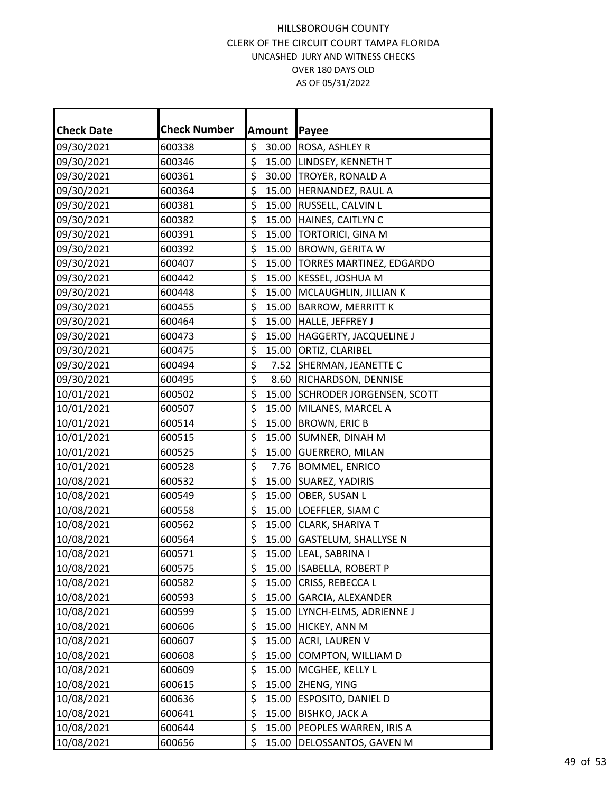| <b>Check Date</b> | <b>Check Number</b> |                                 | Amount | Payee                            |
|-------------------|---------------------|---------------------------------|--------|----------------------------------|
| 09/30/2021        | 600338              | \$                              | 30.00  | ROSA, ASHLEY R                   |
| 09/30/2021        | 600346              | \$                              | 15.00  | LINDSEY, KENNETH T               |
| 09/30/2021        | 600361              | \$                              | 30.00  | <b>TROYER, RONALD A</b>          |
| 09/30/2021        | 600364              | \$                              | 15.00  | HERNANDEZ, RAUL A                |
| 09/30/2021        | 600381              | \$                              | 15.00  | RUSSELL, CALVIN L                |
| 09/30/2021        | 600382              | \$                              | 15.00  | HAINES, CAITLYN C                |
| 09/30/2021        | 600391              | \$                              | 15.00  | TORTORICI, GINA M                |
| 09/30/2021        | 600392              | $\overline{\boldsymbol{\zeta}}$ | 15.00  | <b>BROWN, GERITA W</b>           |
| 09/30/2021        | 600407              | \$                              | 15.00  | <b>TORRES MARTINEZ, EDGARDO</b>  |
| 09/30/2021        | 600442              | \$                              | 15.00  | KESSEL, JOSHUA M                 |
| 09/30/2021        | 600448              | $\overline{\boldsymbol{\zeta}}$ | 15.00  | MCLAUGHLIN, JILLIAN K            |
| 09/30/2021        | 600455              | \$                              | 15.00  | <b>BARROW, MERRITT K</b>         |
| 09/30/2021        | 600464              | \$                              | 15.00  | HALLE, JEFFREY J                 |
| 09/30/2021        | 600473              | \$                              | 15.00  | HAGGERTY, JACQUELINE J           |
| 09/30/2021        | 600475              | \$                              | 15.00  | ORTIZ, CLARIBEL                  |
| 09/30/2021        | 600494              | \$                              | 7.52   | SHERMAN, JEANETTE C              |
| 09/30/2021        | 600495              | $\overline{\boldsymbol{\zeta}}$ | 8.60   | RICHARDSON, DENNISE              |
| 10/01/2021        | 600502              | $\overline{\boldsymbol{\zeta}}$ | 15.00  | <b>SCHRODER JORGENSEN, SCOTT</b> |
| 10/01/2021        | 600507              | \$                              | 15.00  | MILANES, MARCEL A                |
| 10/01/2021        | 600514              | \$                              | 15.00  | <b>BROWN, ERIC B</b>             |
| 10/01/2021        | 600515              | \$                              | 15.00  | SUMNER, DINAH M                  |
| 10/01/2021        | 600525              | $\overline{\boldsymbol{\zeta}}$ | 15.00  | <b>GUERRERO, MILAN</b>           |
| 10/01/2021        | 600528              | $\overline{\xi}$                | 7.76   | <b>BOMMEL, ENRICO</b>            |
| 10/08/2021        | 600532              | \$                              | 15.00  | SUAREZ, YADIRIS                  |
| 10/08/2021        | 600549              | \$                              | 15.00  | OBER, SUSAN L                    |
| 10/08/2021        | 600558              | \$                              | 15.00  | LOEFFLER, SIAM C                 |
| 10/08/2021        | 600562              | \$                              | 15.00  | CLARK, SHARIYA T                 |
| 10/08/2021        | 600564              | \$                              | 15.00  | <b>GASTELUM, SHALLYSE N</b>      |
| 10/08/2021        | 600571              | $\overline{\xi}$                |        | 15.00 LEAL, SABRINA I            |
| 10/08/2021        | 600575              | \$                              | 15.00  | ISABELLA, ROBERT P               |
| 10/08/2021        | 600582              | \$                              | 15.00  | CRISS, REBECCA L                 |
| 10/08/2021        | 600593              | \$                              | 15.00  | GARCIA, ALEXANDER                |
| 10/08/2021        | 600599              | \$                              | 15.00  | LYNCH-ELMS, ADRIENNE J           |
| 10/08/2021        | 600606              | \$                              | 15.00  | HICKEY, ANN M                    |
| 10/08/2021        | 600607              | \$                              | 15.00  | <b>ACRI, LAUREN V</b>            |
| 10/08/2021        | 600608              | \$                              | 15.00  | COMPTON, WILLIAM D               |
| 10/08/2021        | 600609              | \$                              | 15.00  | MCGHEE, KELLY L                  |
| 10/08/2021        | 600615              | \$                              | 15.00  | ZHENG, YING                      |
| 10/08/2021        | 600636              | \$                              | 15.00  | ESPOSITO, DANIEL D               |
| 10/08/2021        | 600641              | \$                              | 15.00  | <b>BISHKO, JACK A</b>            |
| 10/08/2021        | 600644              | \$                              | 15.00  | PEOPLES WARREN, IRIS A           |
| 10/08/2021        | 600656              | \$                              | 15.00  | DELOSSANTOS, GAVEN M             |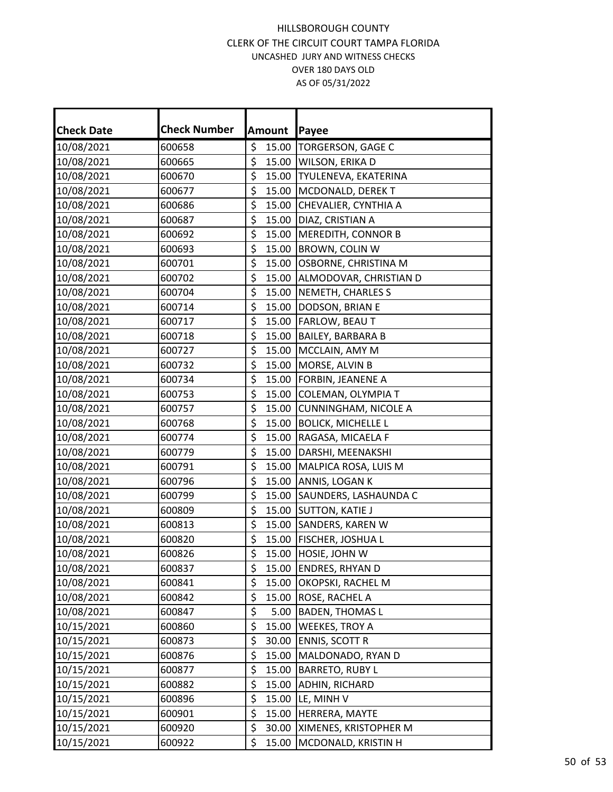| <b>Check Date</b> | <b>Check Number</b> | Amount                    | Payee                        |
|-------------------|---------------------|---------------------------|------------------------------|
| 10/08/2021        | 600658              | \$<br>15.00               | <b>TORGERSON, GAGE C</b>     |
| 10/08/2021        | 600665              | \$<br>15.00               | WILSON, ERIKA D              |
| 10/08/2021        | 600670              | \$<br>15.00               | TYULENEVA, EKATERINA         |
| 10/08/2021        | 600677              | \$<br>15.00               | MCDONALD, DEREK T            |
| 10/08/2021        | 600686              | \$<br>15.00               | CHEVALIER, CYNTHIA A         |
| 10/08/2021        | 600687              | \$<br>15.00               | DIAZ, CRISTIAN A             |
| 10/08/2021        | 600692              | \$<br>15.00               | MEREDITH, CONNOR B           |
| 10/08/2021        | 600693              | $\overline{\xi}$<br>15.00 | BROWN, COLIN W               |
| 10/08/2021        | 600701              | \$<br>15.00               | OSBORNE, CHRISTINA M         |
| 10/08/2021        | 600702              | \$                        | 15.00 ALMODOVAR, CHRISTIAN D |
| 10/08/2021        | 600704              | $\overline{\xi}$<br>15.00 | NEMETH, CHARLES S            |
| 10/08/2021        | 600714              | \$<br>15.00               | DODSON, BRIAN E              |
| 10/08/2021        | 600717              | \$<br>15.00               | FARLOW, BEAU T               |
| 10/08/2021        | 600718              | \$<br>15.00               | <b>BAILEY, BARBARA B</b>     |
| 10/08/2021        | 600727              | \$<br>15.00               | MCCLAIN, AMY M               |
| 10/08/2021        | 600732              | \$<br>15.00               | MORSE, ALVIN B               |
| 10/08/2021        | 600734              | \$<br>15.00               | FORBIN, JEANENE A            |
| 10/08/2021        | 600753              | $\overline{\xi}$<br>15.00 | COLEMAN, OLYMPIA T           |
| 10/08/2021        | 600757              | \$<br>15.00               | <b>CUNNINGHAM, NICOLE A</b>  |
| 10/08/2021        | 600768              | \$<br>15.00               | <b>BOLICK, MICHELLE L</b>    |
| 10/08/2021        | 600774              | \$<br>15.00               | RAGASA, MICAELA F            |
| 10/08/2021        | 600779              | \$<br>15.00               | DARSHI, MEENAKSHI            |
| 10/08/2021        | 600791              | \$<br>15.00               | MALPICA ROSA, LUIS M         |
| 10/08/2021        | 600796              | \$<br>15.00               | ANNIS, LOGAN K               |
| 10/08/2021        | 600799              | \$<br>15.00               | SAUNDERS, LASHAUNDA C        |
| 10/08/2021        | 600809              | \$<br>15.00               | SUTTON, KATIE J              |
| 10/08/2021        | 600813              | \$<br>15.00               | SANDERS, KAREN W             |
| 10/08/2021        | 600820              | \$<br>15.00               | FISCHER, JOSHUA L            |
| 10/08/2021        | 600826              | $\overline{\xi}$<br>15.00 | HOSIE, JOHN W                |
| 10/08/2021        | 600837              | \$<br>15.00               | ENDRES, RHYAN D              |
| 10/08/2021        | 600841              | \$<br>15.00               | OKOPSKI, RACHEL M            |
| 10/08/2021        | 600842              | \$<br>15.00               | ROSE, RACHEL A               |
| 10/08/2021        | 600847              | \$<br>5.00                | <b>BADEN, THOMAS L</b>       |
| 10/15/2021        | 600860              | \$<br>15.00               | <b>WEEKES, TROY A</b>        |
| 10/15/2021        | 600873              | \$<br>30.00               | ENNIS, SCOTT R               |
| 10/15/2021        | 600876              | \$<br>15.00               | MALDONADO, RYAN D            |
| 10/15/2021        | 600877              | \$<br>15.00               | <b>BARRETO, RUBY L</b>       |
| 10/15/2021        | 600882              | \$<br>15.00               | ADHIN, RICHARD               |
| 10/15/2021        | 600896              | \$<br>15.00               | LE, MINH V                   |
| 10/15/2021        | 600901              | \$<br>15.00               | HERRERA, MAYTE               |
| 10/15/2021        | 600920              | \$<br>30.00               | XIMENES, KRISTOPHER M        |
| 10/15/2021        | 600922              | \$<br>15.00               | MCDONALD, KRISTIN H          |
|                   |                     |                           |                              |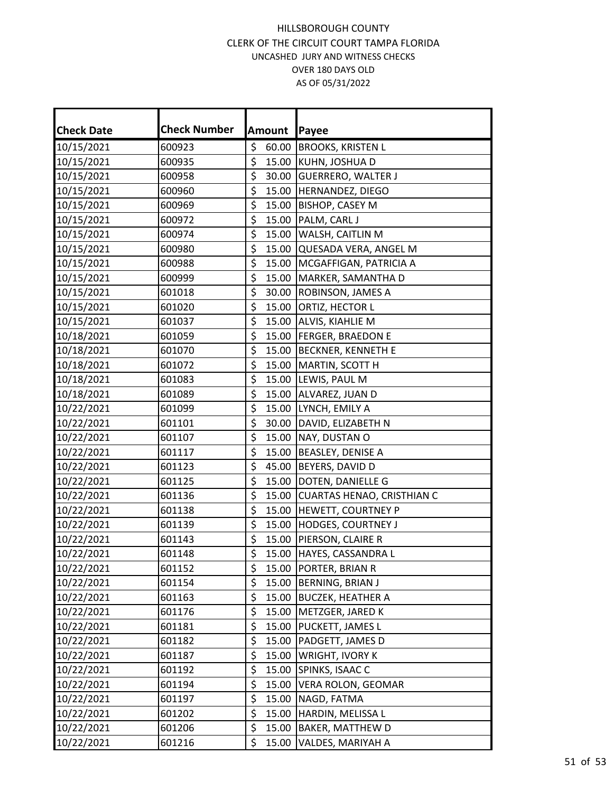| <b>Check Number</b><br><b>Check Date</b><br>Amount<br>Payee                |  |
|----------------------------------------------------------------------------|--|
| \$<br>60.00<br>10/15/2021<br>600923<br><b>BROOKS, KRISTEN L</b>            |  |
| \$<br>10/15/2021<br>600935<br>15.00<br>KUHN, JOSHUA D                      |  |
| \$<br>10/15/2021<br>30.00<br>600958<br><b>GUERRERO, WALTER J</b>           |  |
| \$<br>15.00<br>10/15/2021<br>HERNANDEZ, DIEGO<br>600960                    |  |
| \$<br>10/15/2021<br>15.00<br>600969<br><b>BISHOP, CASEY M</b>              |  |
| \$<br>15.00<br>10/15/2021<br>600972<br>PALM, CARL J                        |  |
| \$<br>10/15/2021<br>15.00<br>600974<br>WALSH, CAITLIN M                    |  |
| \$<br>10/15/2021<br>15.00<br>600980<br>QUESADA VERA, ANGEL M               |  |
| \$<br>10/15/2021<br>15.00<br>MCGAFFIGAN, PATRICIA A<br>600988              |  |
| \$<br>10/15/2021<br>15.00<br>600999<br>MARKER, SAMANTHA D                  |  |
| \$<br>30.00<br>10/15/2021<br>ROBINSON, JAMES A<br>601018                   |  |
| \$<br>10/15/2021<br>15.00<br>601020<br>ORTIZ, HECTOR L                     |  |
| \$<br>10/15/2021<br>15.00<br>ALVIS, KIAHLIE M<br>601037                    |  |
| \$<br>10/18/2021<br>15.00   FERGER, BRAEDON E<br>601059                    |  |
| \$<br>10/18/2021<br>15.00<br>601070<br>BECKNER, KENNETH E                  |  |
| \$<br>15.00<br>10/18/2021<br>601072<br>MARTIN, SCOTT H                     |  |
| \$<br>10/18/2021<br>15.00<br>601083<br>LEWIS, PAUL M                       |  |
| \$<br>10/18/2021<br>15.00<br>ALVAREZ, JUAN D<br>601089                     |  |
| \$<br>10/22/2021<br>15.00<br>LYNCH, EMILY A<br>601099                      |  |
| \$<br>10/22/2021<br>30.00<br>601101<br>DAVID, ELIZABETH N                  |  |
| \$<br>10/22/2021<br>15.00<br>601107<br>NAY, DUSTAN O                       |  |
| \$<br>15.00<br>10/22/2021<br>601117<br>BEASLEY, DENISE A                   |  |
| \$<br>45.00<br>10/22/2021<br>BEYERS, DAVID D<br>601123                     |  |
| \$<br>10/22/2021<br>15.00<br>601125<br>DOTEN, DANIELLE G                   |  |
| \$<br>15.00<br>10/22/2021<br>CUARTAS HENAO, CRISTHIAN C<br>601136          |  |
| \$<br>10/22/2021<br>15.00<br>HEWETT, COURTNEY P<br>601138                  |  |
| \$<br>10/22/2021<br>15.00<br>601139<br><b>HODGES, COURTNEY J</b>           |  |
| \$<br>10/22/2021<br>15.00<br>PIERSON, CLAIRE R<br>601143                   |  |
| $\overline{\varsigma}$<br>10/22/2021<br>15.00 HAYES, CASSANDRA L<br>601148 |  |
| 10/22/2021<br>\$<br>15.00<br>PORTER, BRIAN R<br>601152                     |  |
| \$<br>10/22/2021<br>601154<br>15.00<br>BERNING, BRIAN J                    |  |
| \$<br>10/22/2021<br>15.00<br>601163<br><b>BUCZEK, HEATHER A</b>            |  |
| \$<br>10/22/2021<br>601176<br>15.00<br>METZGER, JARED K                    |  |
| \$<br>10/22/2021<br>601181<br>15.00<br>PUCKETT, JAMES L                    |  |
| \$<br>10/22/2021<br>15.00<br>PADGETT, JAMES D<br>601182                    |  |
| \$<br>10/22/2021<br>601187<br>15.00<br>WRIGHT, IVORY K                     |  |
| \$<br>10/22/2021<br>15.00<br>601192<br>SPINKS, ISAAC C                     |  |
| \$<br>10/22/2021<br>601194<br>15.00<br>VERA ROLON, GEOMAR                  |  |
| \$<br>10/22/2021<br>15.00<br>NAGD, FATMA<br>601197                         |  |
| \$<br>10/22/2021<br>15.00<br>601202<br>HARDIN, MELISSA L                   |  |
| \$<br>15.00<br>10/22/2021<br>601206<br><b>BAKER, MATTHEW D</b>             |  |
| \$<br>10/22/2021<br>601216<br>15.00<br>VALDES, MARIYAH A                   |  |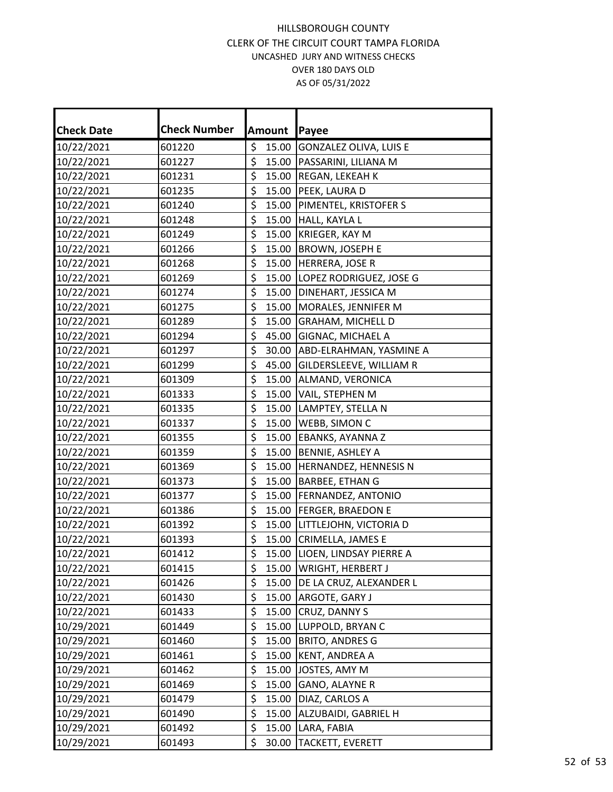| <b>Check Date</b> | <b>Check Number</b> | Amount      | Payee                         |
|-------------------|---------------------|-------------|-------------------------------|
| 10/22/2021        | 601220              | \$<br>15.00 | <b>GONZALEZ OLIVA, LUIS E</b> |
| 10/22/2021        | 601227              | \$          | 15.00 PASSARINI, LILIANA M    |
| 10/22/2021        | 601231              | \$<br>15.00 | <b>REGAN, LEKEAH K</b>        |
| 10/22/2021        | 601235              | \$          | 15.00 PEEK, LAURA D           |
| 10/22/2021        | 601240              | \$          | 15.00 PIMENTEL, KRISTOFER S   |
| 10/22/2021        | 601248              | \$          | 15.00 HALL, KAYLA L           |
| 10/22/2021        | 601249              | \$          | 15.00 KRIEGER, KAY M          |
| 10/22/2021        | 601266              | \$          | 15.00 BROWN, JOSEPH E         |
| 10/22/2021        | 601268              | \$          | 15.00 HERRERA, JOSE R         |
| 10/22/2021        | 601269              | \$          | 15.00 LOPEZ RODRIGUEZ, JOSE G |
| 10/22/2021        | 601274              | \$          | 15.00 DINEHART, JESSICA M     |
| 10/22/2021        | 601275              | \$          | 15.00 MORALES, JENNIFER M     |
| 10/22/2021        | 601289              | \$<br>15.00 | <b>GRAHAM, MICHELL D</b>      |
| 10/22/2021        | 601294              | \$<br>45.00 | <b>GIGNAC, MICHAEL A</b>      |
| 10/22/2021        | 601297              | \$          | 30.00 ABD-ELRAHMAN, YASMINE A |
| 10/22/2021        | 601299              | \$<br>45.00 | GILDERSLEEVE, WILLIAM R       |
| 10/22/2021        | 601309              | \$          | 15.00 ALMAND, VERONICA        |
| 10/22/2021        | 601333              | \$          | 15.00 VAIL, STEPHEN M         |
| 10/22/2021        | 601335              | \$          | 15.00  LAMPTEY, STELLA N      |
| 10/22/2021        | 601337              | \$<br>15.00 | WEBB, SIMON C                 |
| 10/22/2021        | 601355              | \$<br>15.00 | <b>EBANKS, AYANNA Z</b>       |
| 10/22/2021        | 601359              | \$<br>15.00 | <b>BENNIE, ASHLEY A</b>       |
| 10/22/2021        | 601369              | \$          | 15.00 HERNANDEZ, HENNESIS N   |
| 10/22/2021        | 601373              | \$          | 15.00 BARBEE, ETHAN G         |
| 10/22/2021        | 601377              | \$          | 15.00   FERNANDEZ, ANTONIO    |
| 10/22/2021        | 601386              | \$          | 15.00   FERGER, BRAEDON E     |
| 10/22/2021        | 601392              | \$          | 15.00 LITTLEJOHN, VICTORIA D  |
| 10/22/2021        | 601393              | \$          | 15.00 CRIMELLA, JAMES E       |
| 10/22/2021        | 601412              | \$          | 15.00 LIOEN, LINDSAY PIERRE A |
| 10/22/2021        | 601415              | \$          | 15.00   WRIGHT, HERBERT J     |
| 10/22/2021        | 601426              | \$          | 15.00 DE LA CRUZ, ALEXANDER L |
| 10/22/2021        | 601430              | \$          | 15.00 ARGOTE, GARY J          |
| 10/22/2021        | 601433              | \$<br>15.00 | CRUZ, DANNY S                 |
| 10/29/2021        | 601449              | \$<br>15.00 | LUPPOLD, BRYAN C              |
| 10/29/2021        | 601460              | \$<br>15.00 | <b>BRITO, ANDRES G</b>        |
| 10/29/2021        | 601461              | \$<br>15.00 | KENT, ANDREA A                |
| 10/29/2021        | 601462              | \$          | 15.00 JOSTES, AMY M           |
| 10/29/2021        | 601469              | \$<br>15.00 | <b>GANO, ALAYNE R</b>         |
| 10/29/2021        | 601479              | \$<br>15.00 | DIAZ, CARLOS A                |
| 10/29/2021        | 601490              | \$<br>15.00 | ALZUBAIDI, GABRIEL H          |
| 10/29/2021        | 601492              | \$<br>15.00 | LARA, FABIA                   |
| 10/29/2021        | 601493              | \$<br>30.00 | <b>TACKETT, EVERETT</b>       |